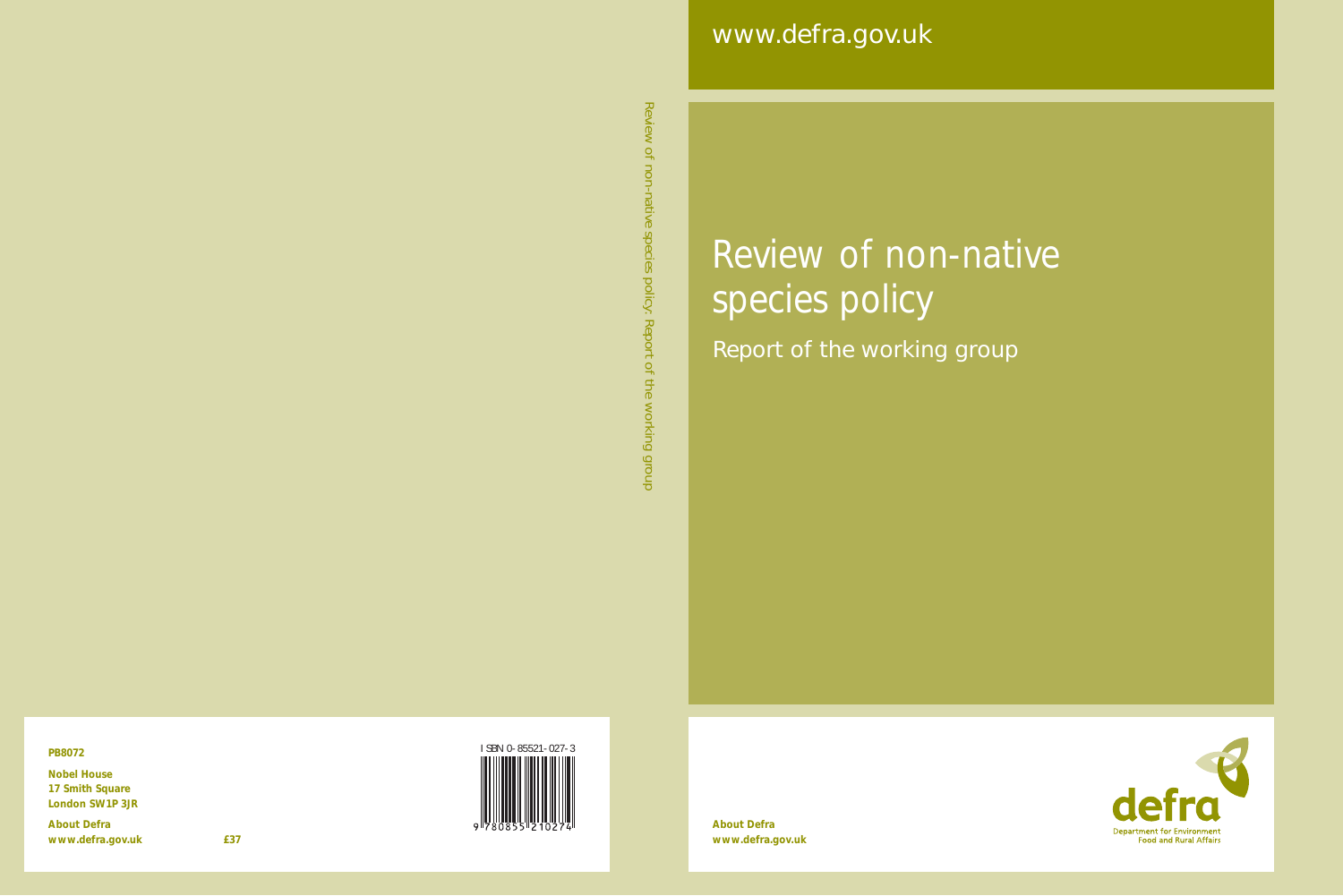**PB8072**

**Nobel House 17 Smith Square London SW1P 3JR**

**About Defra www.defra.gov.uk** Review of non-native species policy: Report of the working group Review of non-native species policy: Report of the working group

# Report of the working group Review of non-native species policy

**About Defra www.defra.gov.uk**

**£37**



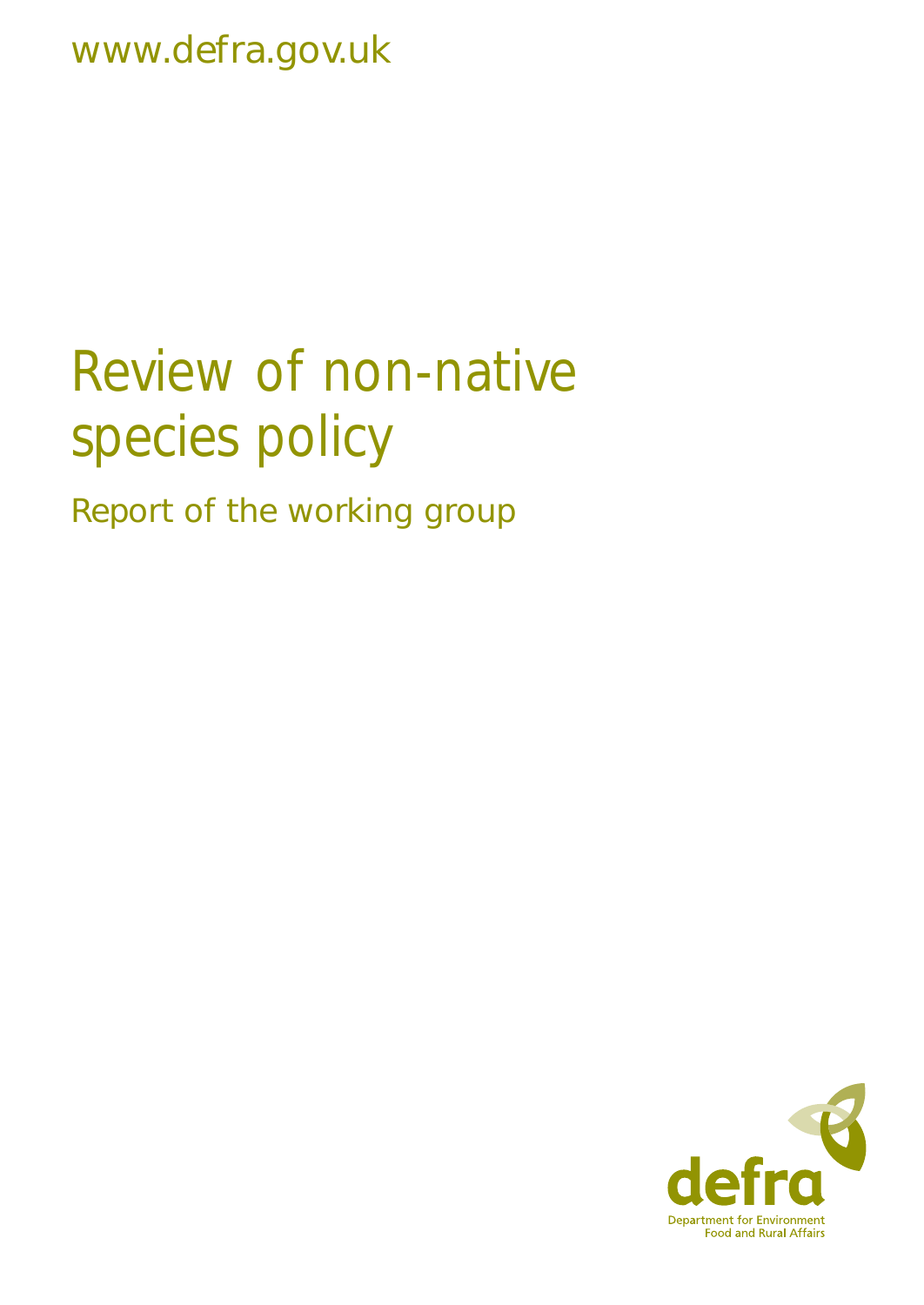www.defra.gov.uk

# Review of non-native species policy

Report of the working group

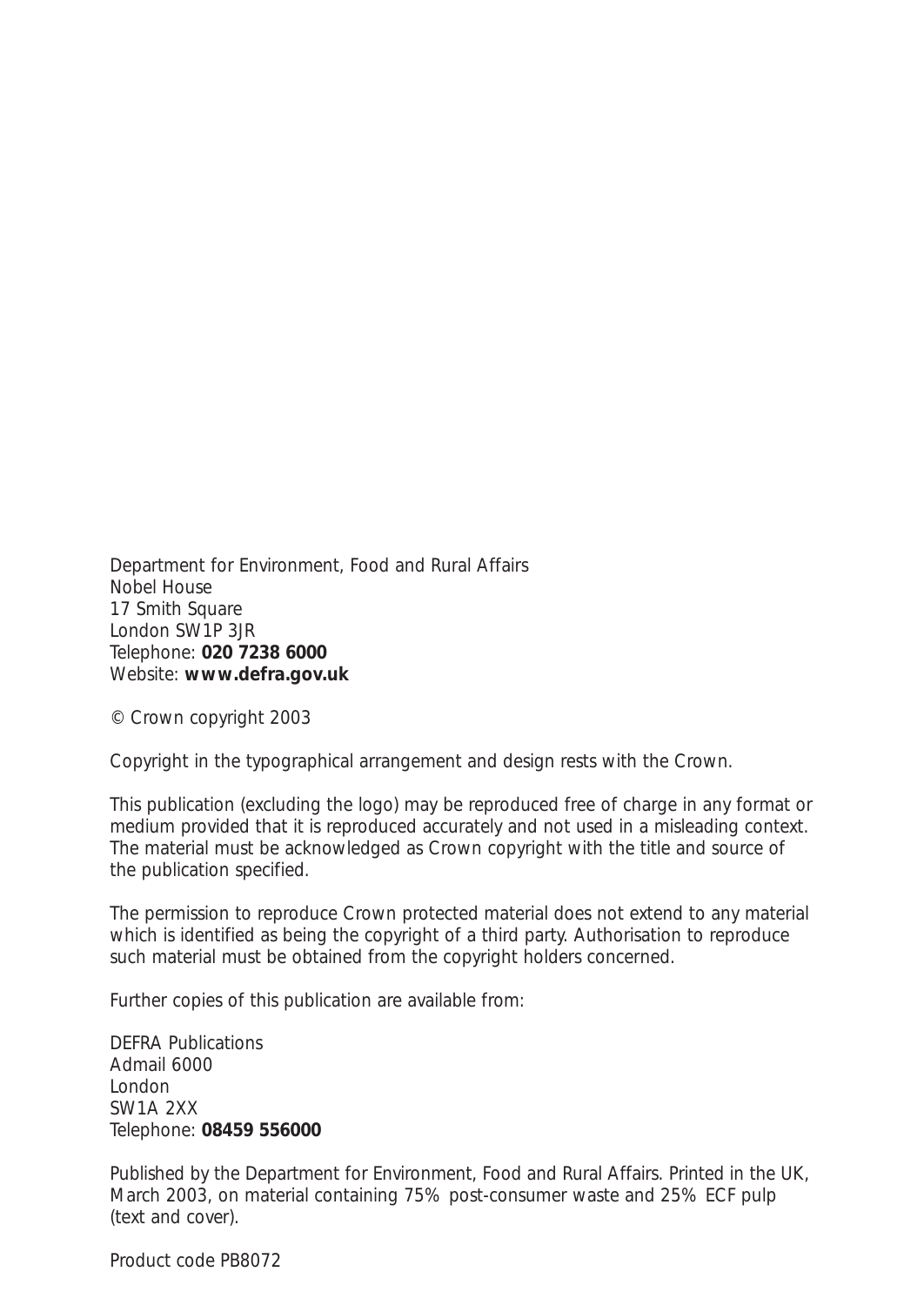Department for Environment, Food and Rural Affairs Nobel House 17 Smith Square London SW1P 3JR Telephone: **020 7238 6000** Website: **www.defra.gov.uk**

© Crown copyright 2003

Copyright in the typographical arrangement and design rests with the Crown.

This publication (excluding the logo) may be reproduced free of charge in any format or medium provided that it is reproduced accurately and not used in a misleading context. The material must be acknowledged as Crown copyright with the title and source of the publication specified.

The permission to reproduce Crown protected material does not extend to any material which is identified as being the copyright of a third party. Authorisation to reproduce such material must be obtained from the copyright holders concerned.

Further copies of this publication are available from:

DEFRA Publications Admail 6000 London SW1A 2XX Telephone: **08459 556000**

Published by the Department for Environment, Food and Rural Affairs. Printed in the UK, March 2003, on material containing 75% post-consumer waste and 25% ECF pulp (text and cover).

Product code PB8072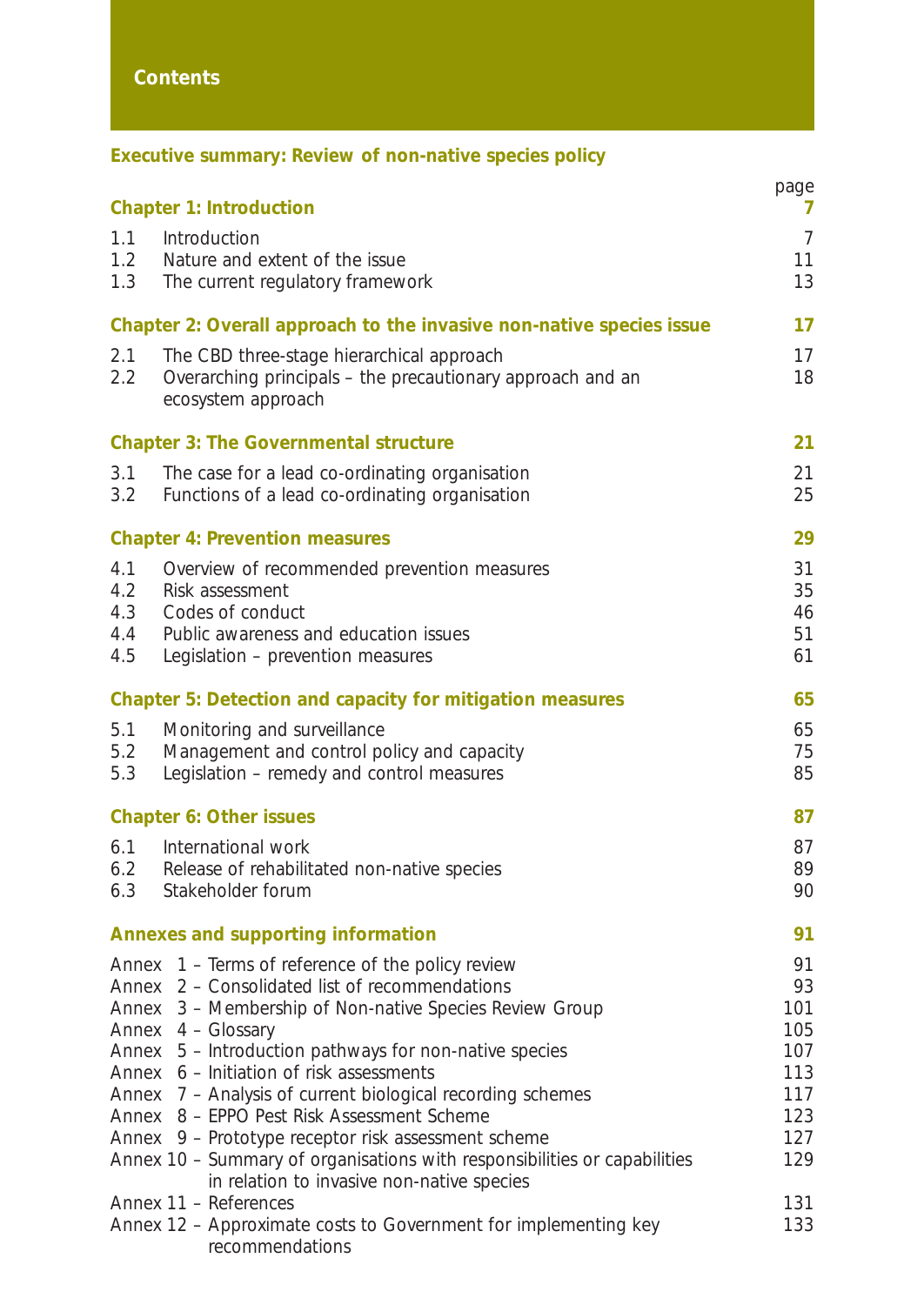# **Executive summary: Review of non-native species policy**

| <b>Chapter 1: Introduction</b>                                                                                                                                                                                                                                                                                                                                                                                                                                                                                                                                                           | page<br>7                                                        |
|------------------------------------------------------------------------------------------------------------------------------------------------------------------------------------------------------------------------------------------------------------------------------------------------------------------------------------------------------------------------------------------------------------------------------------------------------------------------------------------------------------------------------------------------------------------------------------------|------------------------------------------------------------------|
| Introduction<br>1.1<br>1.2<br>Nature and extent of the issue<br>1.3<br>The current regulatory framework                                                                                                                                                                                                                                                                                                                                                                                                                                                                                  | 7<br>11<br>13                                                    |
| Chapter 2: Overall approach to the invasive non-native species issue                                                                                                                                                                                                                                                                                                                                                                                                                                                                                                                     | 17                                                               |
| The CBD three-stage hierarchical approach<br>2.1<br>2.2<br>Overarching principals – the precautionary approach and an<br>ecosystem approach                                                                                                                                                                                                                                                                                                                                                                                                                                              | 17<br>18                                                         |
| <b>Chapter 3: The Governmental structure</b>                                                                                                                                                                                                                                                                                                                                                                                                                                                                                                                                             | 21                                                               |
| 3.1<br>The case for a lead co-ordinating organisation<br>3.2<br>Functions of a lead co-ordinating organisation                                                                                                                                                                                                                                                                                                                                                                                                                                                                           | 21<br>25                                                         |
| <b>Chapter 4: Prevention measures</b>                                                                                                                                                                                                                                                                                                                                                                                                                                                                                                                                                    | 29                                                               |
| 4.1<br>Overview of recommended prevention measures<br>Risk assessment<br>4.2<br>4.3<br>Codes of conduct<br>Public awareness and education issues<br>4.4<br>4.5<br>Legislation - prevention measures                                                                                                                                                                                                                                                                                                                                                                                      | 31<br>35<br>46<br>51<br>61                                       |
| Chapter 5: Detection and capacity for mitigation measures                                                                                                                                                                                                                                                                                                                                                                                                                                                                                                                                | 65                                                               |
| 5.1<br>Monitoring and surveillance<br>5.2<br>Management and control policy and capacity<br>5.3<br>Legislation – remedy and control measures                                                                                                                                                                                                                                                                                                                                                                                                                                              | 65<br>75<br>85                                                   |
| <b>Chapter 6: Other issues</b>                                                                                                                                                                                                                                                                                                                                                                                                                                                                                                                                                           | 87                                                               |
| International work<br>6.1<br>6.2<br>Release of rehabilitated non-native species<br>Stakeholder forum<br>6.3                                                                                                                                                                                                                                                                                                                                                                                                                                                                              | 87<br>89<br>90                                                   |
| <b>Annexes and supporting information</b>                                                                                                                                                                                                                                                                                                                                                                                                                                                                                                                                                | 91                                                               |
| Annex 1 – Terms of reference of the policy review<br>Annex 2 – Consolidated list of recommendations<br>Annex 3 – Membership of Non-native Species Review Group<br>Annex 4 - Glossary<br>Annex 5 - Introduction pathways for non-native species<br>Annex 6 – Initiation of risk assessments<br>Annex 7 - Analysis of current biological recording schemes<br>Annex 8 – EPPO Pest Risk Assessment Scheme<br>Annex 9 – Prototype receptor risk assessment scheme<br>Annex 10 - Summary of organisations with responsibilities or capabilities<br>in relation to invasive non-native species | 91<br>93<br>101<br>105<br>107<br>113<br>117<br>123<br>127<br>129 |
| Annex 11 - References<br>Annex 12 - Approximate costs to Government for implementing key<br>recommendations                                                                                                                                                                                                                                                                                                                                                                                                                                                                              | 131<br>133                                                       |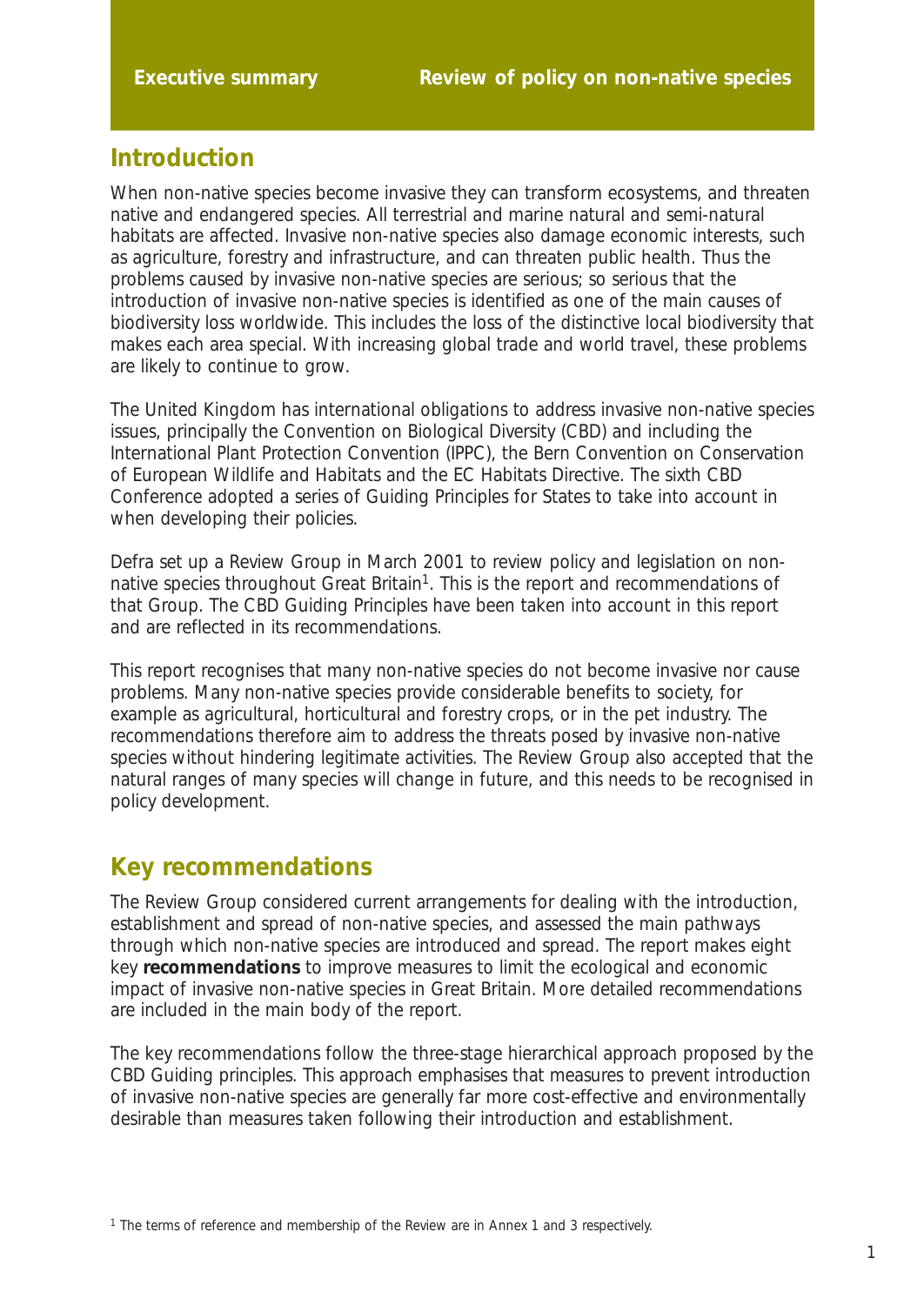# **Introduction**

When non-native species become invasive they can transform ecosystems, and threaten native and endangered species. All terrestrial and marine natural and semi-natural habitats are affected. Invasive non-native species also damage economic interests, such as agriculture, forestry and infrastructure, and can threaten public health. Thus the problems caused by invasive non-native species are serious; so serious that the introduction of invasive non-native species is identified as one of the main causes of biodiversity loss worldwide. This includes the loss of the distinctive local biodiversity that makes each area special. With increasing global trade and world travel, these problems are likely to continue to grow.

The United Kingdom has international obligations to address invasive non-native species issues, principally the Convention on Biological Diversity (CBD) and including the International Plant Protection Convention (IPPC), the Bern Convention on Conservation of European Wildlife and Habitats and the EC Habitats Directive. The sixth CBD Conference adopted a series of Guiding Principles for States to take into account in when developing their policies.

Defra set up a Review Group in March 2001 to review policy and legislation on nonnative species throughout Great Britain<sup>1</sup>. This is the report and recommendations of that Group. The CBD Guiding Principles have been taken into account in this report and are reflected in its recommendations.

This report recognises that many non-native species do not become *invasive* nor cause problems. Many non-native species provide considerable benefits to society, for example as agricultural, horticultural and forestry crops, or in the pet industry. The recommendations therefore aim to address the threats posed by *invasive* non-native species without hindering legitimate activities. The Review Group also accepted that the natural ranges of many species will change in future, and this needs to be recognised in policy development.

# **Key recommendations**

The Review Group considered current arrangements for dealing with the introduction, establishment and spread of non-native species, and assessed the main pathways through which non-native species are introduced and spread. The report makes eight key **recommendations** to improve measures to limit the ecological and economic impact of invasive non-native species in Great Britain. More detailed recommendations are included in the main body of the report.

The key recommendations follow the three-stage hierarchical approach proposed by the CBD Guiding principles. This approach emphasises that measures to prevent introduction of invasive non-native species are generally far more cost-effective and environmentally desirable than measures taken following their introduction and establishment.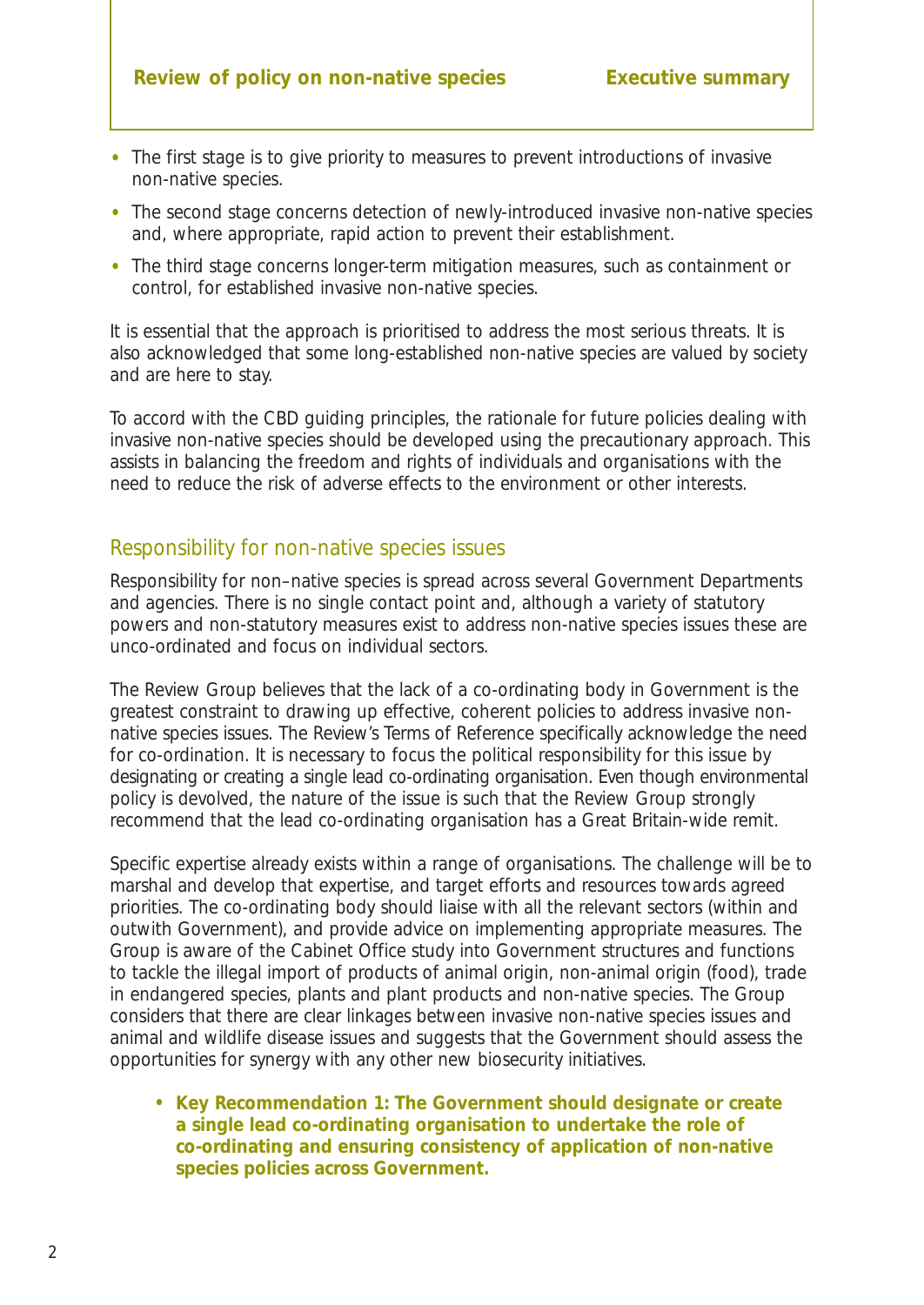- The first stage is to give priority to measures to prevent introductions of invasive non-native species.
- The second stage concerns detection of newly-introduced invasive non-native species and, where appropriate, rapid action to prevent their establishment.
- The third stage concerns longer-term mitigation measures, such as containment or control, for established invasive non-native species.

It is essential that the approach is prioritised to address the most serious threats. It is also acknowledged that some long-established non-native species are valued by society and are here to stay.

To accord with the CBD guiding principles, the rationale for future policies dealing with invasive non-native species should be developed using the precautionary approach. This assists in balancing the freedom and rights of individuals and organisations with the need to reduce the risk of adverse effects to the environment or other interests.

#### Responsibility for non-native species issues

Responsibility for non–native species is spread across several Government Departments and agencies. There is no single contact point and, although a variety of statutory powers and non-statutory measures exist to address non-native species issues these are unco-ordinated and focus on individual sectors.

The Review Group believes that the lack of a co-ordinating body in Government is the greatest constraint to drawing up effective, coherent policies to address invasive nonnative species issues. The Review's Terms of Reference specifically acknowledge the need for co-ordination. It is necessary to focus the political responsibility for this issue by designating or creating a single lead co-ordinating organisation. Even though environmental policy is devolved, the nature of the issue is such that the Review Group strongly recommend that the lead co-ordinating organisation has a Great Britain-wide remit.

Specific expertise already exists within a range of organisations. The challenge will be to marshal and develop that expertise, and target efforts and resources towards agreed priorities. The co-ordinating body should liaise with all the relevant sectors (within and outwith Government), and provide advice on implementing appropriate measures. The Group is aware of the Cabinet Office study into Government structures and functions to tackle the illegal import of products of animal origin, non-animal origin (food), trade in endangered species, plants and plant products and non-native species. The Group considers that there are clear linkages between invasive non-native species issues and animal and wildlife disease issues and suggests that the Government should assess the opportunities for synergy with any other new biosecurity initiatives.

• **Key Recommendation 1: The Government should designate or create a single lead co-ordinating organisation to undertake the role of co-ordinating and ensuring consistency of application of non-native species policies across Government.**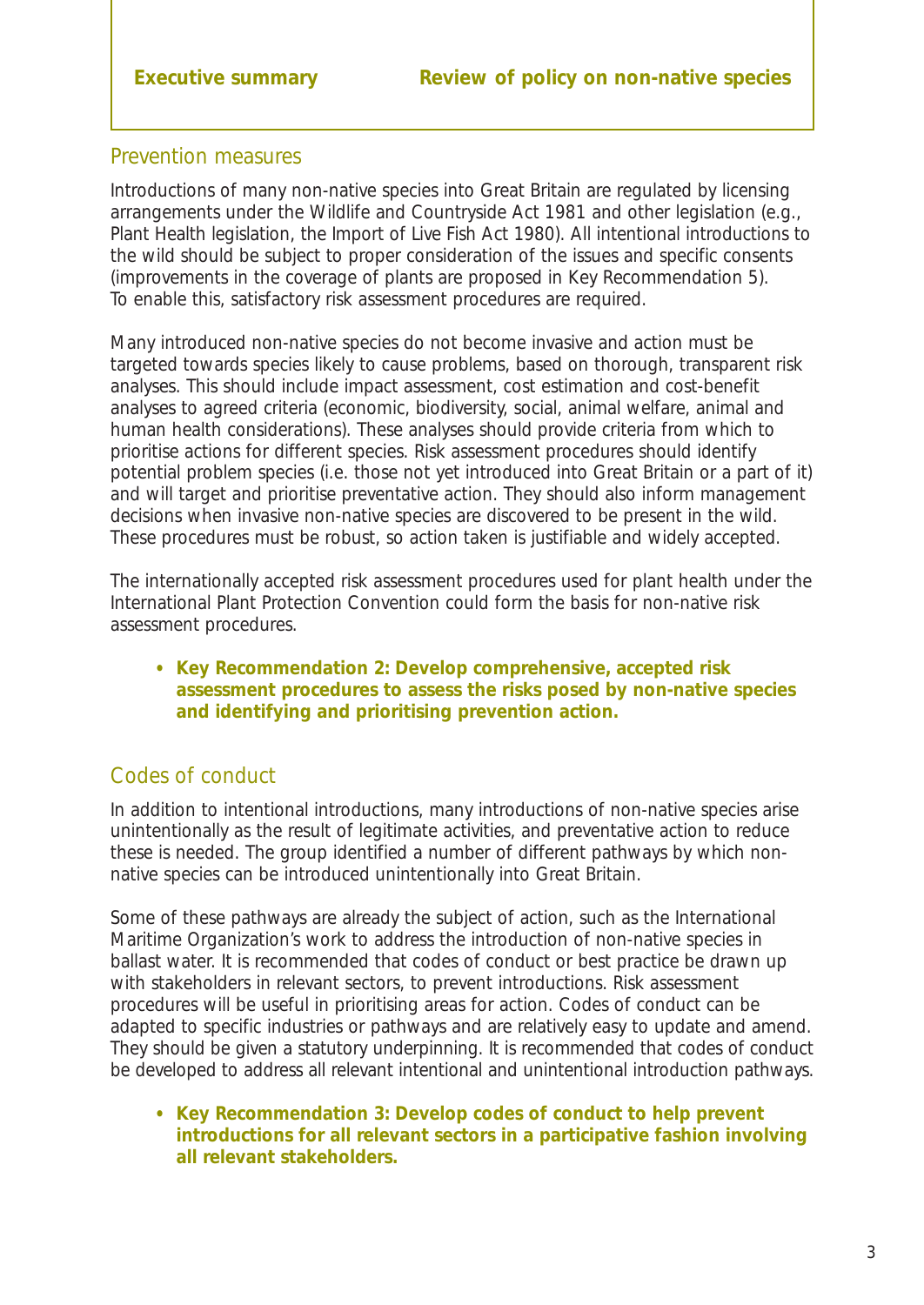#### Prevention measures

Introductions of many non-native species into Great Britain are regulated by licensing arrangements under the Wildlife and Countryside Act 1981 and other legislation (*e.g.*, Plant Health legislation, the Import of Live Fish Act 1980). All intentional introductions to the wild should be subject to proper consideration of the issues and specific consents (improvements in the coverage of plants are proposed in Key Recommendation 5). To enable this, satisfactory risk assessment procedures are required.

Many introduced non-native species do not become invasive and action must be targeted towards species likely to cause problems, based on thorough, transparent risk analyses. This should include impact assessment, cost estimation and cost-benefit analyses to agreed criteria (economic, biodiversity, social, animal welfare, animal and human health considerations). These analyses should provide criteria from which to prioritise actions for different species. Risk assessment procedures should identify potential problem species (*i.e.* those not yet introduced into Great Britain or a part of it) and will target and prioritise preventative action. They should also inform management decisions when invasive non-native species are discovered to be present in the wild. These procedures must be robust, so action taken is justifiable and widely accepted.

The internationally accepted risk assessment procedures used for plant health under the International Plant Protection Convention could form the basis for non-native risk assessment procedures.

• **Key Recommendation 2: Develop comprehensive, accepted risk assessment procedures to assess the risks posed by non-native species and identifying and prioritising prevention action.**

### Codes of conduct

In addition to intentional introductions, many introductions of non-native species arise unintentionally as the result of legitimate activities, and preventative action to reduce these is needed. The group identified a number of different pathways by which nonnative species can be introduced unintentionally into Great Britain.

Some of these pathways are already the subject of action, such as the International Maritime Organization's work to address the introduction of non-native species in ballast water. It is recommended that codes of conduct or best practice be drawn up with stakeholders in relevant sectors, to prevent introductions. Risk assessment procedures will be useful in prioritising areas for action. Codes of conduct can be adapted to specific industries or pathways and are relatively easy to update and amend. They should be given a statutory underpinning. It is recommended that codes of conduct be developed to address all relevant intentional and unintentional introduction pathways.

• **Key Recommendation 3: Develop codes of conduct to help prevent introductions for all relevant sectors in a participative fashion involving all relevant stakeholders.**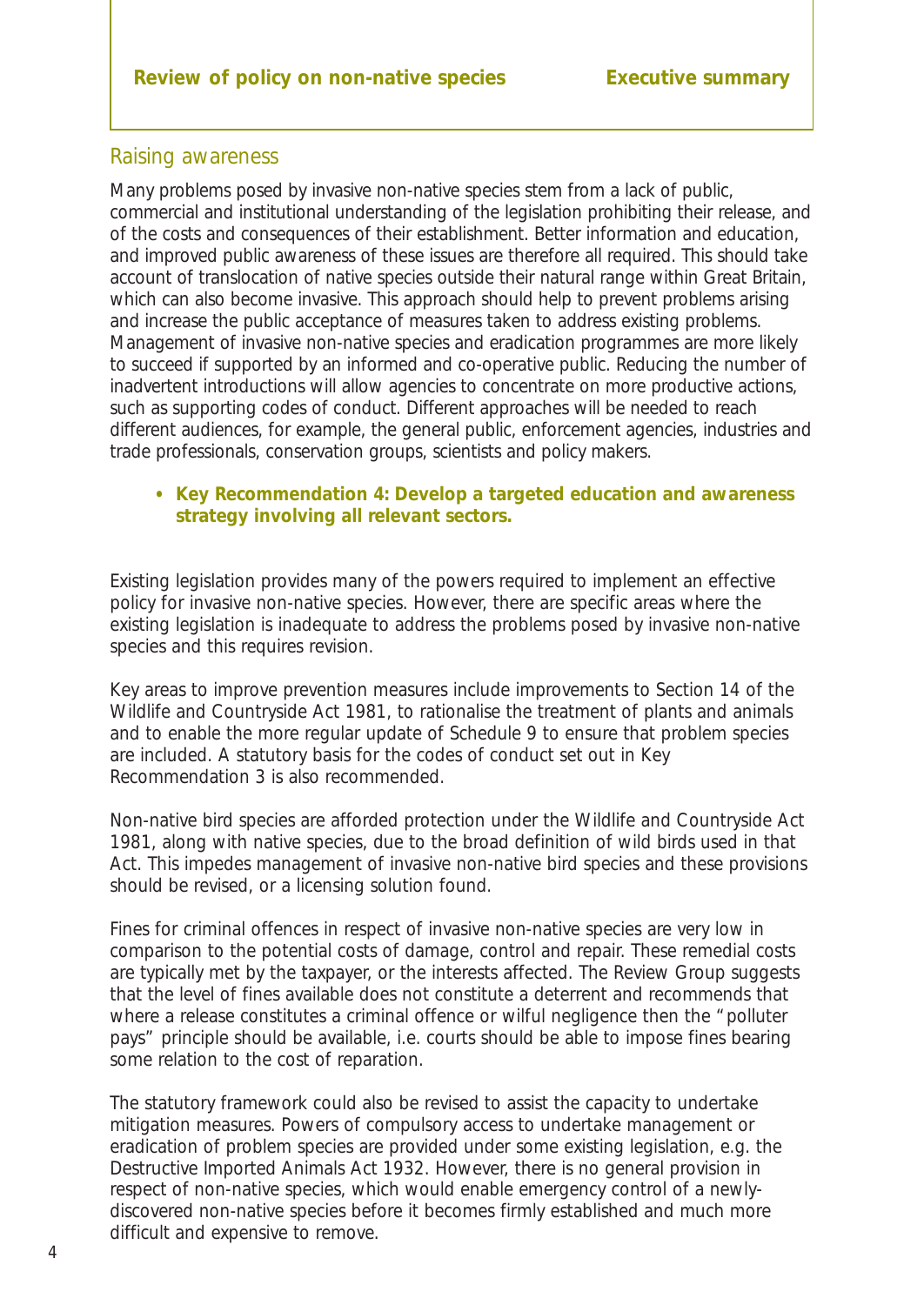#### Raising awareness

Many problems posed by invasive non-native species stem from a lack of public, commercial and institutional understanding of the legislation prohibiting their release, and of the costs and consequences of their establishment. Better information and education, and improved public awareness of these issues are therefore all required. This should take account of translocation of native species outside their natural range within Great Britain, which can also become invasive. This approach should help to prevent problems arising and increase the public acceptance of measures taken to address existing problems. Management of invasive non-native species and eradication programmes are more likely to succeed if supported by an informed and co-operative public. Reducing the number of inadvertent introductions will allow agencies to concentrate on more productive actions, such as supporting codes of conduct. Different approaches will be needed to reach different audiences, for example, the general public, enforcement agencies, industries and trade professionals, conservation groups, scientists and policy makers.

#### • **Key Recommendation 4: Develop a targeted education and awareness strategy involving all relevant sectors.**

Existing legislation provides many of the powers required to implement an effective policy for invasive non-native species. However, there are specific areas where the existing legislation is inadequate to address the problems posed by invasive non-native species and this requires revision.

Key areas to improve prevention measures include improvements to Section 14 of the Wildlife and Countryside Act 1981, to rationalise the treatment of plants and animals and to enable the more regular update of Schedule 9 to ensure that problem species are included. A statutory basis for the codes of conduct set out in Key Recommendation 3 is also recommended.

Non-native bird species are afforded protection under the Wildlife and Countryside Act 1981, along with native species, due to the broad definition of wild birds used in that Act. This impedes management of invasive non-native bird species and these provisions should be revised, or a licensing solution found.

Fines for criminal offences in respect of invasive non-native species are very low in comparison to the potential costs of damage, control and repair. These remedial costs are typically met by the taxpayer, or the interests affected. The Review Group suggests that the level of fines available does not constitute a deterrent and recommends that where a release constitutes a criminal offence or wilful negligence then the "polluter pays" principle should be available, *i.e.* courts should be able to impose fines bearing some relation to the cost of reparation.

The statutory framework could also be revised to assist the capacity to undertake mitigation measures. Powers of compulsory access to undertake management or eradication of problem species are provided under some existing legislation, *e.g.* the Destructive Imported Animals Act 1932. However, there is no general provision in respect of non-native species, which would enable emergency control of a newlydiscovered non-native species before it becomes firmly established and much more difficult and expensive to remove.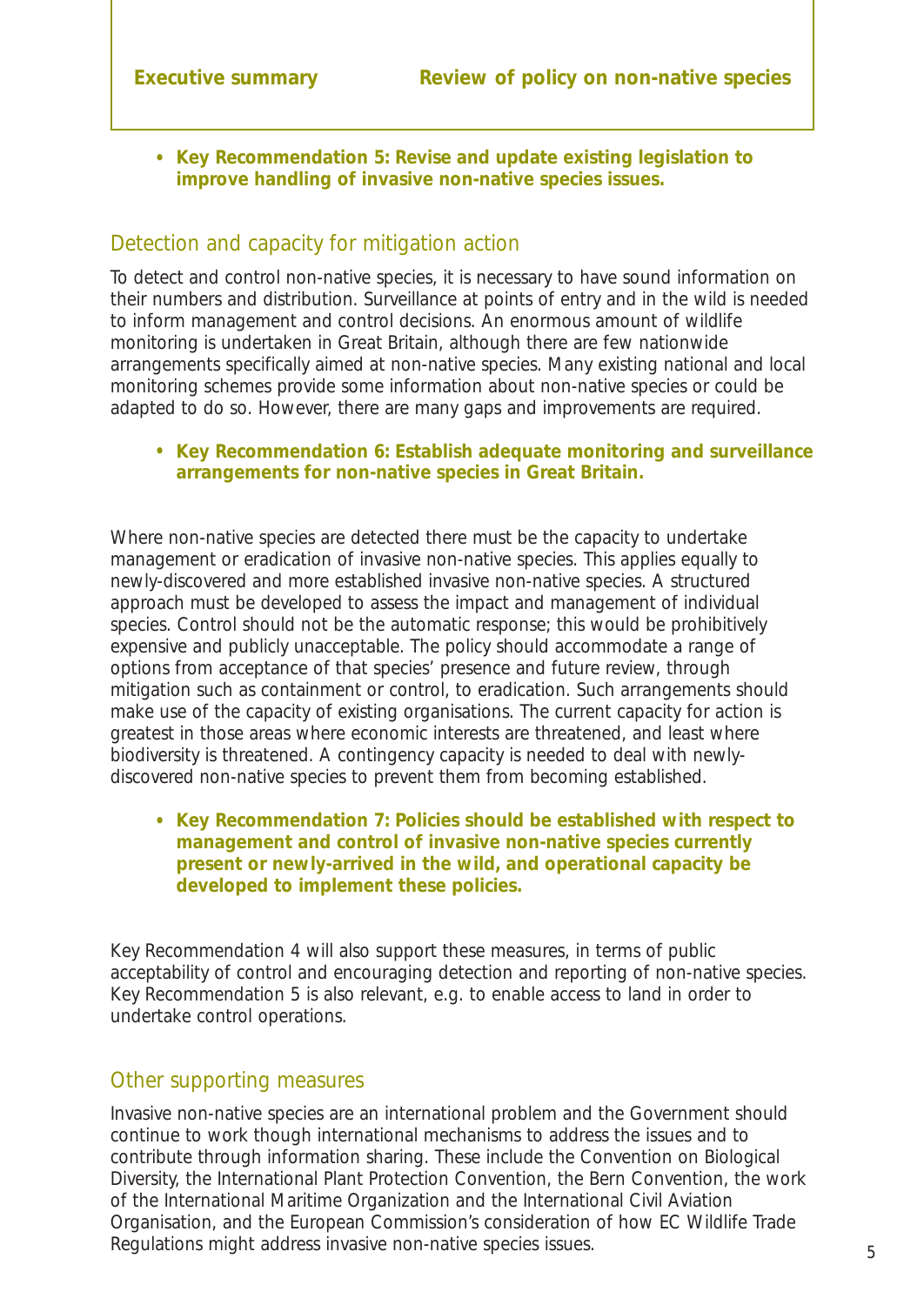• **Key Recommendation 5: Revise and update existing legislation to improve handling of invasive non-native species issues.**

#### Detection and capacity for mitigation action

To detect and control non-native species, it is necessary to have sound information on their numbers and distribution. Surveillance at points of entry and in the wild is needed to inform management and control decisions. An enormous amount of wildlife monitoring is undertaken in Great Britain, although there are few nationwide arrangements specifically aimed at non-native species. Many existing national and local monitoring schemes provide some information about non-native species or could be adapted to do so. However, there are many gaps and improvements are required.

#### • **Key Recommendation 6: Establish adequate monitoring and surveillance arrangements for non-native species in Great Britain.**

Where non-native species are detected there must be the capacity to undertake management or eradication of invasive non-native species. This applies equally to newly-discovered and more established invasive non-native species. A structured approach must be developed to assess the impact and management of individual species. Control should not be the automatic response; this would be prohibitively expensive and publicly unacceptable. The policy should accommodate a range of options from acceptance of that species' presence and future review, through mitigation such as containment or control, to eradication. Such arrangements should make use of the capacity of existing organisations. The current capacity for action is greatest in those areas where economic interests are threatened, and least where biodiversity is threatened. A contingency capacity is needed to deal with newlydiscovered non-native species to prevent them from becoming established.

• **Key Recommendation 7: Policies should be established with respect to management and control of invasive non-native species currently present or newly-arrived in the wild, and operational capacity be developed to implement these policies.**

Key Recommendation 4 will also support these measures, in terms of public acceptability of control and encouraging detection and reporting of non-native species. Key Recommendation 5 is also relevant, *e.g.* to enable access to land in order to undertake control operations.

#### Other supporting measures

Invasive non-native species are an international problem and the Government should continue to work though international mechanisms to address the issues and to contribute through information sharing. These include the Convention on Biological Diversity, the International Plant Protection Convention, the Bern Convention, the work of the International Maritime Organization and the International Civil Aviation Organisation, and the European Commission's consideration of how EC Wildlife Trade Regulations might address invasive non-native species issues.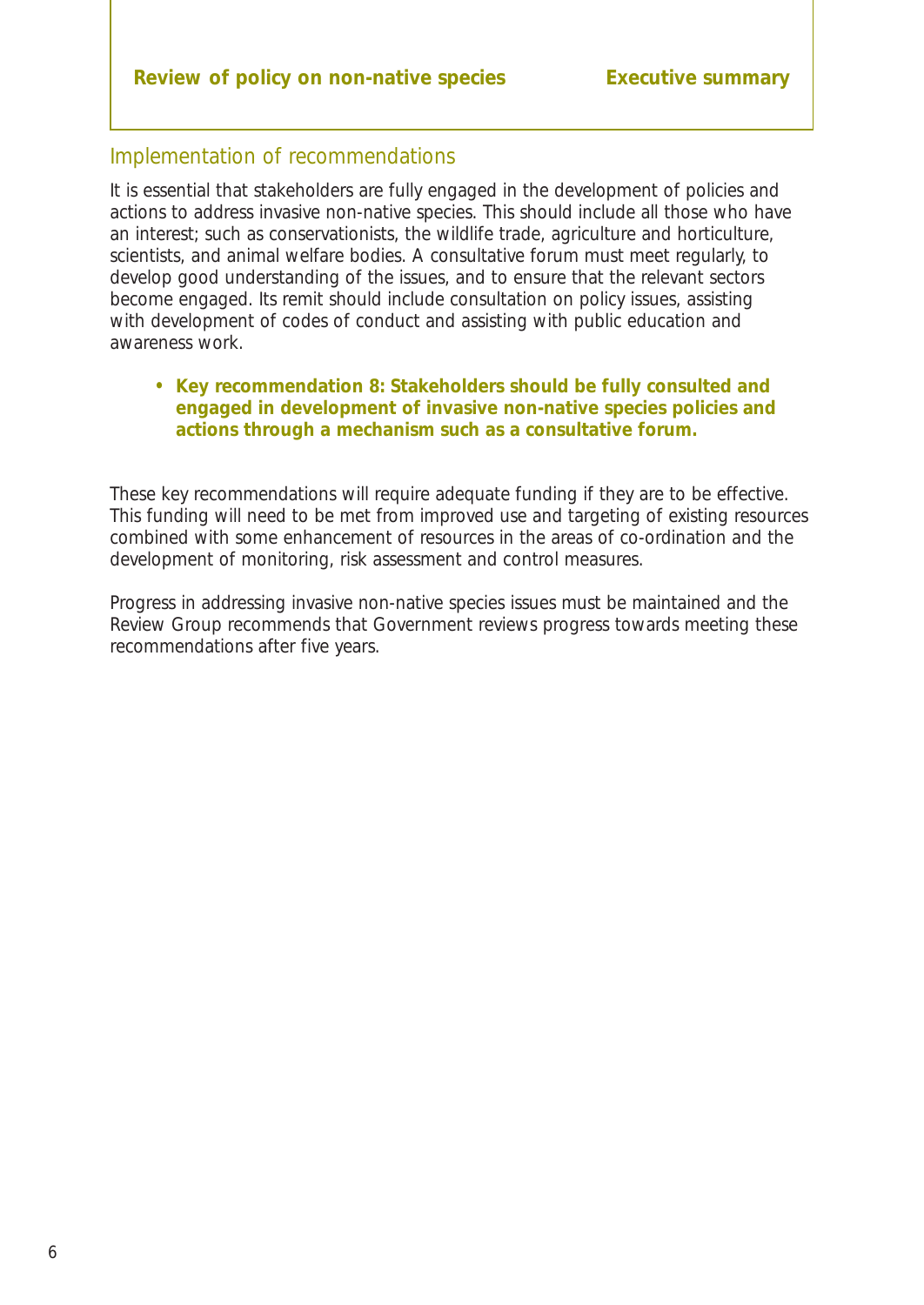#### Implementation of recommendations

It is essential that stakeholders are fully engaged in the development of policies and actions to address invasive non-native species. This should include all those who have an interest; such as conservationists, the wildlife trade, agriculture and horticulture, scientists, and animal welfare bodies. A consultative forum must meet regularly, to develop good understanding of the issues, and to ensure that the relevant sectors become engaged. Its remit should include consultation on policy issues, assisting with development of codes of conduct and assisting with public education and awareness work.

#### • **Key recommendation 8: Stakeholders should be fully consulted and engaged in development of invasive non-native species policies and actions through a mechanism such as a consultative forum.**

These key recommendations will require adequate funding if they are to be effective. This funding will need to be met from improved use and targeting of existing resources combined with some enhancement of resources in the areas of co-ordination and the development of monitoring, risk assessment and control measures.

Progress in addressing invasive non-native species issues must be maintained and the Review Group recommends that Government reviews progress towards meeting these recommendations after five years.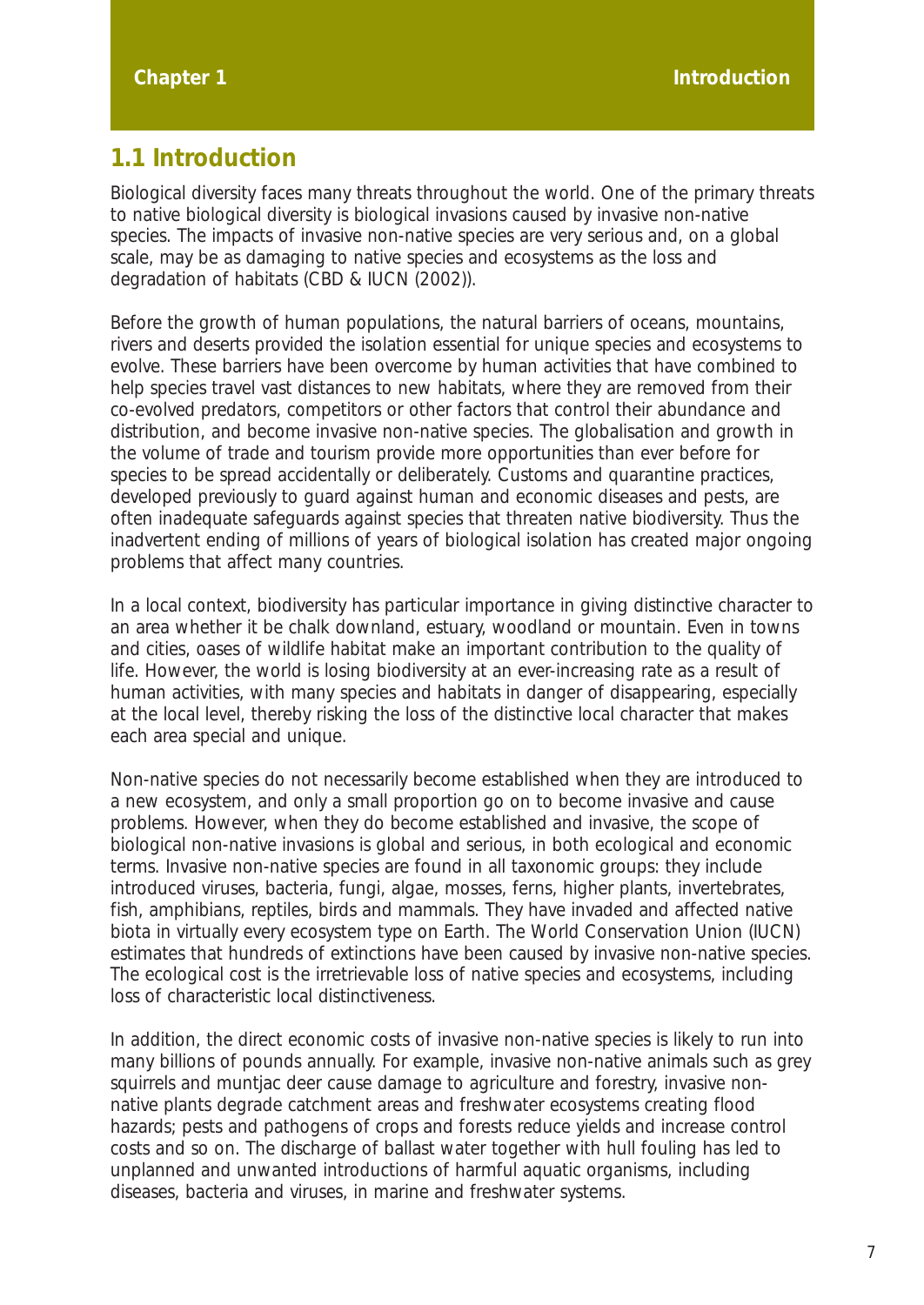# **1.1 Introduction**

Biological diversity faces many threats throughout the world. One of the primary threats to native biological diversity is biological invasions caused by invasive non-native species. The impacts of invasive non-native species are very serious and, on a global scale, may be as damaging to native species and ecosystems as the loss and degradation of habitats (CBD & IUCN (2002)).

Before the growth of human populations, the natural barriers of oceans, mountains, rivers and deserts provided the isolation essential for unique species and ecosystems to evolve. These barriers have been overcome by human activities that have combined to help species travel vast distances to new habitats, where they are removed from their co-evolved predators, competitors or other factors that control their abundance and distribution, and become invasive non-native species. The globalisation and growth in the volume of trade and tourism provide more opportunities than ever before for species to be spread accidentally or deliberately. Customs and quarantine practices, developed previously to guard against human and economic diseases and pests, are often inadequate safeguards against species that threaten native biodiversity. Thus the inadvertent ending of millions of years of biological isolation has created major ongoing problems that affect many countries.

In a local context, biodiversity has particular importance in giving distinctive character to an area whether it be chalk downland, estuary, woodland or mountain. Even in towns and cities, oases of wildlife habitat make an important contribution to the quality of life. However, the world is losing biodiversity at an ever-increasing rate as a result of human activities, with many species and habitats in danger of disappearing, especially at the local level, thereby risking the loss of the distinctive local character that makes each area special and unique.

Non-native species do not necessarily become established when they are introduced to a new ecosystem, and only a small proportion go on to become invasive and cause problems. However, when they do become established and invasive, the scope of biological non-native invasions is global and serious, in both ecological and economic terms. Invasive non-native species are found in all taxonomic groups: they include introduced viruses, bacteria, fungi, algae, mosses, ferns, higher plants, invertebrates, fish, amphibians, reptiles, birds and mammals. They have invaded and affected native biota in virtually every ecosystem type on Earth. The World Conservation Union (IUCN) estimates that hundreds of extinctions have been caused by invasive non-native species. The ecological cost is the irretrievable loss of native species and ecosystems, including loss of characteristic local distinctiveness.

In addition, the direct economic costs of invasive non-native species is likely to run into many billions of pounds annually. For example, invasive non-native animals such as grey squirrels and muntjac deer cause damage to agriculture and forestry, invasive nonnative plants degrade catchment areas and freshwater ecosystems creating flood hazards; pests and pathogens of crops and forests reduce yields and increase control costs and so on. The discharge of ballast water together with hull fouling has led to unplanned and unwanted introductions of harmful aquatic organisms, including diseases, bacteria and viruses, in marine and freshwater systems.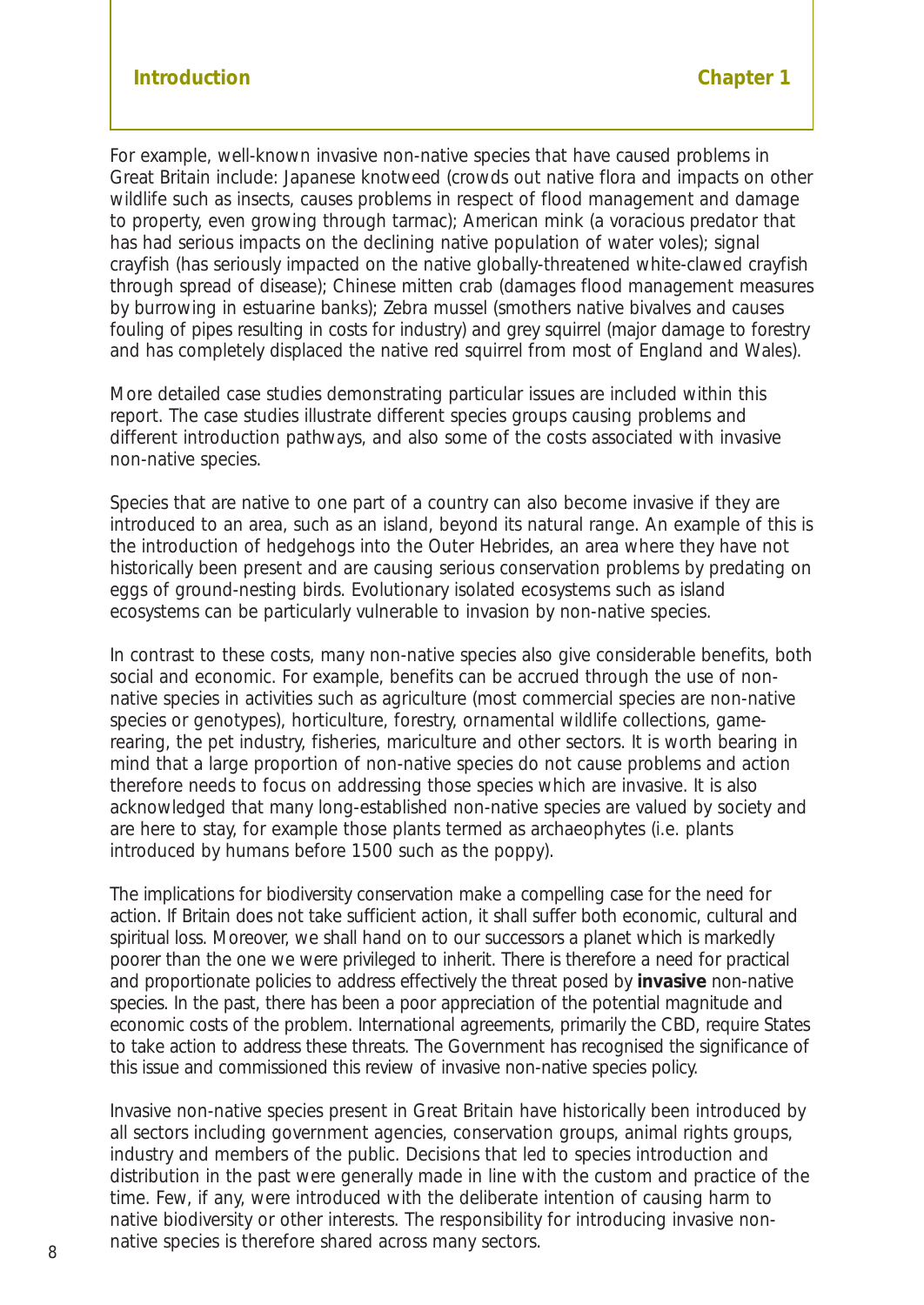For example, well-known invasive non-native species that have caused problems in Great Britain include: Japanese knotweed (crowds out native flora and impacts on other wildlife such as insects, causes problems in respect of flood management and damage to property, even growing through tarmac); American mink (a voracious predator that has had serious impacts on the declining native population of water voles); signal crayfish (has seriously impacted on the native globally-threatened white-clawed crayfish through spread of disease); Chinese mitten crab (damages flood management measures by burrowing in estuarine banks); Zebra mussel (smothers native bivalves and causes fouling of pipes resulting in costs for industry) and grey squirrel (major damage to forestry and has completely displaced the native red squirrel from most of England and Wales).

More detailed case studies demonstrating particular issues are included within this report. The case studies illustrate different species groups causing problems and different introduction pathways, and also some of the costs associated with invasive non-native species.

Species that are native to one part of a country can also become invasive if they are introduced to an area, such as an island, beyond its natural range. An example of this is the introduction of hedgehogs into the Outer Hebrides, an area where they have not historically been present and are causing serious conservation problems by predating on eggs of ground-nesting birds. Evolutionary isolated ecosystems such as island ecosystems can be particularly vulnerable to invasion by non-native species.

In contrast to these costs, many non-native species also give considerable benefits, both social and economic. For example, benefits can be accrued through the use of nonnative species in activities such as agriculture (most commercial species are non-native species or genotypes), horticulture, forestry, ornamental wildlife collections, gamerearing, the pet industry, fisheries, mariculture and other sectors. It is worth bearing in mind that a large proportion of non-native species do not cause problems and action therefore needs to focus on addressing those species which are invasive. It is also acknowledged that many long-established non-native species are valued by society and are here to stay, for example those plants termed as archaeophytes (*i.e.* plants introduced by humans before 1500 such as the poppy).

The implications for biodiversity conservation make a compelling case for the need for action. If Britain does not take sufficient action, it shall suffer both economic, cultural and spiritual loss. Moreover, we shall hand on to our successors a planet which is markedly poorer than the one we were privileged to inherit. There is therefore a need for practical and proportionate policies to address effectively the threat posed by **invasive** non-native species. In the past, there has been a poor appreciation of the potential magnitude and economic costs of the problem. International agreements, primarily the CBD, require States to take action to address these threats. The Government has recognised the significance of this issue and commissioned this review of invasive non-native species policy.

Invasive non-native species present in Great Britain have historically been introduced by all sectors including government agencies, conservation groups, animal rights groups, industry and members of the public. Decisions that led to species introduction and distribution in the past were generally made in line with the custom and practice of the time. Few, if any, were introduced with the deliberate intention of causing harm to native biodiversity or other interests. The responsibility for introducing invasive nonnative species is therefore shared across many sectors.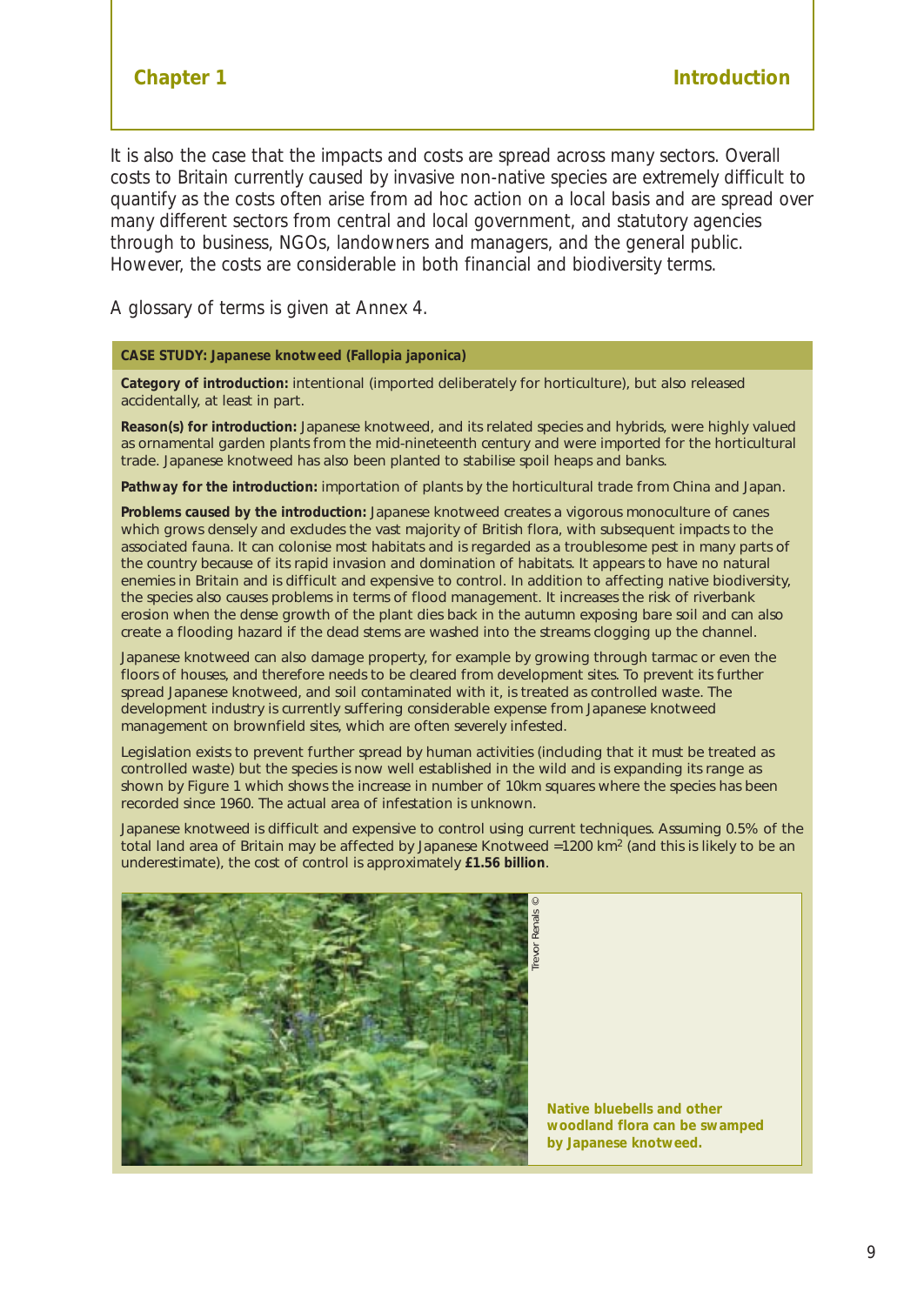It is also the case that the impacts and costs are spread across many sectors. Overall costs to Britain currently caused by invasive non-native species are extremely difficult to quantify as the costs often arise from *ad hoc* action on a local basis and are spread over many different sectors from central and local government, and statutory agencies through to business, NGOs, landowners and managers, and the general public. However, the costs are considerable in both financial and biodiversity terms.

A glossary of terms is given at Annex 4.

#### **CASE STUDY: Japanese knotweed** *(Fallopia japonica)*

**Category of introduction:** intentional (imported deliberately for horticulture), but also released accidentally, at least in part.

**Reason(s) for introduction:** Japanese knotweed, and its related species and hybrids, were highly valued as ornamental garden plants from the mid-nineteenth century and were imported for the horticultural trade. Japanese knotweed has also been planted to stabilise spoil heaps and banks.

**Pathway for the introduction:** importation of plants by the horticultural trade from China and Japan.

**Problems caused by the introduction:** Japanese knotweed creates a vigorous monoculture of canes which grows densely and excludes the vast majority of British flora, with subsequent impacts to the associated fauna. It can colonise most habitats and is regarded as a troublesome pest in many parts of the country because of its rapid invasion and domination of habitats. It appears to have no natural enemies in Britain and is difficult and expensive to control. In addition to affecting native biodiversity, the species also causes problems in terms of flood management. It increases the risk of riverbank erosion when the dense growth of the plant dies back in the autumn exposing bare soil and can also create a flooding hazard if the dead stems are washed into the streams clogging up the channel.

Japanese knotweed can also damage property, for example by growing through tarmac or even the floors of houses, and therefore needs to be cleared from development sites. To prevent its further spread Japanese knotweed, and soil contaminated with it, is treated as controlled waste. The development industry is currently suffering considerable expense from Japanese knotweed management on brownfield sites, which are often severely infested.

Legislation exists to prevent further spread by human activities (including that it must be treated as controlled waste) but the species is now well established in the wild and is expanding its range as shown by Figure 1 which shows the increase in number of 10km squares where the species has been recorded since 1960. The actual area of infestation is unknown.

Japanese knotweed is difficult and expensive to control using current techniques. Assuming 0.5% of the total land area of Britain may be affected by Japanese Knotweed =1200 km<sup>2</sup> (and this is likely to be an underestimate), the cost of control is approximately **£1.56 billion**.



**Native bluebells and other woodland flora can be swamped by Japanese knotweed.**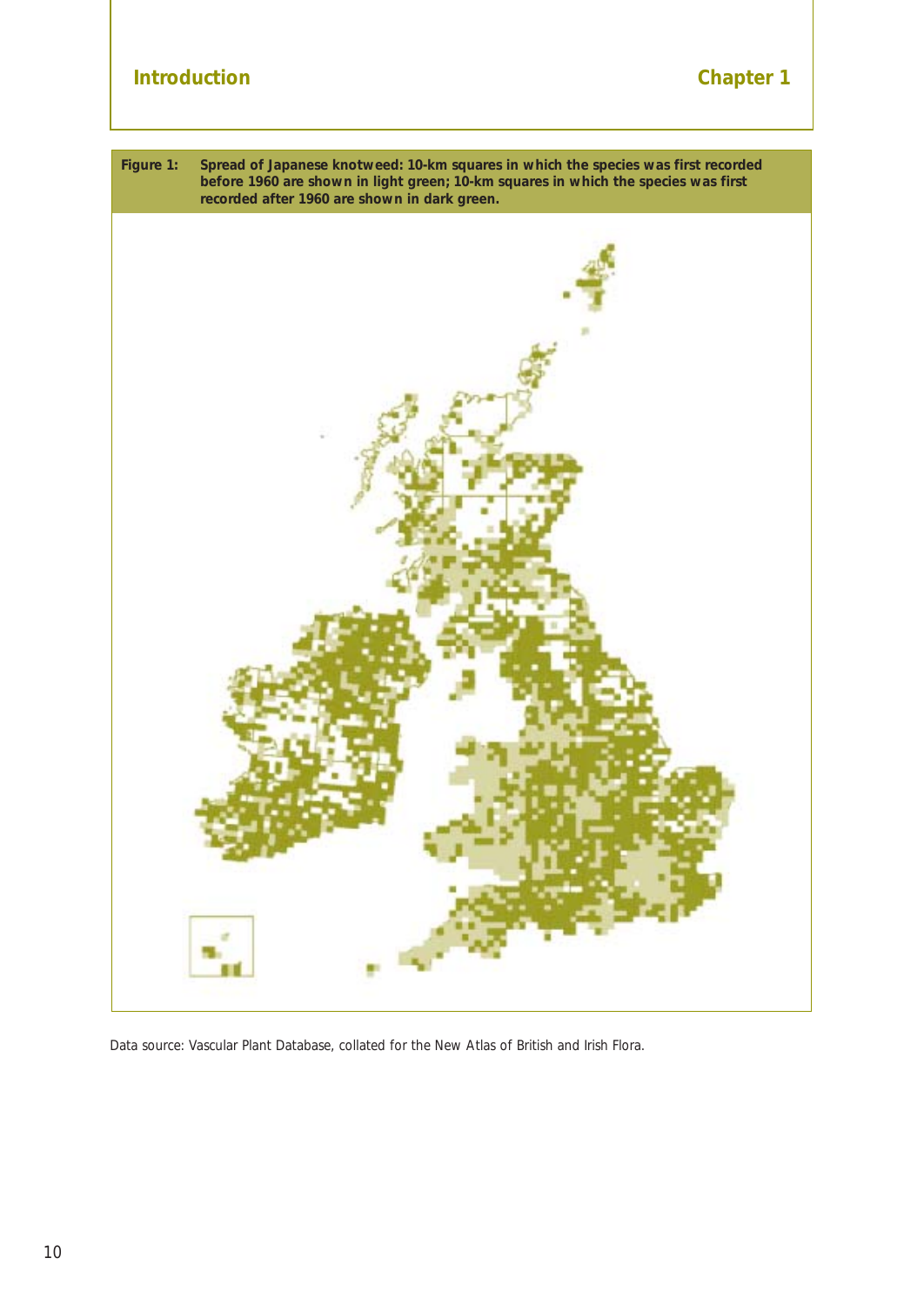# **Introduction Chapter 1**



Data source: Vascular Plant Database, collated for the New Atlas of British and Irish Flora.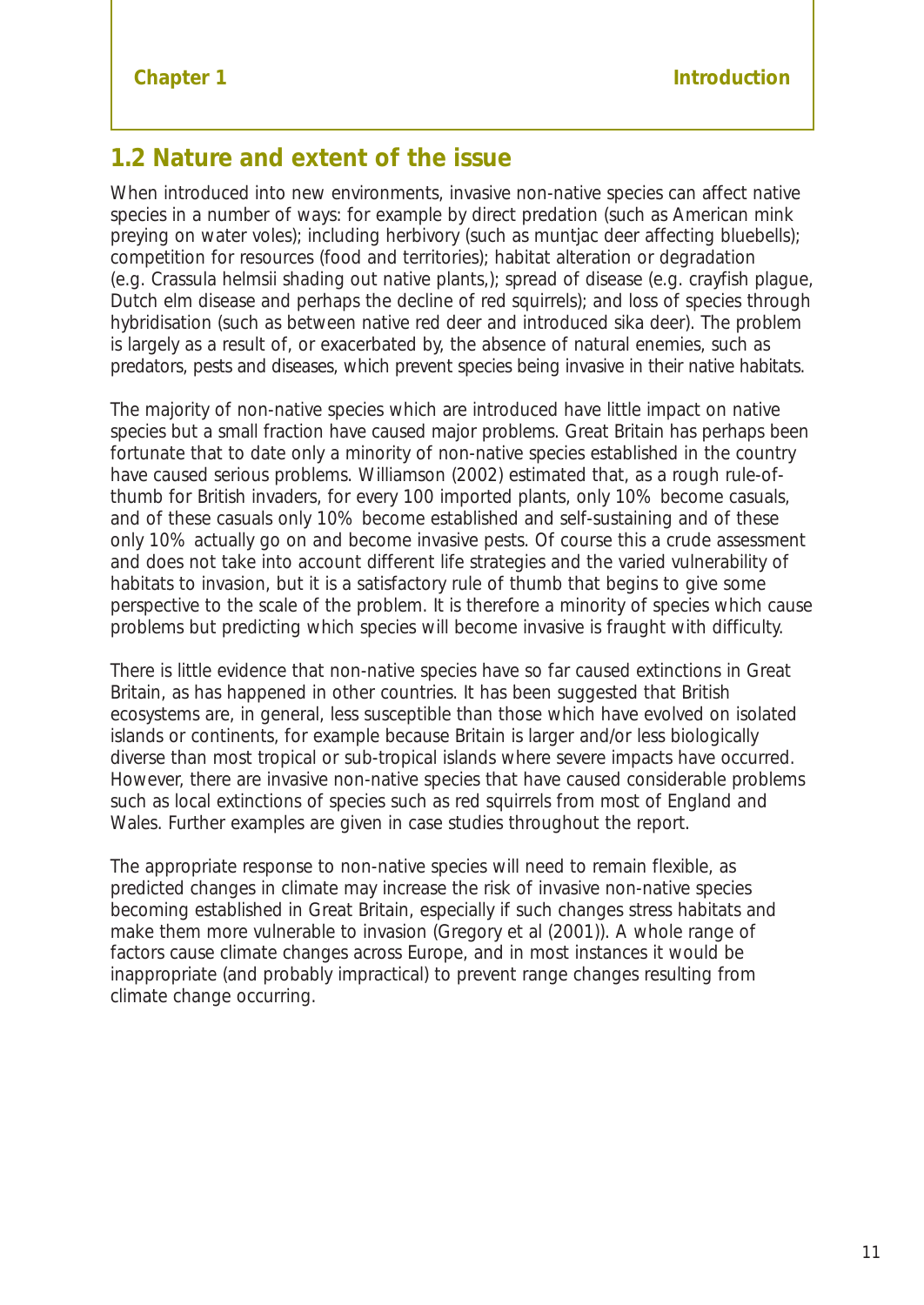# **1.2 Nature and extent of the issue**

When introduced into new environments, invasive non-native species can affect native species in a number of ways: for example by direct predation (such as American mink preying on water voles); including herbivory (such as muntjac deer affecting bluebells); competition for resources (food and territories); habitat alteration or degradation (*e.g. Crassula helmsii* shading out native plants,); spread of disease (*e.g.* crayfish plague, Dutch elm disease and perhaps the decline of red squirrels); and loss of species through hybridisation (such as between native red deer and introduced sika deer). The problem is largely as a result of, or exacerbated by, the absence of natural enemies, such as predators, pests and diseases, which prevent species being invasive in their native habitats.

The majority of non-native species which are introduced have little impact on native species but a small fraction have caused major problems. Great Britain has perhaps been fortunate that to date only a minority of non-native species established in the country have caused serious problems. Williamson (2002) estimated that, as a rough rule-ofthumb for British invaders, for every 100 imported plants, only 10% become casuals, and of these casuals only 10% become established and self-sustaining and of these only 10% actually go on and become invasive pests. Of course this a crude assessment and does not take into account different life strategies and the varied vulnerability of habitats to invasion, but it is a satisfactory rule of thumb that begins to give some perspective to the scale of the problem. It is therefore a minority of species which cause problems but predicting which species will become invasive is fraught with difficulty.

There is little evidence that non-native species have so far caused extinctions in Great Britain, as has happened in other countries. It has been suggested that British ecosystems are, in general, less susceptible than those which have evolved on isolated islands or continents, for example because Britain is larger and/or less biologically diverse than most tropical or sub-tropical islands where severe impacts have occurred. However, there are invasive non-native species that have caused considerable problems such as local extinctions of species such as red squirrels from most of England and Wales. Further examples are given in case studies throughout the report.

The appropriate response to non-native species will need to remain flexible, as predicted changes in climate may increase the risk of invasive non-native species becoming established in Great Britain, especially if such changes stress habitats and make them more vulnerable to invasion (Gregory *et al* (2001)). A whole range of factors cause climate changes across Europe, and in most instances it would be inappropriate (and probably impractical) to prevent range changes resulting from climate change occurring.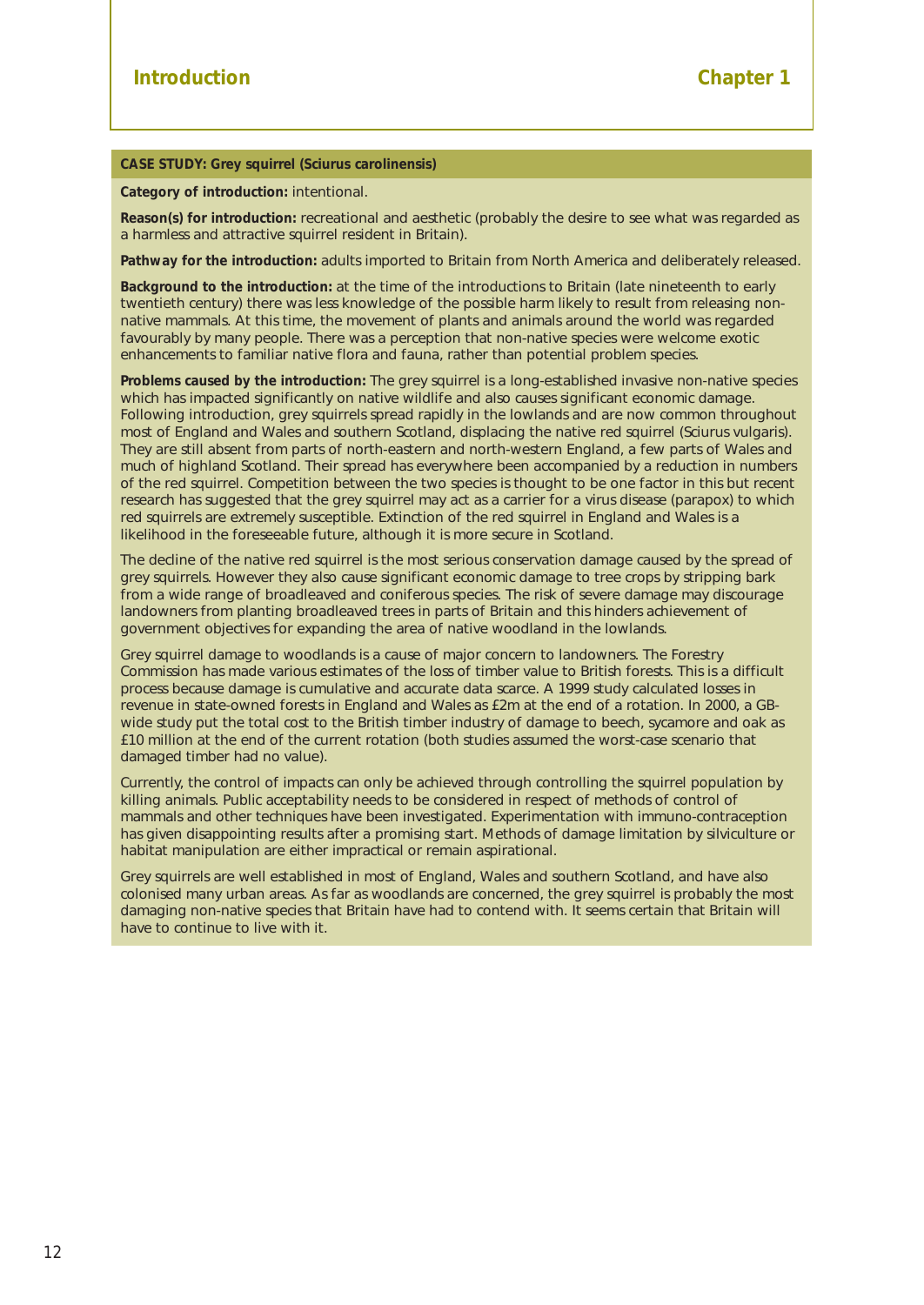#### **CASE STUDY: Grey squirrel** *(Sciurus carolinensis)*

**Category of introduction:** intentional.

**Reason(s) for introduction:** recreational and aesthetic (probably the desire to see what was regarded as a harmless and attractive squirrel resident in Britain).

**Pathway for the introduction:** adults imported to Britain from North America and deliberately released.

**Background to the introduction:** at the time of the introductions to Britain (late nineteenth to early twentieth century) there was less knowledge of the possible harm likely to result from releasing nonnative mammals. At this time, the movement of plants and animals around the world was regarded favourably by many people. There was a perception that non-native species were welcome exotic enhancements to familiar native flora and fauna, rather than potential problem species.

**Problems caused by the introduction:** The grey squirrel is a long-established invasive non-native species which has impacted significantly on native wildlife and also causes significant economic damage. Following introduction, grey squirrels spread rapidly in the lowlands and are now common throughout most of England and Wales and southern Scotland, displacing the native red squirrel *(Sciurus vulgaris)*. They are still absent from parts of north-eastern and north-western England, a few parts of Wales and much of highland Scotland. Their spread has everywhere been accompanied by a reduction in numbers of the red squirrel. Competition between the two species is thought to be one factor in this but recent research has suggested that the grey squirrel may act as a carrier for a virus disease (parapox) to which red squirrels are extremely susceptible. Extinction of the red squirrel in England and Wales is a likelihood in the foreseeable future, although it is more secure in Scotland.

The decline of the native red squirrel is the most serious conservation damage caused by the spread of grey squirrels. However they also cause significant economic damage to tree crops by stripping bark from a wide range of broadleaved and coniferous species. The risk of severe damage may discourage landowners from planting broadleaved trees in parts of Britain and this hinders achievement of government objectives for expanding the area of native woodland in the lowlands.

Grey squirrel damage to woodlands is a cause of major concern to landowners. The Forestry Commission has made various estimates of the loss of timber value to British forests. This is a difficult process because damage is cumulative and accurate data scarce. A 1999 study calculated losses in revenue in state-owned forests in England and Wales as £2m at the end of a rotation. In 2000, a GBwide study put the total cost to the British timber industry of damage to beech, sycamore and oak as £10 million at the end of the current rotation (both studies assumed the worst-case scenario that damaged timber had no value).

Currently, the control of impacts can only be achieved through controlling the squirrel population by killing animals. Public acceptability needs to be considered in respect of methods of control of mammals and other techniques have been investigated. Experimentation with immuno-contraception has given disappointing results after a promising start. Methods of damage limitation by silviculture or habitat manipulation are either impractical or remain aspirational.

Grey squirrels are well established in most of England, Wales and southern Scotland, and have also colonised many urban areas. As far as woodlands are concerned, the grey squirrel is probably the most damaging non-native species that Britain have had to contend with. It seems certain that Britain will have to continue to live with it.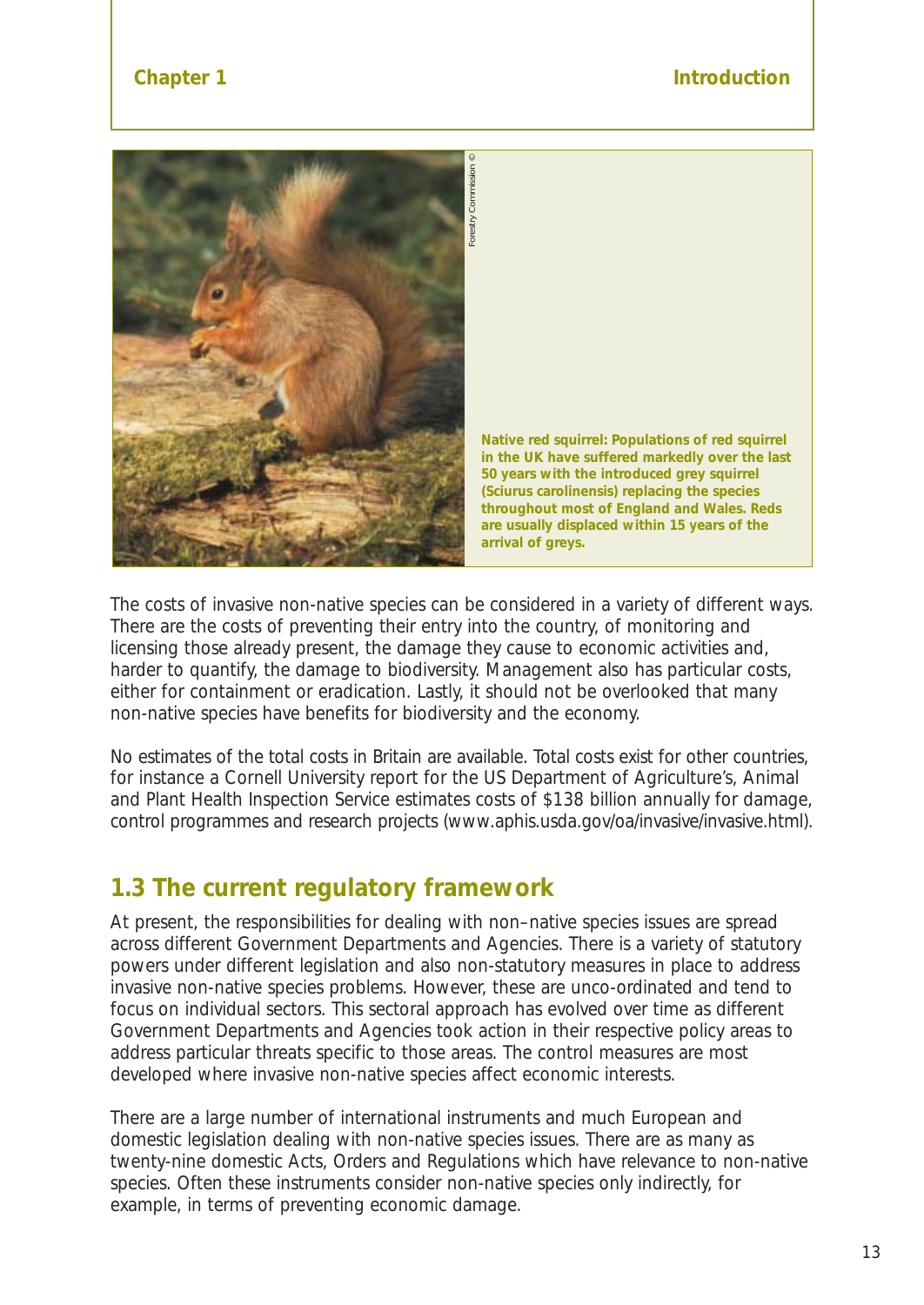

The costs of invasive non-native species can be considered in a variety of different ways. There are the costs of preventing their entry into the country, of monitoring and licensing those already present, the damage they cause to economic activities and, harder to quantify, the damage to biodiversity. Management also has particular costs, either for containment or eradication. Lastly, it should not be overlooked that many non-native species have benefits for biodiversity and the economy.

No estimates of the total costs in Britain are available. Total costs exist for other countries, for instance a Cornell University report for the US Department of Agriculture's, Animal and Plant Health Inspection Service estimates costs of \$138 billion annually for damage, control programmes and research projects (www.aphis.usda.gov/oa/invasive/invasive.html).

# **1.3 The current regulatory framework**

At present, the responsibilities for dealing with non–native species issues are spread across different Government Departments and Agencies. There is a variety of statutory powers under different legislation and also non-statutory measures in place to address invasive non-native species problems. However, these are unco-ordinated and tend to focus on individual sectors. This sectoral approach has evolved over time as different Government Departments and Agencies took action in their respective policy areas to address particular threats specific to those areas. The control measures are most developed where invasive non-native species affect economic interests.

There are a large number of international instruments and much European and domestic legislation dealing with non-native species issues. There are as many as twenty-nine domestic Acts, Orders and Regulations which have relevance to non-native species. Often these instruments consider non-native species only indirectly, for example, in terms of preventing economic damage.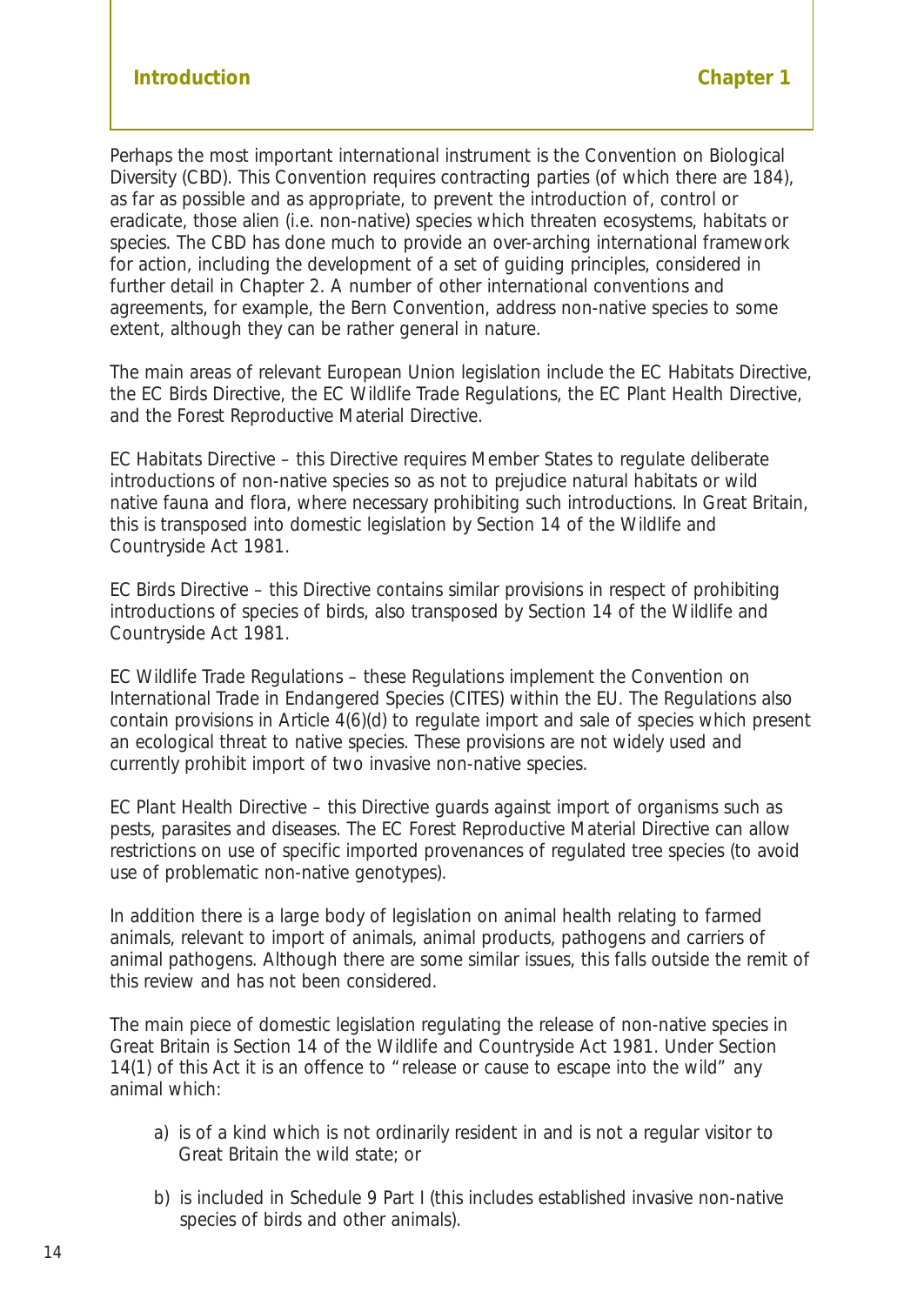Perhaps the most important international instrument is the Convention on Biological Diversity (CBD). This Convention requires contracting parties (of which there are 184), as far as possible and as appropriate, to prevent the introduction of, control or eradicate, those alien (*i.e.* non-native) species which threaten ecosystems, habitats or species. The CBD has done much to provide an over-arching international framework for action, including the development of a set of guiding principles, considered in further detail in Chapter 2. A number of other international conventions and agreements, for example, the Bern Convention, address non-native species to some extent, although they can be rather general in nature.

The main areas of relevant European Union legislation include the EC Habitats Directive, the EC Birds Directive, the EC Wildlife Trade Regulations, the EC Plant Health Directive, and the Forest Reproductive Material Directive.

*EC Habitats Directive* – this Directive requires Member States to regulate deliberate introductions of non-native species so as not to prejudice natural habitats or wild native fauna and flora, where necessary prohibiting such introductions. In Great Britain, this is transposed into domestic legislation by Section 14 of the Wildlife and Countryside Act 1981.

*EC Birds Directive* – this Directive contains similar provisions in respect of prohibiting introductions of species of birds, also transposed by Section 14 of the Wildlife and Countryside Act 1981.

*EC Wildlife Trade Regulations* – these Regulations implement the Convention on International Trade in Endangered Species (CITES) within the EU. The Regulations also contain provisions in Article 4(6)(d) to regulate import and sale of species which present an ecological threat to native species. These provisions are not widely used and currently prohibit import of two invasive non-native species.

*EC Plant Health Directive* – this Directive guards against import of organisms such as pests, parasites and diseases. The EC Forest Reproductive Material Directive can allow restrictions on use of specific imported provenances of regulated tree species (to avoid use of problematic non-native genotypes).

In addition there is a large body of legislation on animal health relating to farmed animals, relevant to import of animals, animal products, pathogens and carriers of animal pathogens. Although there are some similar issues, this falls outside the remit of this review and has not been considered.

The main piece of domestic legislation regulating the release of non-native species in Great Britain is Section 14 of the Wildlife and Countryside Act 1981. Under Section 14(1) of this Act it is an offence to "release or cause to escape into the wild" any animal which:

- a) is of a kind which is not ordinarily resident in and is not a regular visitor to Great Britain the wild state; or
- b) is included in Schedule 9 Part I (this includes established invasive non-native species of birds and other animals).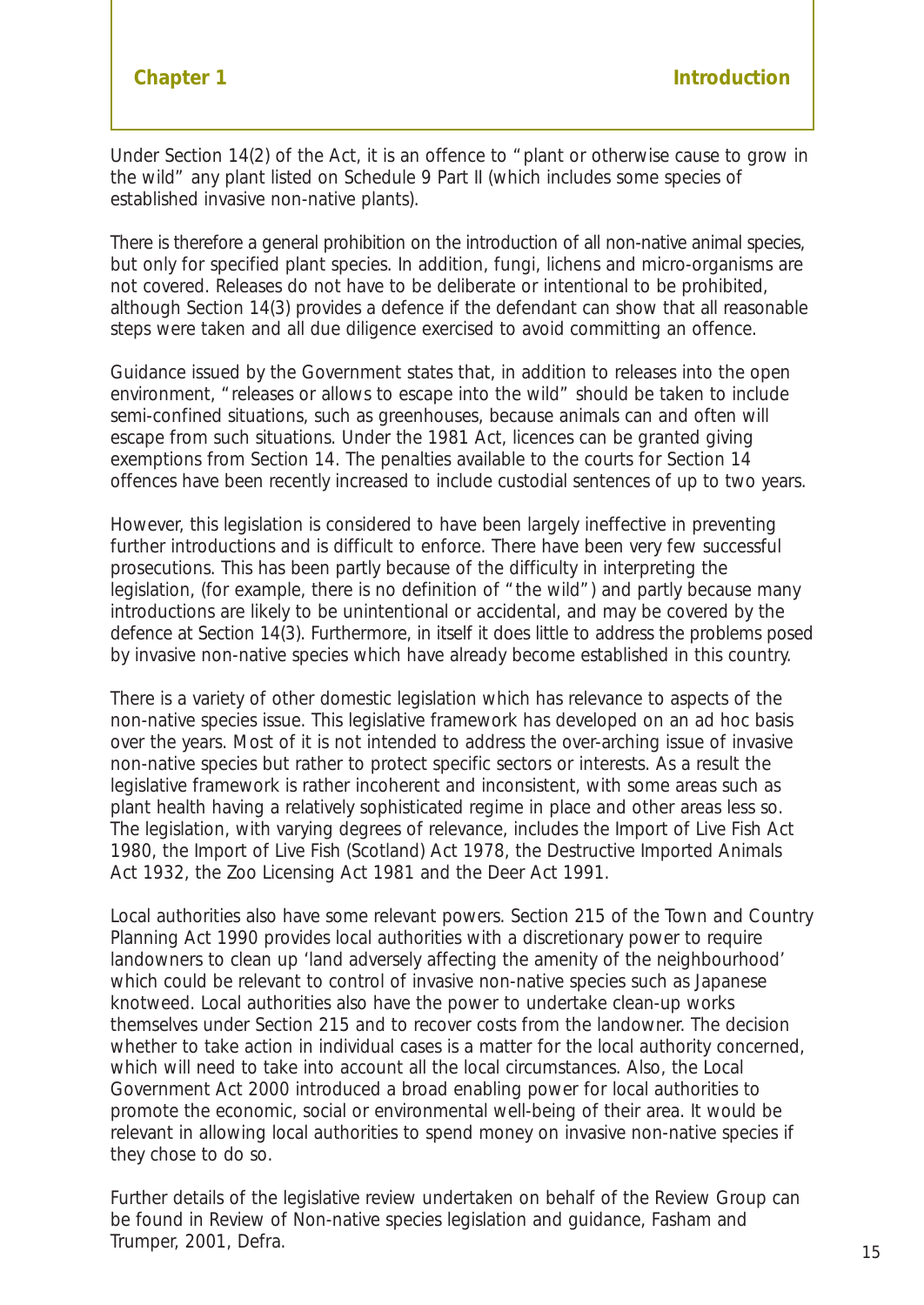Under Section 14(2) of the Act, it is an offence to "plant or otherwise cause to grow in the wild" any plant listed on Schedule 9 Part II (which includes some species of established invasive non-native plants).

There is therefore a general prohibition on the introduction of all non-native animal species, but only for specified plant species. In addition, fungi, lichens and micro-organisms are not covered. Releases do not have to be deliberate or intentional to be prohibited, although Section 14(3) provides a defence if the defendant can show that all reasonable steps were taken and all due diligence exercised to avoid committing an offence.

Guidance issued by the Government states that, in addition to releases into the open environment, "releases or allows to escape into the wild" should be taken to include semi-confined situations, such as greenhouses, because animals can and often will escape from such situations. Under the 1981 Act, licences can be granted giving exemptions from Section 14. The penalties available to the courts for Section 14 offences have been recently increased to include custodial sentences of up to two years.

However, this legislation is considered to have been largely ineffective in preventing further introductions and is difficult to enforce. There have been very few successful prosecutions. This has been partly because of the difficulty in interpreting the legislation, (for example, there is no definition of "the wild") and partly because many introductions are likely to be unintentional or accidental, and may be covered by the defence at Section 14(3). Furthermore, in itself it does little to address the problems posed by invasive non-native species which have already become established in this country.

There is a variety of other domestic legislation which has relevance to aspects of the non-native species issue. This legislative framework has developed on an *ad hoc* basis over the years. Most of it is not intended to address the over-arching issue of invasive non-native species but rather to protect specific sectors or interests. As a result the legislative framework is rather incoherent and inconsistent, with some areas such as plant health having a relatively sophisticated regime in place and other areas less so. The legislation, with varying degrees of relevance, includes the Import of Live Fish Act 1980, the Import of Live Fish (Scotland) Act 1978, the Destructive Imported Animals Act 1932, the Zoo Licensing Act 1981 and the Deer Act 1991.

Local authorities also have some relevant powers. Section 215 of the Town and Country Planning Act 1990 provides local authorities with a discretionary power to require landowners to clean up 'land adversely affecting the amenity of the neighbourhood' which could be relevant to control of invasive non-native species such as Japanese knotweed. Local authorities also have the power to undertake clean-up works themselves under Section 215 and to recover costs from the landowner. The decision whether to take action in individual cases is a matter for the local authority concerned, which will need to take into account all the local circumstances. Also, the Local Government Act 2000 introduced a broad enabling power for local authorities to promote the economic, social or environmental well-being of their area. It would be relevant in allowing local authorities to spend money on invasive non-native species if they chose to do so.

Further details of the legislative review undertaken on behalf of the Review Group can be found in *Review of Non-native species legislation and guidance*, Fasham and Trumper, 2001, Defra.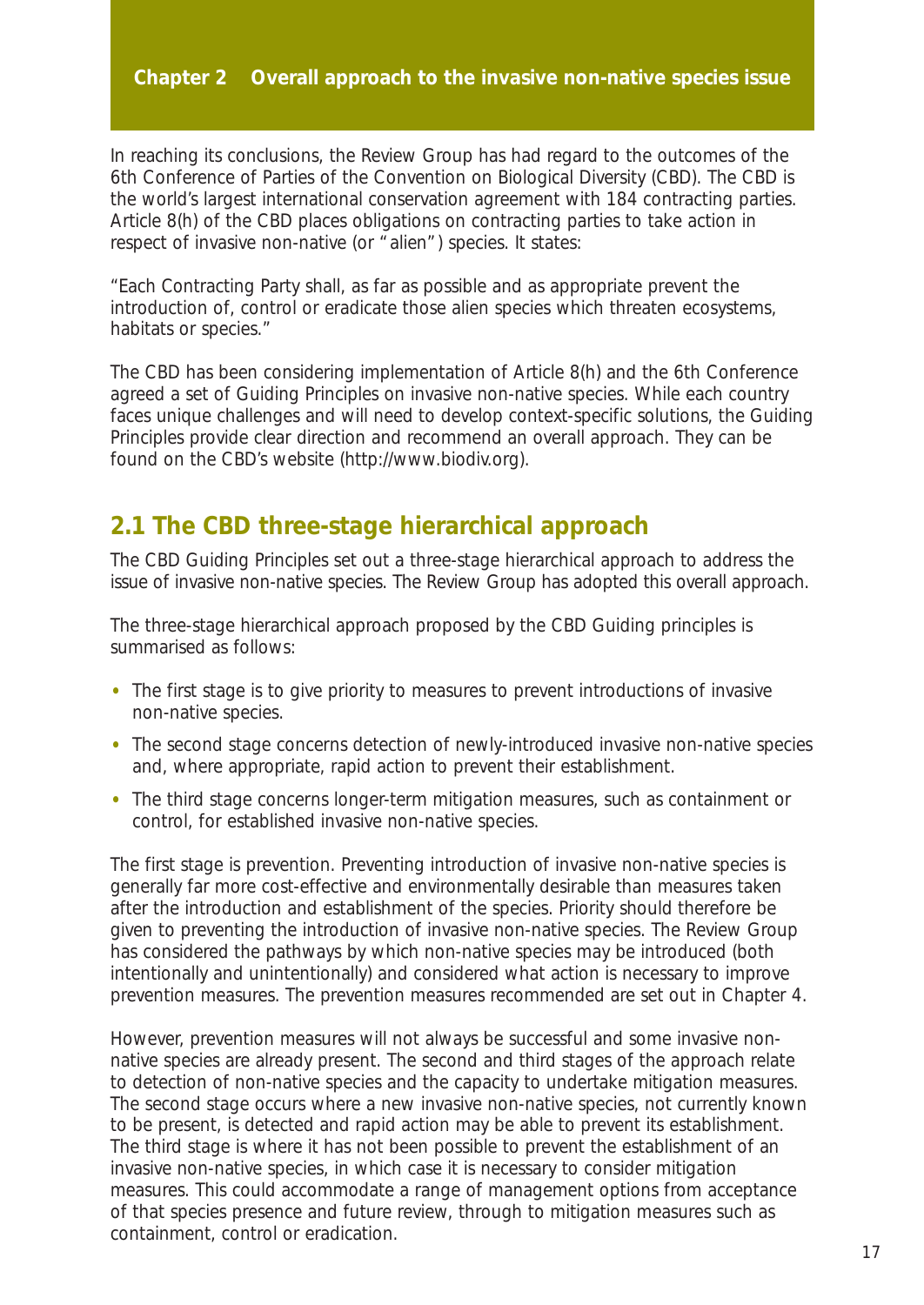#### **Chapter 2 Overall approach to the invasive non-native species issue**

In reaching its conclusions, the Review Group has had regard to the outcomes of the 6th Conference of Parties of the Convention on Biological Diversity (CBD). The CBD is the world's largest international conservation agreement with 184 contracting parties. Article 8(h) of the CBD places obligations on contracting parties to take action in respect of invasive non-native (or "alien") species. It states:

*"Each Contracting Party shall, as far as possible and as appropriate prevent the introduction of, control or eradicate those alien species which threaten ecosystems, habitats or species."*

The CBD has been considering implementation of Article 8(h) and the 6th Conference agreed a set of Guiding Principles on invasive non-native species. While each country faces unique challenges and will need to develop context-specific solutions, the Guiding Principles provide clear direction and recommend an overall approach. They can be found on the CBD's website (http://www.biodiv.org).

# **2.1 The CBD three-stage hierarchical approach**

The CBD Guiding Principles set out a three-stage hierarchical approach to address the issue of invasive non-native species. The Review Group has adopted this overall approach.

The three-stage hierarchical approach proposed by the CBD Guiding principles is summarised as follows:

- The first stage is to give priority to measures to prevent introductions of invasive non-native species.
- The second stage concerns detection of newly-introduced invasive non-native species and, where appropriate, rapid action to prevent their establishment.
- The third stage concerns longer-term mitigation measures, such as containment or control, for established invasive non-native species.

The first stage is prevention. Preventing introduction of invasive non-native species is generally far more cost-effective and environmentally desirable than measures taken after the introduction and establishment of the species. Priority should therefore be given to preventing the introduction of invasive non-native species. The Review Group has considered the pathways by which non-native species may be introduced (both intentionally and unintentionally) and considered what action is necessary to improve prevention measures. The prevention measures recommended are set out in Chapter 4.

However, prevention measures will not always be successful and some invasive nonnative species are already present. The second and third stages of the approach relate to detection of non-native species and the capacity to undertake mitigation measures. The second stage occurs where a new invasive non-native species, not currently known to be present, is detected and rapid action may be able to prevent its establishment. The third stage is where it has not been possible to prevent the establishment of an invasive non-native species, in which case it is necessary to consider mitigation measures. This could accommodate a range of management options from acceptance of that species presence and future review, through to mitigation measures such as containment, control or eradication.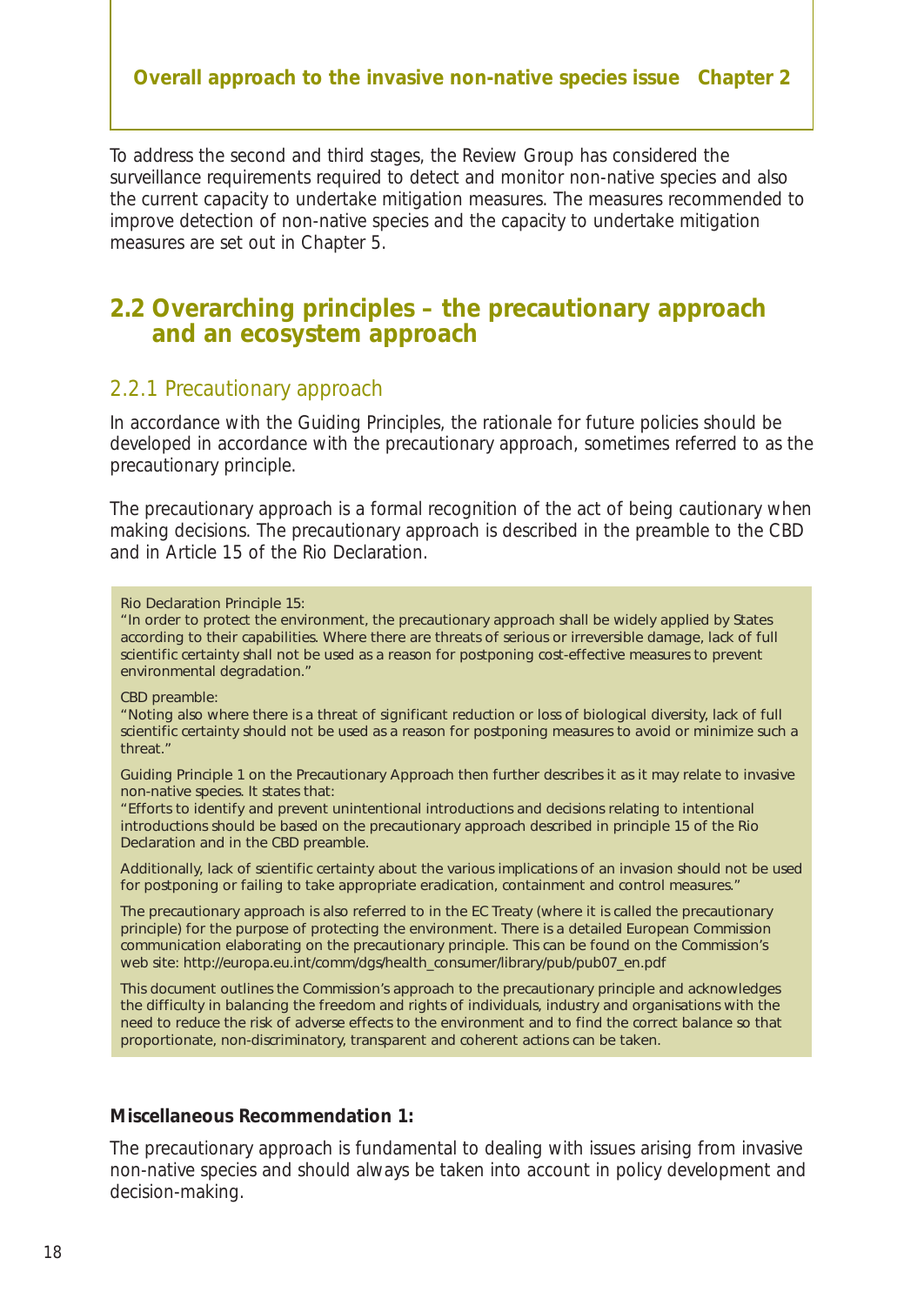To address the second and third stages, the Review Group has considered the surveillance requirements required to detect and monitor non-native species and also the current capacity to undertake mitigation measures. The measures recommended to improve detection of non-native species and the capacity to undertake mitigation measures are set out in Chapter 5.

# **2.2 Overarching principles – the precautionary approach and an ecosystem approach**

#### 2.2.1 Precautionary approach

In accordance with the Guiding Principles, the rationale for future policies should be developed in accordance with the precautionary approach, sometimes referred to as the precautionary principle.

The precautionary approach is a formal recognition of the act of being cautionary when making decisions. The precautionary approach is described in the preamble to the CBD and in Article 15 of the Rio Declaration.

Rio Declaration Principle 15:

*"In order to protect the environment, the precautionary approach shall be widely applied by States according to their capabilities. Where there are threats of serious or irreversible damage, lack of full scientific certainty shall not be used as a reason for postponing cost-effective measures to prevent environmental degradation."*

CBD preamble:

*"Noting also where there is a threat of significant reduction or loss of biological diversity, lack of full scientific certainty should not be used as a reason for postponing measures to avoid or minimize such a threat."*

Guiding Principle 1 on the Precautionary Approach then further describes it as it may relate to invasive non-native species. It states that:

*"Efforts to identify and prevent unintentional introductions and decisions relating to intentional introductions should be based on the precautionary approach described in principle 15 of the Rio Declaration and in the CBD preamble.*

*Additionally, lack of scientific certainty about the various implications of an invasion should not be used for postponing or failing to take appropriate eradication, containment and control measures."*

The precautionary approach is also referred to in the EC Treaty (where it is called the precautionary principle) for the purpose of protecting the environment. There is a detailed European Commission communication elaborating on the precautionary principle. This can be found on the Commission's web site: http://europa.eu.int/comm/dgs/health\_consumer/library/pub/pub07\_en.pdf

This document outlines the Commission's approach to the precautionary principle and acknowledges the difficulty in balancing the freedom and rights of individuals, industry and organisations with the need to reduce the risk of adverse effects to the environment and to find the correct balance so that proportionate, non-discriminatory, transparent and coherent actions can be taken.

#### **Miscellaneous Recommendation 1:**

The precautionary approach is fundamental to dealing with issues arising from invasive non-native species and should always be taken into account in policy development and decision-making.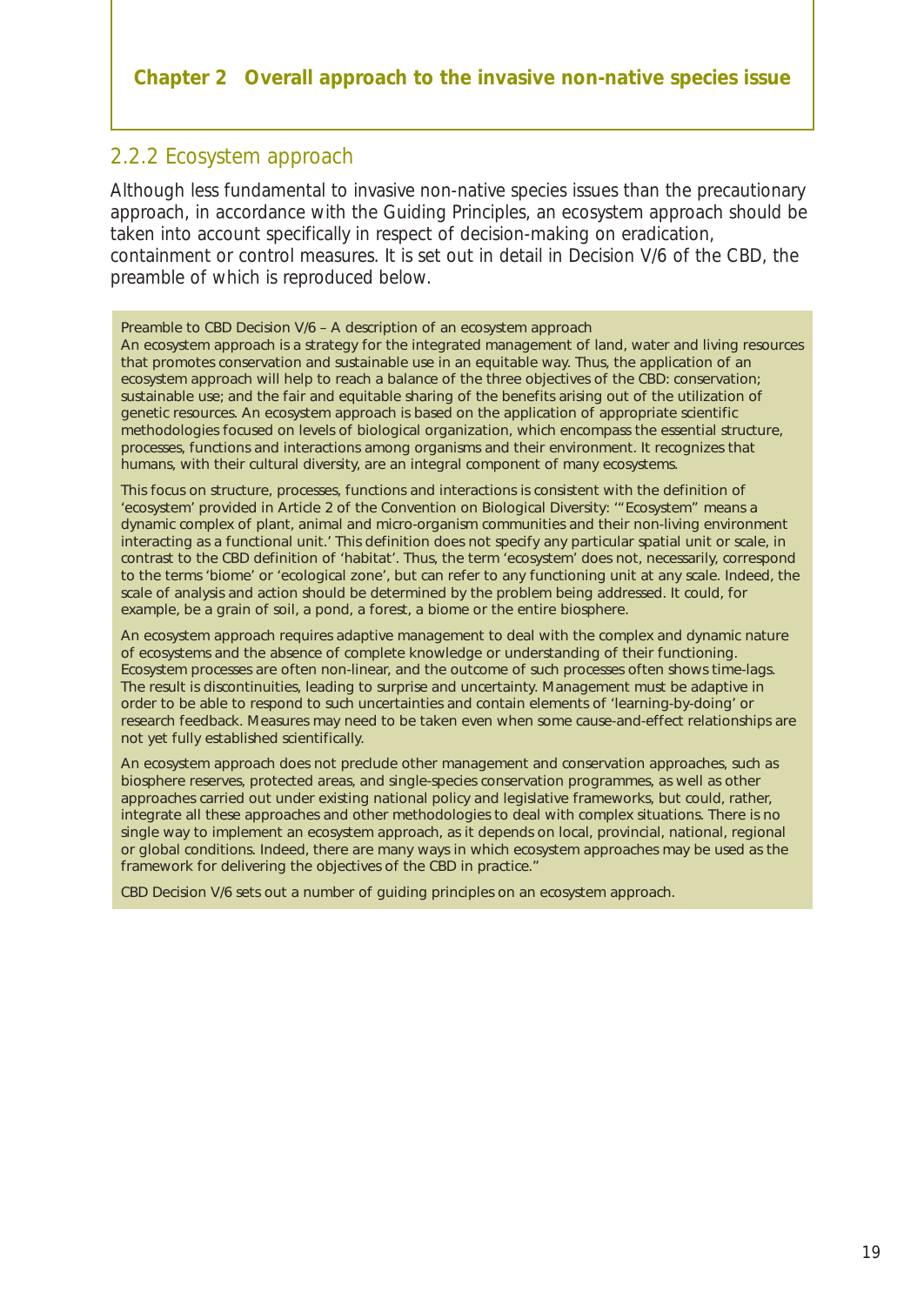### 2.2.2 Ecosystem approach

Although less fundamental to invasive non-native species issues than the precautionary approach, in accordance with the Guiding Principles, an ecosystem approach should be taken into account specifically in respect of decision-making on eradication, containment or control measures. It is set out in detail in Decision V/6 of the CBD, the preamble of which is reproduced below.

Preamble to CBD Decision V/6 – A description of an ecosystem approach

*An ecosystem approach is a strategy for the integrated management of land, water and living resources that promotes conservation and sustainable use in an equitable way. Thus, the application of an ecosystem approach will help to reach a balance of the three objectives of the CBD: conservation; sustainable use; and the fair and equitable sharing of the benefits arising out of the utilization of genetic resources. An ecosystem approach is based on the application of appropriate scientific methodologies focused on levels of biological organization, which encompass the essential structure, processes, functions and interactions among organisms and their environment. It recognizes that humans, with their cultural diversity, are an integral component of many ecosystems.*

*This focus on structure, processes, functions and interactions is consistent with the definition of 'ecosystem' provided in Article 2 of the Convention on Biological Diversity: '"Ecosystem" means a dynamic complex of plant, animal and micro-organism communities and their non-living environment interacting as a functional unit.' This definition does not specify any particular spatial unit or scale, in contrast to the CBD definition of 'habitat'. Thus, the term 'ecosystem' does not, necessarily, correspond to the terms 'biome' or 'ecological zone', but can refer to any functioning unit at any scale. Indeed, the scale of analysis and action should be determined by the problem being addressed. It could, for example, be a grain of soil, a pond, a forest, a biome or the entire biosphere.*

*An ecosystem approach requires adaptive management to deal with the complex and dynamic nature of ecosystems and the absence of complete knowledge or understanding of their functioning. Ecosystem processes are often non-linear, and the outcome of such processes often shows time-lags. The result is discontinuities, leading to surprise and uncertainty. Management must be adaptive in order to be able to respond to such uncertainties and contain elements of 'learning-by-doing' or research feedback. Measures may need to be taken even when some cause-and-effect relationships are not yet fully established scientifically.*

*An ecosystem approach does not preclude other management and conservation approaches, such as biosphere reserves, protected areas, and single-species conservation programmes, as well as other approaches carried out under existing national policy and legislative frameworks, but could, rather, integrate all these approaches and other methodologies to deal with complex situations. There is no single way to implement an ecosystem approach, as it depends on local, provincial, national, regional or global conditions. Indeed, there are many ways in which ecosystem approaches may be used as the framework for delivering the objectives of the CBD in practice."*

CBD Decision V/6 sets out a number of guiding principles on an ecosystem approach.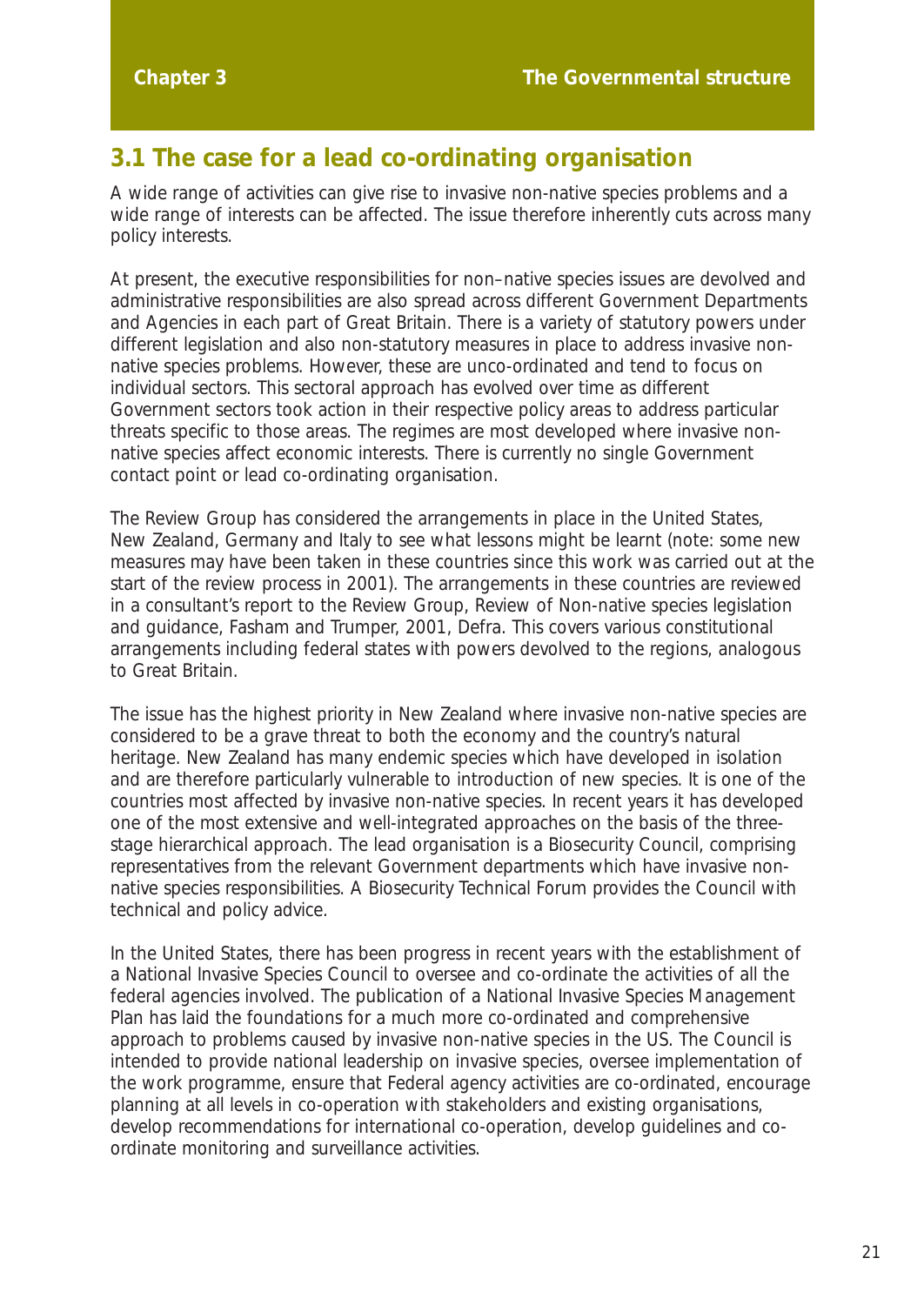# **3.1 The case for a lead co-ordinating organisation**

A wide range of activities can give rise to invasive non-native species problems and a wide range of interests can be affected. The issue therefore inherently cuts across many policy interests.

At present, the executive responsibilities for non–native species issues are devolved and administrative responsibilities are also spread across different Government Departments and Agencies in each part of Great Britain. There is a variety of statutory powers under different legislation and also non-statutory measures in place to address invasive nonnative species problems. However, these are unco-ordinated and tend to focus on individual sectors. This sectoral approach has evolved over time as different Government sectors took action in their respective policy areas to address particular threats specific to those areas. The regimes are most developed where invasive nonnative species affect economic interests. There is currently no single Government contact point or lead co-ordinating organisation.

The Review Group has considered the arrangements in place in the United States, New Zealand, Germany and Italy to see what lessons might be learnt (note: some new measures may have been taken in these countries since this work was carried out at the start of the review process in 2001). The arrangements in these countries are reviewed in a consultant's report to the Review Group, Review of Non-native species legislation and guidance, Fasham and Trumper, 2001, Defra. This covers various constitutional arrangements including federal states with powers devolved to the regions, analogous to Great Britain.

The issue has the highest priority in New Zealand where invasive non-native species are considered to be a grave threat to both the economy and the country's natural heritage. New Zealand has many endemic species which have developed in isolation and are therefore particularly vulnerable to introduction of new species. It is one of the countries most affected by invasive non-native species. In recent years it has developed one of the most extensive and well-integrated approaches on the basis of the threestage hierarchical approach. The lead organisation is a Biosecurity Council, comprising representatives from the relevant Government departments which have invasive nonnative species responsibilities. A Biosecurity Technical Forum provides the Council with technical and policy advice.

In the United States, there has been progress in recent years with the establishment of a National Invasive Species Council to oversee and co-ordinate the activities of all the federal agencies involved. The publication of a National Invasive Species Management Plan has laid the foundations for a much more co-ordinated and comprehensive approach to problems caused by invasive non-native species in the US. The Council is intended to provide national leadership on invasive species, oversee implementation of the work programme, ensure that Federal agency activities are co-ordinated, encourage planning at all levels in co-operation with stakeholders and existing organisations, develop recommendations for international co-operation, develop guidelines and coordinate monitoring and surveillance activities.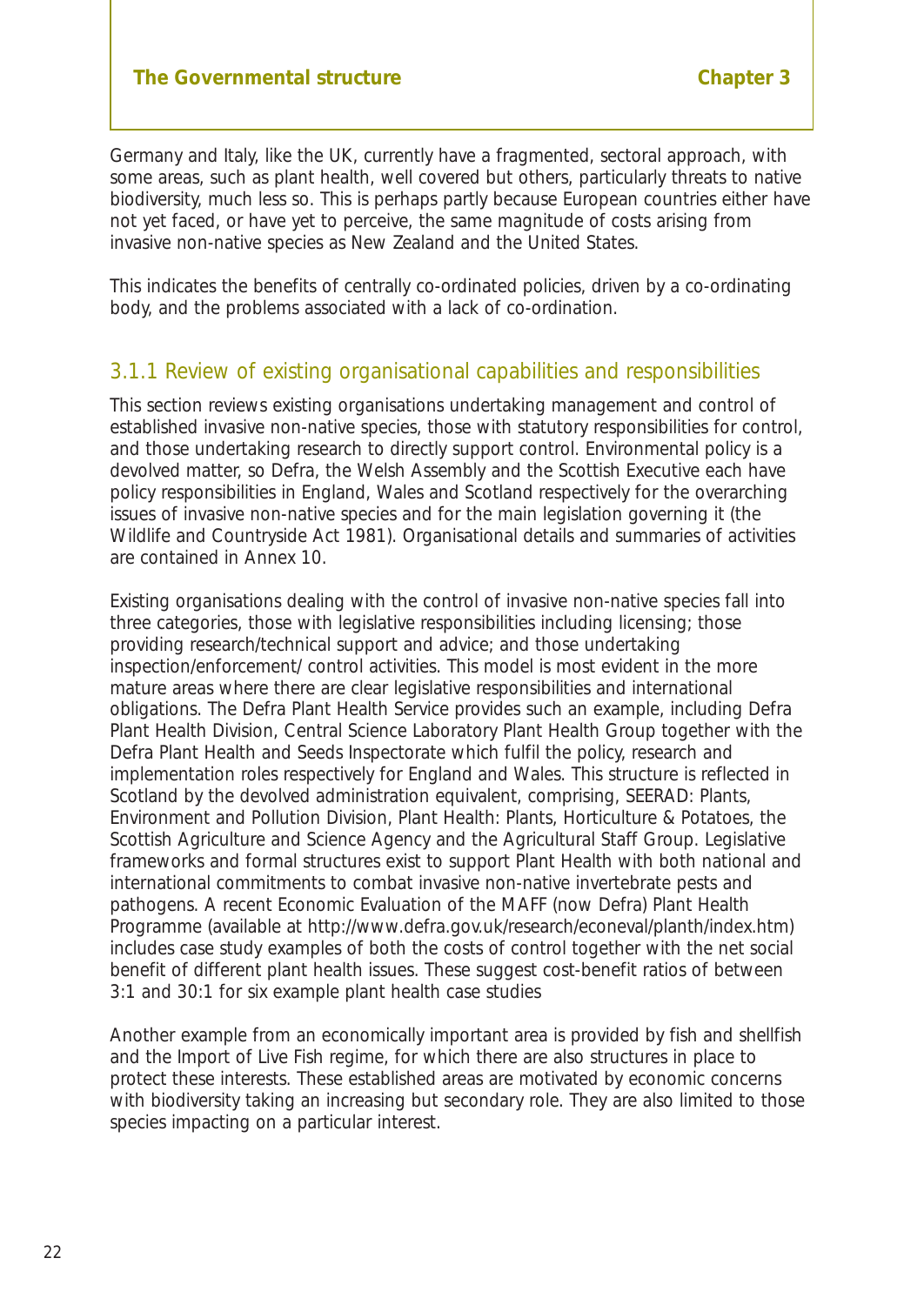Germany and Italy, like the UK, currently have a fragmented, sectoral approach, with some areas, such as plant health, well covered but others, particularly threats to native biodiversity, much less so. This is perhaps partly because European countries either have not yet faced, or have yet to perceive, the same magnitude of costs arising from invasive non-native species as New Zealand and the United States.

This indicates the benefits of centrally co-ordinated policies, driven by a co-ordinating body, and the problems associated with a lack of co-ordination.

#### 3.1.1 Review of existing organisational capabilities and responsibilities

This section reviews existing organisations undertaking management and control of established invasive non-native species, those with statutory responsibilities for control, and those undertaking research to directly support control. Environmental policy is a devolved matter, so Defra, the Welsh Assembly and the Scottish Executive each have policy responsibilities in England, Wales and Scotland respectively for the overarching issues of invasive non-native species and for the main legislation governing it (the Wildlife and Countryside Act 1981). Organisational details and summaries of activities are contained in Annex 10.

Existing organisations dealing with the control of invasive non-native species fall into three categories, those with legislative responsibilities including licensing; those providing research/technical support and advice; and those undertaking inspection/enforcement/ control activities. This model is most evident in the more mature areas where there are clear legislative responsibilities and international obligations. The Defra Plant Health Service provides such an example, including Defra Plant Health Division, Central Science Laboratory Plant Health Group together with the Defra Plant Health and Seeds Inspectorate which fulfil the policy, research and implementation roles respectively for England and Wales. This structure is reflected in Scotland by the devolved administration equivalent, comprising, SEERAD: Plants, Environment and Pollution Division, Plant Health: Plants, Horticulture & Potatoes, the Scottish Agriculture and Science Agency and the Agricultural Staff Group. Legislative frameworks and formal structures exist to support Plant Health with both national and international commitments to combat invasive non-native invertebrate pests and pathogens. A recent Economic Evaluation of the MAFF (now Defra) Plant Health Programme (available at http://www.defra.gov.uk/research/econeval/planth/index.htm) includes case study examples of both the costs of control together with the net social benefit of different plant health issues. These suggest cost-benefit ratios of between 3:1 and 30:1 for six example plant health case studies

Another example from an economically important area is provided by fish and shellfish and the Import of Live Fish regime, for which there are also structures in place to protect these interests. These established areas are motivated by economic concerns with biodiversity taking an increasing but secondary role. They are also limited to those species impacting on a particular interest.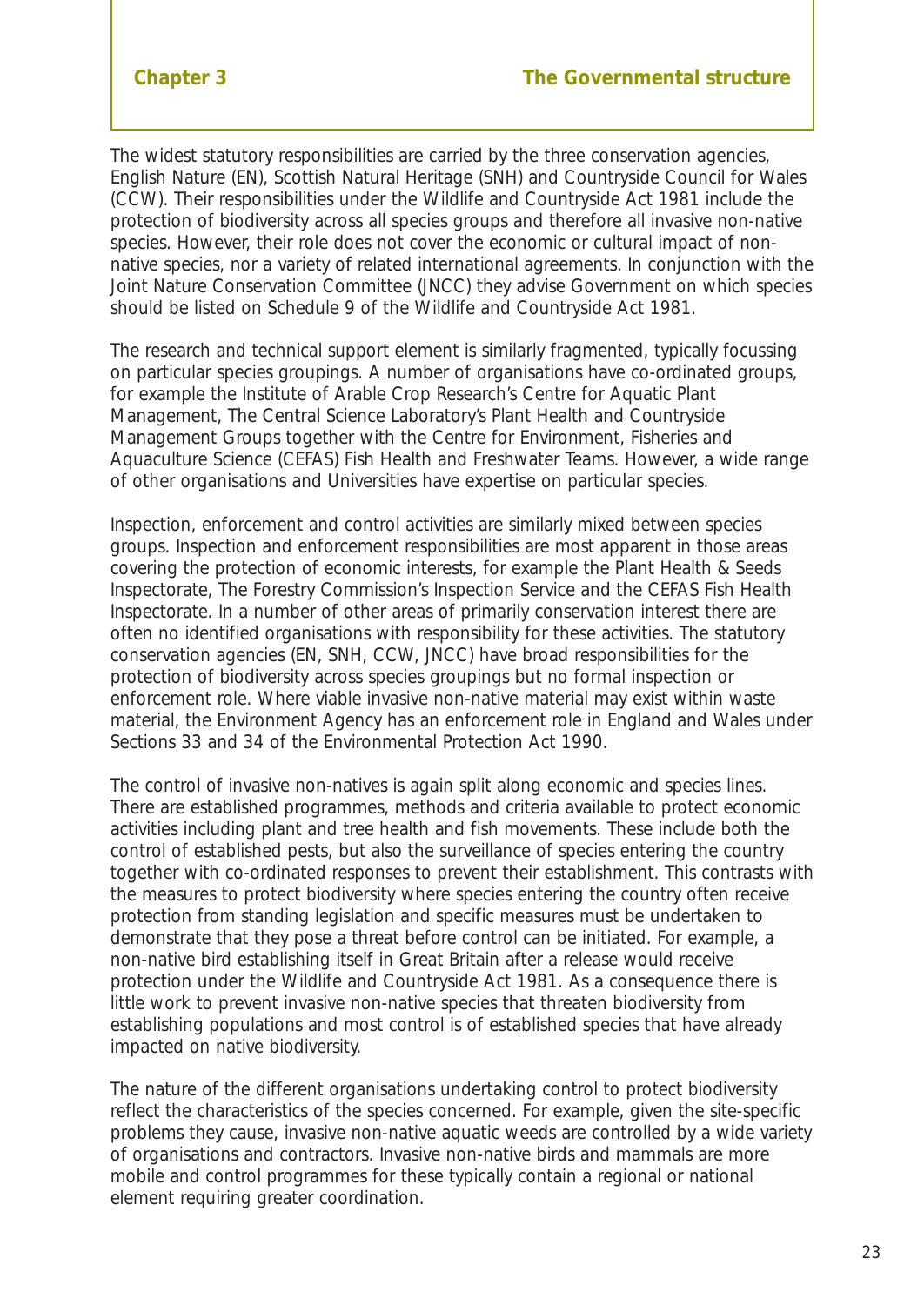The widest statutory responsibilities are carried by the three conservation agencies, English Nature (EN), Scottish Natural Heritage (SNH) and Countryside Council for Wales (CCW). Their responsibilities under the Wildlife and Countryside Act 1981 include the protection of biodiversity across all species groups and therefore all invasive non-native species. However, their role does not cover the economic or cultural impact of nonnative species, nor a variety of related international agreements. In conjunction with the Joint Nature Conservation Committee (JNCC) they advise Government on which species should be listed on Schedule 9 of the Wildlife and Countryside Act 1981.

The research and technical support element is similarly fragmented, typically focussing on particular species groupings. A number of organisations have co-ordinated groups, for example the Institute of Arable Crop Research's Centre for Aquatic Plant Management, The Central Science Laboratory's Plant Health and Countryside Management Groups together with the Centre for Environment, Fisheries and Aquaculture Science (CEFAS) Fish Health and Freshwater Teams. However, a wide range of other organisations and Universities have expertise on particular species.

Inspection, enforcement and control activities are similarly mixed between species groups. Inspection and enforcement responsibilities are most apparent in those areas covering the protection of economic interests, for example the Plant Health & Seeds Inspectorate, The Forestry Commission's Inspection Service and the CEFAS Fish Health Inspectorate. In a number of other areas of primarily conservation interest there are often no identified organisations with responsibility for these activities. The statutory conservation agencies (EN, SNH, CCW, JNCC) have broad responsibilities for the protection of biodiversity across species groupings but no formal inspection or enforcement role. Where viable invasive non-native material may exist within waste material, the Environment Agency has an enforcement role in England and Wales under Sections 33 and 34 of the Environmental Protection Act 1990.

The control of invasive non-natives is again split along economic and species lines. There are established programmes, methods and criteria available to protect economic activities including plant and tree health and fish movements. These include both the control of established pests, but also the surveillance of species entering the country together with co-ordinated responses to prevent their establishment. This contrasts with the measures to protect biodiversity where species entering the country often receive protection from standing legislation and specific measures must be undertaken to demonstrate that they pose a threat before control can be initiated. For example, a non-native bird establishing itself in Great Britain after a release would receive protection under the Wildlife and Countryside Act 1981. As a consequence there is little work to prevent invasive non-native species that threaten biodiversity from establishing populations and most control is of established species that have already impacted on native biodiversity.

The nature of the different organisations undertaking control to protect biodiversity reflect the characteristics of the species concerned. For example, given the site-specific problems they cause, invasive non-native aquatic weeds are controlled by a wide variety of organisations and contractors. Invasive non-native birds and mammals are more mobile and control programmes for these typically contain a regional or national element requiring greater coordination.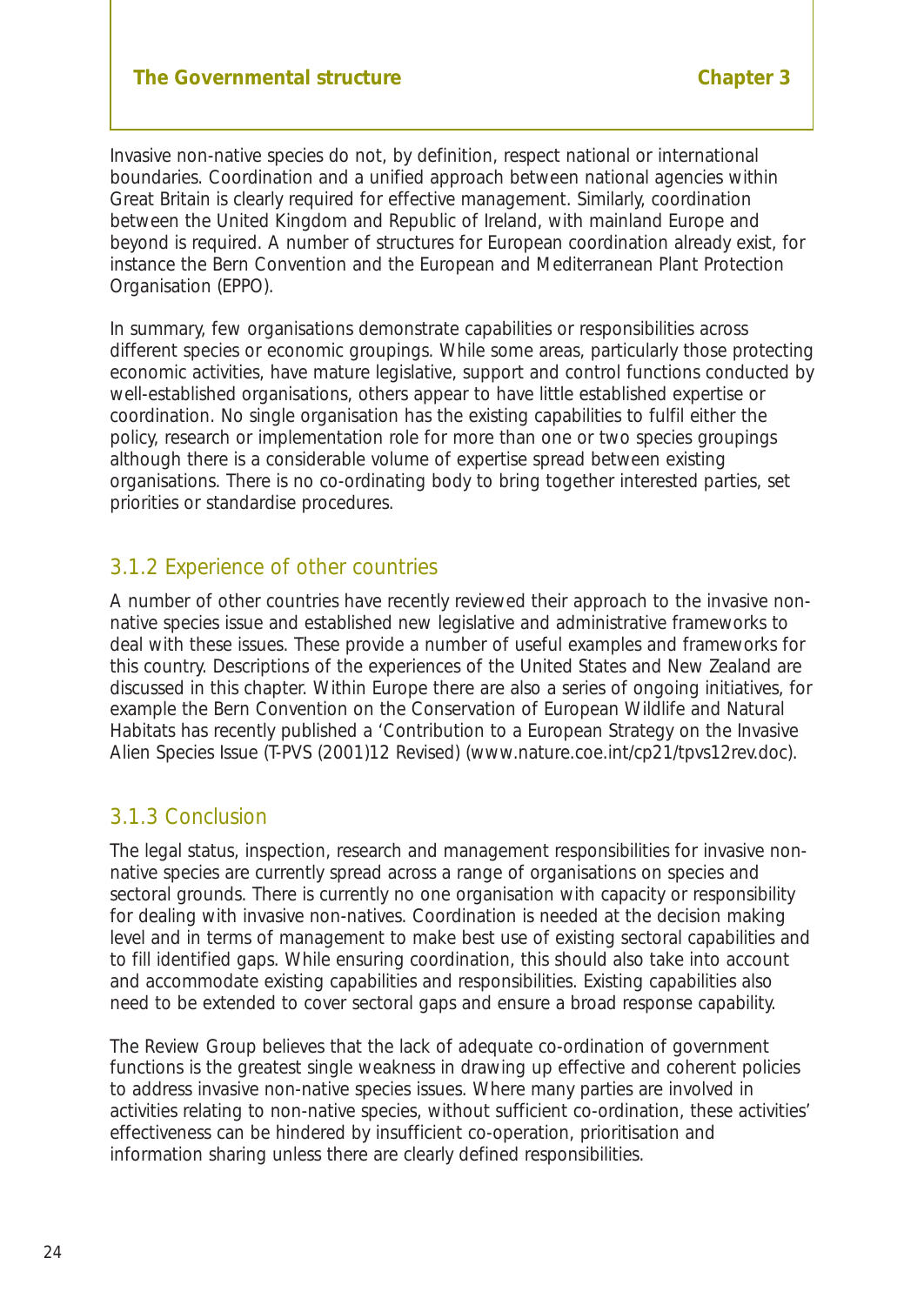Invasive non-native species do not, by definition, respect national or international boundaries. Coordination and a unified approach between national agencies within Great Britain is clearly required for effective management. Similarly, coordination between the United Kingdom and Republic of Ireland, with mainland Europe and beyond is required. A number of structures for European coordination already exist, for instance the Bern Convention and the European and Mediterranean Plant Protection Organisation (EPPO).

In summary, few organisations demonstrate capabilities or responsibilities across different species or economic groupings. While some areas, particularly those protecting economic activities, have mature legislative, support and control functions conducted by well-established organisations, others appear to have little established expertise or coordination. No single organisation has the existing capabilities to fulfil either the policy, research or implementation role for more than one or two species groupings although there is a considerable volume of expertise spread between existing organisations. There is no co-ordinating body to bring together interested parties, set priorities or standardise procedures.

## 3.1.2 Experience of other countries

A number of other countries have recently reviewed their approach to the invasive nonnative species issue and established new legislative and administrative frameworks to deal with these issues. These provide a number of useful examples and frameworks for this country. Descriptions of the experiences of the United States and New Zealand are discussed in this chapter. Within Europe there are also a series of ongoing initiatives, for example the Bern Convention on the Conservation of European Wildlife and Natural Habitats has recently published a 'Contribution to a European Strategy on the Invasive Alien Species Issue (T-PVS (2001)12 Revised) (www.nature.coe.int/cp21/tpvs12rev.doc).

# 3.1.3 Conclusion

The legal status, inspection, research and management responsibilities for invasive nonnative species are currently spread across a range of organisations on species and sectoral grounds. There is currently no one organisation with capacity or responsibility for dealing with invasive non-natives. Coordination is needed at the decision making level and in terms of management to make best use of existing sectoral capabilities and to fill identified gaps. While ensuring coordination, this should also take into account and accommodate existing capabilities and responsibilities. Existing capabilities also need to be extended to cover sectoral gaps and ensure a broad response capability.

The Review Group believes that the lack of adequate co-ordination of government functions is the greatest single weakness in drawing up effective and coherent policies to address invasive non-native species issues. Where many parties are involved in activities relating to non-native species, without sufficient co-ordination, these activities' effectiveness can be hindered by insufficient co-operation, prioritisation and information sharing unless there are clearly defined responsibilities.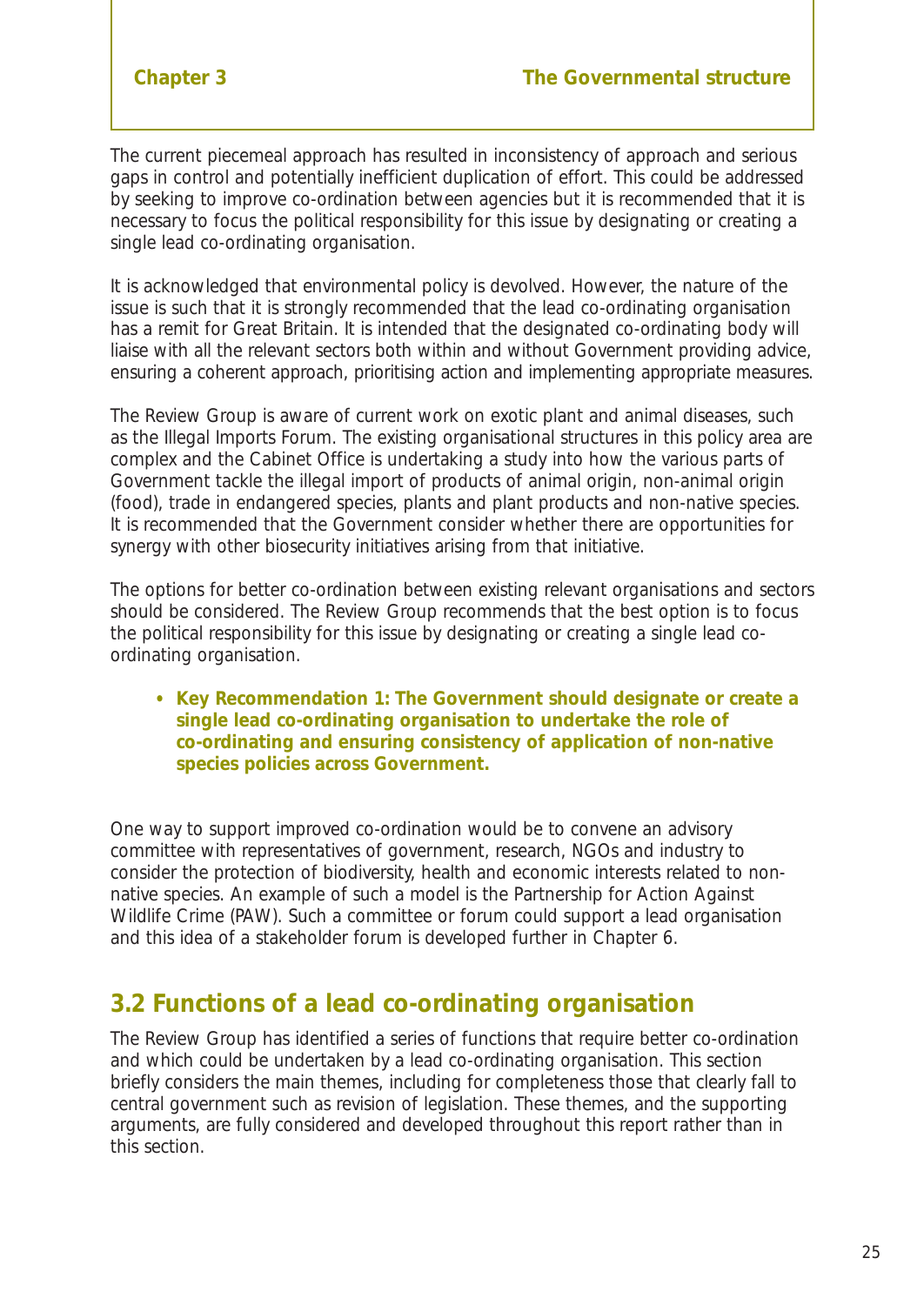The current piecemeal approach has resulted in inconsistency of approach and serious gaps in control and potentially inefficient duplication of effort. This could be addressed by seeking to improve co-ordination between agencies but it is recommended that it is necessary to focus the political responsibility for this issue by designating or creating a single lead co-ordinating organisation.

It is acknowledged that environmental policy is devolved. However, the nature of the issue is such that it is strongly recommended that the lead co-ordinating organisation has a remit for Great Britain. It is intended that the designated co-ordinating body will liaise with all the relevant sectors both within and without Government providing advice, ensuring a coherent approach, prioritising action and implementing appropriate measures.

The Review Group is aware of current work on exotic plant and animal diseases, such as the Illegal Imports Forum. The existing organisational structures in this policy area are complex and the Cabinet Office is undertaking a study into how the various parts of Government tackle the illegal import of products of animal origin, non-animal origin (food), trade in endangered species, plants and plant products and non-native species. It is recommended that the Government consider whether there are opportunities for synergy with other biosecurity initiatives arising from that initiative.

The options for better co-ordination between existing relevant organisations and sectors should be considered. The Review Group recommends that the best option is to focus the political responsibility for this issue by designating or creating a single lead coordinating organisation.

• **Key Recommendation 1: The Government should designate or create a single lead co-ordinating organisation to undertake the role of co-ordinating and ensuring consistency of application of non-native species policies across Government.** 

One way to support improved co-ordination would be to convene an advisory committee with representatives of government, research, NGOs and industry to consider the protection of biodiversity, health and economic interests related to nonnative species. An example of such a model is the Partnership for Action Against Wildlife Crime (PAW). Such a committee or forum could support a lead organisation and this idea of a stakeholder forum is developed further in Chapter 6.

# **3.2 Functions of a lead co-ordinating organisation**

The Review Group has identified a series of functions that require better co-ordination and which could be undertaken by a lead co-ordinating organisation. This section briefly considers the main themes, including for completeness those that clearly fall to central government such as revision of legislation. These themes, and the supporting arguments, are fully considered and developed throughout this report rather than in this section.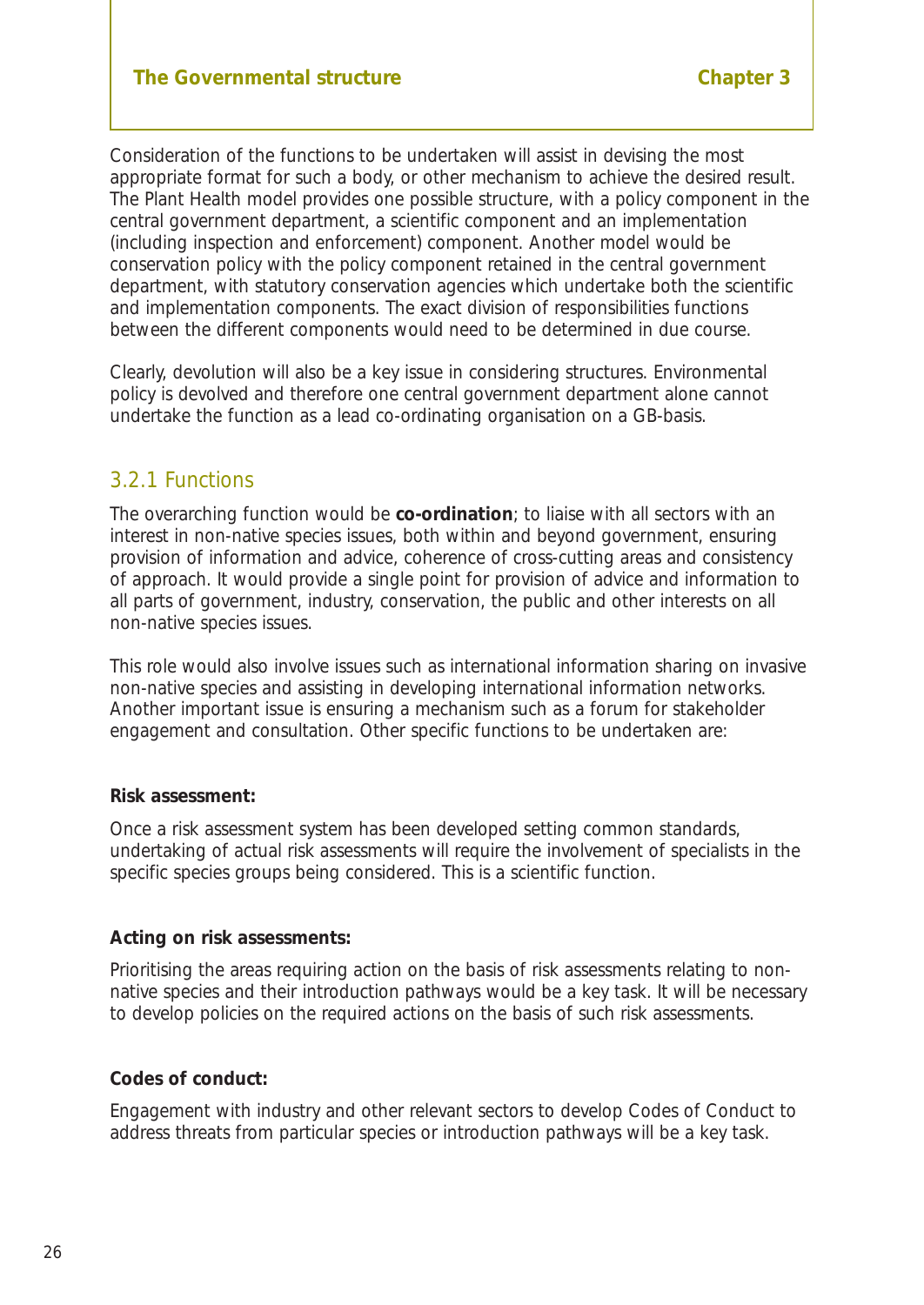Consideration of the functions to be undertaken will assist in devising the most appropriate format for such a body, or other mechanism to achieve the desired result. The Plant Health model provides one possible structure, with a policy component in the central government department, a scientific component and an implementation (including inspection and enforcement) component. Another model would be conservation policy with the policy component retained in the central government department, with statutory conservation agencies which undertake both the scientific and implementation components. The exact division of responsibilities functions between the different components would need to be determined in due course.

Clearly, devolution will also be a key issue in considering structures. Environmental policy is devolved and therefore one central government department alone cannot undertake the function as a lead co-ordinating organisation on a GB-basis.

#### 3.2.1 Functions

The overarching function would be **co-ordination**; to liaise with all sectors with an interest in non-native species issues, both within and beyond government, ensuring provision of information and advice, coherence of cross-cutting areas and consistency of approach. It would provide a single point for provision of advice and information to all parts of government, industry, conservation, the public and other interests on all non-native species issues.

This role would also involve issues such as international information sharing on invasive non-native species and assisting in developing international information networks. Another important issue is ensuring a mechanism such as a forum for stakeholder engagement and consultation. Other specific functions to be undertaken are:

#### **Risk assessment:**

Once a risk assessment system has been developed setting common standards, undertaking of actual risk assessments will require the involvement of specialists in the specific species groups being considered. This is a scientific function.

#### **Acting on risk assessments:**

Prioritising the areas requiring action on the basis of risk assessments relating to nonnative species and their introduction pathways would be a key task. It will be necessary to develop policies on the required actions on the basis of such risk assessments.

#### **Codes of conduct:**

Engagement with industry and other relevant sectors to develop Codes of Conduct to address threats from particular species or introduction pathways will be a key task.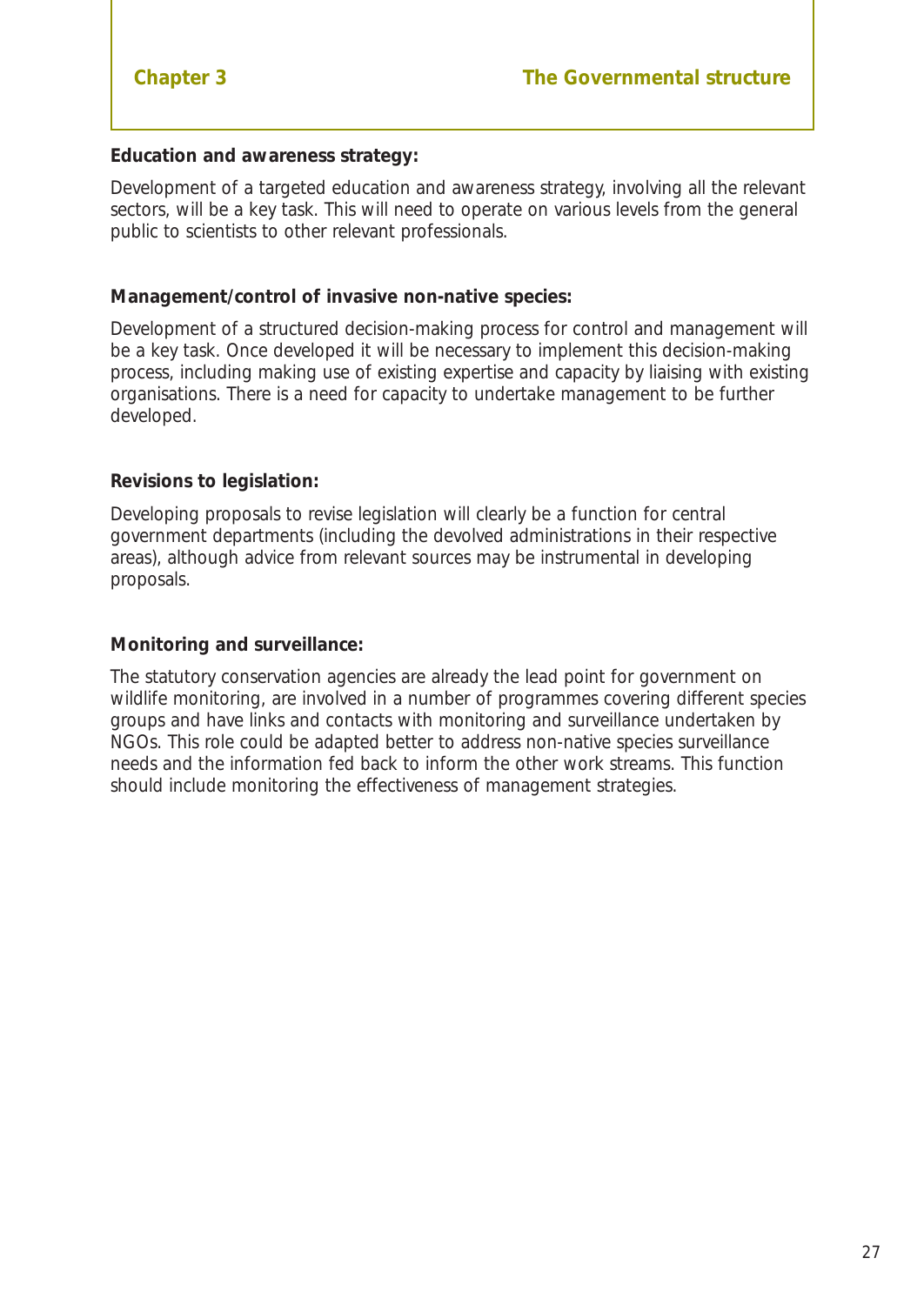#### **Education and awareness strategy:**

Development of a targeted education and awareness strategy, involving all the relevant sectors, will be a key task. This will need to operate on various levels from the general public to scientists to other relevant professionals.

#### **Management/control of invasive non-native species:**

Development of a structured decision-making process for control and management will be a key task. Once developed it will be necessary to implement this decision-making process, including making use of existing expertise and capacity by liaising with existing organisations. There is a need for capacity to undertake management to be further developed.

#### **Revisions to legislation:**

Developing proposals to revise legislation will clearly be a function for central government departments (including the devolved administrations in their respective areas), although advice from relevant sources may be instrumental in developing proposals.

#### **Monitoring and surveillance:**

The statutory conservation agencies are already the lead point for government on wildlife monitoring, are involved in a number of programmes covering different species groups and have links and contacts with monitoring and surveillance undertaken by NGOs. This role could be adapted better to address non-native species surveillance needs and the information fed back to inform the other work streams. This function should include monitoring the effectiveness of management strategies.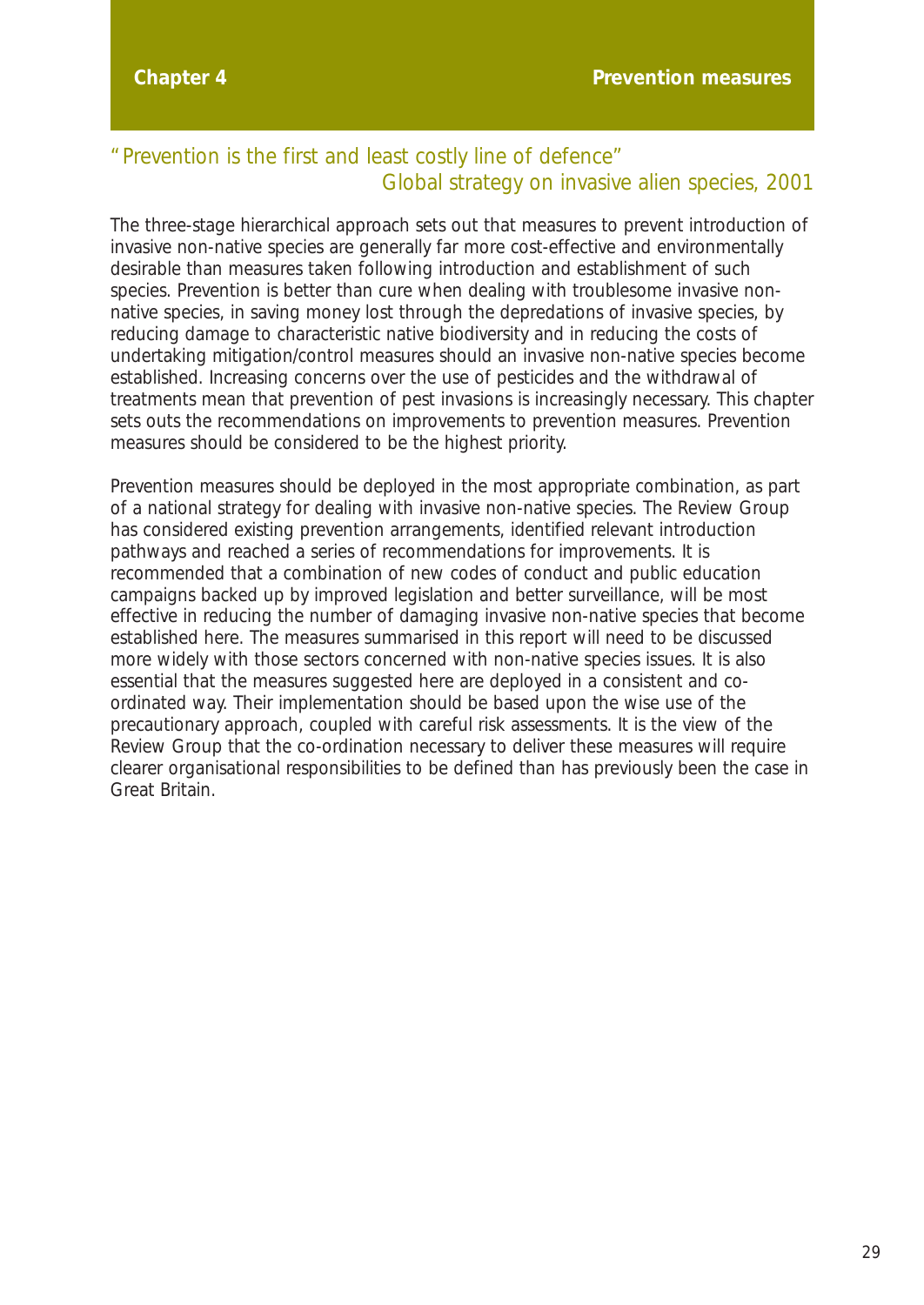# "Prevention is the first and least costly line of defence" *Global strategy on invasive alien species,* 2001

The three-stage hierarchical approach sets out that measures to prevent introduction of invasive non-native species are generally far more cost-effective and environmentally desirable than measures taken following introduction and establishment of such species. Prevention is better than cure when dealing with troublesome invasive nonnative species, in saving money lost through the depredations of invasive species, by reducing damage to characteristic native biodiversity and in reducing the costs of undertaking mitigation/control measures should an invasive non-native species become established. Increasing concerns over the use of pesticides and the withdrawal of treatments mean that prevention of pest invasions is increasingly necessary. This chapter sets outs the recommendations on improvements to prevention measures. Prevention measures should be considered to be the highest priority.

Prevention measures should be deployed in the most appropriate combination, as part of a national strategy for dealing with invasive non-native species. The Review Group has considered existing prevention arrangements, identified relevant introduction pathways and reached a series of recommendations for improvements. It is recommended that a combination of new codes of conduct and public education campaigns backed up by improved legislation and better surveillance, will be most effective in reducing the number of damaging invasive non-native species that become established here. The measures summarised in this report will need to be discussed more widely with those sectors concerned with non-native species issues. It is also essential that the measures suggested here are deployed in a consistent and coordinated way. Their implementation should be based upon the wise use of the precautionary approach, coupled with careful risk assessments. It is the view of the Review Group that the co-ordination necessary to deliver these measures will require clearer organisational responsibilities to be defined than has previously been the case in Great Britain.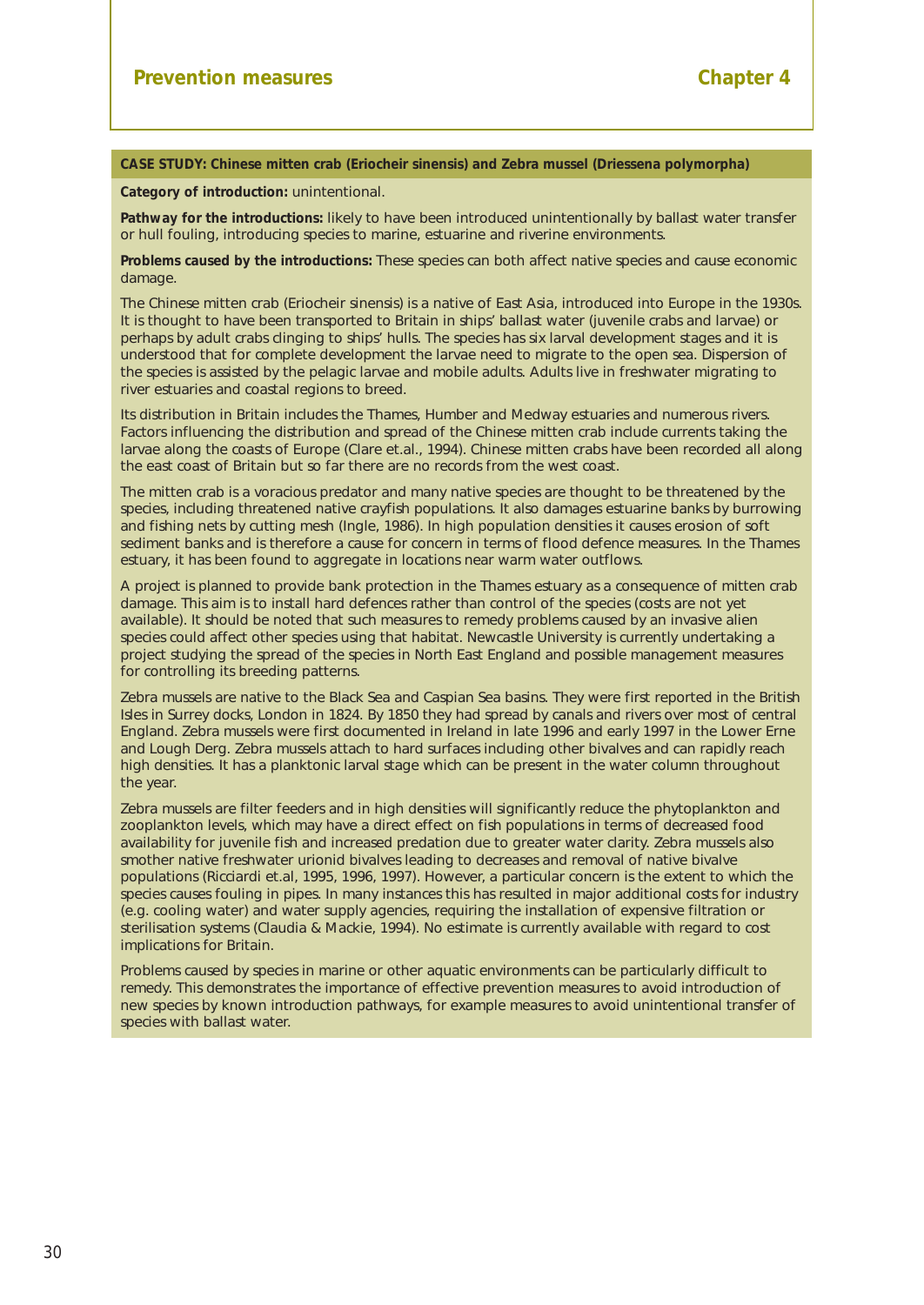#### **CASE STUDY: Chinese mitten crab** *(Eriocheir sinensis)* **and Zebra mussel** *(Driessena polymorpha)*

**Category of introduction:** unintentional.

**Pathway for the introductions:** likely to have been introduced unintentionally by ballast water transfer or hull fouling, introducing species to marine, estuarine and riverine environments.

**Problems caused by the introductions:** These species can both affect native species and cause economic damage.

The Chinese mitten crab *(Eriocheir sinensis)* is a native of East Asia, introduced into Europe in the 1930s. It is thought to have been transported to Britain in ships' ballast water (juvenile crabs and larvae) or perhaps by adult crabs clinging to ships' hulls. The species has six larval development stages and it is understood that for complete development the larvae need to migrate to the open sea. Dispersion of the species is assisted by the pelagic larvae and mobile adults. Adults live in freshwater migrating to river estuaries and coastal regions to breed.

Its distribution in Britain includes the Thames, Humber and Medway estuaries and numerous rivers. Factors influencing the distribution and spread of the Chinese mitten crab include currents taking the larvae along the coasts of Europe (Clare *et.al*., 1994). Chinese mitten crabs have been recorded all along the east coast of Britain but so far there are no records from the west coast.

The mitten crab is a voracious predator and many native species are thought to be threatened by the species, including threatened native crayfish populations. It also damages estuarine banks by burrowing and fishing nets by cutting mesh (Ingle, 1986). In high population densities it causes erosion of soft sediment banks and is therefore a cause for concern in terms of flood defence measures. In the Thames estuary, it has been found to aggregate in locations near warm water outflows.

A project is planned to provide bank protection in the Thames estuary as a consequence of mitten crab damage. This aim is to install hard defences rather than control of the species (costs are not yet available). It should be noted that such measures to remedy problems caused by an invasive alien species could affect other species using that habitat. Newcastle University is currently undertaking a project studying the spread of the species in North East England and possible management measures for controlling its breeding patterns.

Zebra mussels are native to the Black Sea and Caspian Sea basins. They were first reported in the British Isles in Surrey docks, London in 1824. By 1850 they had spread by canals and rivers over most of central England. Zebra mussels were first documented in Ireland in late 1996 and early 1997 in the Lower Erne and Lough Derg. Zebra mussels attach to hard surfaces including other bivalves and can rapidly reach high densities. It has a planktonic larval stage which can be present in the water column throughout the year.

Zebra mussels are filter feeders and in high densities will significantly reduce the phytoplankton and zooplankton levels, which may have a direct effect on fish populations in terms of decreased food availability for juvenile fish and increased predation due to greater water clarity. Zebra mussels also smother native freshwater urionid bivalves leading to decreases and removal of native bivalve populations (Ricciardi *et.al*, 1995, 1996, 1997). However, a particular concern is the extent to which the species causes fouling in pipes. In many instances this has resulted in major additional costs for industry (*e.g.* cooling water) and water supply agencies, requiring the installation of expensive filtration or sterilisation systems (Claudia & Mackie, 1994). No estimate is currently available with regard to cost implications for Britain.

Problems caused by species in marine or other aquatic environments can be particularly difficult to remedy. This demonstrates the importance of effective prevention measures to avoid introduction of new species by known introduction pathways, for example measures to avoid unintentional transfer of species with ballast water.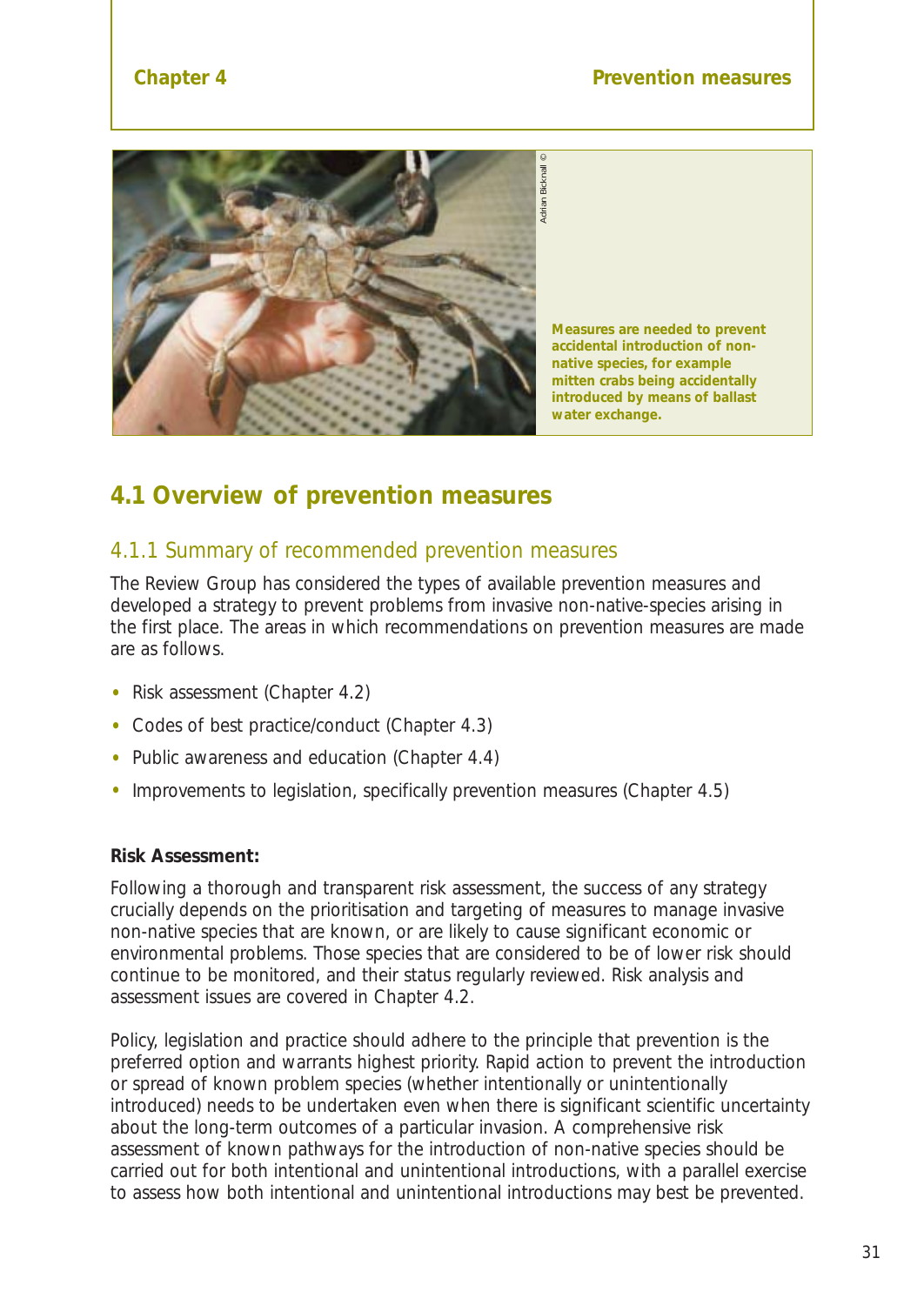

**Measures are needed to prevent accidental introduction of nonnative species, for example mitten crabs being accidentally introduced by means of ballast water exchange.**

# **4.1 Overview of prevention measures**

# 4.1.1 Summary of recommended prevention measures

The Review Group has considered the types of available prevention measures and developed a strategy to prevent problems from invasive non-native-species arising in the first place. The areas in which recommendations on prevention measures are made are as follows.

- Risk assessment (Chapter 4.2)
- Codes of best practice/conduct (Chapter 4.3)
- Public awareness and education (Chapter 4.4)
- Improvements to legislation, specifically prevention measures (Chapter 4.5)

#### **Risk Assessment:**

Following a thorough and transparent risk assessment, the success of any strategy crucially depends on the prioritisation and targeting of measures to manage invasive non-native species that are known, or are likely to cause significant economic or environmental problems. Those species that are considered to be of lower risk should continue to be monitored, and their status regularly reviewed. Risk analysis and assessment issues are covered in Chapter 4.2.

Policy, legislation and practice should adhere to the principle that prevention is the preferred option and warrants highest priority. Rapid action to prevent the introduction or spread of known problem species (whether intentionally or unintentionally introduced) needs to be undertaken even when there is significant scientific uncertainty about the long-term outcomes of a particular invasion. A comprehensive risk assessment of known pathways for the introduction of non-native species should be carried out for both intentional and unintentional introductions, with a parallel exercise to assess how both intentional and unintentional introductions may best be prevented.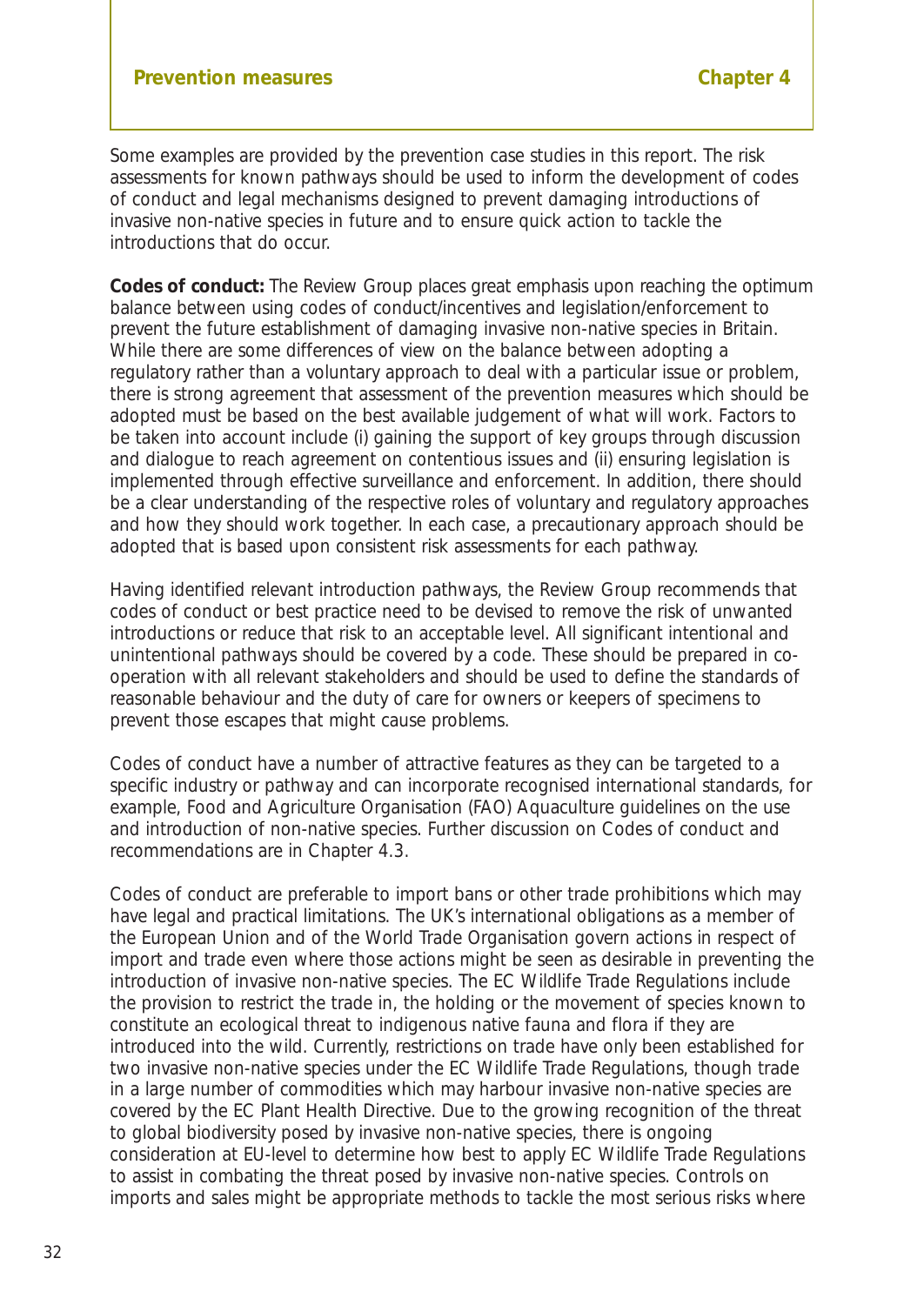Some examples are provided by the prevention case studies in this report. The risk assessments for known pathways should be used to inform the development of codes of conduct and legal mechanisms designed to prevent damaging introductions of invasive non-native species in future and to ensure quick action to tackle the introductions that do occur.

**Codes of conduct:** The Review Group places great emphasis upon reaching the optimum balance between using codes of conduct/incentives and legislation/enforcement to prevent the future establishment of damaging invasive non-native species in Britain. While there are some differences of view on the balance between adopting a regulatory rather than a voluntary approach to deal with a particular issue or problem, there is strong agreement that assessment of the prevention measures which should be adopted must be based on the best available judgement of what will work. Factors to be taken into account include (i) gaining the support of key groups through discussion and dialogue to reach agreement on contentious issues and (ii) ensuring legislation is implemented through effective surveillance and enforcement. In addition, there should be a clear understanding of the respective roles of voluntary and regulatory approaches and how they should work together. In each case, a precautionary approach should be adopted that is based upon consistent risk assessments for each pathway.

Having identified relevant introduction pathways, the Review Group recommends that codes of conduct or best practice need to be devised to remove the risk of unwanted introductions or reduce that risk to an acceptable level. All significant intentional and unintentional pathways should be covered by a code. These should be prepared in cooperation with all relevant stakeholders and should be used to define the standards of reasonable behaviour and the duty of care for owners or keepers of specimens to prevent those escapes that might cause problems.

Codes of conduct have a number of attractive features as they can be targeted to a specific industry or pathway and can incorporate recognised international standards, for example, Food and Agriculture Organisation (FAO) Aquaculture guidelines on the use and introduction of non-native species. Further discussion on Codes of conduct and recommendations are in Chapter 4.3.

Codes of conduct are preferable to import bans or other trade prohibitions which may have legal and practical limitations. The UK's international obligations as a member of the European Union and of the World Trade Organisation govern actions in respect of import and trade even where those actions might be seen as desirable in preventing the introduction of invasive non-native species. The EC Wildlife Trade Regulations include the provision to restrict the trade in, the holding or the movement of species known to constitute an ecological threat to indigenous native fauna and flora if they are introduced into the wild. Currently, restrictions on trade have only been established for two invasive non-native species under the EC Wildlife Trade Regulations, though trade in a large number of commodities which may harbour invasive non-native species are covered by the EC Plant Health Directive. Due to the growing recognition of the threat to global biodiversity posed by invasive non-native species, there is ongoing consideration at EU-level to determine how best to apply EC Wildlife Trade Regulations to assist in combating the threat posed by invasive non-native species. Controls on imports and sales might be appropriate methods to tackle the most serious risks where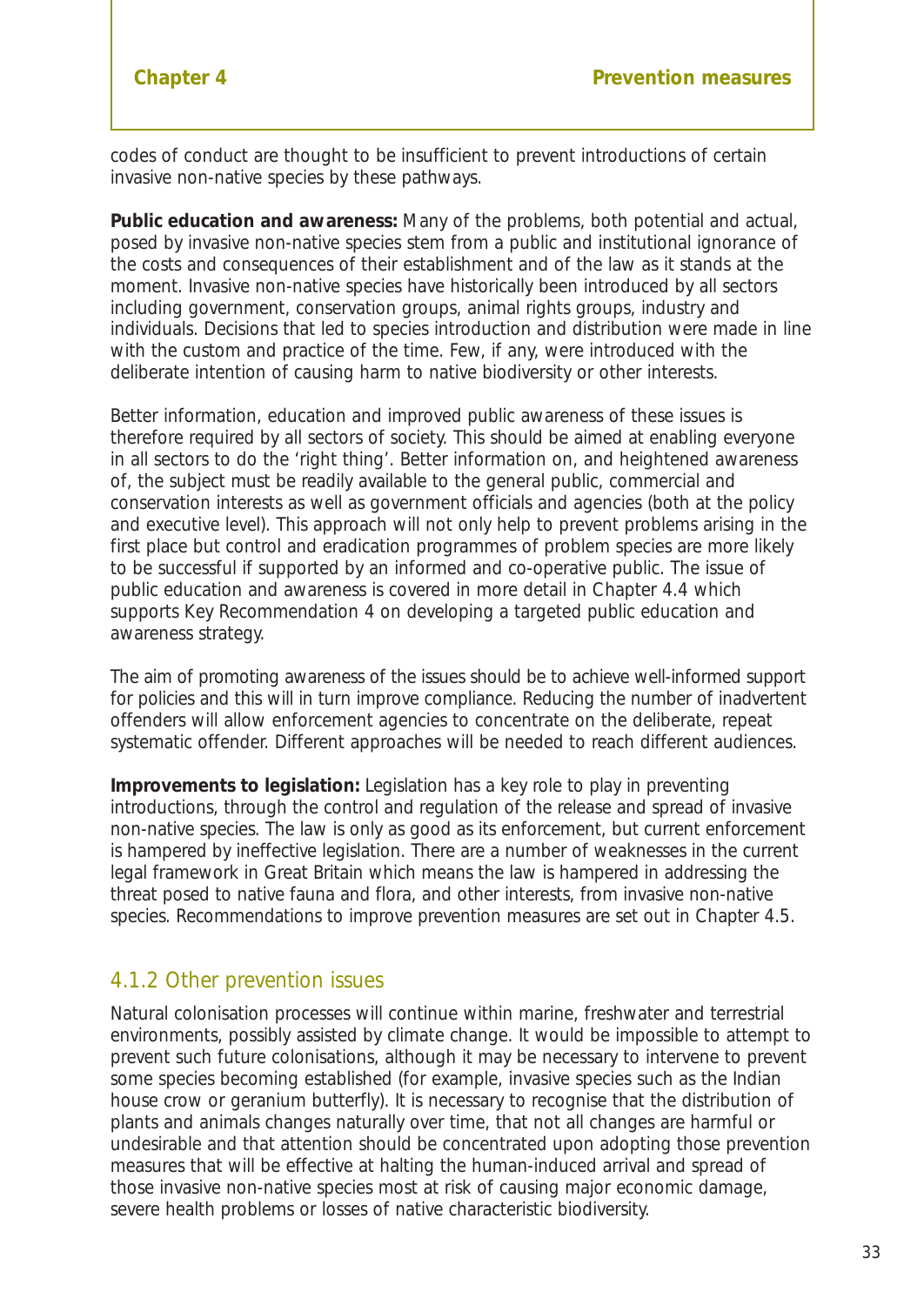codes of conduct are thought to be insufficient to prevent introductions of certain invasive non-native species by these pathways.

**Public education and awareness:** Many of the problems, both potential and actual, posed by invasive non-native species stem from a public and institutional ignorance of the costs and consequences of their establishment and of the law as it stands at the moment. Invasive non-native species have historically been introduced by all sectors including government, conservation groups, animal rights groups, industry and individuals. Decisions that led to species introduction and distribution were made in line with the custom and practice of the time. Few, if any, were introduced with the deliberate intention of causing harm to native biodiversity or other interests.

Better information, education and improved public awareness of these issues is therefore required by all sectors of society. This should be aimed at enabling everyone in all sectors to do the 'right thing'. Better information on, and heightened awareness of, the subject must be readily available to the general public, commercial and conservation interests as well as government officials and agencies (both at the policy and executive level). This approach will not only help to prevent problems arising in the first place but control and eradication programmes of problem species are more likely to be successful if supported by an informed and co-operative public. The issue of public education and awareness is covered in more detail in Chapter 4.4 which supports Key Recommendation 4 on developing a targeted public education and awareness strategy.

The aim of promoting awareness of the issues should be to achieve well-informed support for policies and this will in turn improve compliance. Reducing the number of inadvertent offenders will allow enforcement agencies to concentrate on the deliberate, repeat systematic offender. Different approaches will be needed to reach different audiences.

**Improvements to legislation:** Legislation has a key role to play in preventing introductions, through the control and regulation of the release and spread of invasive non-native species. The law is only as good as its enforcement, but current enforcement is hampered by ineffective legislation. There are a number of weaknesses in the current legal framework in Great Britain which means the law is hampered in addressing the threat posed to native fauna and flora, and other interests, from invasive non-native species. Recommendations to improve prevention measures are set out in Chapter 4.5.

### 4.1.2 Other prevention issues

Natural colonisation processes will continue within marine, freshwater and terrestrial environments, possibly assisted by climate change. It would be impossible to attempt to prevent such future colonisations, although it may be necessary to intervene to prevent some species becoming established (for example, invasive species such as the Indian house crow or geranium butterfly). It is necessary to recognise that the distribution of plants and animals changes naturally over time, that not all changes are harmful or undesirable and that attention should be concentrated upon adopting those prevention measures that will be effective at halting the human-induced arrival and spread of those invasive non-native species most at risk of causing major economic damage, severe health problems or losses of native characteristic biodiversity.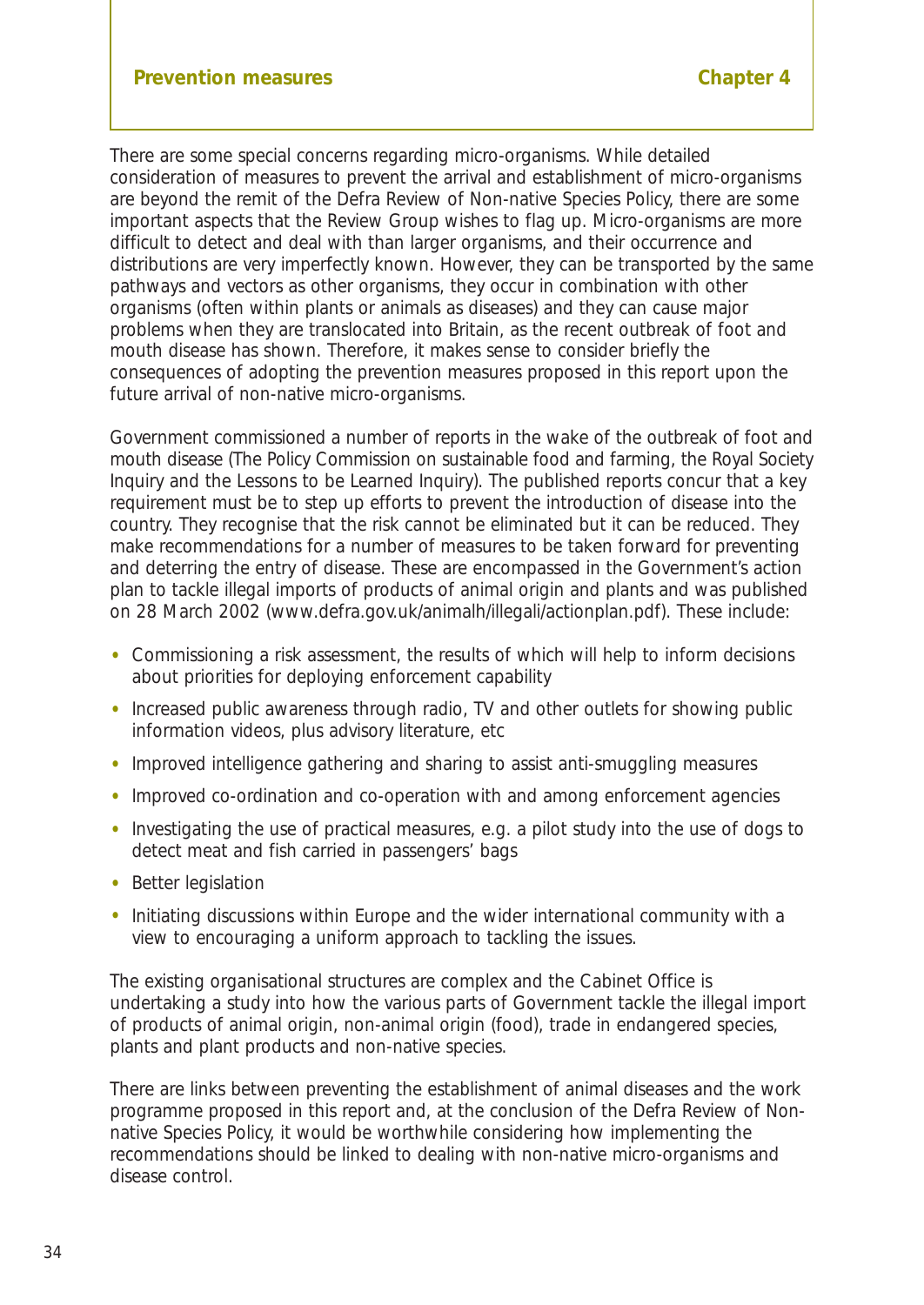There are some special concerns regarding micro-organisms. While detailed consideration of measures to prevent the arrival and establishment of micro-organisms are beyond the remit of the Defra Review of Non-native Species Policy, there are some important aspects that the Review Group wishes to flag up. Micro-organisms are more difficult to detect and deal with than larger organisms, and their occurrence and distributions are very imperfectly known. However, they can be transported by the same pathways and vectors as other organisms, they occur in combination with other organisms (often within plants or animals as diseases) and they can cause major problems when they are translocated into Britain, as the recent outbreak of foot and mouth disease has shown. Therefore, it makes sense to consider briefly the consequences of adopting the prevention measures proposed in this report upon the future arrival of non-native micro-organisms.

Government commissioned a number of reports in the wake of the outbreak of foot and mouth disease (The Policy Commission on sustainable food and farming, the Royal Society Inquiry and the Lessons to be Learned Inquiry). The published reports concur that a key requirement must be to step up efforts to prevent the introduction of disease into the country. They recognise that the risk cannot be eliminated but it can be reduced. They make recommendations for a number of measures to be taken forward for preventing and deterring the entry of disease. These are encompassed in the Government's action plan to tackle illegal imports of products of animal origin and plants and was published on 28 March 2002 (www.defra.gov.uk/animalh/illegali/actionplan.pdf). These include:

- Commissioning a risk assessment, the results of which will help to inform decisions about priorities for deploying enforcement capability
- Increased public awareness through radio, TV and other outlets for showing public information videos, plus advisory literature, etc
- Improved intelligence gathering and sharing to assist anti-smuggling measures
- Improved co-ordination and co-operation with and among enforcement agencies
- Investigating the use of practical measures, *e.g.* a pilot study into the use of dogs to detect meat and fish carried in passengers' bags
- Better legislation
- Initiating discussions within Europe and the wider international community with a view to encouraging a uniform approach to tackling the issues.

The existing organisational structures are complex and the Cabinet Office is undertaking a study into how the various parts of Government tackle the illegal import of products of animal origin, non-animal origin (food), trade in endangered species, plants and plant products and non-native species.

There are links between preventing the establishment of animal diseases and the work programme proposed in this report and, at the conclusion of the Defra Review of Nonnative Species Policy, it would be worthwhile considering how implementing the recommendations should be linked to dealing with non-native micro-organisms and disease control.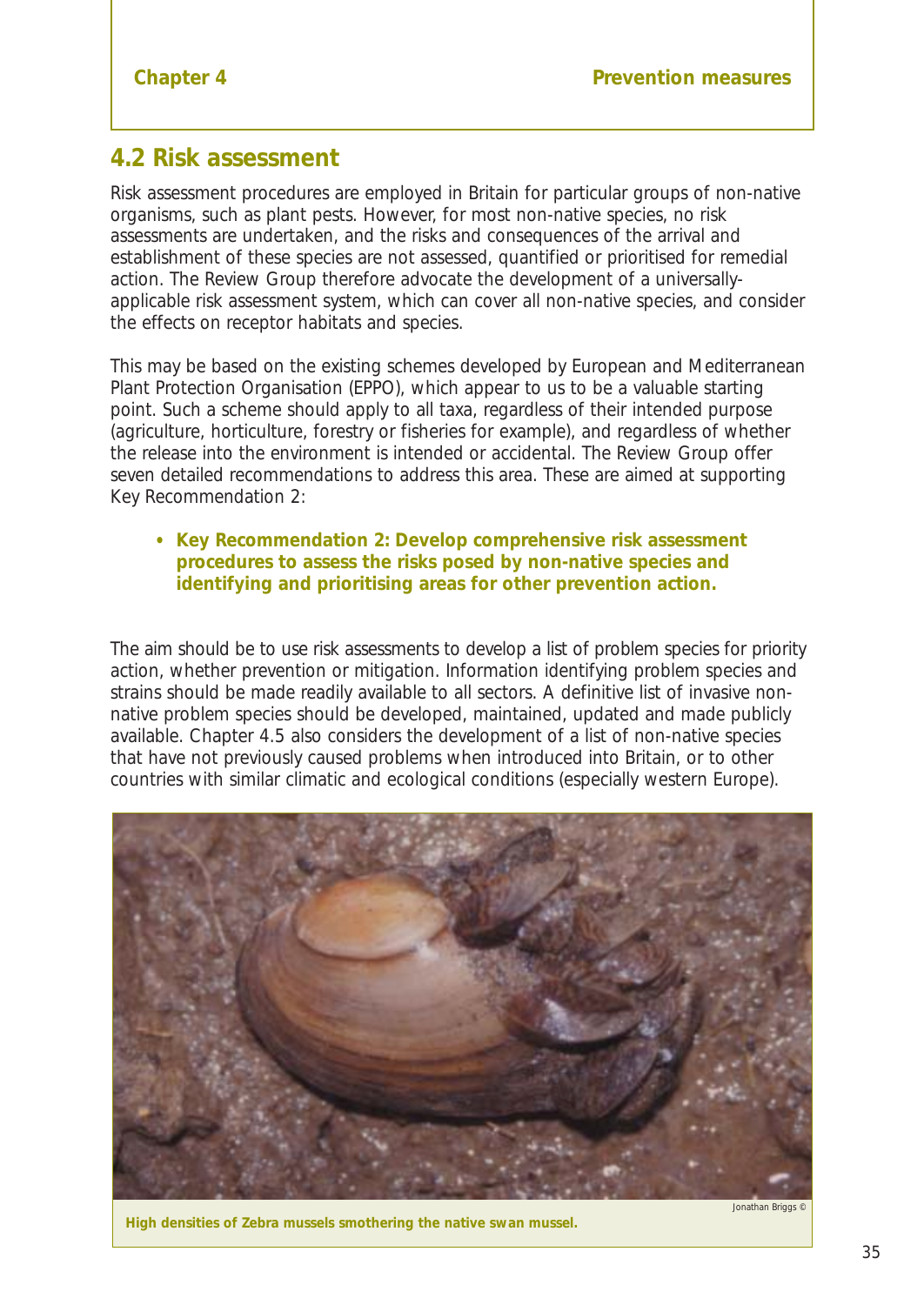# **4.2 Risk assessment**

Risk assessment procedures are employed in Britain for particular groups of non-native organisms, such as plant pests. However, for most non-native species, no risk assessments are undertaken, and the risks and consequences of the arrival and establishment of these species are not assessed, quantified or prioritised for remedial action. The Review Group therefore advocate the development of a universallyapplicable risk assessment system, which can cover all non-native species, and consider the effects on receptor habitats and species.

This may be based on the existing schemes developed by European and Mediterranean Plant Protection Organisation (EPPO), which appear to us to be a valuable starting point. Such a scheme should apply to all taxa, regardless of their intended purpose (agriculture, horticulture, forestry or fisheries for example), and regardless of whether the release into the environment is intended or accidental. The Review Group offer seven detailed recommendations to address this area. These are aimed at supporting Key Recommendation 2:

#### • **Key Recommendation 2: Develop comprehensive risk assessment procedures to assess the risks posed by non-native species and identifying and prioritising areas for other prevention action.**

The aim should be to use risk assessments to develop a list of problem species for priority action, whether prevention or mitigation. Information identifying problem species and strains should be made readily available to all sectors. A definitive list of invasive nonnative problem species should be developed, maintained, updated and made publicly available. Chapter 4.5 also considers the development of a list of non-native species that have not previously caused problems when introduced into Britain, or to other countries with similar climatic and ecological conditions (especially western Europe).



**High densities of Zebra mussels smothering the native swan mussel.**

Jonathan Briggs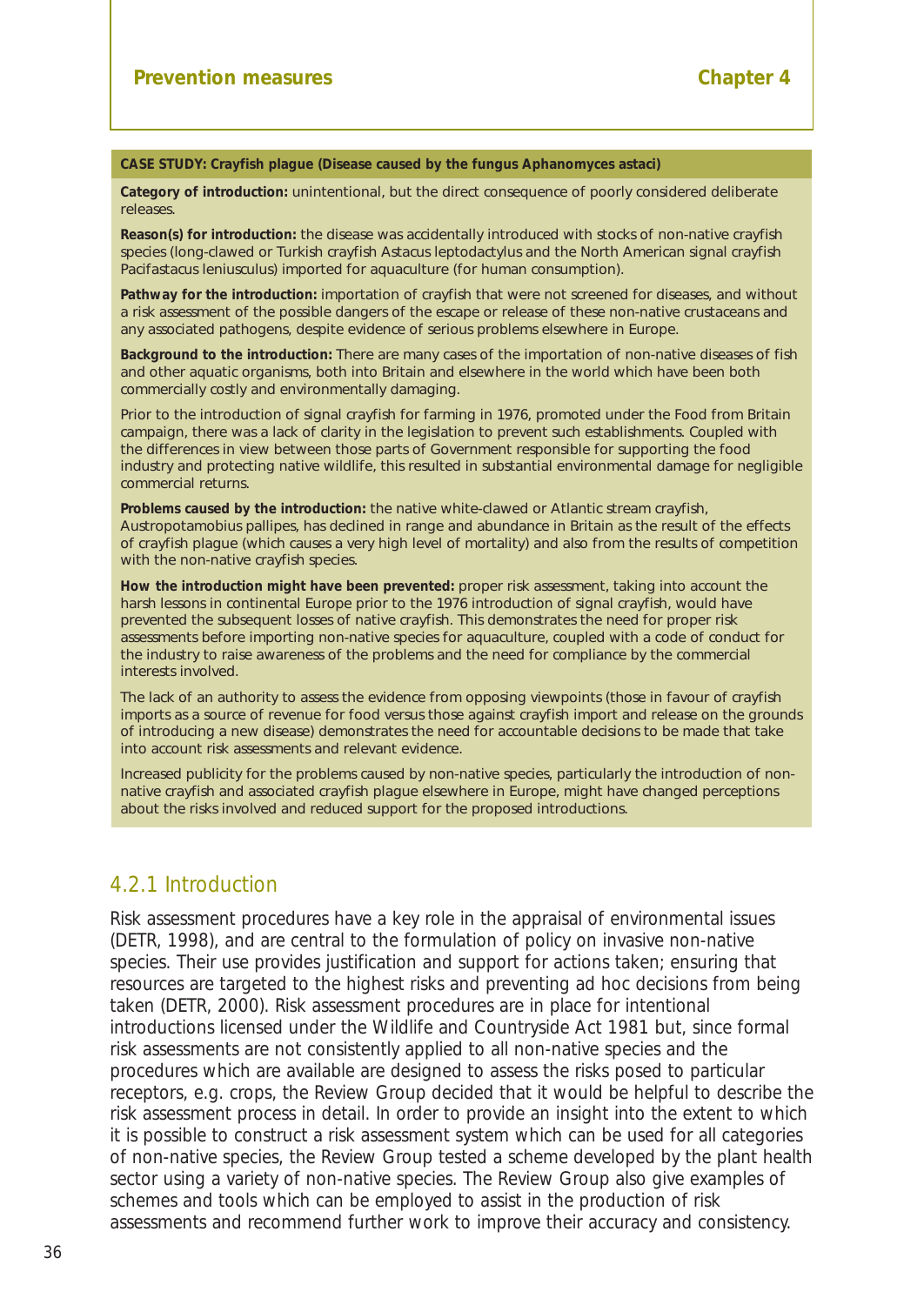#### **CASE STUDY: Crayfish plague (Disease caused by the fungus** *Aphanomyces astaci***)**

**Category of introduction:** unintentional, but the direct consequence of poorly considered deliberate releases.

**Reason(s) for introduction:** the disease was accidentally introduced with stocks of non-native crayfish species (long-clawed or Turkish crayfish *Astacus leptodactylus* and the North American signal crayfish *Pacifastacus leniusculus*) imported for aquaculture (for human consumption).

**Pathway for the introduction:** importation of crayfish that were not screened for diseases, and without a risk assessment of the possible dangers of the escape or release of these non-native crustaceans and any associated pathogens, despite evidence of serious problems elsewhere in Europe.

**Background to the introduction:** There are many cases of the importation of non-native diseases of fish and other aquatic organisms, both into Britain and elsewhere in the world which have been both commercially costly and environmentally damaging.

Prior to the introduction of signal crayfish for farming in 1976, promoted under the *Food from Britain* campaign, there was a lack of clarity in the legislation to prevent such establishments. Coupled with the differences in view between those parts of Government responsible for supporting the food industry and protecting native wildlife, this resulted in substantial environmental damage for negligible commercial returns.

**Problems caused by the introduction:** the native white-clawed or Atlantic stream crayfish, *Austropotamobius pallipes*, has declined in range and abundance in Britain as the result of the effects of crayfish plague (which causes a very high level of mortality) and also from the results of competition with the non-native crayfish species.

**How the introduction might have been prevented:** proper risk assessment, taking into account the harsh lessons in continental Europe prior to the 1976 introduction of signal crayfish, would have prevented the subsequent losses of native crayfish. This demonstrates the need for proper risk assessments before importing non-native species for aquaculture, coupled with a code of conduct for the industry to raise awareness of the problems and the need for compliance by the commercial interests involved.

The lack of an authority to assess the evidence from opposing viewpoints (those in favour of crayfish imports as a source of revenue for food versus those against crayfish import and release on the grounds of introducing a new disease) demonstrates the need for accountable decisions to be made that take into account risk assessments and relevant evidence.

Increased publicity for the problems caused by non-native species, particularly the introduction of nonnative crayfish and associated crayfish plague elsewhere in Europe, might have changed perceptions about the risks involved and reduced support for the proposed introductions.

#### 4.2.1 Introduction

Risk assessment procedures have a key role in the appraisal of environmental issues (DETR, 1998), and are central to the formulation of policy on invasive non-native species. Their use provides justification and support for actions taken; ensuring that resources are targeted to the highest risks and preventing ad hoc decisions from being taken (DETR, 2000). Risk assessment procedures are in place for intentional introductions licensed under the Wildlife and Countryside Act 1981 but, since formal risk assessments are not consistently applied to all non-native species and the procedures which are available are designed to assess the risks posed to particular receptors, *e.g.* crops, the Review Group decided that it would be helpful to describe the risk assessment process in detail. In order to provide an insight into the extent to which it is possible to construct a risk assessment system which can be used for all categories of non-native species, the Review Group tested a scheme developed by the plant health sector using a variety of non-native species. The Review Group also give examples of schemes and tools which can be employed to assist in the production of risk assessments and recommend further work to improve their accuracy and consistency.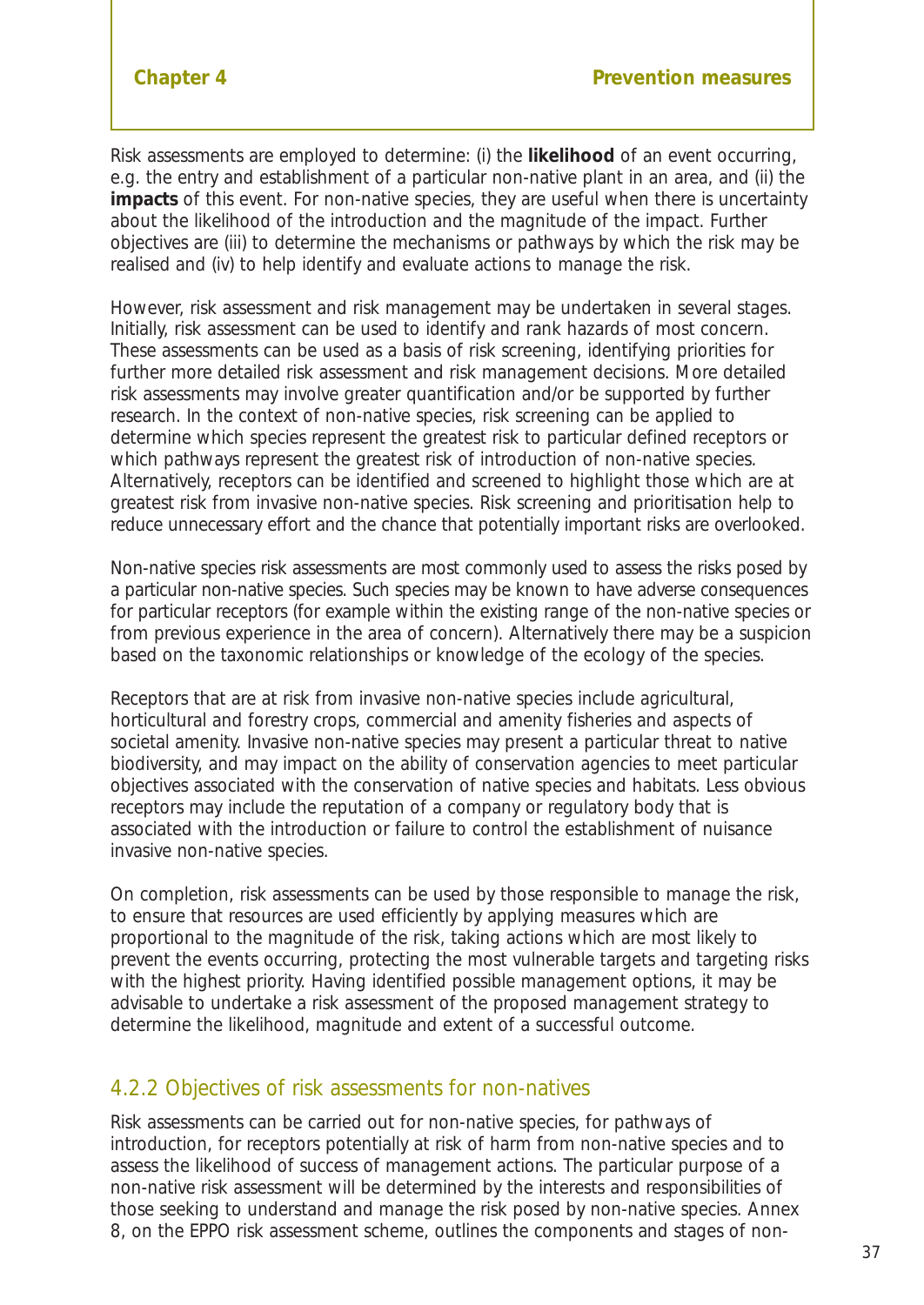Risk assessments are employed to determine: (i) the **likelihood** of an event occurring, *e.g.* the entry and establishment of a particular non-native plant in an area, and (ii) the **impacts** of this event. For non-native species, they are useful when there is uncertainty about the likelihood of the introduction and the magnitude of the impact. Further objectives are (iii) to determine the mechanisms or pathways by which the risk may be realised and (iv) to help identify and evaluate actions to manage the risk.

However, risk assessment and risk management may be undertaken in several stages. Initially, risk assessment can be used to identify and rank hazards of most concern. These assessments can be used as a basis of risk screening, identifying priorities for further more detailed risk assessment and risk management decisions. More detailed risk assessments may involve greater quantification and/or be supported by further research. In the context of non-native species, risk screening can be applied to determine which species represent the greatest risk to particular defined receptors or which pathways represent the greatest risk of introduction of non-native species. Alternatively, receptors can be identified and screened to highlight those which are at greatest risk from invasive non-native species. Risk screening and prioritisation help to reduce unnecessary effort and the chance that potentially important risks are overlooked.

Non-native species risk assessments are most commonly used to assess the risks posed by a particular non-native species. Such species may be known to have adverse consequences for particular receptors (for example within the existing range of the non-native species or from previous experience in the area of concern). Alternatively there may be a suspicion based on the taxonomic relationships or knowledge of the ecology of the species.

Receptors that are at risk from invasive non-native species include agricultural, horticultural and forestry crops, commercial and amenity fisheries and aspects of societal amenity. Invasive non-native species may present a particular threat to native biodiversity, and may impact on the ability of conservation agencies to meet particular objectives associated with the conservation of native species and habitats. Less obvious receptors may include the reputation of a company or regulatory body that is associated with the introduction or failure to control the establishment of nuisance invasive non-native species.

On completion, risk assessments can be used by those responsible to manage the risk, to ensure that resources are used efficiently by applying measures which are proportional to the magnitude of the risk, taking actions which are most likely to prevent the events occurring, protecting the most vulnerable targets and targeting risks with the highest priority. Having identified possible management options, it may be advisable to undertake a risk assessment of the proposed management strategy to determine the likelihood, magnitude and extent of a successful outcome.

## 4.2.2 Objectives of risk assessments for non-natives

Risk assessments can be carried out for non-native species, for pathways of introduction, for receptors potentially at risk of harm from non-native species and to assess the likelihood of success of management actions. The particular purpose of a non-native risk assessment will be determined by the interests and responsibilities of those seeking to understand and manage the risk posed by non-native species. Annex 8, on the EPPO risk assessment scheme, outlines the components and stages of non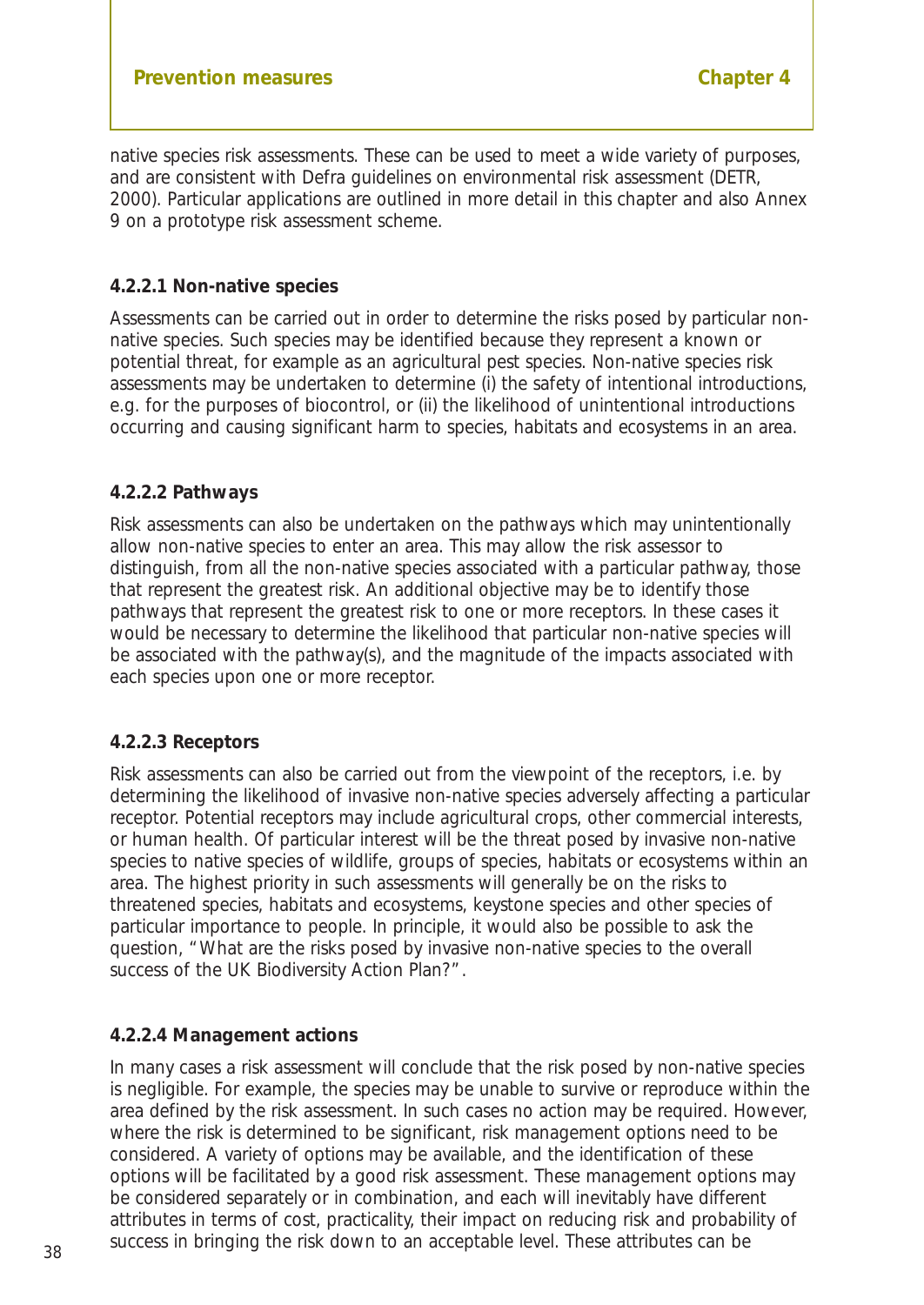native species risk assessments. These can be used to meet a wide variety of purposes, and are consistent with Defra guidelines on environmental risk assessment (DETR, 2000). Particular applications are outlined in more detail in this chapter and also Annex 9 on a prototype risk assessment scheme.

#### **4.2.2.1 Non-native species**

Assessments can be carried out in order to determine the risks posed by particular nonnative species. Such species may be identified because they represent a known or potential threat, for example as an agricultural pest species. Non-native species risk assessments may be undertaken to determine (i) the safety of intentional introductions, *e.g.* for the purposes of biocontrol, or (ii) the likelihood of unintentional introductions occurring and causing significant harm to species, habitats and ecosystems in an area.

#### **4.2.2.2 Pathways**

Risk assessments can also be undertaken on the pathways which may unintentionally allow non-native species to enter an area. This may allow the risk assessor to distinguish, from all the non-native species associated with a particular pathway, those that represent the greatest risk. An additional objective may be to identify those pathways that represent the greatest risk to one or more receptors. In these cases it would be necessary to determine the likelihood that particular non-native species will be associated with the pathway(s), and the magnitude of the impacts associated with each species upon one or more receptor.

#### **4.2.2.3 Receptors**

Risk assessments can also be carried out from the viewpoint of the receptors, *i.e.* by determining the likelihood of invasive non-native species adversely affecting a particular receptor. Potential receptors may include agricultural crops, other commercial interests, or human health. Of particular interest will be the threat posed by invasive non-native species to native species of wildlife, groups of species, habitats or ecosystems within an area. The highest priority in such assessments will generally be on the risks to threatened species, habitats and ecosystems, keystone species and other species of particular importance to people. In principle, it would also be possible to ask the question, "What are the risks posed by invasive non-native species to the overall success of the UK Biodiversity Action Plan?".

#### **4.2.2.4 Management actions**

In many cases a risk assessment will conclude that the risk posed by non-native species is negligible. For example, the species may be unable to survive or reproduce within the area defined by the risk assessment. In such cases no action may be required. However, where the risk is determined to be significant, risk management options need to be considered. A variety of options may be available, and the identification of these options will be facilitated by a good risk assessment. These management options may be considered separately or in combination, and each will inevitably have different attributes in terms of cost, practicality, their impact on reducing risk and probability of success in bringing the risk down to an acceptable level. These attributes can be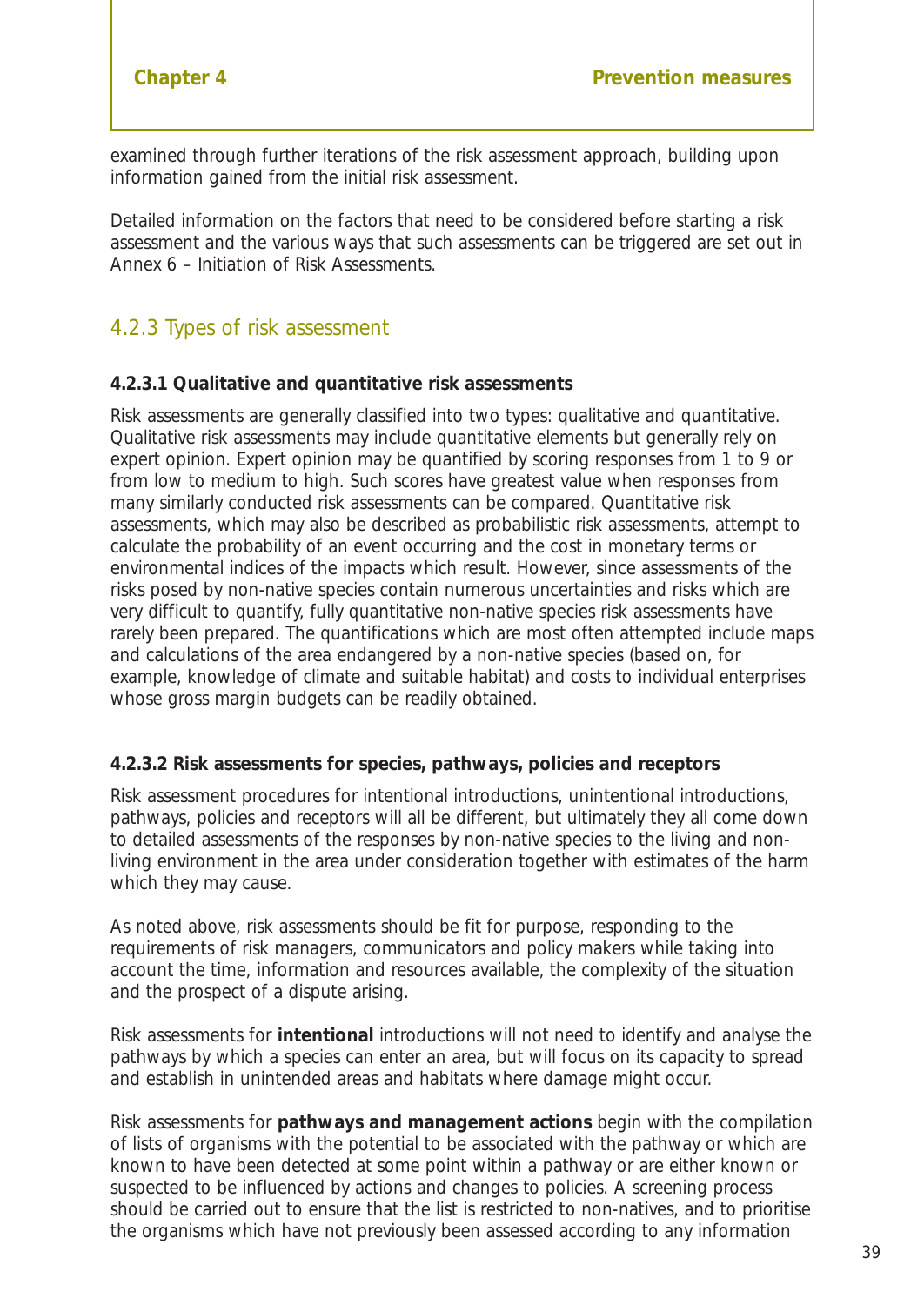examined through further iterations of the risk assessment approach, building upon information gained from the initial risk assessment.

Detailed information on the factors that need to be considered before starting a risk assessment and the various ways that such assessments can be triggered are set out in Annex 6 – Initiation of Risk Assessments.

# 4.2.3 Types of risk assessment

#### **4.2.3.1 Qualitative and quantitative risk assessments**

Risk assessments are generally classified into two types: qualitative and quantitative. Qualitative risk assessments may include quantitative elements but generally rely on expert opinion. Expert opinion may be quantified by scoring responses from 1 to 9 or from low to medium to high. Such scores have greatest value when responses from many similarly conducted risk assessments can be compared. Quantitative risk assessments, which may also be described as probabilistic risk assessments, attempt to calculate the probability of an event occurring and the cost in monetary terms or environmental indices of the impacts which result. However, since assessments of the risks posed by non-native species contain numerous uncertainties and risks which are very difficult to quantify, fully quantitative non-native species risk assessments have rarely been prepared. The quantifications which are most often attempted include maps and calculations of the area endangered by a non-native species (based on, for example, knowledge of climate and suitable habitat) and costs to individual enterprises whose gross margin budgets can be readily obtained.

### **4.2.3.2 Risk assessments for species, pathways, policies and receptors**

Risk assessment procedures for intentional introductions, unintentional introductions, pathways, policies and receptors will all be different, but ultimately they all come down to detailed assessments of the responses by non-native species to the living and nonliving environment in the area under consideration together with estimates of the harm which they may cause.

As noted above, risk assessments should be fit for purpose, responding to the requirements of risk managers, communicators and policy makers while taking into account the time, information and resources available, the complexity of the situation and the prospect of a dispute arising.

Risk assessments for **intentional** introductions will not need to identify and analyse the pathways by which a species can enter an area, but will focus on its capacity to spread and establish in unintended areas and habitats where damage might occur.

Risk assessments for **pathways and management actions** begin with the compilation of lists of organisms with the potential to be associated with the pathway or which are known to have been detected at some point within a pathway or are either known or suspected to be influenced by actions and changes to policies. A screening process should be carried out to ensure that the list is restricted to non-natives, and to prioritise the organisms which have not previously been assessed according to any information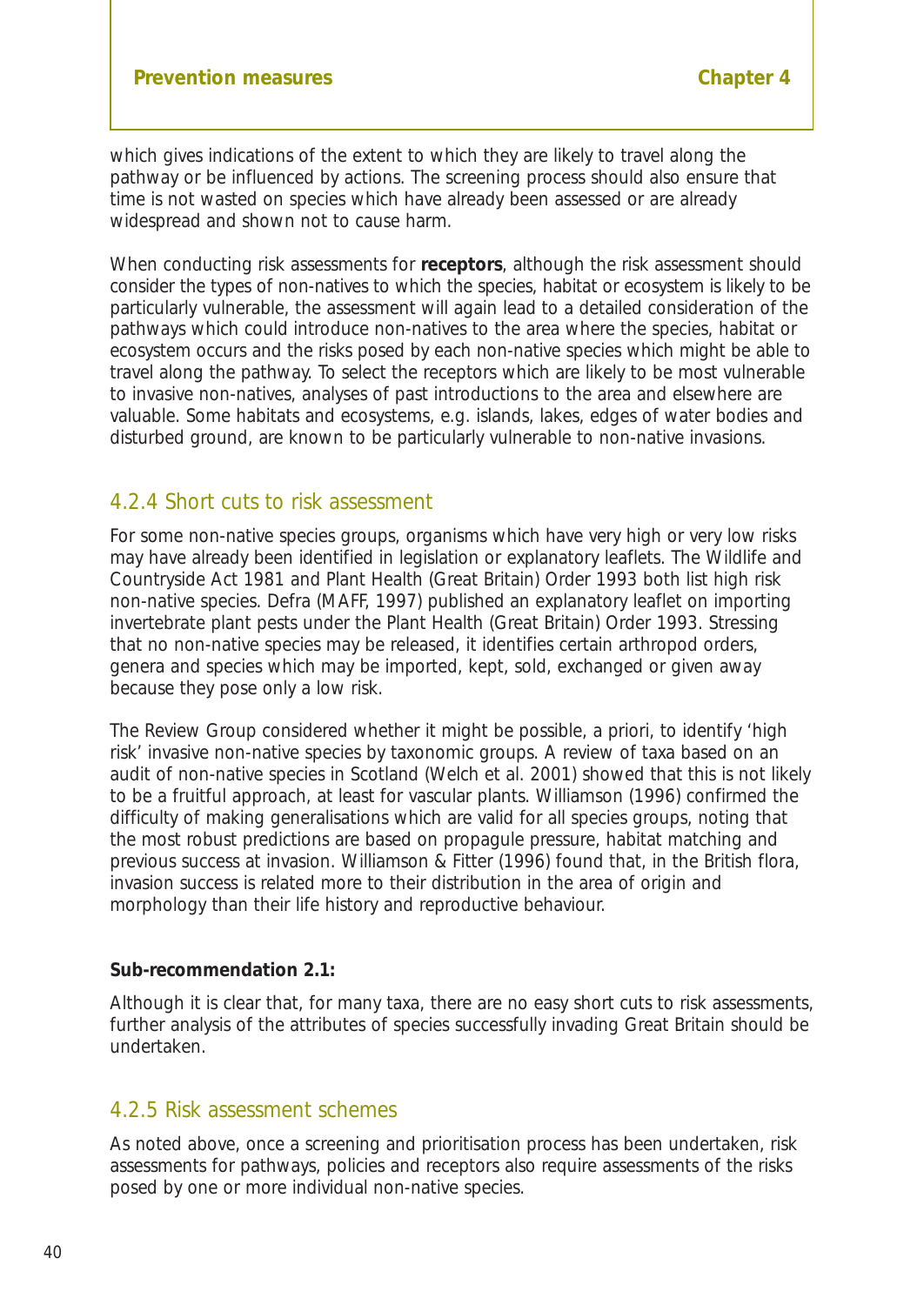which gives indications of the extent to which they are likely to travel along the pathway or be influenced by actions. The screening process should also ensure that time is not wasted on species which have already been assessed or are already widespread and shown not to cause harm.

When conducting risk assessments for **receptors**, although the risk assessment should consider the types of non-natives to which the species, habitat or ecosystem is likely to be particularly vulnerable, the assessment will again lead to a detailed consideration of the pathways which could introduce non-natives to the area where the species, habitat or ecosystem occurs and the risks posed by each non-native species which might be able to travel along the pathway. To select the receptors which are likely to be most vulnerable to invasive non-natives, analyses of past introductions to the area and elsewhere are valuable. Some habitats and ecosystems, *e.g.* islands, lakes, edges of water bodies and disturbed ground, are known to be particularly vulnerable to non-native invasions.

## 4.2.4 Short cuts to risk assessment

For some non-native species groups, organisms which have very high or very low risks may have already been identified in legislation or explanatory leaflets. The Wildlife and Countryside Act 1981 and Plant Health (Great Britain) Order 1993 both list high risk non-native species. Defra (MAFF, 1997) published an explanatory leaflet on importing invertebrate plant pests under the Plant Health (Great Britain) Order 1993. Stressing that no non-native species may be released, it identifies certain arthropod orders, genera and species which may be imported, kept, sold, exchanged or given away because they pose only a low risk.

The Review Group considered whether it might be possible, a priori, to identify 'high risk' invasive non-native species by taxonomic groups. A review of taxa based on an audit of non-native species in Scotland (Welch *et al.* 2001) showed that this is not likely to be a fruitful approach, at least for vascular plants. Williamson (1996) confirmed the difficulty of making generalisations which are valid for all species groups, noting that the most robust predictions are based on propagule pressure, habitat matching and previous success at invasion. Williamson & Fitter (1996) found that, in the British flora, invasion success is related more to their distribution in the area of origin and morphology than their life history and reproductive behaviour.

#### **Sub-recommendation 2.1:**

Although it is clear that, for many taxa, there are no easy short cuts to risk assessments, further analysis of the attributes of species successfully invading Great Britain should be undertaken.

### 4.2.5 Risk assessment schemes

As noted above, once a screening and prioritisation process has been undertaken, risk assessments for pathways, policies and receptors also require assessments of the risks posed by one or more individual non-native species.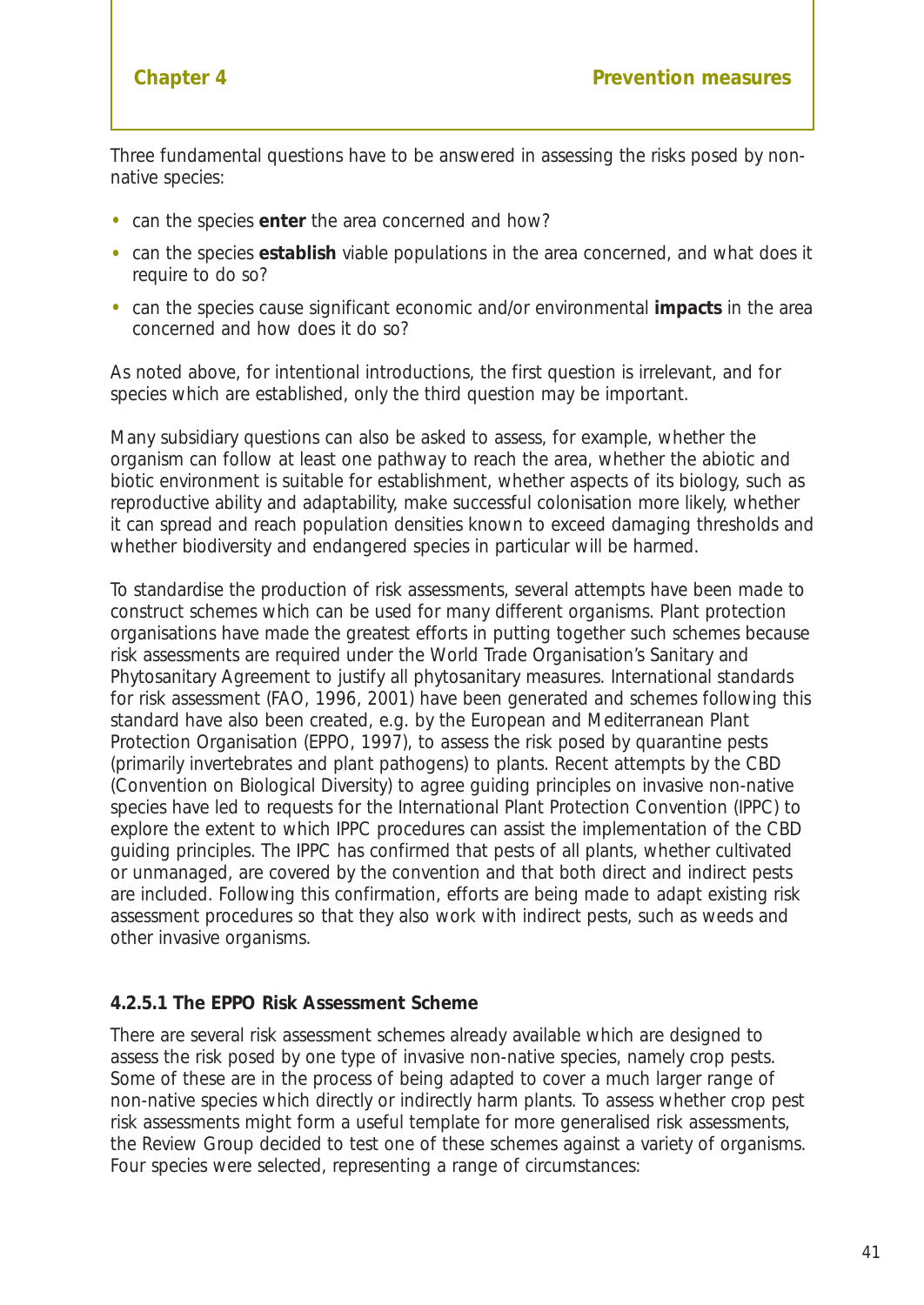Three fundamental questions have to be answered in assessing the risks posed by nonnative species:

- can the species **enter** the area concerned and how?
- can the species **establish** viable populations in the area concerned, and what does it require to do so?
- can the species cause significant economic and/or environmental **impacts** in the area concerned and how does it do so?

As noted above, for intentional introductions, the first question is irrelevant, and for species which are established, only the third question may be important.

Many subsidiary questions can also be asked to assess, for example, whether the organism can follow at least one pathway to reach the area, whether the abiotic and biotic environment is suitable for establishment, whether aspects of its biology, such as reproductive ability and adaptability, make successful colonisation more likely, whether it can spread and reach population densities known to exceed damaging thresholds and whether biodiversity and endangered species in particular will be harmed.

To standardise the production of risk assessments, several attempts have been made to construct schemes which can be used for many different organisms. Plant protection organisations have made the greatest efforts in putting together such schemes because risk assessments are required under the World Trade Organisation's Sanitary and Phytosanitary Agreement to justify all phytosanitary measures. International standards for risk assessment (FAO, 1996, 2001) have been generated and schemes following this standard have also been created, *e.g.* by the European and Mediterranean Plant Protection Organisation (EPPO, 1997), to assess the risk posed by quarantine pests (primarily invertebrates and plant pathogens) to plants. Recent attempts by the CBD (Convention on Biological Diversity) to agree guiding principles on invasive non-native species have led to requests for the International Plant Protection Convention (IPPC) to explore the extent to which IPPC procedures can assist the implementation of the CBD guiding principles. The IPPC has confirmed that pests of all plants, whether cultivated or unmanaged, are covered by the convention and that both direct and indirect pests are included. Following this confirmation, efforts are being made to adapt existing risk assessment procedures so that they also work with indirect pests, such as weeds and other invasive organisms.

### **4.2.5.1 The EPPO Risk Assessment Scheme**

There are several risk assessment schemes already available which are designed to assess the risk posed by one type of invasive non-native species, namely crop pests. Some of these are in the process of being adapted to cover a much larger range of non-native species which directly or indirectly harm plants. To assess whether crop pest risk assessments might form a useful template for more generalised risk assessments, the Review Group decided to test one of these schemes against a variety of organisms. Four species were selected, representing a range of circumstances: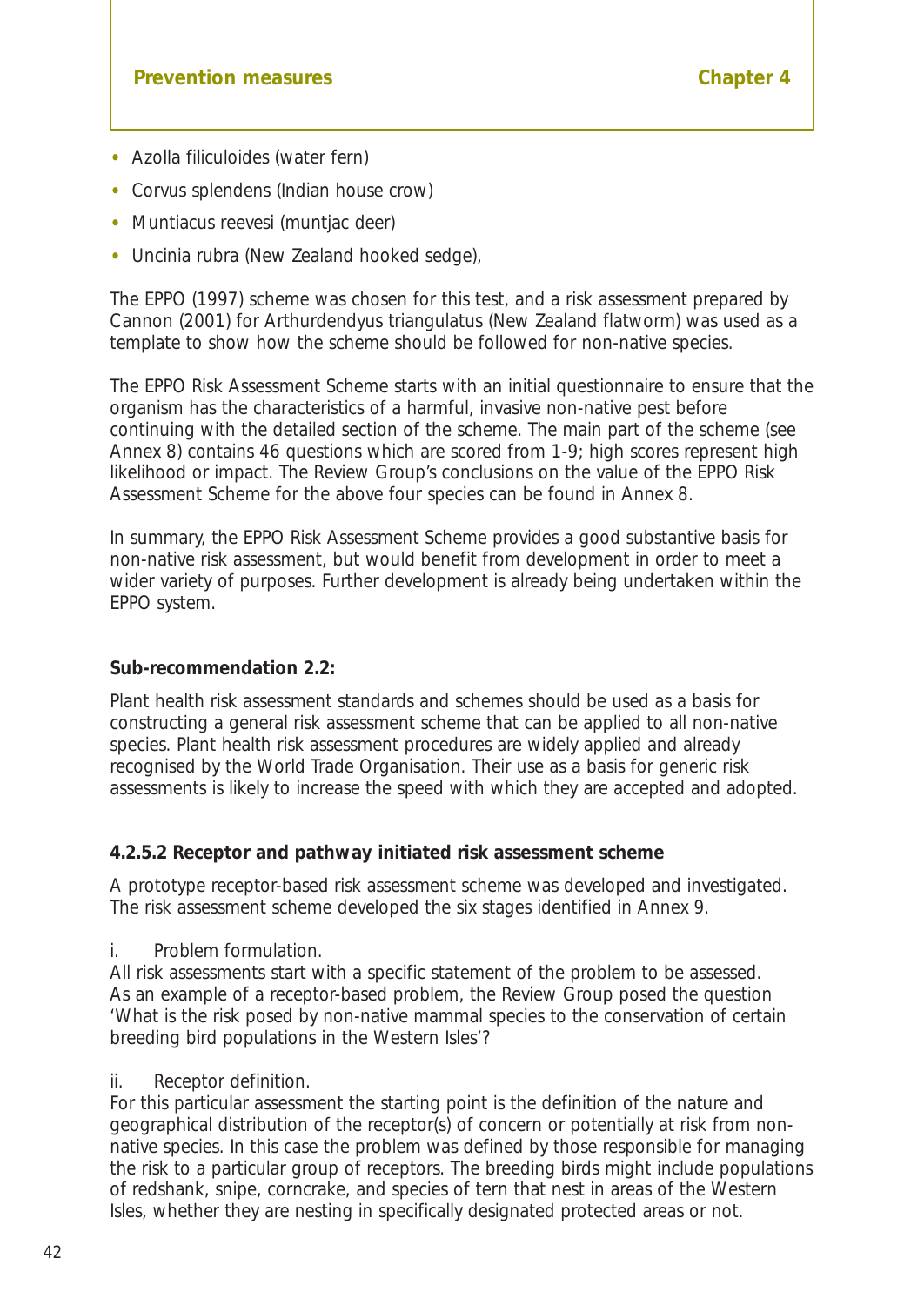- *Azolla filiculoides* (water fern)
- *Corvus splendens* (Indian house crow)
- *Muntiacus reevesi* (muntjac deer)
- *Uncinia rubra* (New Zealand hooked sedge),

The EPPO (1997) scheme was chosen for this test, and a risk assessment prepared by Cannon (2001) for *Arthurdendyus triangulatus* (New Zealand flatworm) was used as a template to show how the scheme should be followed for non-native species.

The EPPO Risk Assessment Scheme starts with an initial questionnaire to ensure that the organism has the characteristics of a harmful, invasive non-native pest before continuing with the detailed section of the scheme. The main part of the scheme (see Annex 8) contains 46 questions which are scored from 1-9; high scores represent high likelihood or impact. The Review Group's conclusions on the value of the EPPO Risk Assessment Scheme for the above four species can be found in Annex 8.

In summary, the EPPO Risk Assessment Scheme provides a good substantive basis for non-native risk assessment, but would benefit from development in order to meet a wider variety of purposes. Further development is already being undertaken within the EPPO system.

#### **Sub-recommendation 2.2:**

Plant health risk assessment standards and schemes should be used as a basis for constructing a general risk assessment scheme that can be applied to all non-native species. Plant health risk assessment procedures are widely applied and already recognised by the World Trade Organisation. Their use as a basis for generic risk assessments is likely to increase the speed with which they are accepted and adopted.

### **4.2.5.2 Receptor and pathway initiated risk assessment scheme**

A prototype receptor-based risk assessment scheme was developed and investigated. The risk assessment scheme developed the six stages identified in Annex 9.

i. Problem formulation.

All risk assessments start with a specific statement of the problem to be assessed. As an example of a receptor-based problem, the Review Group posed the question *'What is the risk posed by non-native mammal species to the conservation of certain breeding bird populations in the Western Isles'*?

ii. Receptor definition.

For this particular assessment the starting point is the definition of the nature and geographical distribution of the receptor(s) of concern or potentially at risk from nonnative species. In this case the problem was defined by those responsible for managing the risk to a particular group of receptors. The breeding birds might include populations of redshank, snipe, corncrake, and species of tern that nest in areas of the Western Isles, whether they are nesting in specifically designated protected areas or not.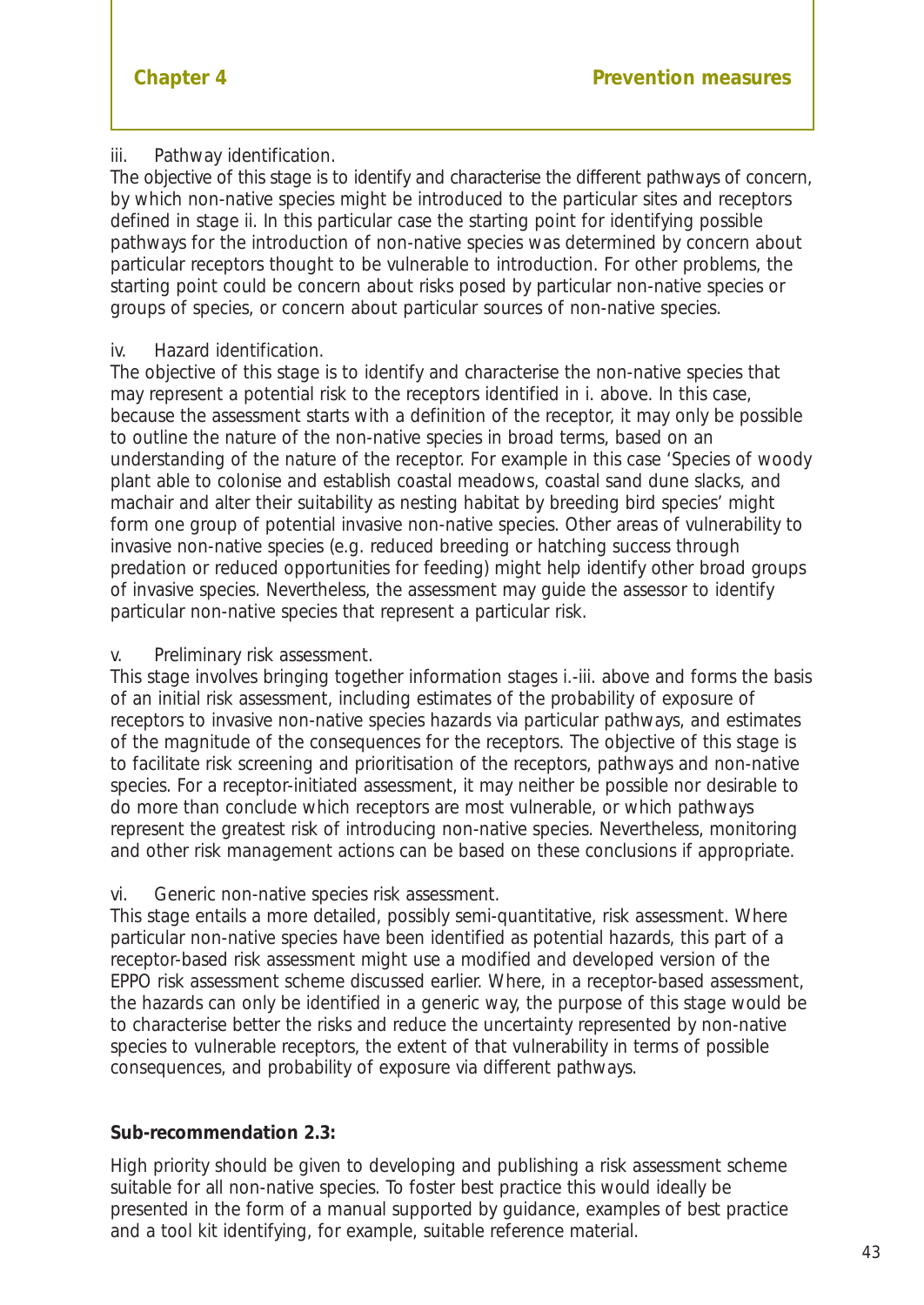#### iii. Pathway identification.

The objective of this stage is to identify and characterise the different pathways of concern, by which non-native species might be introduced to the particular sites and receptors defined in stage ii. In this particular case the starting point for identifying possible pathways for the introduction of non-native species was determined by concern about particular receptors thought to be vulnerable to introduction. For other problems, the starting point could be concern about risks posed by particular non-native species or groups of species, or concern about particular sources of non-native species.

#### iv. Hazard identification.

The objective of this stage is to identify and characterise the non-native species that may represent a potential risk to the receptors identified in i. above. In this case, because the assessment starts with a definition of the receptor, it may only be possible to outline the nature of the non-native species in broad terms, based on an understanding of the nature of the receptor. For example in this case 'Species of woody plant able to colonise and establish coastal meadows, coastal sand dune slacks, and machair and alter their suitability as nesting habitat by breeding bird species' might form one group of potential invasive non-native species. Other areas of vulnerability to invasive non-native species (*e.g.* reduced breeding or hatching success through predation or reduced opportunities for feeding) might help identify other broad groups of invasive species. Nevertheless, the assessment may guide the assessor to identify particular non-native species that represent a particular risk.

#### v. Preliminary risk assessment.

This stage involves bringing together information stages i.-iii. above and forms the basis of an initial risk assessment, including estimates of the probability of exposure of receptors to invasive non-native species hazards via particular pathways, and estimates of the magnitude of the consequences for the receptors. The objective of this stage is to facilitate risk screening and prioritisation of the receptors, pathways and non-native species. For a receptor-initiated assessment, it may neither be possible nor desirable to do more than conclude which receptors are most vulnerable, or which pathways represent the greatest risk of introducing non-native species. Nevertheless, monitoring and other risk management actions can be based on these conclusions if appropriate.

### vi. Generic non-native species risk assessment.

This stage entails a more detailed, possibly semi-quantitative, risk assessment. Where particular non-native species have been identified as potential hazards, this part of a receptor-based risk assessment might use a modified and developed version of the EPPO risk assessment scheme discussed earlier. Where, in a receptor-based assessment, the hazards can only be identified in a generic way, the purpose of this stage would be to characterise better the risks and reduce the uncertainty represented by non-native species to vulnerable receptors, the extent of that vulnerability in terms of possible consequences, and probability of exposure via different pathways.

## **Sub-recommendation 2.3:**

High priority should be given to developing and publishing a risk assessment scheme suitable for all non-native species. To foster best practice this would ideally be presented in the form of a manual supported by guidance, examples of best practice and a tool kit identifying, for example, suitable reference material.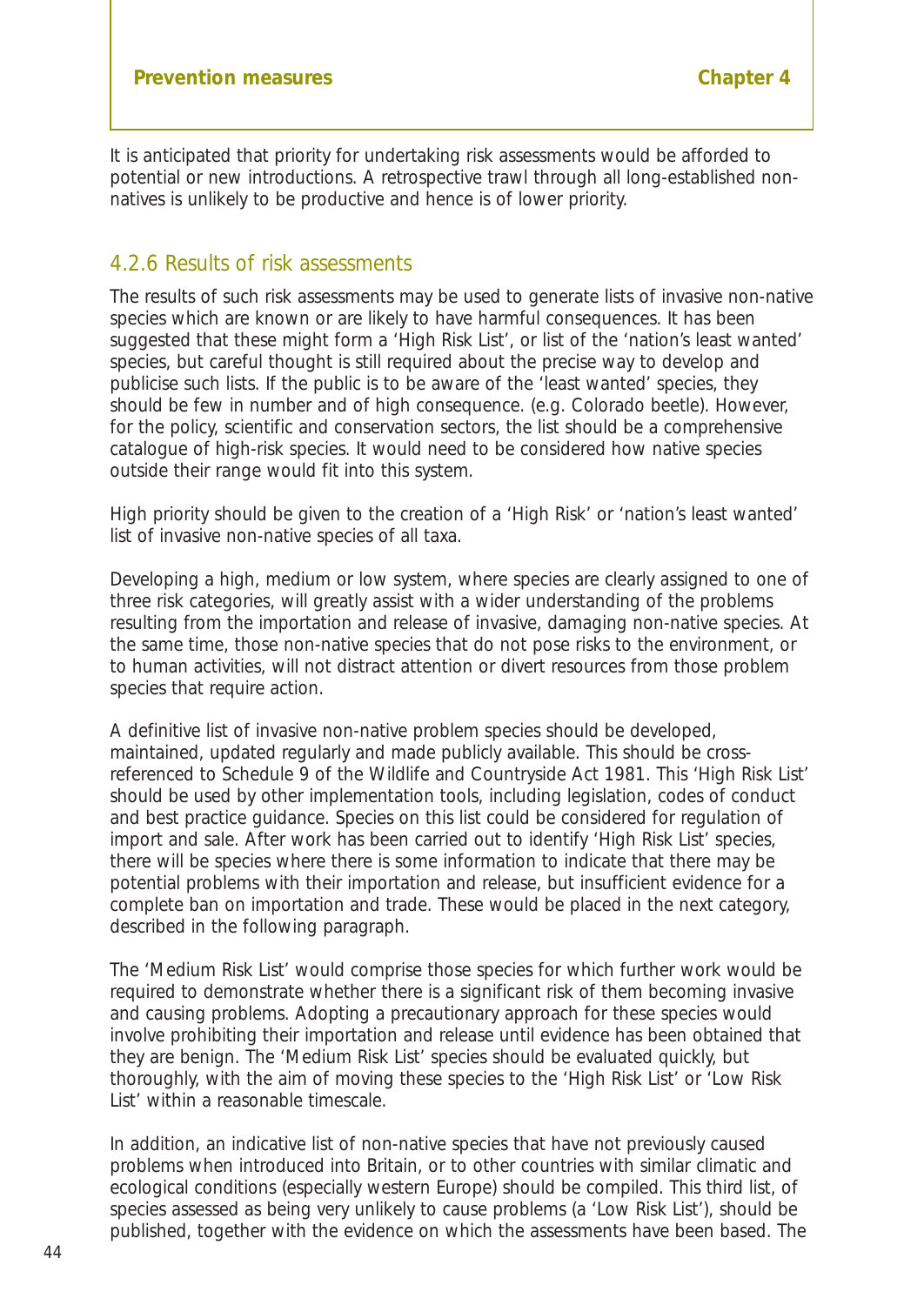It is anticipated that priority for undertaking risk assessments would be afforded to potential or new introductions. A retrospective trawl through all long-established nonnatives is unlikely to be productive and hence is of lower priority.

#### 4.2.6 Results of risk assessments

The results of such risk assessments may be used to generate lists of invasive non-native species which are known or are likely to have harmful consequences. It has been suggested that these might form a 'High Risk List', or list of the 'nation's least wanted' species, but careful thought is still required about the precise way to develop and publicise such lists. If the public is to be aware of the 'least wanted' species, they should be few in number and of high consequence. (*e.g.* Colorado beetle). However, for the policy, scientific and conservation sectors, the list should be a comprehensive catalogue of high-risk species. It would need to be considered how native species outside their range would fit into this system.

High priority should be given to the creation of a 'High Risk' or 'nation's least wanted' list of invasive non-native species of all taxa.

Developing a high, medium or low system, where species are clearly assigned to one of three risk categories, will greatly assist with a wider understanding of the problems resulting from the importation and release of invasive, damaging non-native species. At the same time, those non-native species that do not pose risks to the environment, or to human activities, will not distract attention or divert resources from those problem species that require action.

A definitive list of invasive non-native problem species should be developed, maintained, updated regularly and made publicly available. This should be crossreferenced to Schedule 9 of the Wildlife and Countryside Act 1981. This 'High Risk List' should be used by other implementation tools, including legislation, codes of conduct and best practice guidance. Species on this list could be considered for regulation of import and sale. After work has been carried out to identify 'High Risk List' species, there will be species where there is some information to indicate that there may be potential problems with their importation and release, but insufficient evidence for a complete ban on importation and trade. These would be placed in the next category, described in the following paragraph.

The 'Medium Risk List' would comprise those species for which further work would be required to demonstrate whether there is a significant risk of them becoming invasive and causing problems. Adopting a precautionary approach for these species would involve prohibiting their importation and release until evidence has been obtained that they are benign. The 'Medium Risk List' species should be evaluated quickly, but thoroughly, with the aim of moving these species to the 'High Risk List' or 'Low Risk List' within a reasonable timescale.

In addition, an indicative list of non-native species that have not previously caused problems when introduced into Britain, or to other countries with similar climatic and ecological conditions (especially western Europe) should be compiled. This third list, of species assessed as being very unlikely to cause problems (a 'Low Risk List'), should be published, together with the evidence on which the assessments have been based. The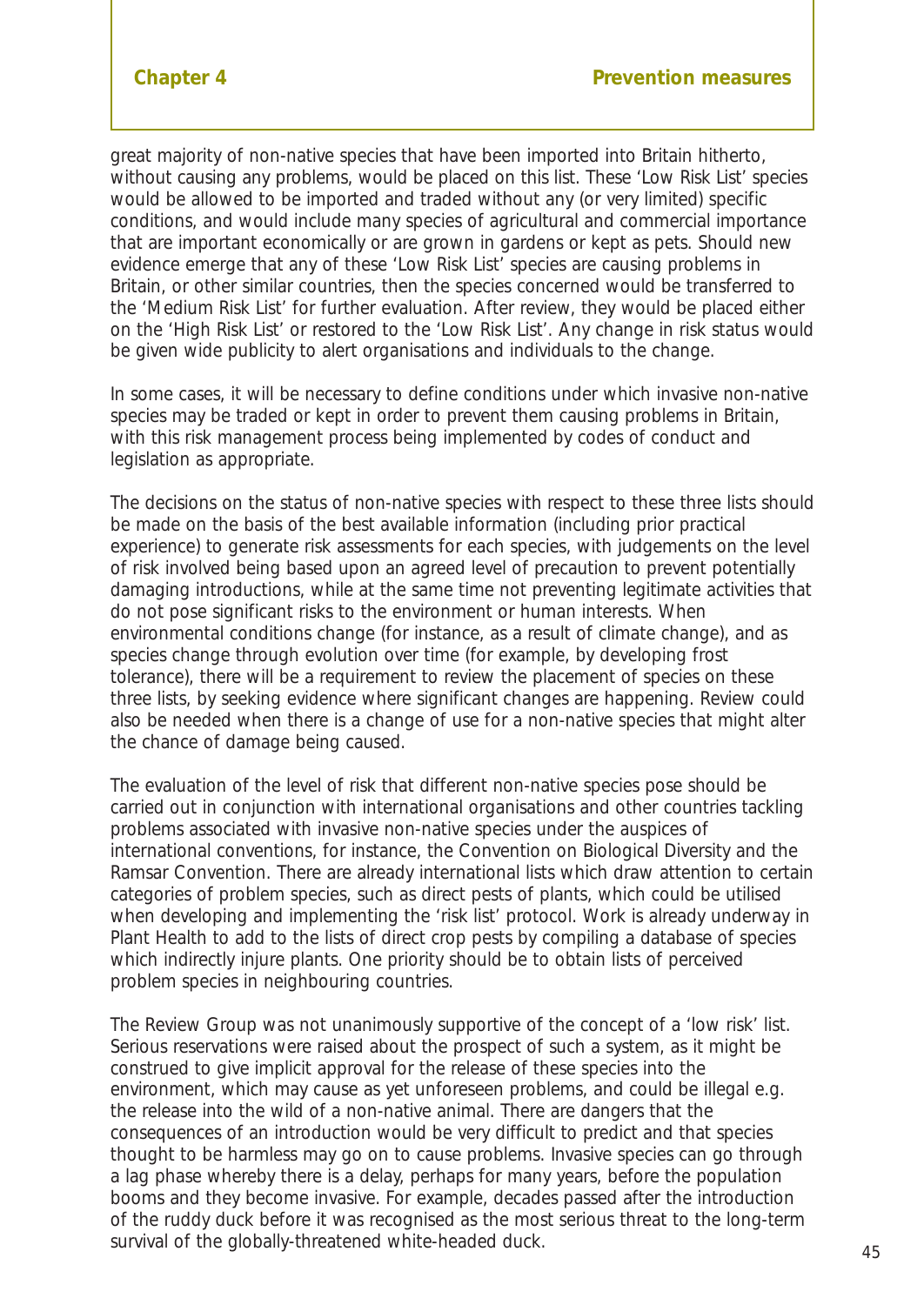great majority of non-native species that have been imported into Britain hitherto, without causing any problems, would be placed on this list. These 'Low Risk List' species would be allowed to be imported and traded without any (or very limited) specific conditions, and would include many species of agricultural and commercial importance that are important economically or are grown in gardens or kept as pets. Should new evidence emerge that any of these 'Low Risk List' species are causing problems in Britain, or other similar countries, then the species concerned would be transferred to the 'Medium Risk List' for further evaluation. After review, they would be placed either on the 'High Risk List' or restored to the 'Low Risk List'. Any change in risk status would be given wide publicity to alert organisations and individuals to the change.

In some cases, it will be necessary to define conditions under which invasive non-native species may be traded or kept in order to prevent them causing problems in Britain, with this risk management process being implemented by codes of conduct and legislation as appropriate.

The decisions on the status of non-native species with respect to these three lists should be made on the basis of the best available information (including prior practical experience) to generate risk assessments for each species, with judgements on the level of risk involved being based upon an agreed level of precaution to prevent potentially damaging introductions, while at the same time not preventing legitimate activities that do not pose significant risks to the environment or human interests. When environmental conditions change (for instance, as a result of climate change), and as species change through evolution over time (for example, by developing frost tolerance), there will be a requirement to review the placement of species on these three lists, by seeking evidence where significant changes are happening. Review could also be needed when there is a change of use for a non-native species that might alter the chance of damage being caused.

The evaluation of the level of risk that different non-native species pose should be carried out in conjunction with international organisations and other countries tackling problems associated with invasive non-native species under the auspices of international conventions, for instance, the Convention on Biological Diversity and the Ramsar Convention. There are already international lists which draw attention to certain categories of problem species, such as direct pests of plants, which could be utilised when developing and implementing the 'risk list' protocol. Work is already underway in Plant Health to add to the lists of direct crop pests by compiling a database of species which indirectly injure plants. One priority should be to obtain lists of perceived problem species in neighbouring countries.

The Review Group was not unanimously supportive of the concept of a 'low risk' list. Serious reservations were raised about the prospect of such a system, as it might be construed to give implicit approval for the release of these species into the environment, which may cause as yet unforeseen problems, and could be illegal *e.g.* the release into the wild of a non-native animal. There are dangers that the consequences of an introduction would be very difficult to predict and that species thought to be harmless may go on to cause problems. Invasive species can go through a lag phase whereby there is a delay, perhaps for many years, before the population booms and they become invasive. For example, decades passed after the introduction of the ruddy duck before it was recognised as the most serious threat to the long-term survival of the globally-threatened white-headed duck.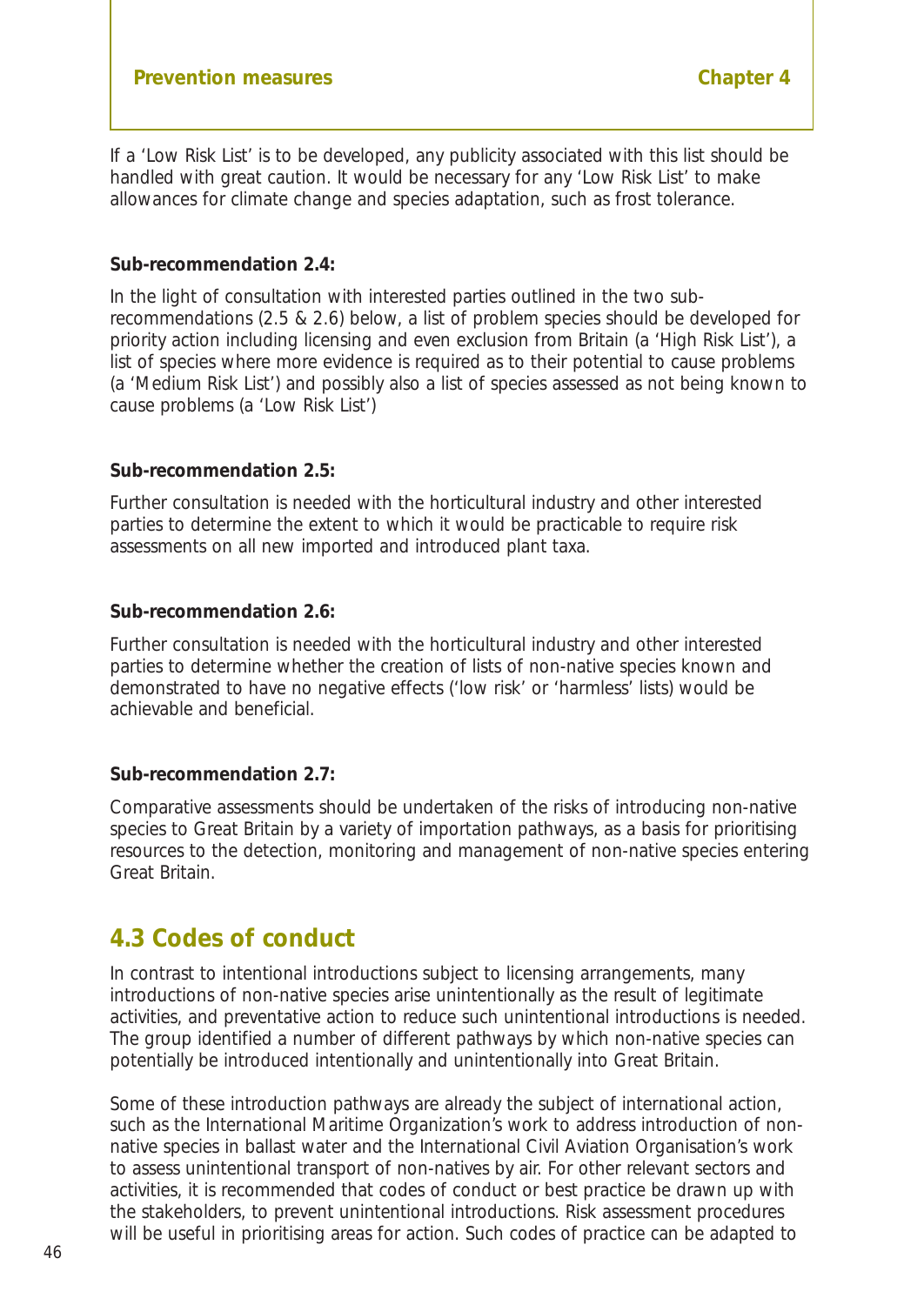If a 'Low Risk List' is to be developed, any publicity associated with this list should be handled with great caution. It would be necessary for any 'Low Risk List' to make allowances for climate change and species adaptation, such as frost tolerance.

#### **Sub-recommendation 2.4:**

In the light of consultation with interested parties outlined in the two subrecommendations (2.5 & 2.6) below, a list of problem species should be developed for priority action including licensing and even exclusion from Britain (a 'High Risk List'), a list of species where more evidence is required as to their potential to cause problems (a 'Medium Risk List') and possibly also a list of species assessed as not being known to cause problems (a 'Low Risk List')

#### **Sub-recommendation 2.5:**

Further consultation is needed with the horticultural industry and other interested parties to determine the extent to which it would be practicable to require risk assessments on all new imported and introduced plant taxa.

#### **Sub-recommendation 2.6:**

Further consultation is needed with the horticultural industry and other interested parties to determine whether the creation of lists of non-native species known and demonstrated to have no negative effects ('low risk' or 'harmless' lists) would be achievable and beneficial.

#### **Sub-recommendation 2.7:**

Comparative assessments should be undertaken of the risks of introducing non-native species to Great Britain by a variety of importation pathways, as a basis for prioritising resources to the detection, monitoring and management of non-native species entering Great Britain.

## **4.3 Codes of conduct**

In contrast to intentional introductions subject to licensing arrangements, many introductions of non-native species arise unintentionally as the result of legitimate activities, and preventative action to reduce such unintentional introductions is needed. The group identified a number of different pathways by which non-native species can potentially be introduced intentionally and unintentionally into Great Britain.

Some of these introduction pathways are already the subject of international action, such as the International Maritime Organization's work to address introduction of nonnative species in ballast water and the International Civil Aviation Organisation's work to assess unintentional transport of non-natives by air. For other relevant sectors and activities, it is recommended that codes of conduct or best practice be drawn up with the stakeholders, to prevent unintentional introductions. Risk assessment procedures will be useful in prioritising areas for action. Such codes of practice can be adapted to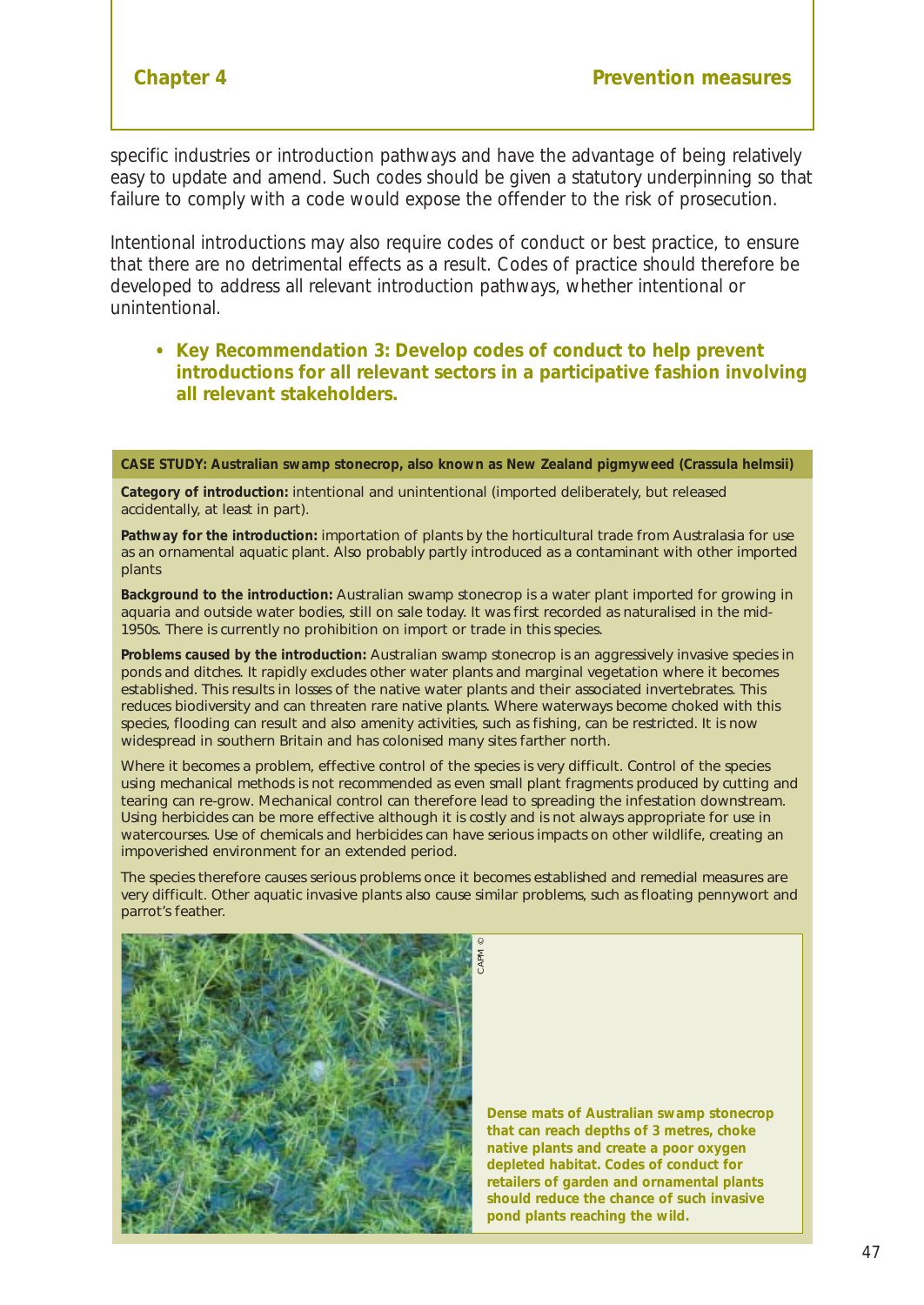specific industries or introduction pathways and have the advantage of being relatively easy to update and amend. Such codes should be given a statutory underpinning so that failure to comply with a code would expose the offender to the risk of prosecution.

Intentional introductions may also require codes of conduct or best practice, to ensure that there are no detrimental effects as a result. Codes of practice should therefore be developed to address all relevant introduction pathways, whether intentional or unintentional.

#### • **Key Recommendation 3: Develop codes of conduct to help prevent introductions for all relevant sectors in a participative fashion involving all relevant stakeholders.**

**CASE STUDY: Australian swamp stonecrop, also known as New Zealand pigmyweed** *(Crassula helmsii)*

**Category of introduction:** intentional and unintentional (imported deliberately, but released accidentally, at least in part).

**Pathway for the introduction:** importation of plants by the horticultural trade from Australasia for use as an ornamental aquatic plant. Also probably partly introduced as a contaminant with other imported plants

**Background to the introduction:** Australian swamp stonecrop is a water plant imported for growing in aquaria and outside water bodies, still on sale today. It was first recorded as naturalised in the mid-1950s. There is currently no prohibition on import or trade in this species.

**Problems caused by the introduction:** Australian swamp stonecrop is an aggressively invasive species in ponds and ditches. It rapidly excludes other water plants and marginal vegetation where it becomes established. This results in losses of the native water plants and their associated invertebrates. This reduces biodiversity and can threaten rare native plants. Where waterways become choked with this species, flooding can result and also amenity activities, such as fishing, can be restricted. It is now widespread in southern Britain and has colonised many sites farther north.

Where it becomes a problem, effective control of the species is very difficult. Control of the species using mechanical methods is not recommended as even small plant fragments produced by cutting and tearing can re-grow. Mechanical control can therefore lead to spreading the infestation downstream. Using herbicides can be more effective although it is costly and is not always appropriate for use in watercourses. Use of chemicals and herbicides can have serious impacts on other wildlife, creating an impoverished environment for an extended period.

The species therefore causes serious problems once it becomes established and remedial measures are very difficult. Other aquatic invasive plants also cause similar problems, such as floating pennywort and parrot's feather.



**Dense mats of Australian swamp stonecrop that can reach depths of 3 metres, choke native plants and create a poor oxygen depleted habitat. Codes of conduct for retailers of garden and ornamental plants should reduce the chance of such invasive pond plants reaching the wild.**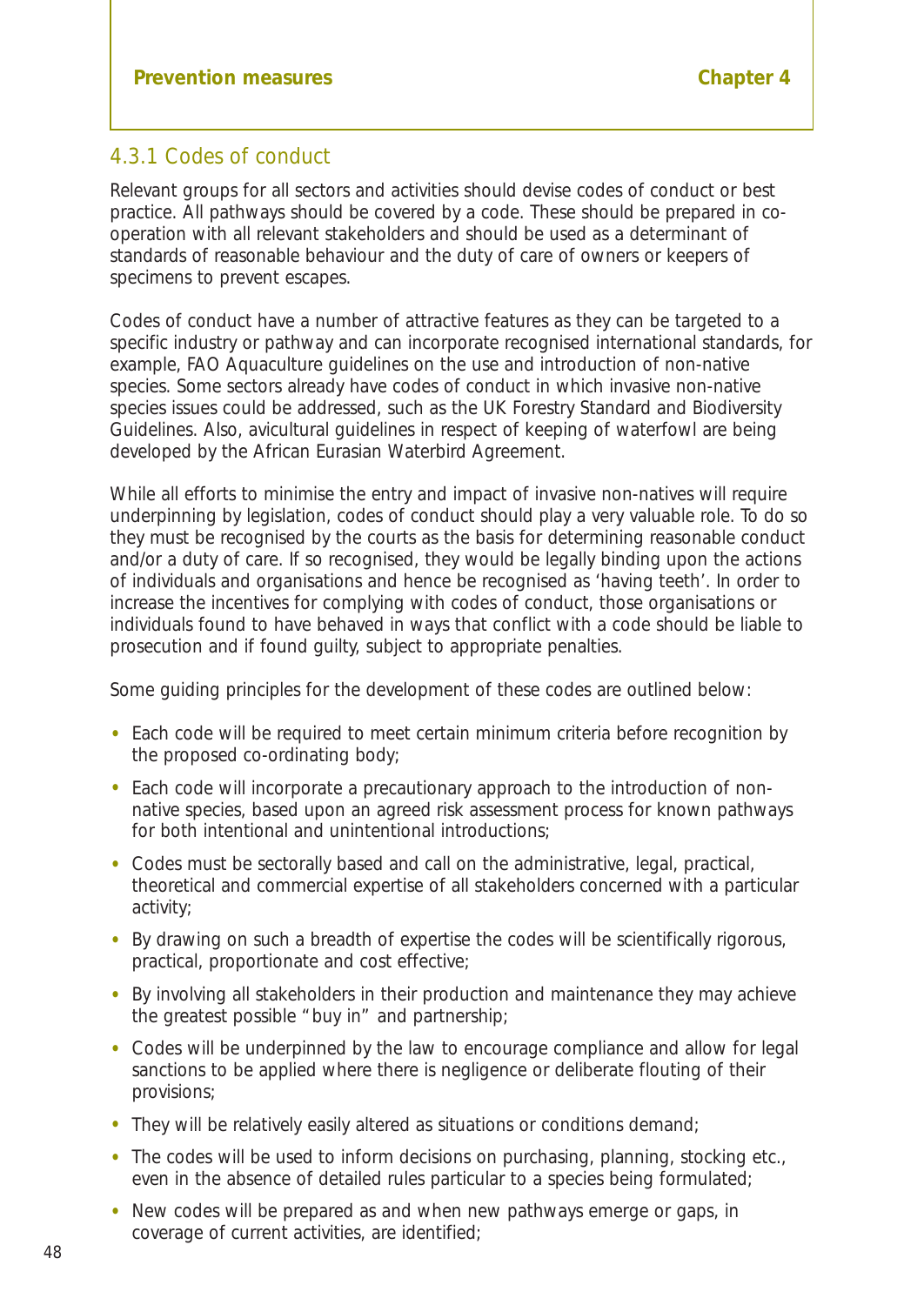## 4.3.1 Codes of conduct

Relevant groups for all sectors and activities should devise codes of conduct or best practice. All pathways should be covered by a code. These should be prepared in cooperation with all relevant stakeholders and should be used as a determinant of standards of reasonable behaviour and the duty of care of owners or keepers of specimens to prevent escapes.

Codes of conduct have a number of attractive features as they can be targeted to a specific industry or pathway and can incorporate recognised international standards, for example, FAO Aquaculture guidelines on the use and introduction of non-native species. Some sectors already have codes of conduct in which invasive non-native species issues could be addressed, such as the UK Forestry Standard and Biodiversity Guidelines. Also, avicultural guidelines in respect of keeping of waterfowl are being developed by the African Eurasian Waterbird Agreement.

While all efforts to minimise the entry and impact of invasive non-natives will require underpinning by legislation, codes of conduct should play a very valuable role. To do so they must be recognised by the courts as the basis for determining reasonable conduct and/or a duty of care. If so recognised, they would be legally binding upon the actions of individuals and organisations and hence be recognised as 'having teeth'. In order to increase the incentives for complying with codes of conduct, those organisations or individuals found to have behaved in ways that conflict with a code should be liable to prosecution and if found guilty, subject to appropriate penalties.

Some guiding principles for the development of these codes are outlined below:

- Each code will be required to meet certain minimum criteria before recognition by the proposed co-ordinating body;
- Each code will incorporate a precautionary approach to the introduction of nonnative species, based upon an agreed risk assessment process for known pathways for both intentional and unintentional introductions;
- Codes must be sectorally based and call on the administrative, legal, practical, theoretical and commercial expertise of all stakeholders concerned with a particular activity;
- By drawing on such a breadth of expertise the codes will be scientifically rigorous, practical, proportionate and cost effective;
- By involving all stakeholders in their production and maintenance they may achieve the greatest possible "buy in" and partnership;
- Codes will be underpinned by the law to encourage compliance and allow for legal sanctions to be applied where there is negligence or deliberate flouting of their provisions;
- They will be relatively easily altered as situations or conditions demand;
- The codes will be used to inform decisions on purchasing, planning, stocking etc., even in the absence of detailed rules particular to a species being formulated;
- New codes will be prepared as and when new pathways emerge or gaps, in coverage of current activities, are identified;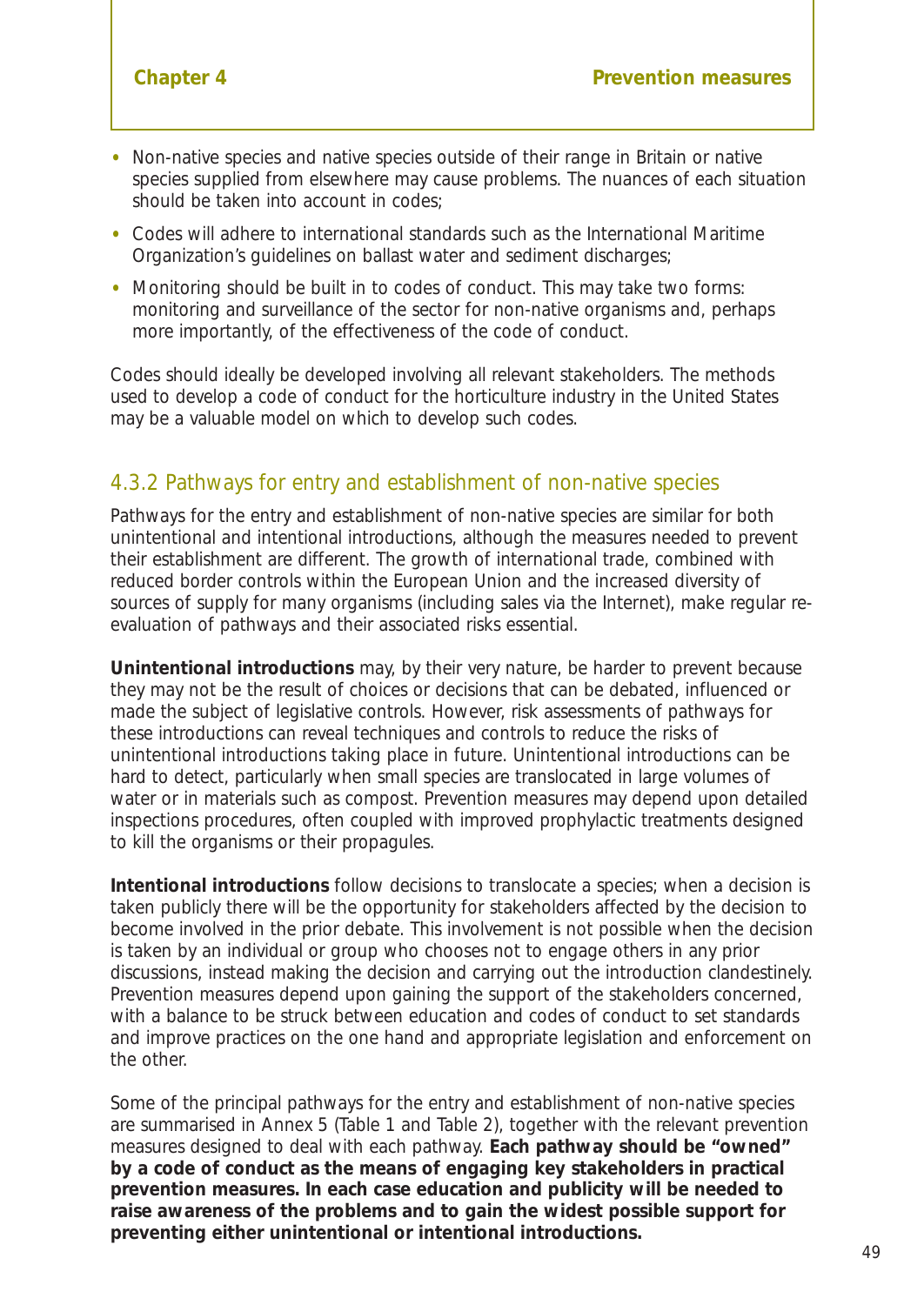- Non-native species and native species outside of their range in Britain or native species supplied from elsewhere may cause problems. The nuances of each situation should be taken into account in codes;
- Codes will adhere to international standards such as the International Maritime Organization's guidelines on ballast water and sediment discharges;
- Monitoring should be built in to codes of conduct. This may take two forms: monitoring and surveillance of the sector for non-native organisms and, perhaps more importantly, of the effectiveness of the code of conduct.

Codes should ideally be developed involving all relevant stakeholders. The methods used to develop a code of conduct for the horticulture industry in the United States may be a valuable model on which to develop such codes.

## 4.3.2 Pathways for entry and establishment of non-native species

Pathways for the entry and establishment of non-native species are similar for both unintentional and intentional introductions, although the measures needed to prevent their establishment are different. The growth of international trade, combined with reduced border controls within the European Union and the increased diversity of sources of supply for many organisms (including sales via the Internet), make regular reevaluation of pathways and their associated risks essential.

**Unintentional introductions** may, by their very nature, be harder to prevent because they may not be the result of choices or decisions that can be debated, influenced or made the subject of legislative controls. However, risk assessments of pathways for these introductions can reveal techniques and controls to reduce the risks of unintentional introductions taking place in future. Unintentional introductions can be hard to detect, particularly when small species are translocated in large volumes of water or in materials such as compost. Prevention measures may depend upon detailed inspections procedures, often coupled with improved prophylactic treatments designed to kill the organisms or their propagules.

**Intentional introductions** follow decisions to translocate a species; when a decision is taken publicly there will be the opportunity for stakeholders affected by the decision to become involved in the prior debate. This involvement is not possible when the decision is taken by an individual or group who chooses not to engage others in any prior discussions, instead making the decision and carrying out the introduction clandestinely. Prevention measures depend upon gaining the support of the stakeholders concerned, with a balance to be struck between education and codes of conduct to set standards and improve practices on the one hand and appropriate legislation and enforcement on the other.

Some of the principal pathways for the entry and establishment of non-native species are summarised in Annex 5 (Table 1 and Table 2), together with the relevant prevention measures designed to deal with each pathway. **Each pathway should be "owned" by a code of conduct as the means of engaging key stakeholders in practical prevention measures. In each case education and publicity will be needed to raise awareness of the problems and to gain the widest possible support for preventing either unintentional or intentional introductions.**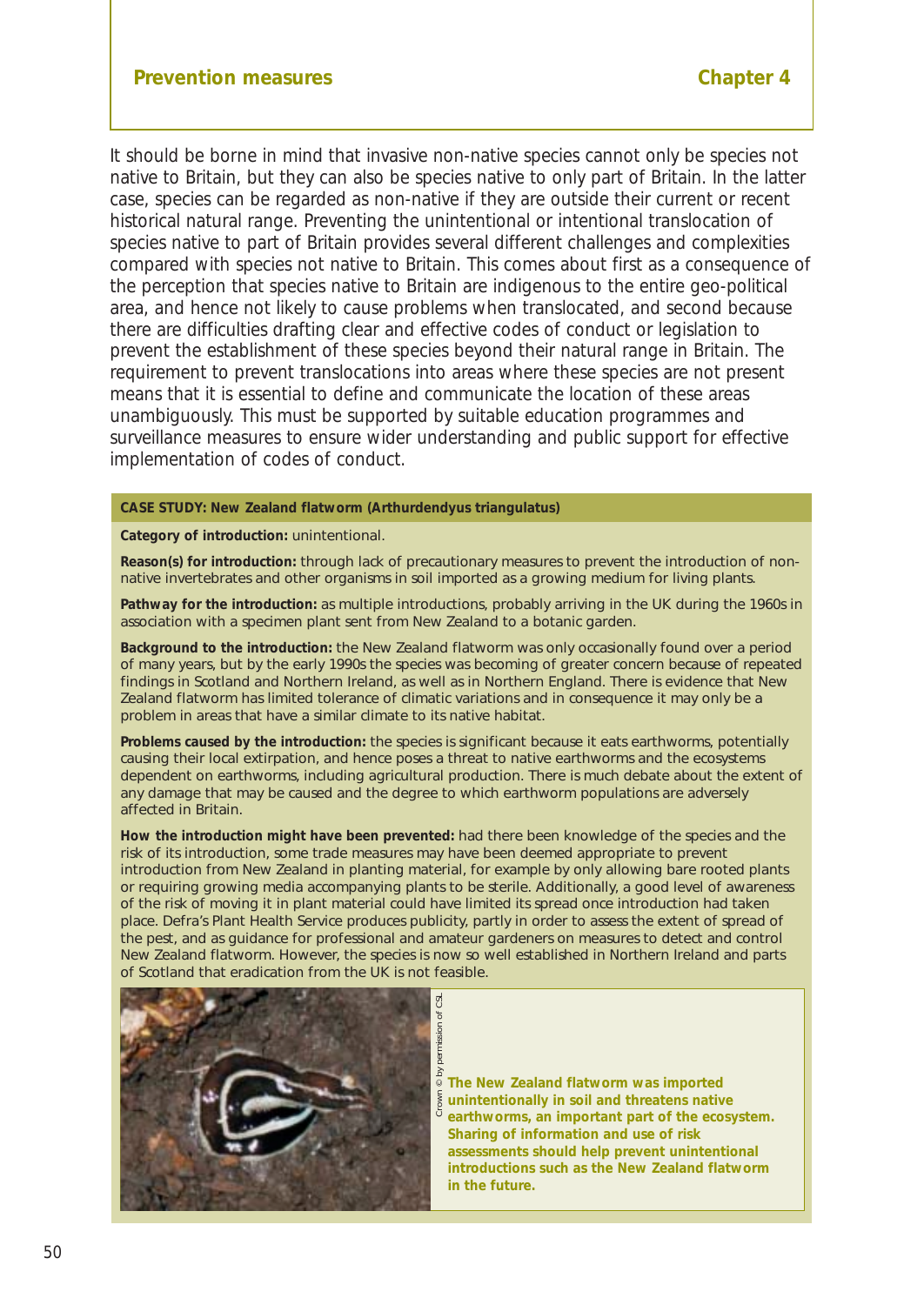It should be borne in mind that invasive non-native species cannot only be species not native to Britain, but they can also be species native to only part of Britain. In the latter case, species can be regarded as non-native if they are outside their current or recent historical natural range. Preventing the unintentional or intentional translocation of species native to part of Britain provides several different challenges and complexities compared with species not native to Britain. This comes about first as a consequence of the perception that species native to Britain are indigenous to the entire geo-political area, and hence not likely to cause problems when translocated, and second because there are difficulties drafting clear and effective codes of conduct or legislation to prevent the establishment of these species beyond their natural range in Britain. The requirement to prevent translocations into areas where these species are not present means that it is essential to define and communicate the location of these areas unambiguously. This must be supported by suitable education programmes and surveillance measures to ensure wider understanding and public support for effective implementation of codes of conduct.

#### **CASE STUDY: New Zealand flatworm** *(Arthurdendyus triangulatus)*

#### **Category of introduction:** unintentional.

**Reason(s) for introduction:** through lack of precautionary measures to prevent the introduction of nonnative invertebrates and other organisms in soil imported as a growing medium for living plants.

**Pathway for the introduction:** as multiple introductions, probably arriving in the UK during the 1960s in association with a specimen plant sent from New Zealand to a botanic garden.

**Background to the introduction:** the New Zealand flatworm was only occasionally found over a period of many years, but by the early 1990s the species was becoming of greater concern because of repeated findings in Scotland and Northern Ireland, as well as in Northern England. There is evidence that New Zealand flatworm has limited tolerance of climatic variations and in consequence it may only be a problem in areas that have a similar climate to its native habitat.

**Problems caused by the introduction:** the species is significant because it eats earthworms, potentially causing their local extirpation, and hence poses a threat to native earthworms and the ecosystems dependent on earthworms, including agricultural production. There is much debate about the extent of any damage that may be caused and the degree to which earthworm populations are adversely affected in Britain.

**How the introduction might have been prevented:** had there been knowledge of the species and the risk of its introduction, some trade measures may have been deemed appropriate to prevent introduction from New Zealand in planting material, for example by only allowing bare rooted plants or requiring growing media accompanying plants to be sterile. Additionally, a good level of awareness of the risk of moving it in plant material could have limited its spread once introduction had taken place. Defra's Plant Health Service produces publicity, partly in order to assess the extent of spread of the pest, and as guidance for professional and amateur gardeners on measures to detect and control New Zealand flatworm. However, the species is now so well established in Northern Ireland and parts of Scotland that eradication from the UK is not feasible.



**The New Zealand flatworm was imported unintentionally in soil and threatens native earthworms, an important part of the ecosystem. Sharing of information and use of risk assessments should help prevent unintentional introductions such as the New Zealand flatworm in the future.**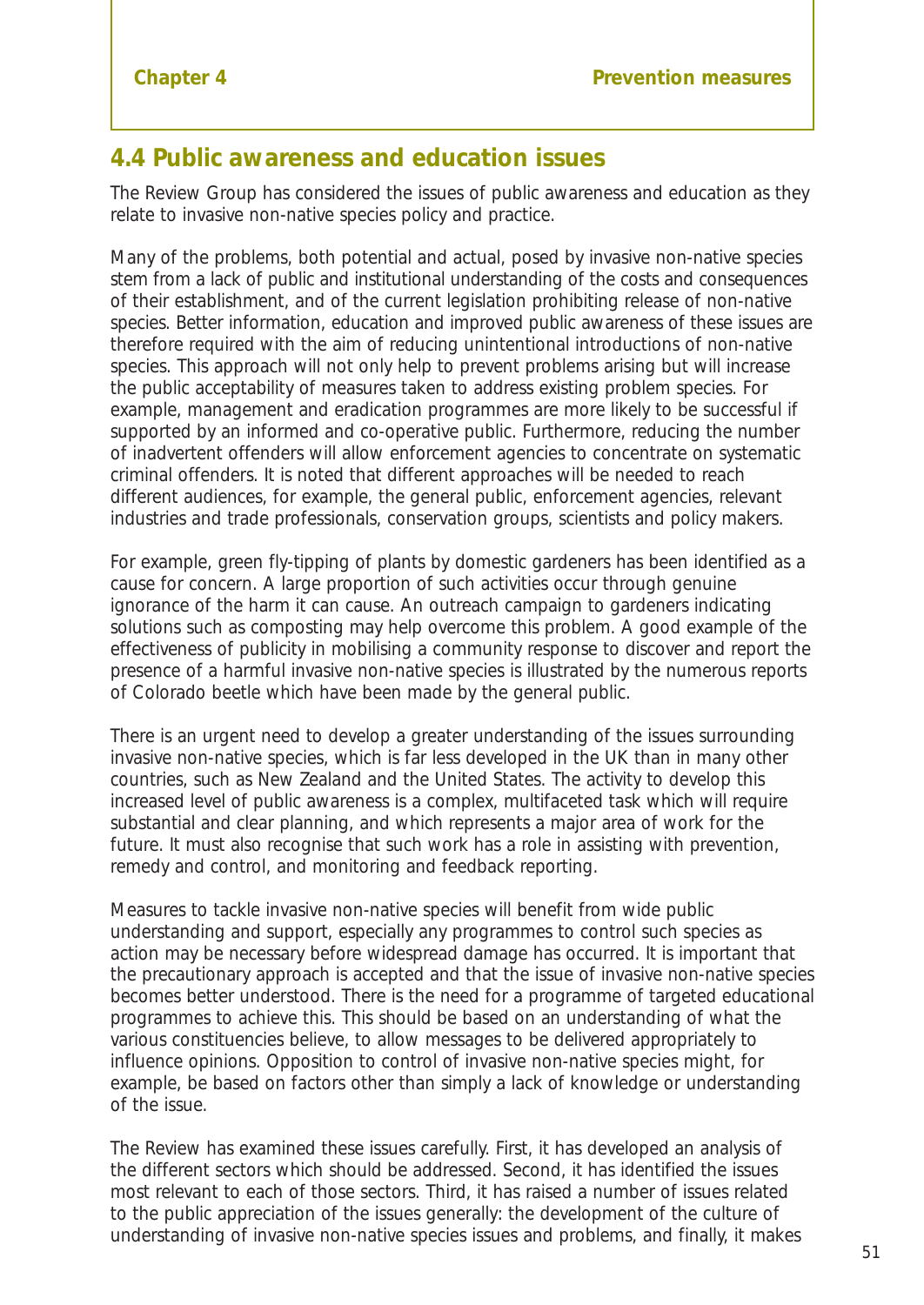# **4.4 Public awareness and education issues**

The Review Group has considered the issues of public awareness and education as they relate to invasive non-native species policy and practice.

Many of the problems, both potential and actual, posed by invasive non-native species stem from a lack of public and institutional understanding of the costs and consequences of their establishment, and of the current legislation prohibiting release of non-native species. Better information, education and improved public awareness of these issues are therefore required with the aim of reducing unintentional introductions of non-native species. This approach will not only help to prevent problems arising but will increase the public acceptability of measures taken to address existing problem species. For example, management and eradication programmes are more likely to be successful if supported by an informed and co-operative public. Furthermore, reducing the number of inadvertent offenders will allow enforcement agencies to concentrate on systematic criminal offenders. It is noted that different approaches will be needed to reach different audiences, for example, the general public, enforcement agencies, relevant industries and trade professionals, conservation groups, scientists and policy makers.

For example, green fly-tipping of plants by domestic gardeners has been identified as a cause for concern. A large proportion of such activities occur through genuine ignorance of the harm it can cause. An outreach campaign to gardeners indicating solutions such as composting may help overcome this problem. A good example of the effectiveness of publicity in mobilising a community response to discover and report the presence of a harmful invasive non-native species is illustrated by the numerous reports of Colorado beetle which have been made by the general public.

There is an urgent need to develop a greater understanding of the issues surrounding invasive non-native species, which is far less developed in the UK than in many other countries, such as New Zealand and the United States. The activity to develop this increased level of public awareness is a complex, multifaceted task which will require substantial and clear planning, and which represents a major area of work for the future. It must also recognise that such work has a role in assisting with prevention, remedy and control, and monitoring and feedback reporting.

Measures to tackle invasive non-native species will benefit from wide public understanding and support, especially any programmes to control such species as action may be necessary before widespread damage has occurred. It is important that the precautionary approach is accepted and that the issue of invasive non-native species becomes better understood. There is the need for a programme of targeted educational programmes to achieve this. This should be based on an understanding of what the various constituencies believe, to allow messages to be delivered appropriately to influence opinions. Opposition to control of invasive non-native species might, for example, be based on factors other than simply a lack of knowledge or understanding of the issue.

The Review has examined these issues carefully. First, it has developed an analysis of the different sectors which should be addressed. Second, it has identified the issues most relevant to each of those sectors. Third, it has raised a number of issues related to the public appreciation of the issues generally: the development of the culture of understanding of invasive non-native species issues and problems, and finally, it makes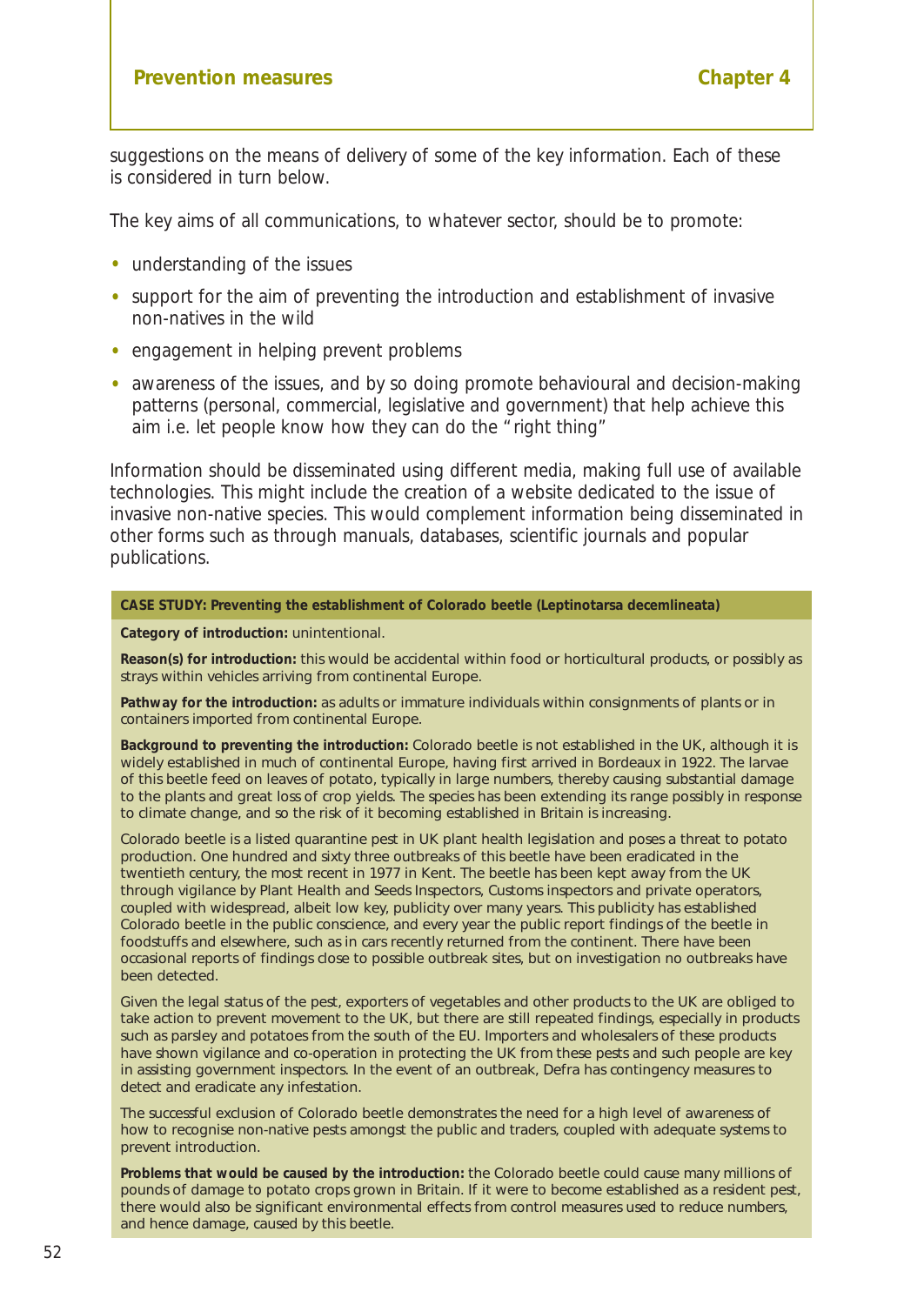suggestions on the means of delivery of some of the key information. Each of these is considered in turn below.

The key aims of all communications, to whatever sector, should be to promote:

- understanding of the issues
- support for the aim of preventing the introduction and establishment of invasive non-natives in the wild
- engagement in helping prevent problems
- awareness of the issues, and by so doing promote behavioural and decision-making patterns (personal, commercial, legislative and government) that help achieve this aim *i.e.* let people know how they can do the "right thing"

Information should be disseminated using different media, making full use of available technologies. This might include the creation of a website dedicated to the issue of invasive non-native species. This would complement information being disseminated in other forms such as through manuals, databases, scientific journals and popular publications.

#### **CASE STUDY: Preventing the establishment of Colorado beetle** *(Leptinotarsa decemlineata)*

**Category of introduction:** unintentional.

**Reason(s) for introduction:** this would be accidental within food or horticultural products, or possibly as strays within vehicles arriving from continental Europe.

**Pathway for the introduction:** as adults or immature individuals within consignments of plants or in containers imported from continental Europe.

**Background to preventing the introduction:** Colorado beetle is not established in the UK, although it is widely established in much of continental Europe, having first arrived in Bordeaux in 1922. The larvae of this beetle feed on leaves of potato, typically in large numbers, thereby causing substantial damage to the plants and great loss of crop yields. The species has been extending its range possibly in response to climate change, and so the risk of it becoming established in Britain is increasing.

Colorado beetle is a listed quarantine pest in UK plant health legislation and poses a threat to potato production. One hundred and sixty three outbreaks of this beetle have been eradicated in the twentieth century, the most recent in 1977 in Kent. The beetle has been kept away from the UK through vigilance by Plant Health and Seeds Inspectors, Customs inspectors and private operators, coupled with widespread, albeit low key, publicity over many years. This publicity has established Colorado beetle in the public conscience, and every year the public report findings of the beetle in foodstuffs and elsewhere, such as in cars recently returned from the continent. There have been occasional reports of findings close to possible outbreak sites, but on investigation no outbreaks have been detected.

Given the legal status of the pest, exporters of vegetables and other products to the UK are obliged to take action to prevent movement to the UK, but there are still repeated findings, especially in products such as parsley and potatoes from the south of the EU. Importers and wholesalers of these products have shown vigilance and co-operation in protecting the UK from these pests and such people are key in assisting government inspectors. In the event of an outbreak, Defra has contingency measures to detect and eradicate any infestation.

The successful exclusion of Colorado beetle demonstrates the need for a high level of awareness of how to recognise non-native pests amongst the public and traders, coupled with adequate systems to prevent introduction.

**Problems that would be caused by the introduction:** the Colorado beetle could cause many millions of pounds of damage to potato crops grown in Britain. If it were to become established as a resident pest, there would also be significant environmental effects from control measures used to reduce numbers, and hence damage, caused by this beetle.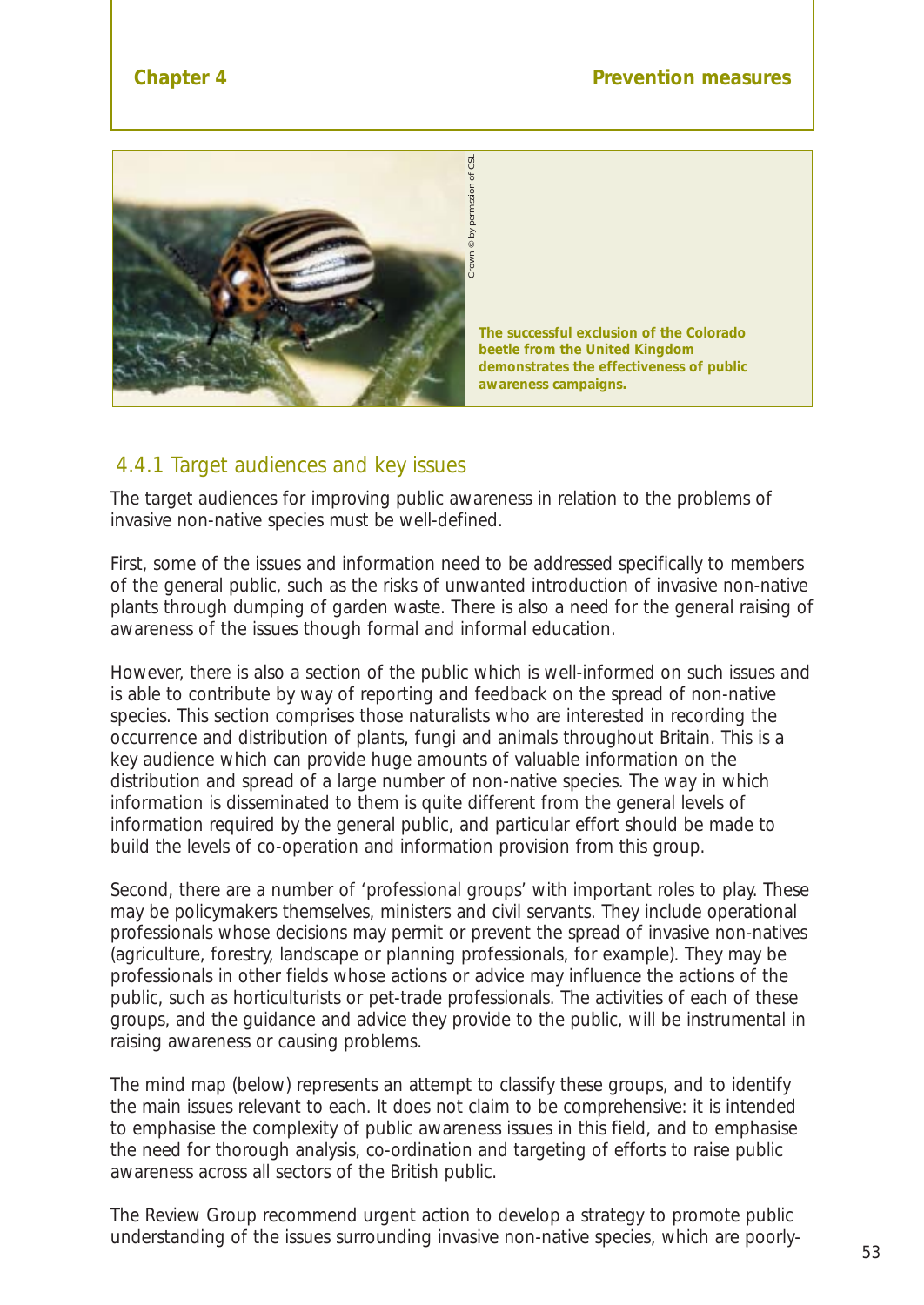

## 4.4.1 Target audiences and key issues

The target audiences for improving public awareness in relation to the problems of invasive non-native species must be well-defined.

First, some of the issues and information need to be addressed specifically to members of the general public, such as the risks of unwanted introduction of invasive non-native plants through dumping of garden waste. There is also a need for the general raising of awareness of the issues though formal and informal education.

However, there is also a section of the public which is well-informed on such issues and is able to contribute by way of reporting and feedback on the spread of non-native species. This section comprises those naturalists who are interested in recording the occurrence and distribution of plants, fungi and animals throughout Britain. This is a key audience which can provide huge amounts of valuable information on the distribution and spread of a large number of non-native species. The way in which information is disseminated to them is quite different from the general levels of information required by the general public, and particular effort should be made to build the levels of co-operation and information provision from this group.

Second, there are a number of 'professional groups' with important roles to play. These may be policymakers themselves, ministers and civil servants. They include operational professionals whose decisions may permit or prevent the spread of invasive non-natives (agriculture, forestry, landscape or planning professionals, for example). They may be professionals in other fields whose actions or advice may influence the actions of the public, such as horticulturists or pet-trade professionals. The activities of each of these groups, and the guidance and advice they provide to the public, will be instrumental in raising awareness or causing problems.

The mind map (below) represents an attempt to classify these groups, and to identify the main issues relevant to each. It does not claim to be comprehensive: it is intended to emphasise the complexity of public awareness issues in this field, and to emphasise the need for thorough analysis, co-ordination and targeting of efforts to raise public awareness across all sectors of the British public.

The Review Group recommend urgent action to develop a strategy to promote public understanding of the issues surrounding invasive non-native species, which are poorly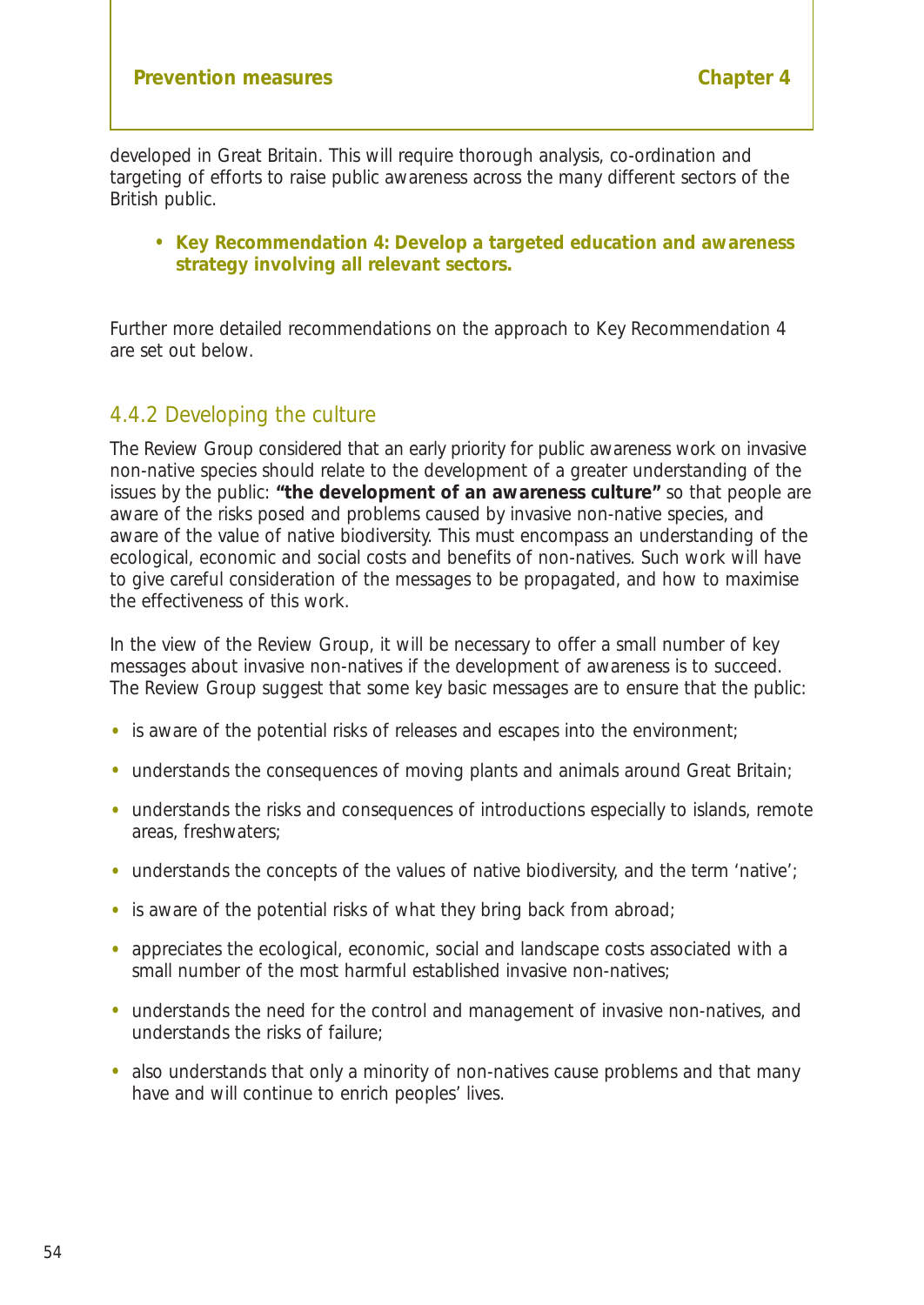developed in Great Britain. This will require thorough analysis, co-ordination and targeting of efforts to raise public awareness across the many different sectors of the British public.

#### • **Key Recommendation 4: Develop a targeted education and awareness strategy involving all relevant sectors.**

Further more detailed recommendations on the approach to Key Recommendation 4 are set out below.

## 4.4.2 Developing the culture

The Review Group considered that an early priority for public awareness work on invasive non-native species should relate to the development of a greater understanding of the issues by the public: **"the development of an awareness culture"** so that people are aware of the risks posed and problems caused by invasive non-native species, and aware of the value of native biodiversity. This must encompass an understanding of the ecological, economic and social costs and benefits of non-natives. Such work will have to give careful consideration of the messages to be propagated, and how to maximise the effectiveness of this work.

In the view of the Review Group, it will be necessary to offer a small number of key messages about invasive non-natives if the development of awareness is to succeed. The Review Group suggest that some key basic messages are to ensure that the public:

- is aware of the potential risks of releases and escapes into the environment;
- understands the consequences of moving plants and animals around Great Britain;
- understands the risks and consequences of introductions especially to islands, remote areas, freshwaters;
- understands the concepts of the values of native biodiversity, and the term 'native';
- is aware of the potential risks of what they bring back from abroad;
- appreciates the ecological, economic, social and landscape costs associated with a small number of the most harmful established invasive non-natives;
- understands the need for the control and management of invasive non-natives, and understands the risks of failure;
- also understands that only a minority of non-natives cause problems and that many have and will continue to enrich peoples' lives.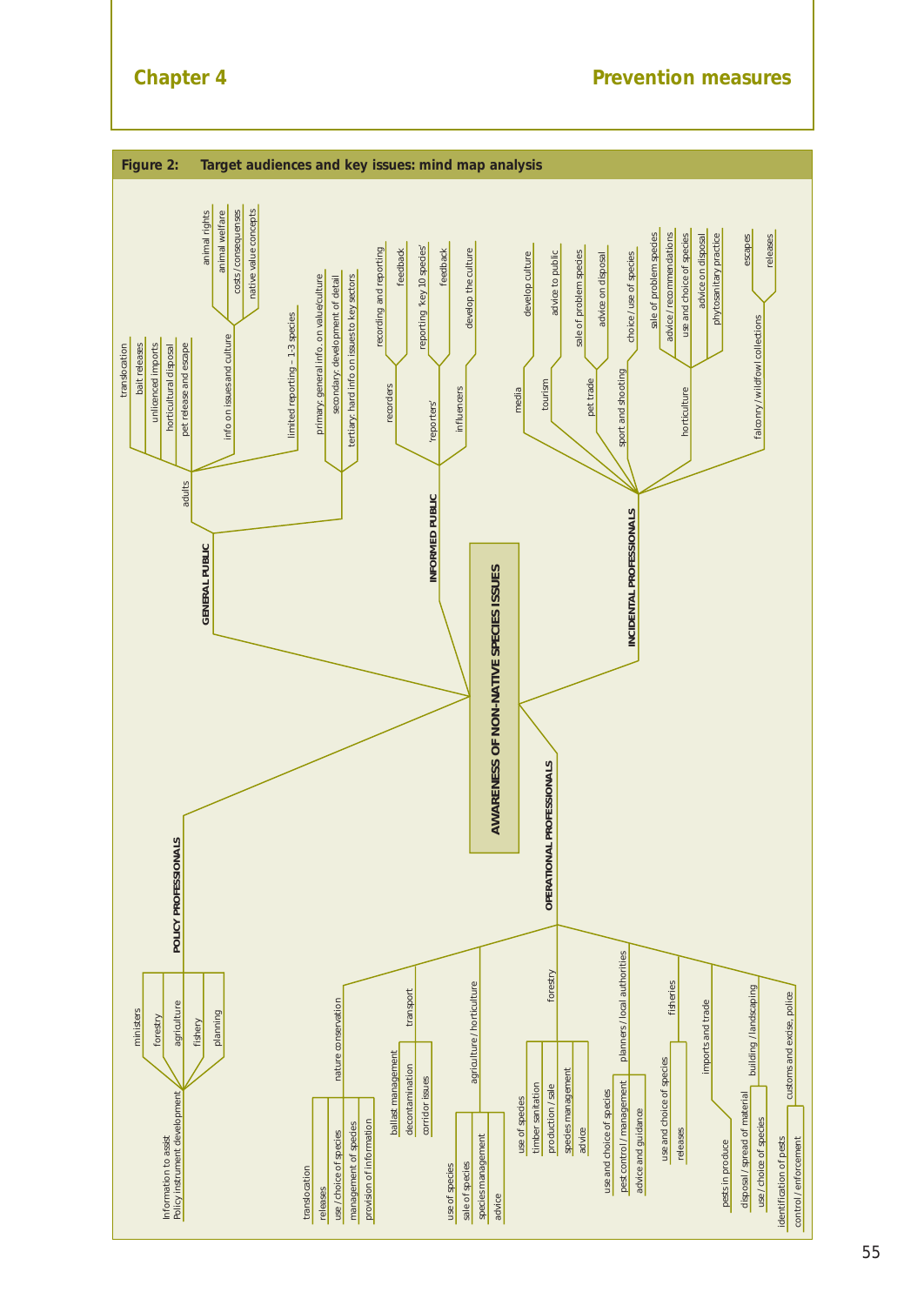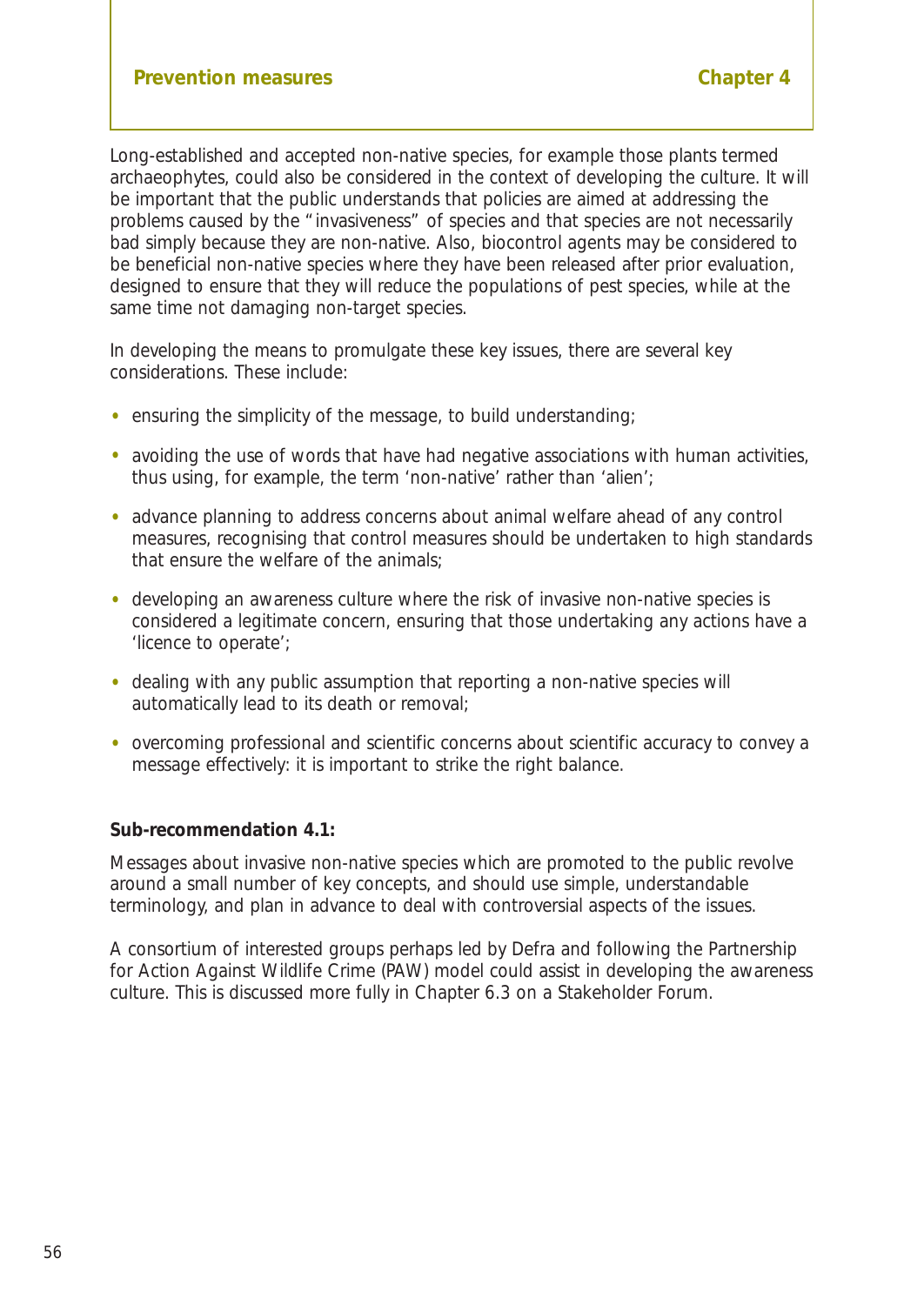Long-established and accepted non-native species, for example those plants termed archaeophytes, could also be considered in the context of developing the culture. It will be important that the public understands that policies are aimed at addressing the problems caused by the "invasiveness" of species and that species are not necessarily bad simply because they are non-native. Also, biocontrol agents may be considered to be beneficial non-native species where they have been released after prior evaluation, designed to ensure that they will reduce the populations of pest species, while at the same time not damaging non-target species.

In developing the means to promulgate these key issues, there are several key considerations. These include:

- ensuring the simplicity of the message, to build understanding:
- avoiding the use of words that have had negative associations with human activities, thus using, for example, the term 'non-native' rather than 'alien';
- advance planning to address concerns about animal welfare ahead of any control measures, recognising that control measures should be undertaken to high standards that ensure the welfare of the animals;
- developing an awareness culture where the risk of invasive non-native species is considered a legitimate concern, ensuring that those undertaking any actions have a 'licence to operate';
- dealing with any public assumption that reporting a non-native species will automatically lead to its death or removal;
- overcoming professional and scientific concerns about scientific accuracy to convey a message effectively: it is important to strike the right balance.

#### **Sub-recommendation 4.1:**

Messages about invasive non-native species which are promoted to the public revolve around a small number of key concepts, and should use simple, understandable terminology, and plan in advance to deal with controversial aspects of the issues.

A consortium of interested groups perhaps led by Defra and following the Partnership for Action Against Wildlife Crime (PAW) model could assist in developing the awareness culture. This is discussed more fully in Chapter 6.3 on a Stakeholder Forum.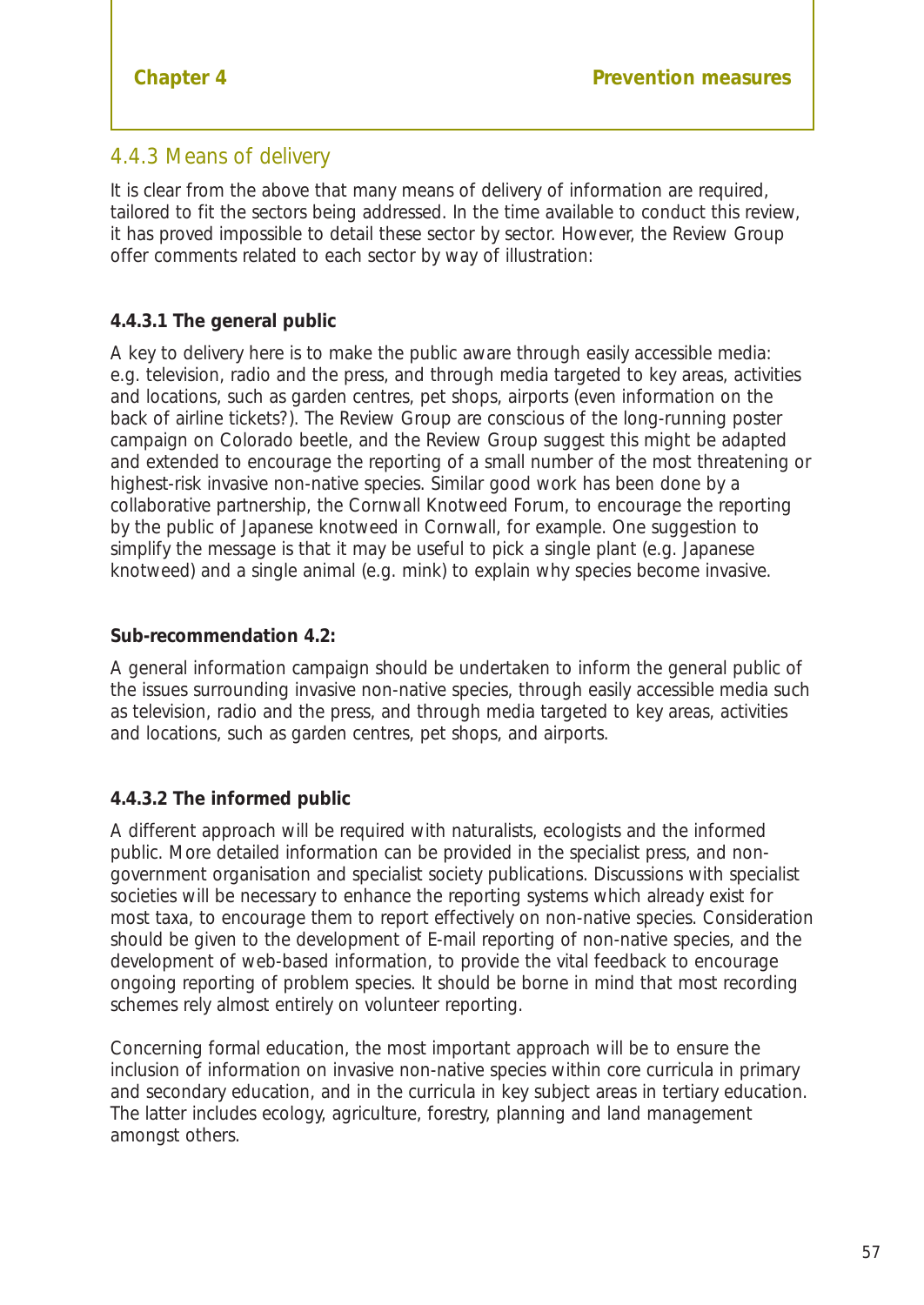## 4.4.3 Means of delivery

It is clear from the above that many means of delivery of information are required, tailored to fit the sectors being addressed. In the time available to conduct this review, it has proved impossible to detail these sector by sector. However, the Review Group offer comments related to each sector by way of illustration:

## **4.4.3.1 The general public**

A key to delivery here is to make the public aware through easily accessible media: *e.g.* television, radio and the press, and through media targeted to key areas, activities and locations, such as garden centres, pet shops, airports (even information on the back of airline tickets?). The Review Group are conscious of the long-running poster campaign on Colorado beetle, and the Review Group suggest this might be adapted and extended to encourage the reporting of a small number of the most threatening or highest-risk invasive non-native species. Similar good work has been done by a collaborative partnership, the Cornwall Knotweed Forum, to encourage the reporting by the public of Japanese knotweed in Cornwall, for example. One suggestion to simplify the message is that it may be useful to pick a single plant (*e.g.* Japanese knotweed) and a single animal (*e.g.* mink) to explain why species become invasive.

### **Sub-recommendation 4.2:**

A general information campaign should be undertaken to inform the general public of the issues surrounding invasive non-native species, through easily accessible media such as television, radio and the press, and through media targeted to key areas, activities and locations, such as garden centres, pet shops, and airports.

## **4.4.3.2 The informed public**

A different approach will be required with naturalists, ecologists and the informed public. More detailed information can be provided in the specialist press, and nongovernment organisation and specialist society publications. Discussions with specialist societies will be necessary to enhance the reporting systems which already exist for most taxa, to encourage them to report effectively on non-native species. Consideration should be given to the development of E-mail reporting of non-native species, and the development of web-based information, to provide the vital feedback to encourage ongoing reporting of problem species. It should be borne in mind that most recording schemes rely almost entirely on volunteer reporting.

Concerning formal education, the most important approach will be to ensure the inclusion of information on invasive non-native species within core curricula in primary and secondary education, and in the curricula in key subject areas in tertiary education. The latter includes ecology, agriculture, forestry, planning and land management amongst others.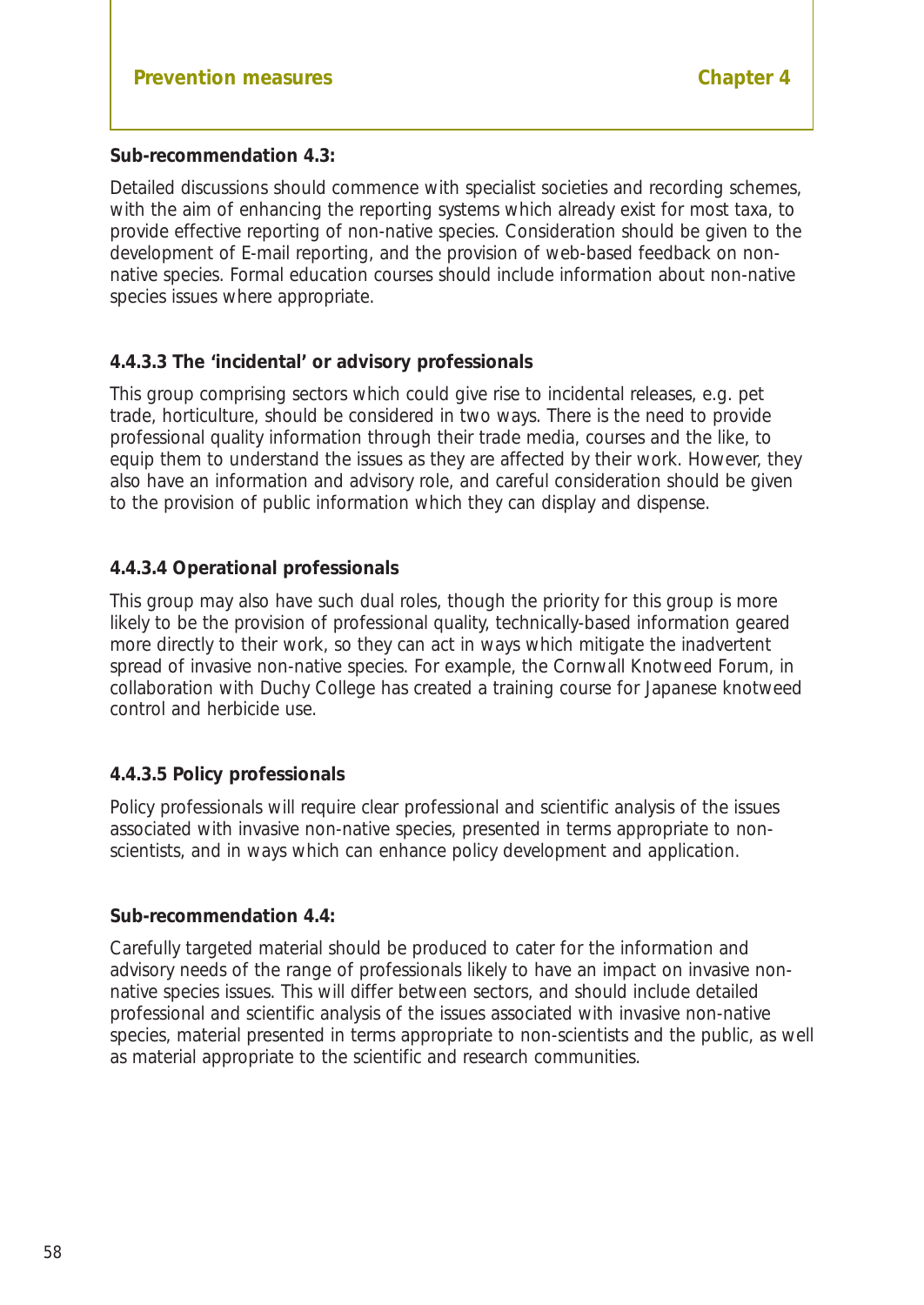#### **Sub-recommendation 4.3:**

Detailed discussions should commence with specialist societies and recording schemes, with the aim of enhancing the reporting systems which already exist for most taxa, to provide effective reporting of non-native species. Consideration should be given to the development of E-mail reporting, and the provision of web-based feedback on nonnative species. Formal education courses should include information about non-native species issues where appropriate.

#### **4.4.3.3 The 'incidental' or advisory professionals**

This group comprising sectors which could give rise to incidental releases, *e.g.* pet trade, horticulture, should be considered in two ways. There is the need to provide professional quality information through their trade media, courses and the like, to equip them to understand the issues as they are affected by their work. However, they also have an information and advisory role, and careful consideration should be given to the provision of public information which they can display and dispense.

#### **4.4.3.4 Operational professionals**

This group may also have such dual roles, though the priority for this group is more likely to be the provision of professional quality, technically-based information geared more directly to their work, so they can act in ways which mitigate the inadvertent spread of invasive non-native species. For example, the Cornwall Knotweed Forum, in collaboration with Duchy College has created a training course for Japanese knotweed control and herbicide use.

### **4.4.3.5 Policy professionals**

Policy professionals will require clear professional and scientific analysis of the issues associated with invasive non-native species, presented in terms appropriate to nonscientists, and in ways which can enhance policy development and application.

#### **Sub-recommendation 4.4:**

Carefully targeted material should be produced to cater for the information and advisory needs of the range of professionals likely to have an impact on invasive nonnative species issues. This will differ between sectors, and should include detailed professional and scientific analysis of the issues associated with invasive non-native species, material presented in terms appropriate to non-scientists and the public, as well as material appropriate to the scientific and research communities.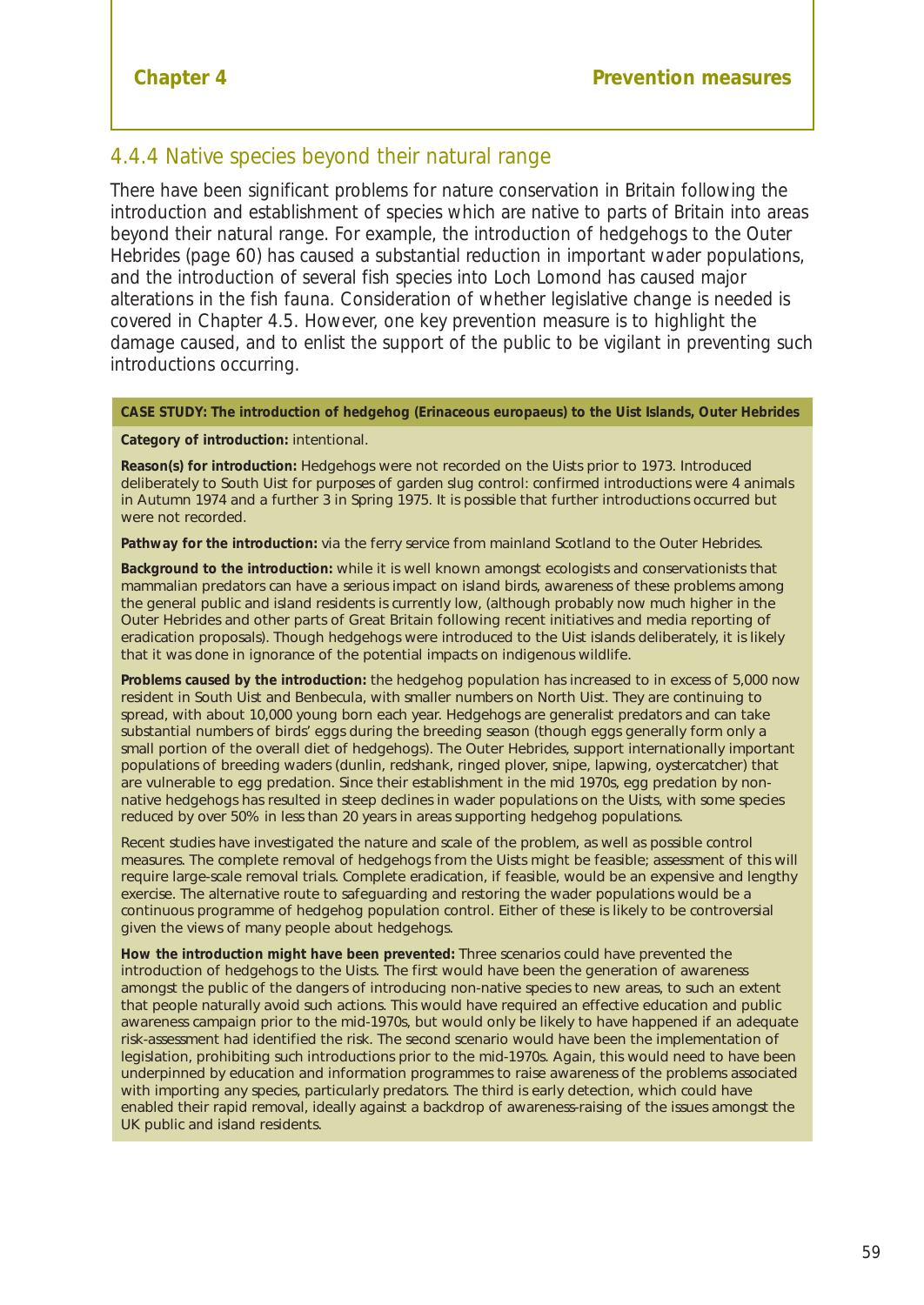## 4.4.4 Native species beyond their natural range

There have been significant problems for nature conservation in Britain following the introduction and establishment of species which are native to parts of Britain into areas beyond their natural range. For example, the introduction of hedgehogs to the Outer Hebrides (page 60) has caused a substantial reduction in important wader populations, and the introduction of several fish species into Loch Lomond has caused major alterations in the fish fauna. Consideration of whether legislative change is needed is covered in Chapter 4.5. However, one key prevention measure is to highlight the damage caused, and to enlist the support of the public to be vigilant in preventing such introductions occurring.

**CASE STUDY: The introduction of hedgehog** *(Erinaceous europaeus)* **to the Uist Islands, Outer Hebrides**

**Category of introduction:** intentional.

**Reason(s) for introduction:** Hedgehogs were not recorded on the Uists prior to 1973. Introduced deliberately to South Uist for purposes of garden slug control: confirmed introductions were 4 animals in Autumn 1974 and a further 3 in Spring 1975. It is possible that further introductions occurred but were not recorded.

**Pathway for the introduction:** via the ferry service from mainland Scotland to the Outer Hebrides.

**Background to the introduction:** while it is well known amongst ecologists and conservationists that mammalian predators can have a serious impact on island birds, awareness of these problems among the general public and island residents is currently low, (although probably now much higher in the Outer Hebrides and other parts of Great Britain following recent initiatives and media reporting of eradication proposals). Though hedgehogs were introduced to the Uist islands deliberately, it is likely that it was done in ignorance of the potential impacts on indigenous wildlife.

**Problems caused by the introduction:** the hedgehog population has increased to in excess of 5,000 now resident in South Uist and Benbecula, with smaller numbers on North Uist. They are continuing to spread, with about 10,000 young born each year. Hedgehogs are generalist predators and can take substantial numbers of birds' eggs during the breeding season (though eggs generally form only a small portion of the overall diet of hedgehogs). The Outer Hebrides, support internationally important populations of breeding waders (dunlin, redshank, ringed plover, snipe, lapwing, oystercatcher) that are vulnerable to egg predation. Since their establishment in the mid 1970s, egg predation by nonnative hedgehogs has resulted in steep declines in wader populations on the Uists, with some species reduced by over 50% in less than 20 years in areas supporting hedgehog populations.

Recent studies have investigated the nature and scale of the problem, as well as possible control measures. The complete removal of hedgehogs from the Uists might be feasible; assessment of this will require large-scale removal trials. Complete eradication, if feasible, would be an expensive and lengthy exercise. The alternative route to safeguarding and restoring the wader populations would be a continuous programme of hedgehog population control. Either of these is likely to be controversial given the views of many people about hedgehogs.

**How the introduction might have been prevented:** Three scenarios could have prevented the introduction of hedgehogs to the Uists. The first would have been the generation of awareness amongst the public of the dangers of introducing non-native species to new areas, to such an extent that people naturally avoid such actions. This would have required an effective education and public awareness campaign prior to the mid-1970s, but would only be likely to have happened if an adequate risk-assessment had identified the risk. The second scenario would have been the implementation of legislation, prohibiting such introductions prior to the mid-1970s. Again, this would need to have been underpinned by education and information programmes to raise awareness of the problems associated with importing any species, particularly predators. The third is early detection, which could have enabled their rapid removal, ideally against a backdrop of awareness-raising of the issues amongst the UK public and island residents.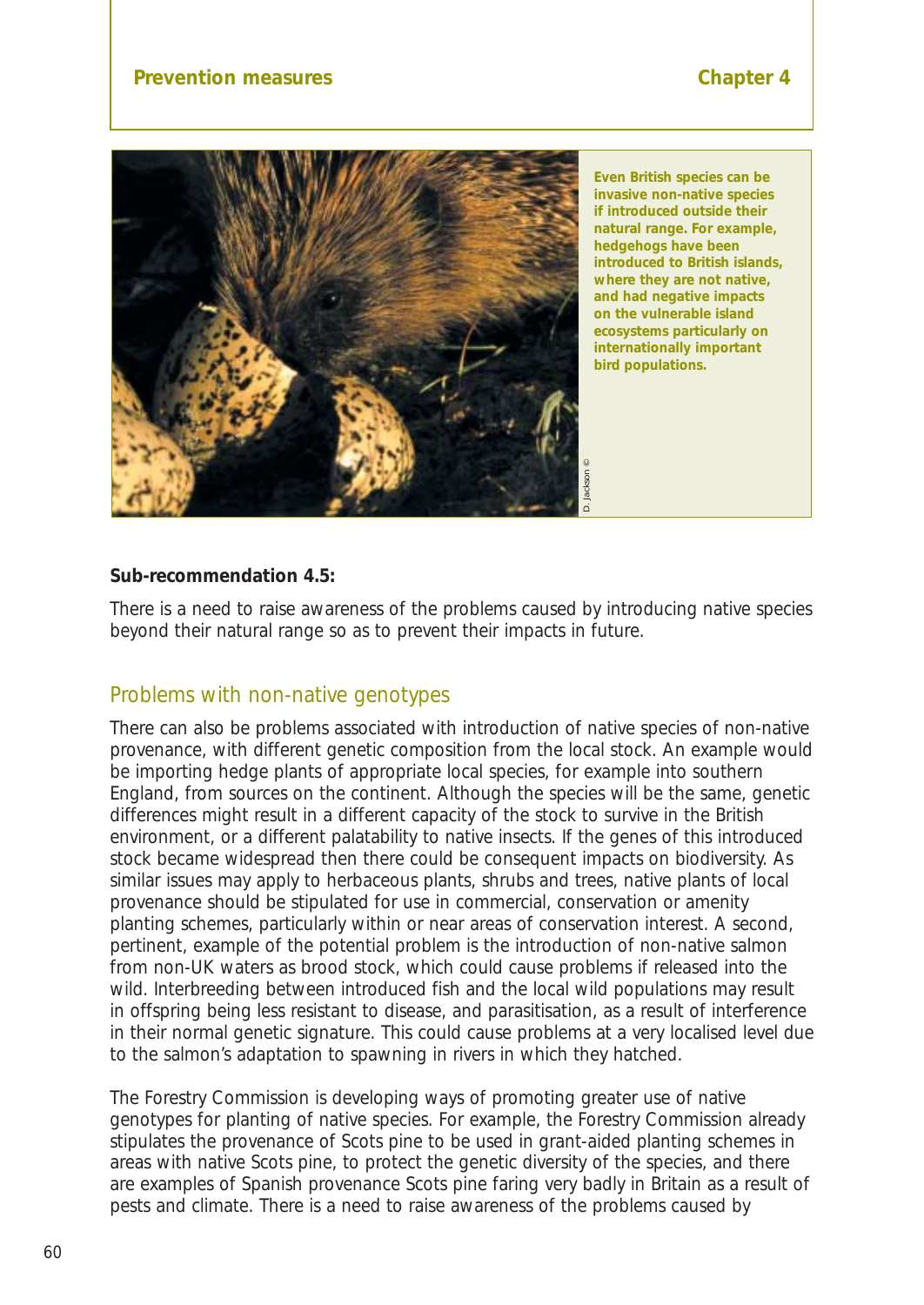### **Prevention measures Chapter 4**



**Even British species can be invasive non-native species if introduced outside their natural range. For example, hedgehogs have been introduced to British islands, where they are not native, and had negative impacts on the vulnerable island ecosystems particularly on internationally important bird populations.**

#### **Sub-recommendation 4.5:**

There is a need to raise awareness of the problems caused by introducing native species beyond their natural range so as to prevent their impacts in future.

## Problems with non-native genotypes

There can also be problems associated with introduction of native species of non-native provenance, with different genetic composition from the local stock. An example would be importing hedge plants of appropriate local species, for example into southern England, from sources on the continent. Although the species will be the same, genetic differences might result in a different capacity of the stock to survive in the British environment, or a different palatability to native insects. If the genes of this introduced stock became widespread then there could be consequent impacts on biodiversity. As similar issues may apply to herbaceous plants, shrubs and trees, native plants of local provenance should be stipulated for use in commercial, conservation or amenity planting schemes, particularly within or near areas of conservation interest. A second, pertinent, example of the potential problem is the introduction of non-native salmon from non-UK waters as brood stock, which could cause problems if released into the wild. Interbreeding between introduced fish and the local wild populations may result in offspring being less resistant to disease, and parasitisation, as a result of interference in their normal genetic signature. This could cause problems at a very localised level due to the salmon's adaptation to spawning in rivers in which they hatched.

The Forestry Commission is developing ways of promoting greater use of native genotypes for planting of native species. For example, the Forestry Commission already stipulates the provenance of Scots pine to be used in grant-aided planting schemes in areas with native Scots pine, to protect the genetic diversity of the species, and there are examples of Spanish provenance Scots pine faring very badly in Britain as a result of pests and climate. There is a need to raise awareness of the problems caused by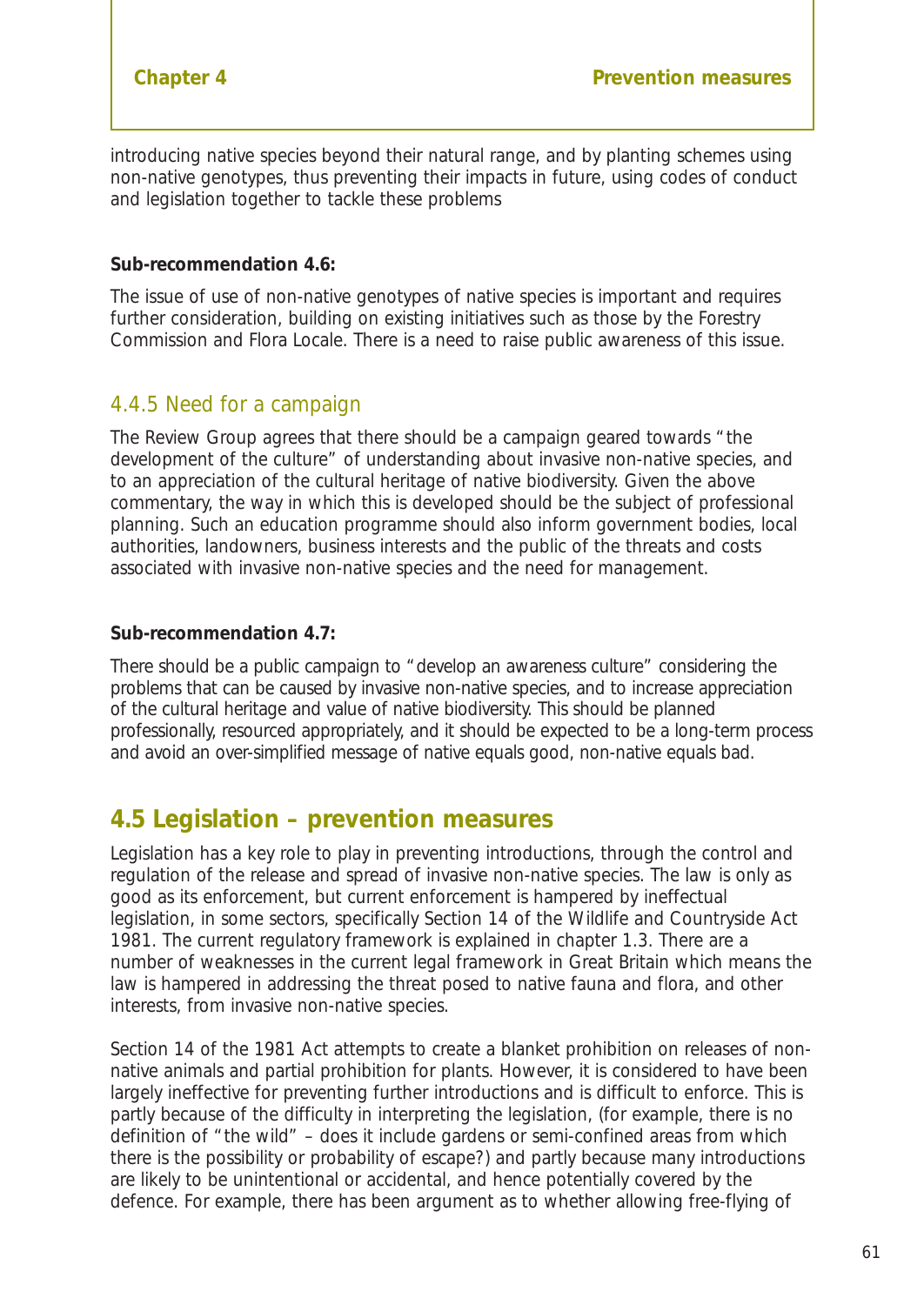introducing native species beyond their natural range, and by planting schemes using non-native genotypes, thus preventing their impacts in future, using codes of conduct and legislation together to tackle these problems

#### **Sub-recommendation 4.6:**

The issue of use of non-native genotypes of native species is important and requires further consideration, building on existing initiatives such as those by the Forestry Commission and Flora Locale. There is a need to raise public awareness of this issue.

## 4.4.5 Need for a campaign

The Review Group agrees that there should be a campaign geared towards "the development of the culture" of understanding about invasive non-native species, and to an appreciation of the cultural heritage of native biodiversity. Given the above commentary, the way in which this is developed should be the subject of professional planning. Such an education programme should also inform government bodies, local authorities, landowners, business interests and the public of the threats and costs associated with invasive non-native species and the need for management.

### **Sub-recommendation 4.7:**

There should be a public campaign to "develop an awareness culture" considering the problems that can be caused by invasive non-native species, and to increase appreciation of the cultural heritage and value of native biodiversity. This should be planned professionally, resourced appropriately, and it should be expected to be a long-term process and avoid an over-simplified message of native equals good, non-native equals bad.

# **4.5 Legislation – prevention measures**

Legislation has a key role to play in preventing introductions, through the control and regulation of the release and spread of invasive non-native species. The law is only as good as its enforcement, but current enforcement is hampered by ineffectual legislation, in some sectors, specifically Section 14 of the Wildlife and Countryside Act 1981. The current regulatory framework is explained in chapter 1.3. There are a number of weaknesses in the current legal framework in Great Britain which means the law is hampered in addressing the threat posed to native fauna and flora, and other interests, from invasive non-native species.

Section 14 of the 1981 Act attempts to create a blanket prohibition on releases of nonnative animals and partial prohibition for plants. However, it is considered to have been largely ineffective for preventing further introductions and is difficult to enforce. This is partly because of the difficulty in interpreting the legislation, (for example, there is no definition of "the wild" – does it include gardens or semi-confined areas from which there is the possibility or probability of escape?) and partly because many introductions are likely to be unintentional or accidental, and hence potentially covered by the defence. For example, there has been argument as to whether allowing free-flying of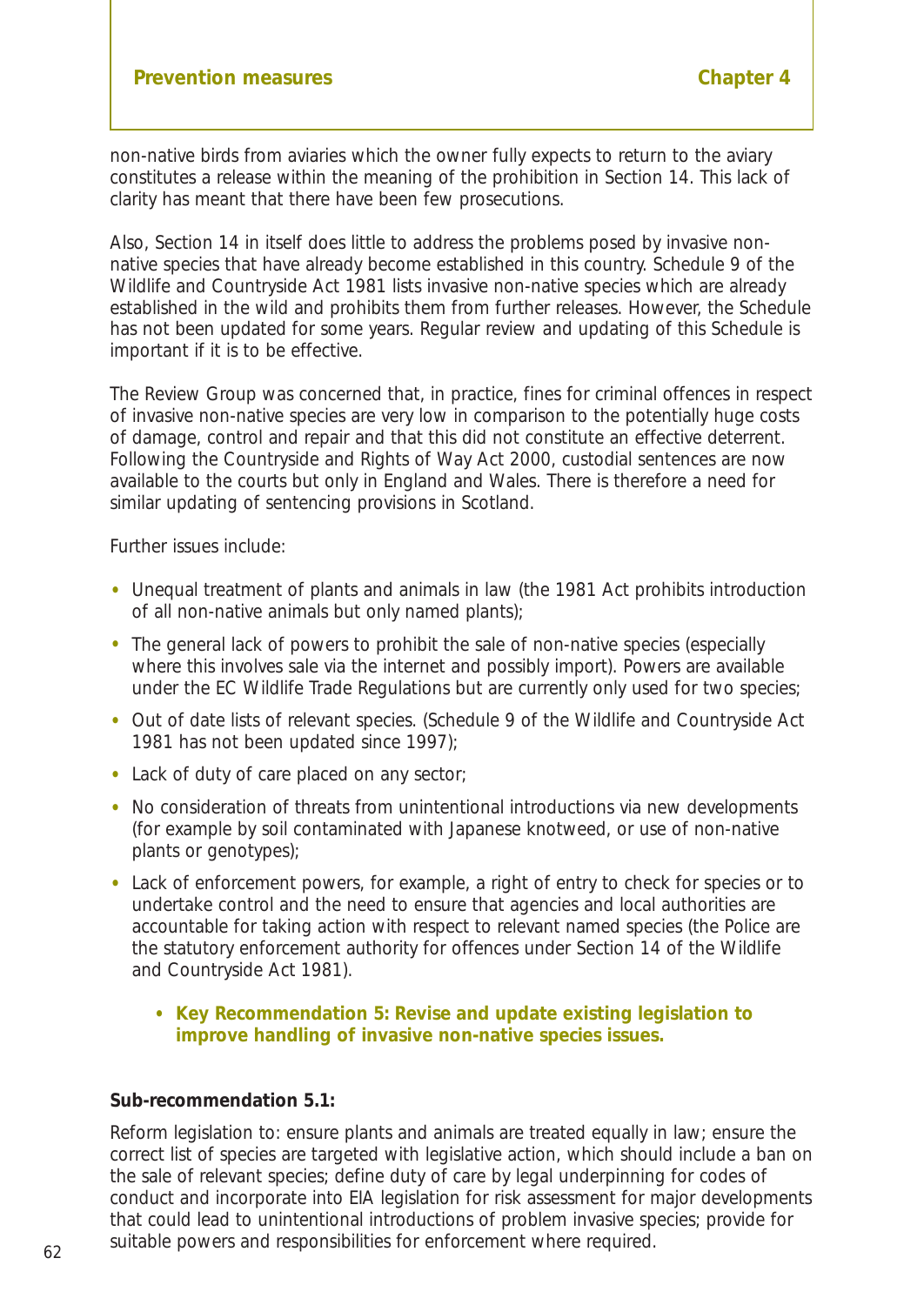non-native birds from aviaries which the owner fully expects to return to the aviary constitutes a release within the meaning of the prohibition in Section 14. This lack of clarity has meant that there have been few prosecutions.

Also, Section 14 in itself does little to address the problems posed by invasive nonnative species that have already become established in this country. Schedule 9 of the Wildlife and Countryside Act 1981 lists invasive non-native species which are already established in the wild and prohibits them from further releases. However, the Schedule has not been updated for some years. Regular review and updating of this Schedule is important if it is to be effective.

The Review Group was concerned that, in practice, fines for criminal offences in respect of invasive non-native species are very low in comparison to the potentially huge costs of damage, control and repair and that this did not constitute an effective deterrent. Following the Countryside and Rights of Way Act 2000, custodial sentences are now available to the courts but only in England and Wales. There is therefore a need for similar updating of sentencing provisions in Scotland.

Further issues include:

- Unequal treatment of plants and animals in law (the 1981 Act prohibits introduction of all non-native animals but only named plants);
- The general lack of powers to prohibit the sale of non-native species (especially where this involves sale via the internet and possibly import). Powers are available under the EC Wildlife Trade Regulations but are currently only used for two species;
- Out of date lists of relevant species. (Schedule 9 of the Wildlife and Countryside Act 1981 has not been updated since 1997);
- Lack of duty of care placed on any sector;
- No consideration of threats from unintentional introductions via new developments (for example by soil contaminated with Japanese knotweed, or use of non-native plants or genotypes);
- Lack of enforcement powers, for example, a right of entry to check for species or to undertake control and the need to ensure that agencies and local authorities are accountable for taking action with respect to relevant named species (the Police are the statutory enforcement authority for offences under Section 14 of the Wildlife and Countryside Act 1981).
	- **Key Recommendation 5: Revise and update existing legislation to improve handling of invasive non-native species issues.**

#### **Sub-recommendation 5.1:**

Reform legislation to: ensure plants and animals are treated equally in law; ensure the correct list of species are targeted with legislative action, which should include a ban on the sale of relevant species; define duty of care by legal underpinning for codes of conduct and incorporate into EIA legislation for risk assessment for major developments that could lead to unintentional introductions of problem invasive species; provide for suitable powers and responsibilities for enforcement where required.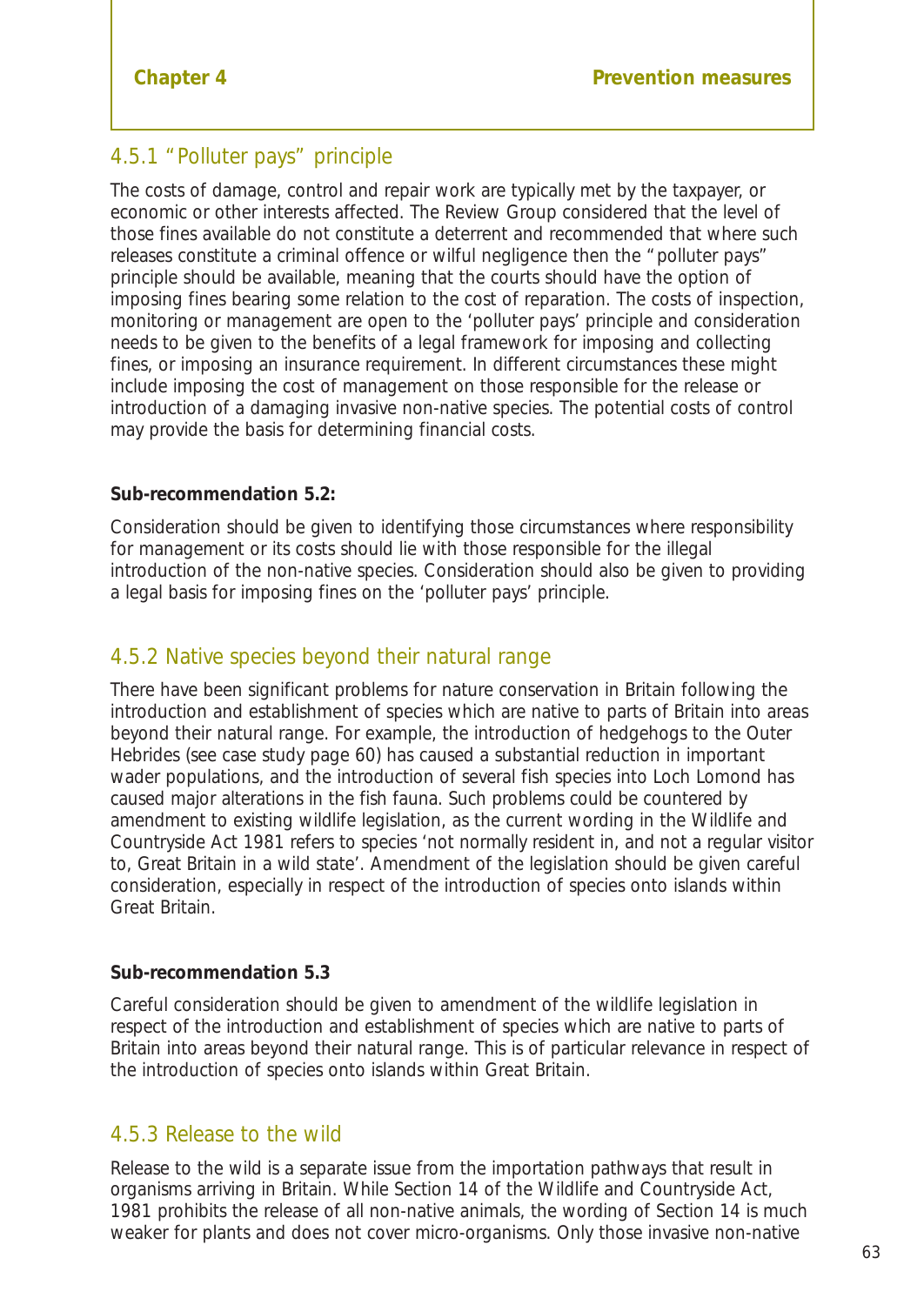# 4.5.1 "Polluter pays" principle

The costs of damage, control and repair work are typically met by the taxpayer, or economic or other interests affected. The Review Group considered that the level of those fines available do not constitute a deterrent and recommended that where such releases constitute a criminal offence or wilful negligence then the "polluter pays" principle should be available, meaning that the courts should have the option of imposing fines bearing some relation to the cost of reparation. The costs of inspection, monitoring or management are open to the 'polluter pays' principle and consideration needs to be given to the benefits of a legal framework for imposing and collecting fines, or imposing an insurance requirement. In different circumstances these might include imposing the cost of management on those responsible for the release or introduction of a damaging invasive non-native species. The potential costs of control may provide the basis for determining financial costs.

### **Sub-recommendation 5.2:**

Consideration should be given to identifying those circumstances where responsibility for management or its costs should lie with those responsible for the illegal introduction of the non-native species. Consideration should also be given to providing a legal basis for imposing fines on the 'polluter pays' principle.

## 4.5.2 Native species beyond their natural range

There have been significant problems for nature conservation in Britain following the introduction and establishment of species which are native to parts of Britain into areas beyond their natural range. For example, the introduction of hedgehogs to the Outer Hebrides (see case study page 60) has caused a substantial reduction in important wader populations, and the introduction of several fish species into Loch Lomond has caused major alterations in the fish fauna. Such problems could be countered by amendment to existing wildlife legislation, as the current wording in the Wildlife and Countryside Act 1981 refers to species 'not normally resident in, and not a regular visitor to, Great Britain in a wild state'. Amendment of the legislation should be given careful consideration, especially in respect of the introduction of species onto islands within Great Britain.

### **Sub-recommendation 5.3**

Careful consideration should be given to amendment of the wildlife legislation in respect of the introduction and establishment of species which are native to parts of Britain into areas beyond their natural range. This is of particular relevance in respect of the introduction of species onto islands within Great Britain.

## 4.5.3 Release to the wild

Release to the wild is a separate issue from the importation pathways that result in organisms arriving in Britain. While Section 14 of the Wildlife and Countryside Act, 1981 prohibits the release of all non-native animals, the wording of Section 14 is much weaker for plants and does not cover micro-organisms. Only those invasive non-native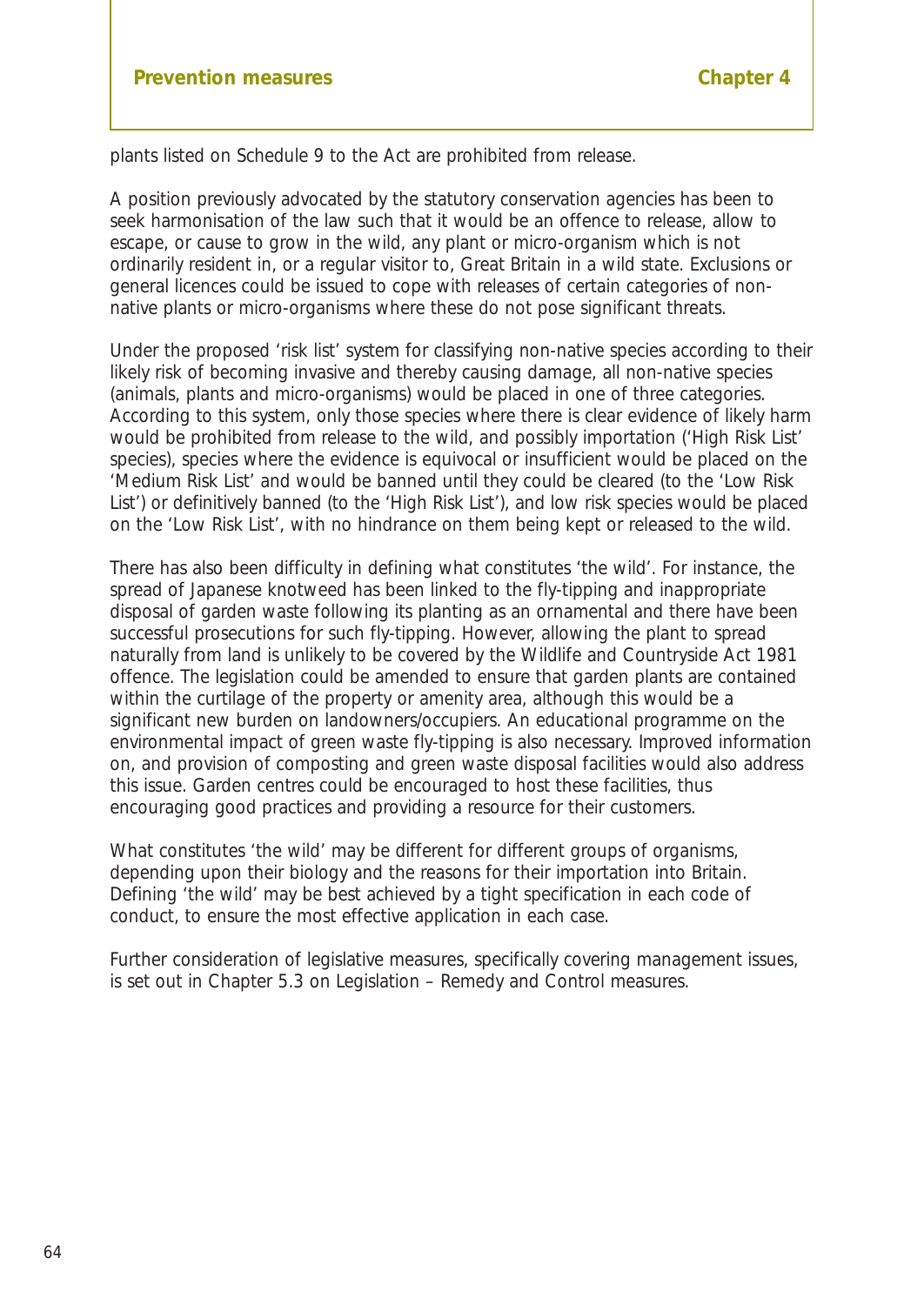plants listed on Schedule 9 to the Act are prohibited from release.

A position previously advocated by the statutory conservation agencies has been to seek harmonisation of the law such that it would be an offence to release, allow to escape, or cause to grow in the wild, any plant or micro-organism which is not ordinarily resident in, or a regular visitor to, Great Britain in a wild state. Exclusions or general licences could be issued to cope with releases of certain categories of nonnative plants or micro-organisms where these do not pose significant threats.

Under the proposed 'risk list' system for classifying non-native species according to their likely risk of becoming invasive and thereby causing damage, all non-native species (animals, plants and micro-organisms) would be placed in one of three categories. According to this system, only those species where there is clear evidence of likely harm would be prohibited from release to the wild, and possibly importation ('High Risk List' species), species where the evidence is equivocal or insufficient would be placed on the 'Medium Risk List' and would be banned until they could be cleared (to the 'Low Risk List') or definitively banned (to the 'High Risk List'), and low risk species would be placed on the 'Low Risk List', with no hindrance on them being kept or released to the wild.

There has also been difficulty in defining what constitutes 'the wild'. For instance, the spread of Japanese knotweed has been linked to the fly-tipping and inappropriate disposal of garden waste following its planting as an ornamental and there have been successful prosecutions for such fly-tipping. However, allowing the plant to spread naturally from land is unlikely to be covered by the Wildlife and Countryside Act 1981 offence. The legislation could be amended to ensure that garden plants are contained within the curtilage of the property or amenity area, although this would be a significant new burden on landowners/occupiers. An educational programme on the environmental impact of green waste fly-tipping is also necessary. Improved information on, and provision of composting and green waste disposal facilities would also address this issue. Garden centres could be encouraged to host these facilities, thus encouraging good practices and providing a resource for their customers.

What constitutes 'the wild' may be different for different groups of organisms, depending upon their biology and the reasons for their importation into Britain. Defining 'the wild' may be best achieved by a tight specification in each code of conduct, to ensure the most effective application in each case.

Further consideration of legislative measures, specifically covering management issues, is set out in Chapter 5.3 on Legislation – Remedy and Control measures.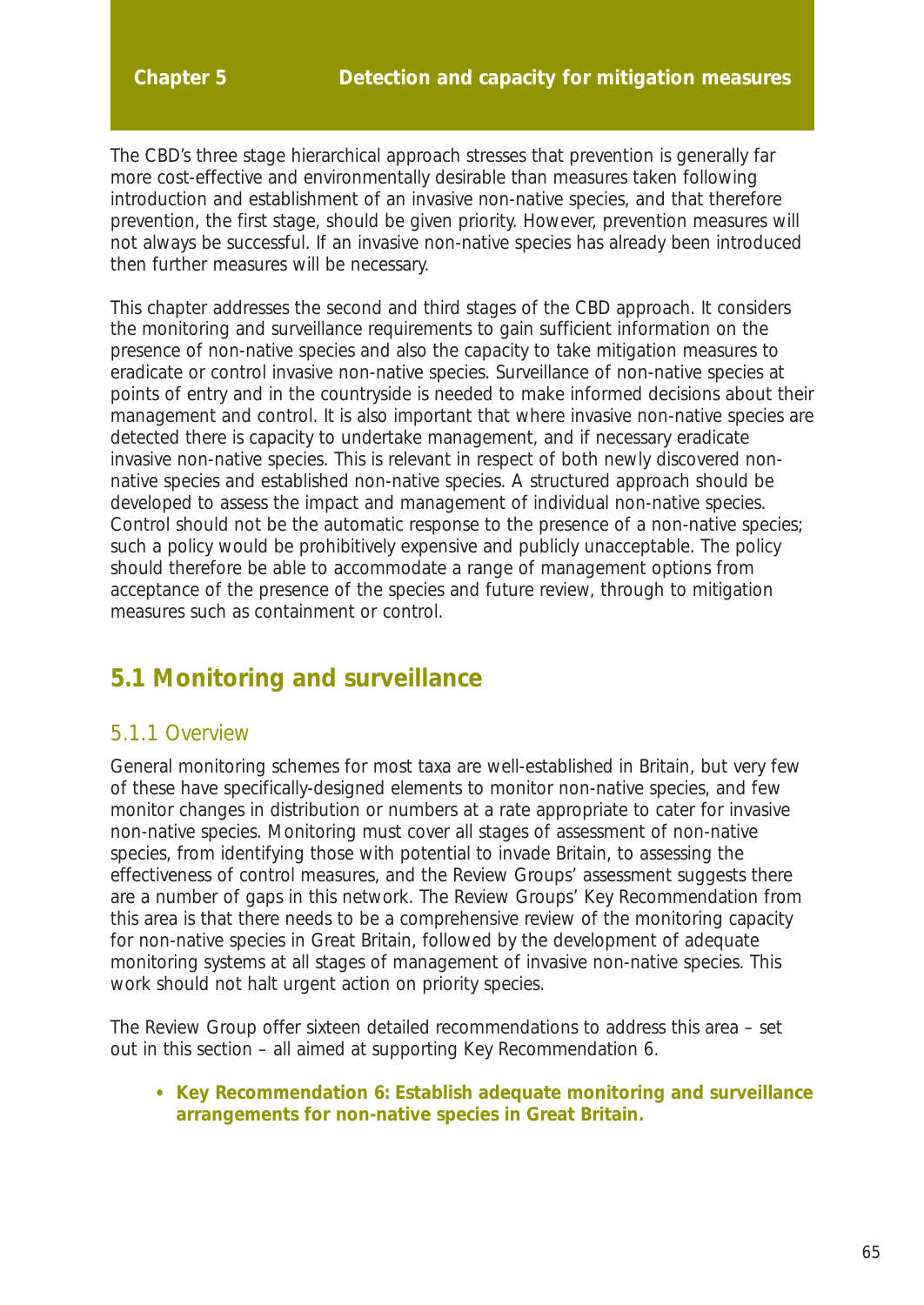The CBD's three stage hierarchical approach stresses that prevention is generally far more cost-effective and environmentally desirable than measures taken following introduction and establishment of an invasive non-native species, and that therefore prevention, the first stage, should be given priority. However, prevention measures will not always be successful. If an invasive non-native species has already been introduced then further measures will be necessary.

This chapter addresses the second and third stages of the CBD approach. It considers the monitoring and surveillance requirements to gain sufficient information on the presence of non-native species and also the capacity to take mitigation measures to eradicate or control invasive non-native species. Surveillance of non-native species at points of entry and in the countryside is needed to make informed decisions about their management and control. It is also important that where invasive non-native species are detected there is capacity to undertake management, and if necessary eradicate invasive non-native species. This is relevant in respect of both newly discovered nonnative species and established non-native species. A structured approach should be developed to assess the impact and management of individual non-native species. Control should not be the automatic response to the presence of a non-native species; such a policy would be prohibitively expensive and publicly unacceptable. The policy should therefore be able to accommodate a range of management options from acceptance of the presence of the species and future review, through to mitigation measures such as containment or control.

# **5.1 Monitoring and surveillance**

## 5.1.1 Overview

General monitoring schemes for most taxa are well-established in Britain, but very few of these have specifically-designed elements to monitor non-native species, and few monitor changes in distribution or numbers at a rate appropriate to cater for invasive non-native species. Monitoring must cover all stages of assessment of non-native species, from identifying those with potential to invade Britain, to assessing the effectiveness of control measures, and the Review Groups' assessment suggests there are a number of gaps in this network. The Review Groups' Key Recommendation from this area is that there needs to be a comprehensive review of the monitoring capacity for non-native species in Great Britain, followed by the development of adequate monitoring systems at all stages of management of invasive non-native species. This work should not halt urgent action on priority species.

The Review Group offer sixteen detailed recommendations to address this area – set out in this section – all aimed at supporting Key Recommendation 6.

• **Key Recommendation 6: Establish adequate monitoring and surveillance arrangements for non-native species in Great Britain.**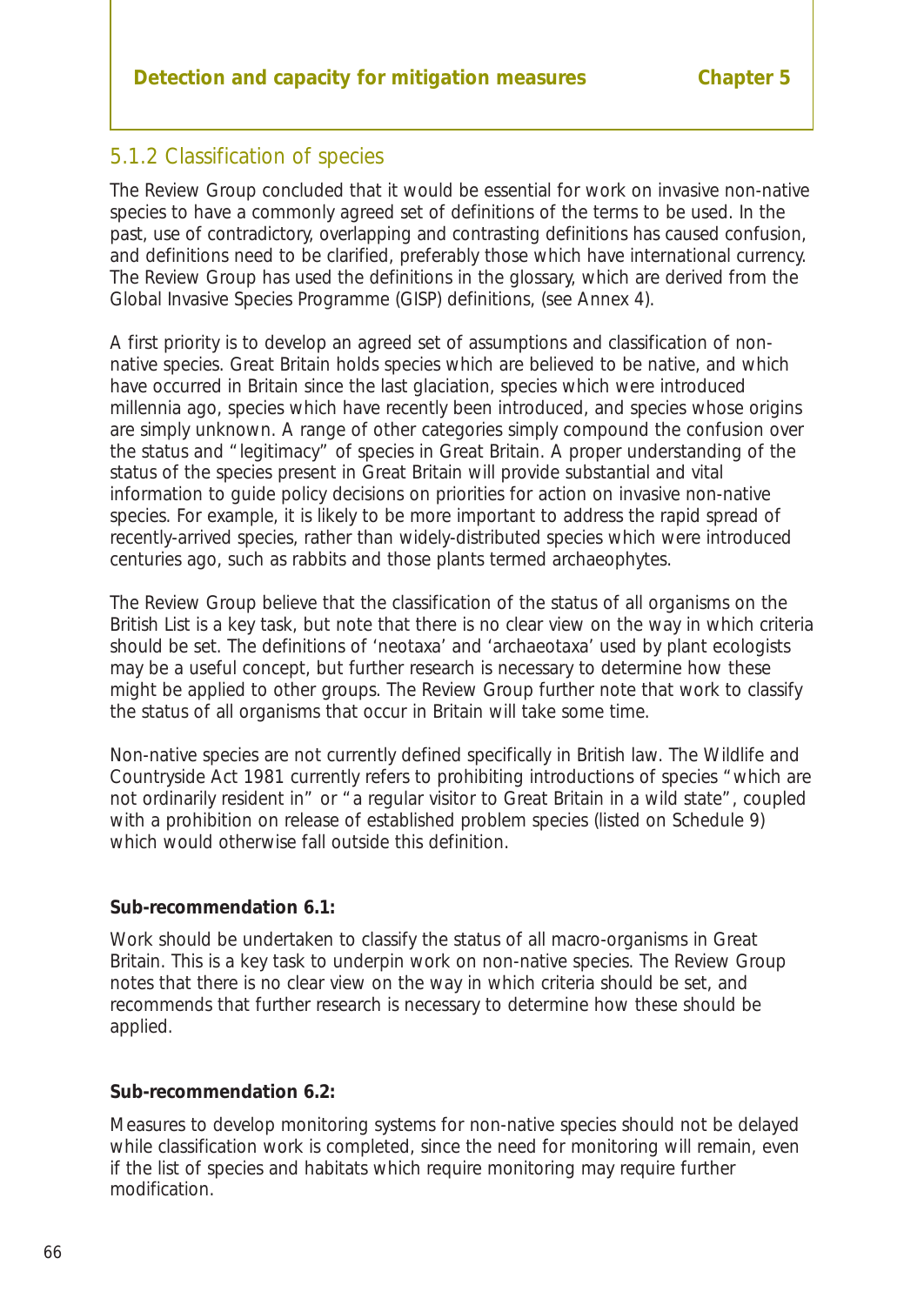## 5.1.2 Classification of species

The Review Group concluded that it would be essential for work on invasive non-native species to have a commonly agreed set of definitions of the terms to be used. In the past, use of contradictory, overlapping and contrasting definitions has caused confusion, and definitions need to be clarified, preferably those which have international currency. The Review Group has used the definitions in the glossary, which are derived from the Global Invasive Species Programme (GISP) definitions, (see Annex 4).

A first priority is to develop an agreed set of assumptions and classification of nonnative species. Great Britain holds species which are believed to be native, and which have occurred in Britain since the last glaciation, species which were introduced millennia ago, species which have recently been introduced, and species whose origins are simply unknown. A range of other categories simply compound the confusion over the status and "legitimacy" of species in Great Britain. A proper understanding of the status of the species present in Great Britain will provide substantial and vital information to guide policy decisions on priorities for action on invasive non-native species. For example, it is likely to be more important to address the rapid spread of recently-arrived species, rather than widely-distributed species which were introduced centuries ago, such as rabbits and those plants termed archaeophytes.

The Review Group believe that the classification of the status of all organisms on the British List is a key task, but note that there is no clear view on the way in which criteria should be set. The definitions of 'neotaxa' and 'archaeotaxa' used by plant ecologists may be a useful concept, but further research is necessary to determine how these might be applied to other groups. The Review Group further note that work to classify the status of all organisms that occur in Britain will take some time.

Non-native species are not currently defined specifically in British law. The Wildlife and Countryside Act 1981 currently refers to prohibiting introductions of species "which are not ordinarily resident in" or "a regular visitor to Great Britain in a wild state", coupled with a prohibition on release of established problem species (listed on Schedule 9) which would otherwise fall outside this definition.

### **Sub-recommendation 6.1:**

Work should be undertaken to classify the status of all macro-organisms in Great Britain. This is a key task to underpin work on non-native species. The Review Group notes that there is no clear view on the way in which criteria should be set, and recommends that further research is necessary to determine how these should be applied.

### **Sub-recommendation 6.2:**

Measures to develop monitoring systems for non-native species should not be delayed while classification work is completed, since the need for monitoring will remain, even if the list of species and habitats which require monitoring may require further modification.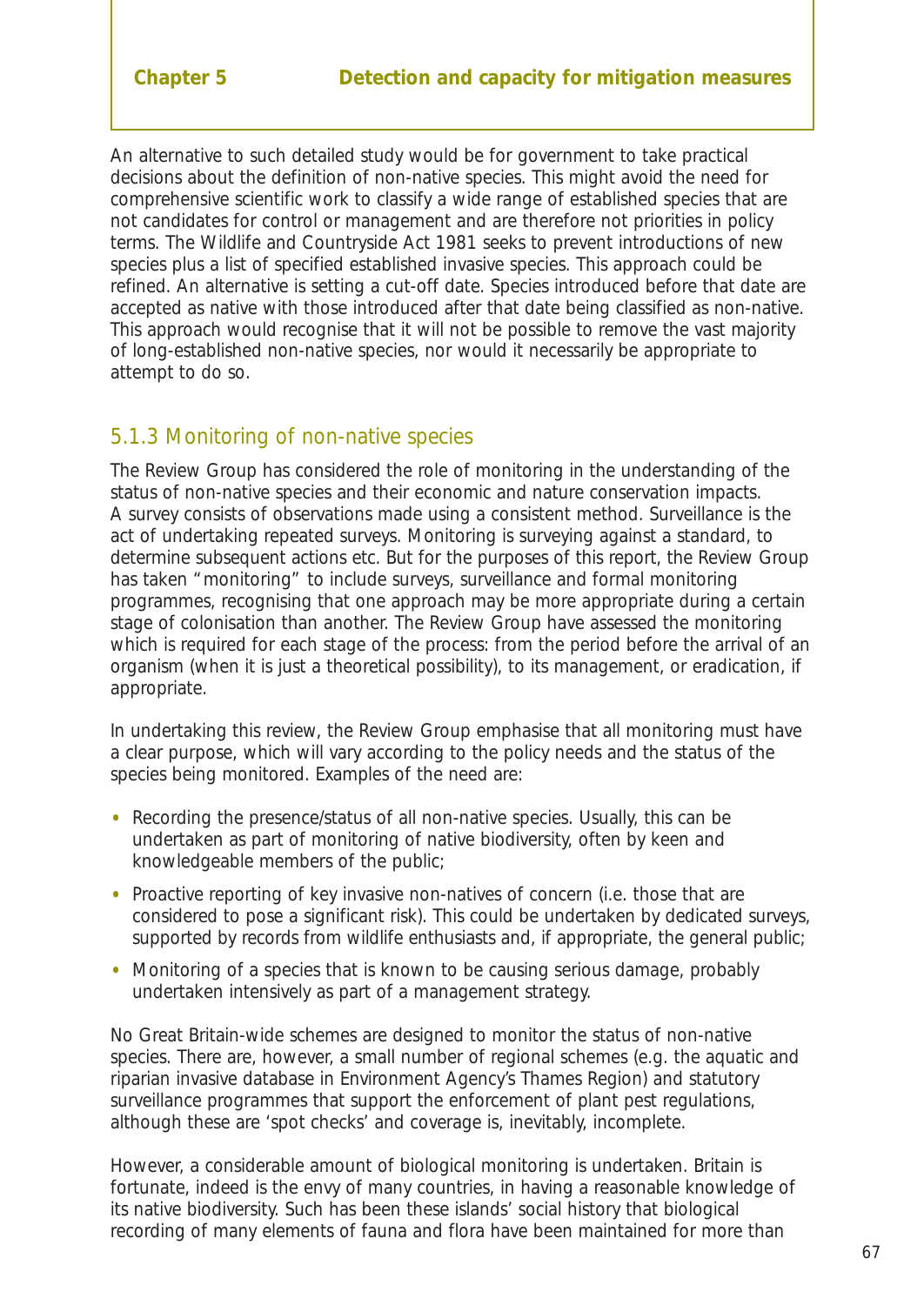An alternative to such detailed study would be for government to take practical decisions about the definition of non-native species. This might avoid the need for comprehensive scientific work to classify a wide range of established species that are not candidates for control or management and are therefore not priorities in policy terms. The Wildlife and Countryside Act 1981 seeks to prevent introductions of new species plus a list of specified established invasive species. This approach could be refined. An alternative is setting a cut-off date. Species introduced before that date are accepted as native with those introduced after that date being classified as non-native. This approach would recognise that it will not be possible to remove the vast majority of long-established non-native species, nor would it necessarily be appropriate to attempt to do so.

#### 5.1.3 Monitoring of non-native species

The Review Group has considered the role of monitoring in the understanding of the status of non-native species and their economic and nature conservation impacts. A survey consists of observations made using a consistent method. Surveillance is the act of undertaking repeated surveys. Monitoring is surveying against a standard, to determine subsequent actions etc. But for the purposes of this report, the Review Group has taken "monitoring" to include surveys, surveillance and formal monitoring programmes, recognising that one approach may be more appropriate during a certain stage of colonisation than another. The Review Group have assessed the monitoring which is required for each stage of the process: from the period before the arrival of an organism (when it is just a theoretical possibility), to its management, or eradication, if appropriate.

In undertaking this review, the Review Group emphasise that all monitoring must have a clear purpose, which will vary according to the policy needs and the status of the species being monitored. Examples of the need are:

- Recording the presence/status of all non-native species. Usually, this can be undertaken as part of monitoring of native biodiversity, often by keen and knowledgeable members of the public;
- Proactive reporting of key invasive non-natives of concern (*i.e.* those that are considered to pose a significant risk). This could be undertaken by dedicated surveys, supported by records from wildlife enthusiasts and, if appropriate, the general public;
- Monitoring of a species that is known to be causing serious damage, probably undertaken intensively as part of a management strategy.

No Great Britain-wide schemes are designed to monitor the status of non-native species. There are, however, a small number of regional schemes (*e.g.* the aquatic and riparian invasive database in Environment Agency's Thames Region) and statutory surveillance programmes that support the enforcement of plant pest regulations, although these are 'spot checks' and coverage is, inevitably, incomplete.

However, a considerable amount of biological monitoring is undertaken. Britain is fortunate, indeed is the envy of many countries, in having a reasonable knowledge of its native biodiversity. Such has been these islands' social history that biological recording of many elements of fauna and flora have been maintained for more than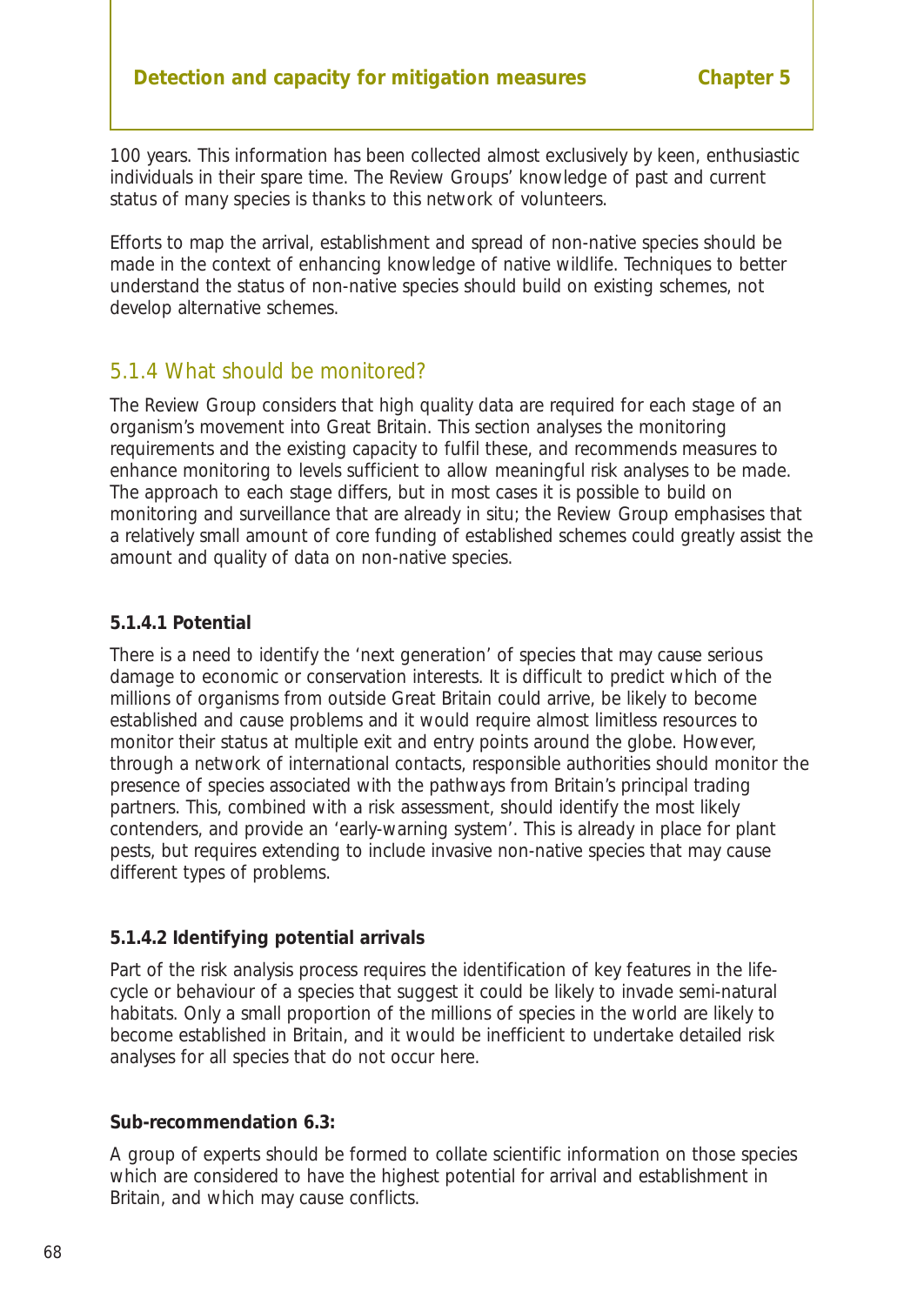100 years. This information has been collected almost exclusively by keen, enthusiastic individuals in their spare time. The Review Groups' knowledge of past and current status of many species is thanks to this network of volunteers.

Efforts to map the arrival, establishment and spread of non-native species should be made in the context of enhancing knowledge of native wildlife. Techniques to better understand the status of non-native species should build on existing schemes, not develop alternative schemes.

## 5.1.4 What should be monitored?

The Review Group considers that high quality data are required for each stage of an organism's movement into Great Britain. This section analyses the monitoring requirements and the existing capacity to fulfil these, and recommends measures to enhance monitoring to levels sufficient to allow meaningful risk analyses to be made. The approach to each stage differs, but in most cases it is possible to build on monitoring and surveillance that are already *in situ*; the Review Group emphasises that a relatively small amount of core funding of established schemes could greatly assist the amount and quality of data on non-native species.

#### **5.1.4.1 Potential**

There is a need to identify the 'next generation' of species that may cause serious damage to economic or conservation interests. It is difficult to predict which of the millions of organisms from outside Great Britain could arrive, be likely to become established and cause problems and it would require almost limitless resources to monitor their status at multiple exit and entry points around the globe. However, through a network of international contacts, responsible authorities should monitor the presence of species associated with the pathways from Britain's principal trading partners. This, combined with a risk assessment, should identify the most likely contenders, and provide an 'early-warning system'. This is already in place for plant pests, but requires extending to include invasive non-native species that may cause different types of problems.

### **5.1.4.2 Identifying potential arrivals**

Part of the risk analysis process requires the identification of key features in the lifecycle or behaviour of a species that suggest it could be likely to invade semi-natural habitats. Only a small proportion of the millions of species in the world are likely to become established in Britain, and it would be inefficient to undertake detailed risk analyses for all species that do not occur here.

#### **Sub-recommendation 6.3:**

A group of experts should be formed to collate scientific information on those species which are considered to have the highest potential for arrival and establishment in Britain, and which may cause conflicts.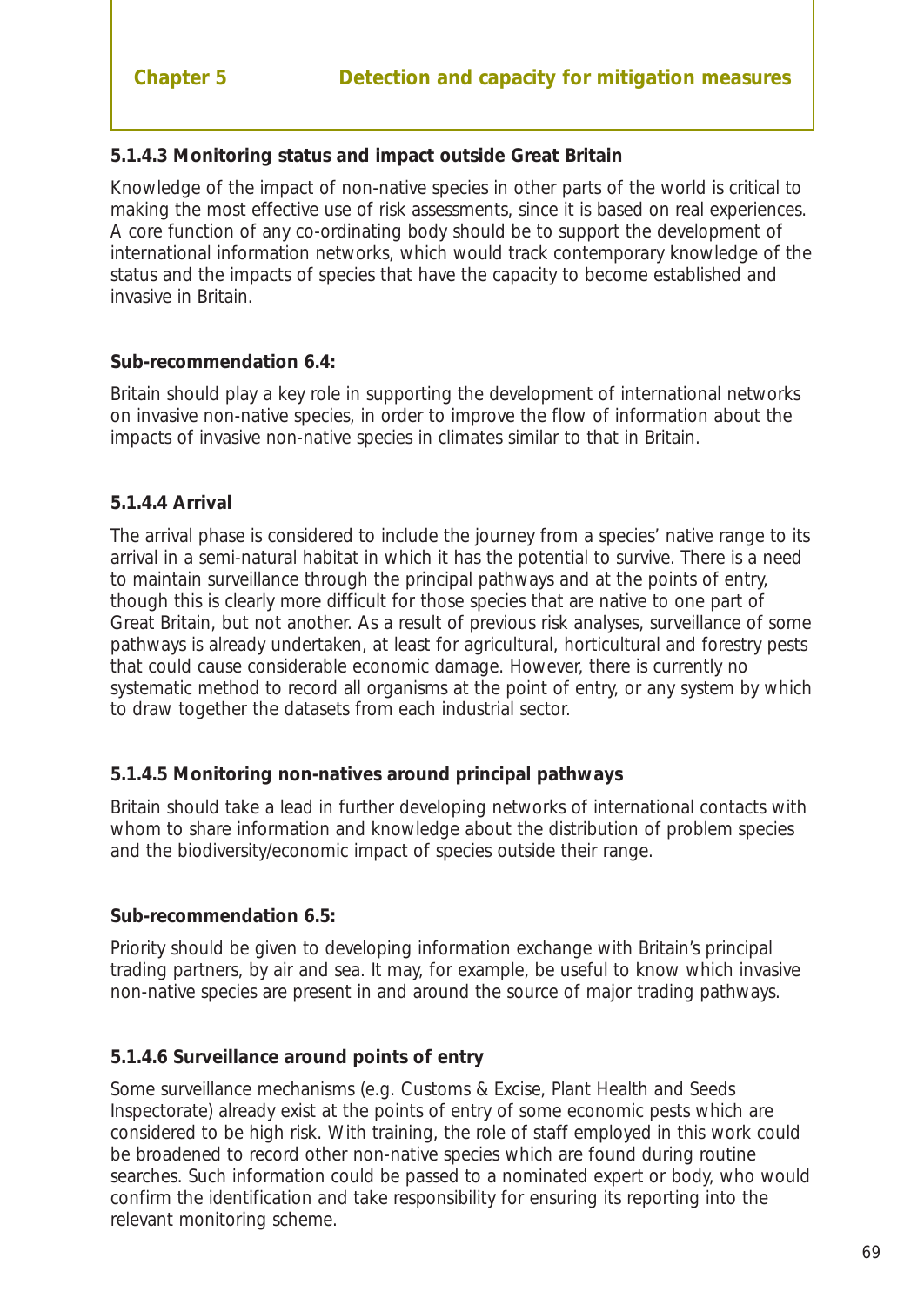#### **5.1.4.3 Monitoring status and impact outside Great Britain**

Knowledge of the impact of non-native species in other parts of the world is critical to making the most effective use of risk assessments, since it is based on real experiences. A core function of any co-ordinating body should be to support the development of international information networks, which would track contemporary knowledge of the status and the impacts of species that have the capacity to become established and invasive in Britain.

#### **Sub-recommendation 6.4:**

Britain should play a key role in supporting the development of international networks on invasive non-native species, in order to improve the flow of information about the impacts of invasive non-native species in climates similar to that in Britain.

#### **5.1.4.4 Arrival**

The arrival phase is considered to include the journey from a species' native range to its arrival in a semi-natural habitat in which it has the potential to survive. There is a need to maintain surveillance through the principal pathways and at the points of entry, though this is clearly more difficult for those species that are native to one part of Great Britain, but not another. As a result of previous risk analyses, surveillance of some pathways is already undertaken, at least for agricultural, horticultural and forestry pests that could cause considerable economic damage. However, there is currently no systematic method to record all organisms at the point of entry, or any system by which to draw together the datasets from each industrial sector.

#### **5.1.4.5 Monitoring non-natives around principal pathways**

Britain should take a lead in further developing networks of international contacts with whom to share information and knowledge about the distribution of problem species and the biodiversity/economic impact of species outside their range.

#### **Sub-recommendation 6.5:**

Priority should be given to developing information exchange with Britain's principal trading partners, by air and sea. It may, for example, be useful to know which invasive non-native species are present in and around the source of major trading pathways.

#### **5.1.4.6 Surveillance around points of entry**

Some surveillance mechanisms (*e.g.* Customs & Excise, Plant Health and Seeds Inspectorate) already exist at the points of entry of some economic pests which are considered to be high risk. With training, the role of staff employed in this work could be broadened to record other non-native species which are found during routine searches. Such information could be passed to a nominated expert or body, who would confirm the identification and take responsibility for ensuring its reporting into the relevant monitoring scheme.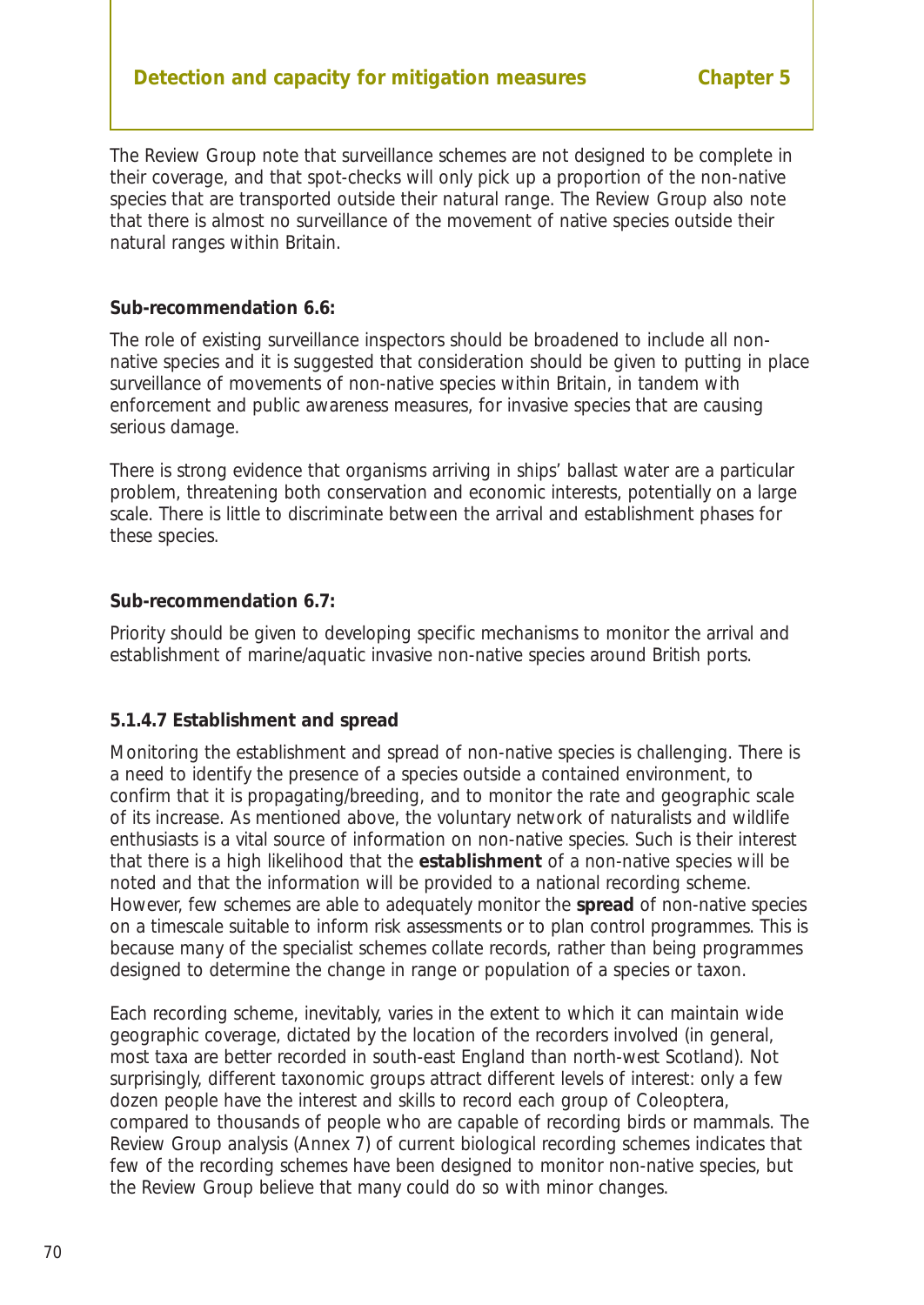The Review Group note that surveillance schemes are not designed to be complete in their coverage, and that spot-checks will only pick up a proportion of the non-native species that are transported outside their natural range. The Review Group also note that there is almost no surveillance of the movement of native species outside their natural ranges *within* Britain.

#### **Sub-recommendation 6.6:**

The role of existing surveillance inspectors should be broadened to include all nonnative species and it is suggested that consideration should be given to putting in place surveillance of movements of non-native species within Britain, in tandem with enforcement and public awareness measures, for invasive species that are causing serious damage.

There is strong evidence that organisms arriving in ships' ballast water are a particular problem, threatening both conservation and economic interests, potentially on a large scale. There is little to discriminate between the arrival and establishment phases for these species.

#### **Sub-recommendation 6.7:**

Priority should be given to developing specific mechanisms to monitor the arrival and establishment of marine/aquatic invasive non-native species around British ports.

#### **5.1.4.7 Establishment and spread**

Monitoring the establishment and spread of non-native species is challenging. There is a need to identify the presence of a species outside a contained environment, to confirm that it is propagating/breeding, and to monitor the rate and geographic scale of its increase. As mentioned above, the voluntary network of naturalists and wildlife enthusiasts is a vital source of information on non-native species. Such is their interest that there is a high likelihood that the **establishment** of a non-native species will be noted and that the information will be provided to a national recording scheme. However, few schemes are able to adequately monitor the **spread** of non-native species on a timescale suitable to inform risk assessments or to plan control programmes. This is because many of the specialist schemes collate records, rather than being programmes designed to determine the change in range or population of a species or taxon.

Each recording scheme, inevitably, varies in the extent to which it can maintain wide geographic coverage, dictated by the location of the recorders involved (in general, most taxa are better recorded in south-east England than north-west Scotland). Not surprisingly, different taxonomic groups attract different levels of interest: only a few dozen people have the interest and skills to record each group of Coleoptera, compared to thousands of people who are capable of recording birds or mammals. The Review Group analysis (Annex 7) of current biological recording schemes indicates that few of the recording schemes have been designed to monitor non-native species, but the Review Group believe that many could do so with minor changes.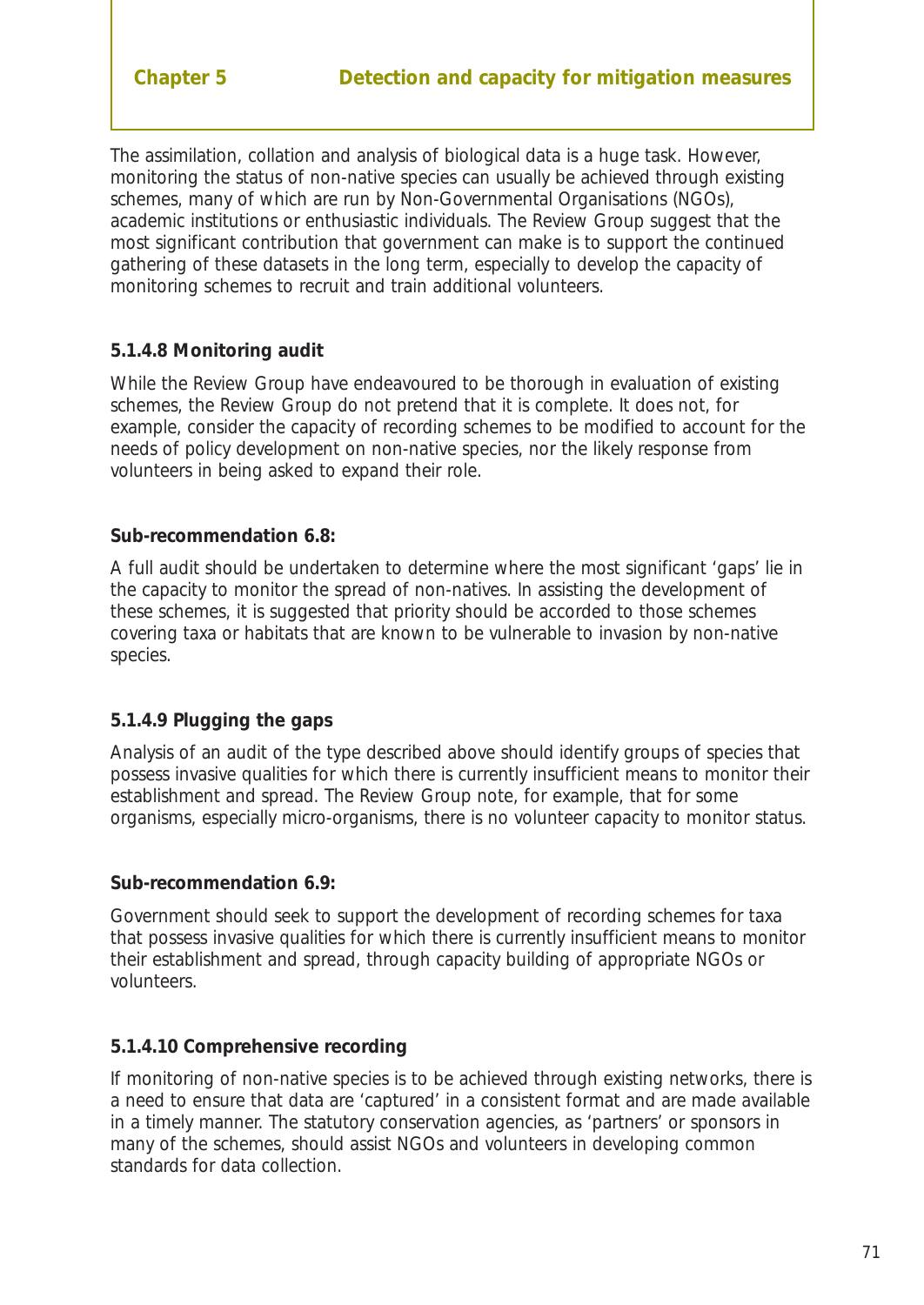The assimilation, collation and analysis of biological data is a huge task. However, monitoring the status of non-native species can usually be achieved through existing schemes, many of which are run by Non-Governmental Organisations (NGOs), academic institutions or enthusiastic individuals. The Review Group suggest that the most significant contribution that government can make is to support the continued gathering of these datasets in the long term, especially to develop the capacity of monitoring schemes to recruit and train additional volunteers.

### **5.1.4.8 Monitoring audit**

While the Review Group have endeavoured to be thorough in evaluation of existing schemes, the Review Group do not pretend that it is complete. It does not, for example, consider the capacity of recording schemes to be modified to account for the needs of policy development on non-native species, nor the likely response from volunteers in being asked to expand their role.

#### **Sub-recommendation 6.8:**

A full audit should be undertaken to determine where the most significant 'gaps' lie in the capacity to monitor the spread of non-natives. In assisting the development of these schemes, it is suggested that priority should be accorded to those schemes covering taxa or habitats that are known to be vulnerable to invasion by non-native species.

### **5.1.4.9 Plugging the gaps**

Analysis of an audit of the type described above should identify groups of species that possess invasive qualities for which there is currently insufficient means to monitor their establishment and spread. The Review Group note, for example, that for some organisms, especially micro-organisms, there is no volunteer capacity to monitor status.

#### **Sub-recommendation 6.9:**

Government should seek to support the development of recording schemes for taxa that possess invasive qualities for which there is currently insufficient means to monitor their establishment and spread, through capacity building of appropriate NGOs or volunteers.

#### **5.1.4.10 Comprehensive recording**

If monitoring of non-native species is to be achieved through existing networks, there is a need to ensure that data are 'captured' in a consistent format and are made available in a timely manner. The statutory conservation agencies, as 'partners' or sponsors in many of the schemes, should assist NGOs and volunteers in developing common standards for data collection.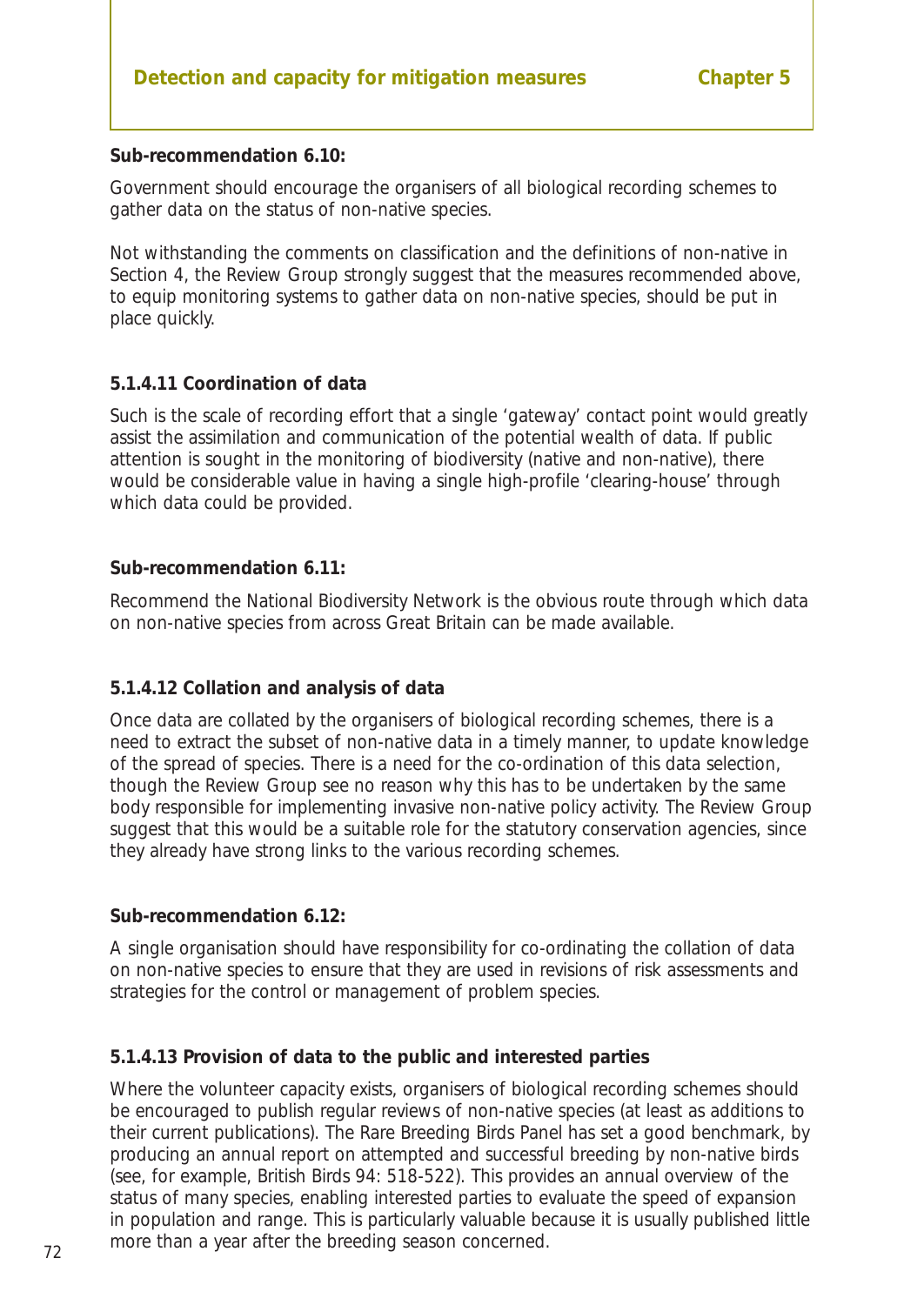#### **Sub-recommendation 6.10:**

Government should encourage the organisers of all biological recording schemes to gather data on the status of non-native species.

Not withstanding the comments on classification and the definitions of non-native in Section 4, the Review Group strongly suggest that the measures recommended above, to equip monitoring systems to gather data on non-native species, should be put in place quickly.

### **5.1.4.11 Coordination of data**

Such is the scale of recording effort that a single 'gateway' contact point would greatly assist the assimilation and communication of the potential wealth of data. If public attention is sought in the monitoring of biodiversity (native and non-native), there would be considerable value in having a single high-profile 'clearing-house' through which data could be provided.

### **Sub-recommendation 6.11:**

Recommend the National Biodiversity Network is the obvious route through which data on non-native species from across Great Britain can be made available.

# **5.1.4.12 Collation and analysis of data**

Once data are collated by the organisers of biological recording schemes, there is a need to extract the subset of non-native data in a timely manner, to update knowledge of the spread of species. There is a need for the co-ordination of this data selection, though the Review Group see no reason why this has to be undertaken by the same body responsible for implementing invasive non-native policy activity. The Review Group suggest that this would be a suitable role for the statutory conservation agencies, since they already have strong links to the various recording schemes.

#### **Sub-recommendation 6.12:**

A single organisation should have responsibility for co-ordinating the collation of data on non-native species to ensure that they are used in revisions of risk assessments and strategies for the control or management of problem species.

# **5.1.4.13 Provision of data to the public and interested parties**

Where the volunteer capacity exists, organisers of biological recording schemes should be encouraged to publish regular reviews of non-native species (at least as additions to their current publications). The Rare Breeding Birds Panel has set a good benchmark, by producing an annual report on attempted and successful breeding by non-native birds (see, for example, British Birds 94: 518-522). This provides an annual overview of the status of many species, enabling interested parties to evaluate the speed of expansion in population and range. This is particularly valuable because it is usually published little more than a year after the breeding season concerned.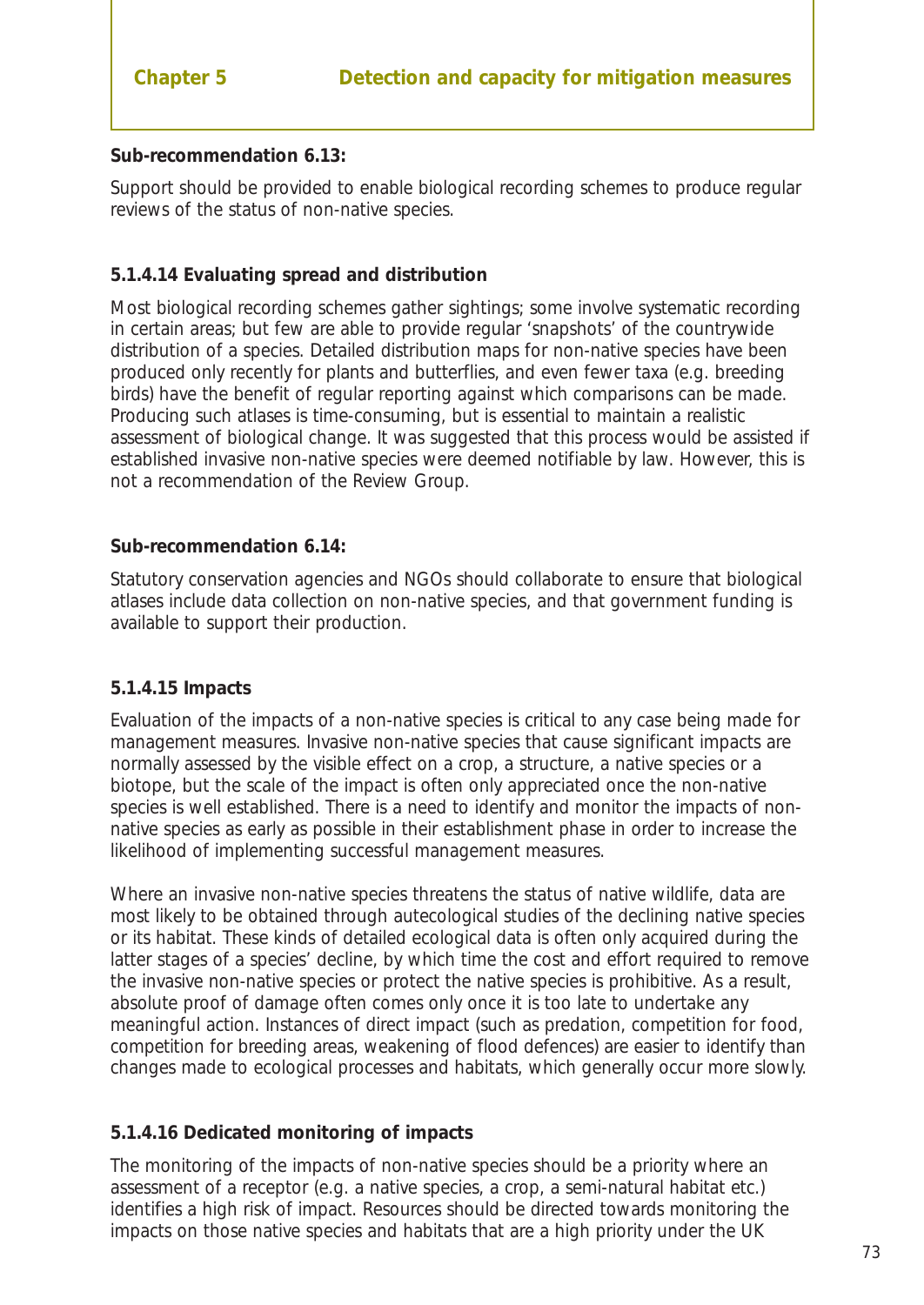#### **Sub-recommendation 6.13:**

Support should be provided to enable biological recording schemes to produce regular reviews of the status of non-native species.

### **5.1.4.14 Evaluating spread and distribution**

Most biological recording schemes gather sightings; some involve systematic recording in certain areas; but few are able to provide regular 'snapshots' of the countrywide distribution of a species. Detailed distribution maps for non-native species have been produced only recently for plants and butterflies, and even fewer taxa (*e.g.* breeding birds) have the benefit of regular reporting against which comparisons can be made. Producing such atlases is time-consuming, but is essential to maintain a realistic assessment of biological change. It was suggested that this process would be assisted if established invasive non-native species were deemed notifiable by law. However, this is not a recommendation of the Review Group.

#### **Sub-recommendation 6.14:**

Statutory conservation agencies and NGOs should collaborate to ensure that biological atlases include data collection on non-native species, and that government funding is available to support their production.

#### **5.1.4.15 Impacts**

Evaluation of the impacts of a non-native species is critical to any case being made for management measures. Invasive non-native species that cause significant impacts are normally assessed by the visible effect on a crop, a structure, a native species or a biotope, but the scale of the impact is often only appreciated once the non-native species is well established. There is a need to identify and monitor the impacts of nonnative species as early as possible in their establishment phase in order to increase the likelihood of implementing successful management measures.

Where an invasive non-native species threatens the status of native wildlife, data are most likely to be obtained through autecological studies of the declining native species or its habitat. These kinds of detailed ecological data is often only acquired during the latter stages of a species' decline, by which time the cost and effort required to remove the invasive non-native species or protect the native species is prohibitive. As a result, absolute proof of damage often comes only once it is too late to undertake any meaningful action. Instances of direct impact (such as predation, competition for food, competition for breeding areas, weakening of flood defences) are easier to identify than changes made to ecological processes and habitats, which generally occur more slowly.

#### **5.1.4.16 Dedicated monitoring of impacts**

The monitoring of the impacts of non-native species should be a priority where an assessment of a receptor (*e.g.* a native species, a crop, a semi-natural habitat *etc*.) identifies a high risk of impact. Resources should be directed towards monitoring the impacts on those native species and habitats that are a high priority under the UK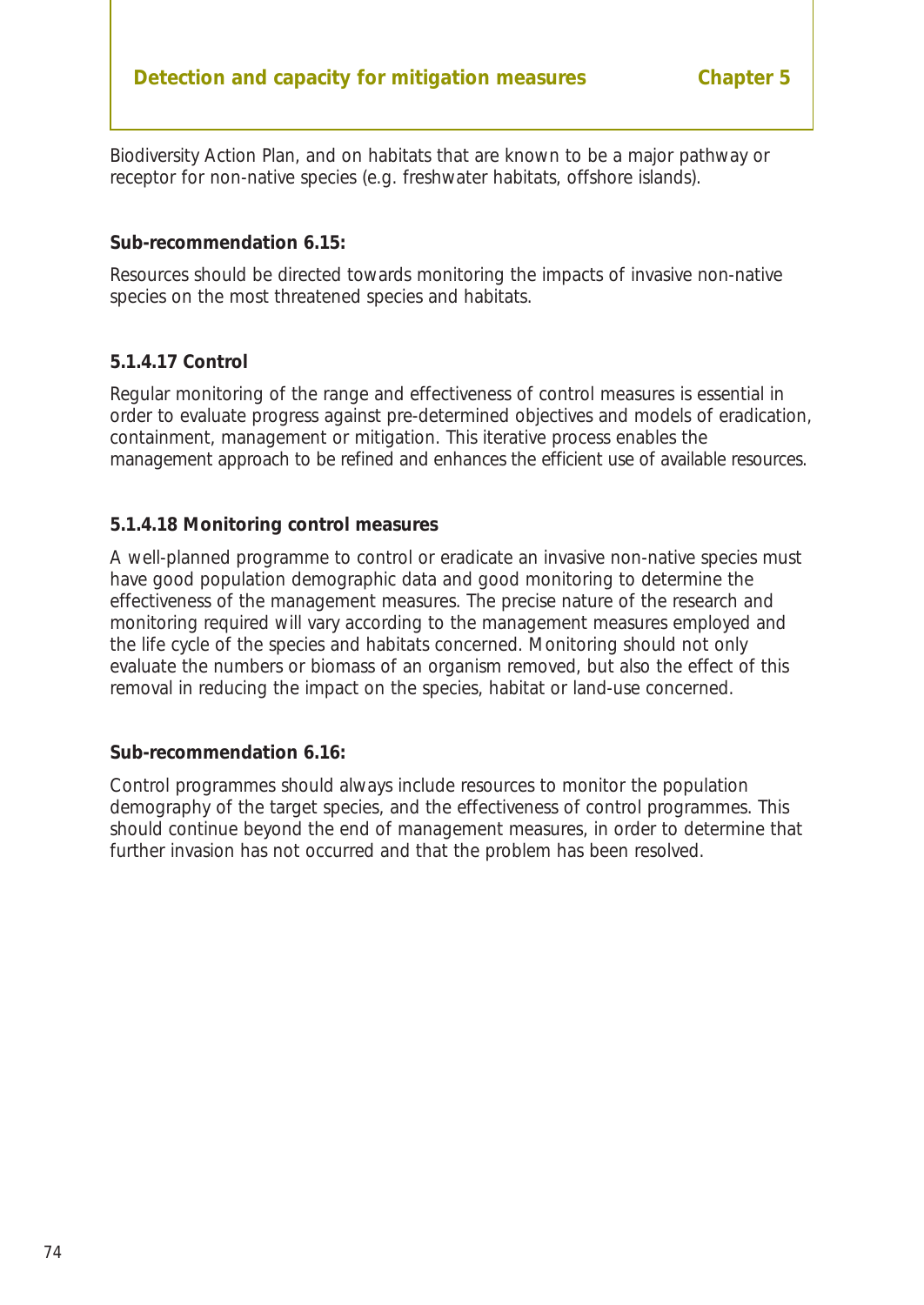Biodiversity Action Plan, and on habitats that are known to be a major pathway or receptor for non-native species (*e.g.* freshwater habitats, offshore islands).

#### **Sub-recommendation 6.15:**

Resources should be directed towards monitoring the impacts of invasive non-native species on the most threatened species and habitats.

# **5.1.4.17 Control**

Regular monitoring of the range and effectiveness of control measures is essential in order to evaluate progress against pre-determined objectives and models of eradication, containment, management or mitigation. This iterative process enables the management approach to be refined and enhances the efficient use of available resources.

### **5.1.4.18 Monitoring control measures**

A well-planned programme to control or eradicate an invasive non-native species must have good population demographic data and good monitoring to determine the effectiveness of the management measures. The precise nature of the research and monitoring required will vary according to the management measures employed and the life cycle of the species and habitats concerned. Monitoring should not only evaluate the numbers or biomass of an organism removed, but also the effect of this removal in reducing the impact on the species, habitat or land-use concerned.

#### **Sub-recommendation 6.16:**

Control programmes should always include resources to monitor the population demography of the target species, and the effectiveness of control programmes. This should continue beyond the end of management measures, in order to determine that further invasion has not occurred and that the problem has been resolved.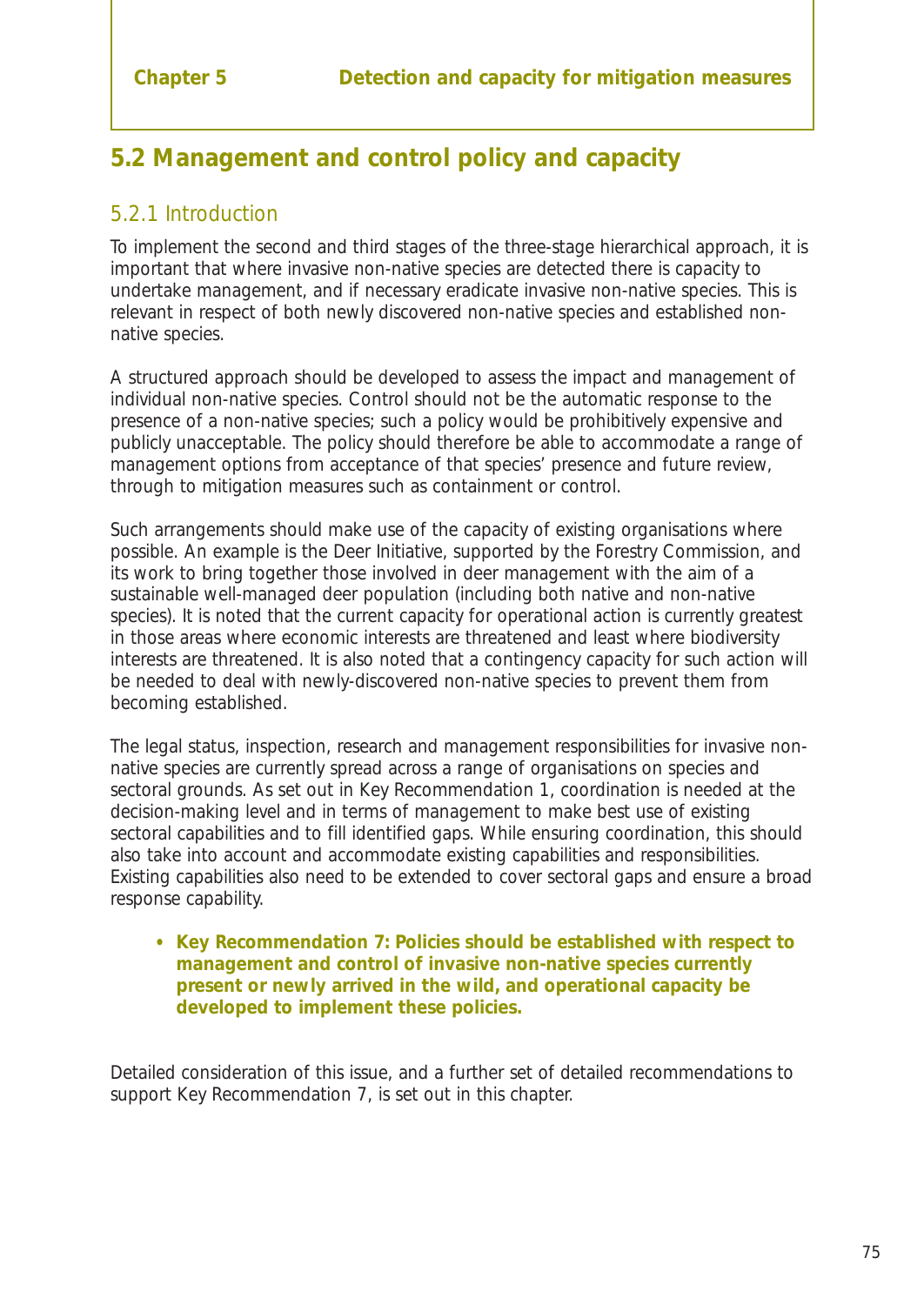# **5.2 Management and control policy and capacity**

# 5.2.1 Introduction

To implement the second and third stages of the three-stage hierarchical approach, it is important that where invasive non-native species are detected there is capacity to undertake management, and if necessary eradicate invasive non-native species. This is relevant in respect of both newly discovered non-native species and established nonnative species.

A structured approach should be developed to assess the impact and management of individual non-native species. Control should not be the automatic response to the presence of a non-native species; such a policy would be prohibitively expensive and publicly unacceptable. The policy should therefore be able to accommodate a range of management options from acceptance of that species' presence and future review, through to mitigation measures such as containment or control.

Such arrangements should make use of the capacity of existing organisations where possible. An example is the Deer Initiative, supported by the Forestry Commission, and its work to bring together those involved in deer management with the aim of a sustainable well-managed deer population (including both native and non-native species). It is noted that the current capacity for operational action is currently greatest in those areas where economic interests are threatened and least where biodiversity interests are threatened. It is also noted that a contingency capacity for such action will be needed to deal with newly-discovered non-native species to prevent them from becoming established.

The legal status, inspection, research and management responsibilities for invasive nonnative species are currently spread across a range of organisations on species and sectoral grounds. As set out in Key Recommendation 1, coordination is needed at the decision-making level and in terms of management to make best use of existing sectoral capabilities and to fill identified gaps. While ensuring coordination, this should also take into account and accommodate existing capabilities and responsibilities. Existing capabilities also need to be extended to cover sectoral gaps and ensure a broad response capability.

#### • **Key Recommendation 7: Policies should be established with respect to management and control of invasive non-native species currently present or newly arrived in the wild, and operational capacity be developed to implement these policies.**

Detailed consideration of this issue, and a further set of detailed recommendations to support Key Recommendation 7, is set out in this chapter.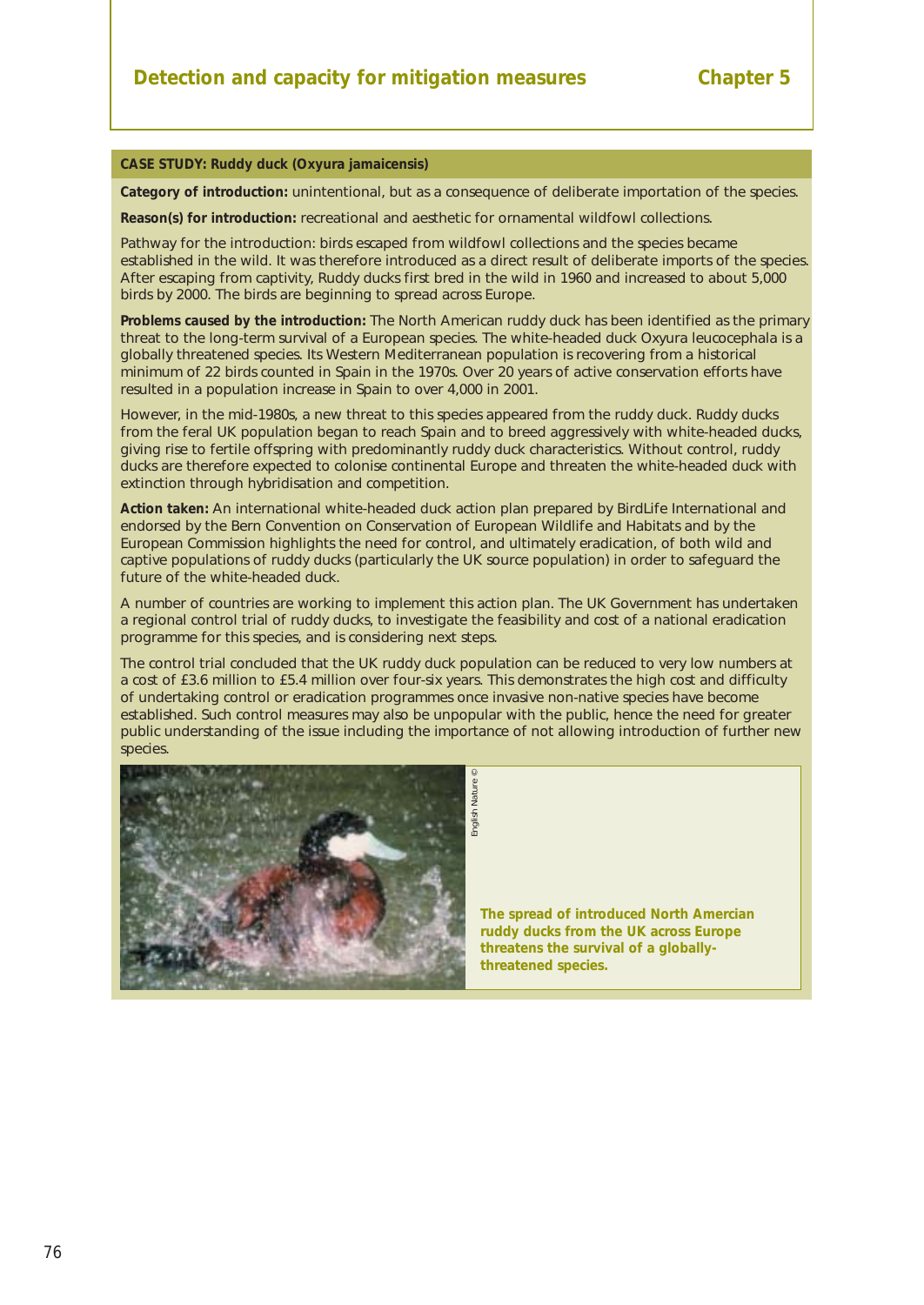#### **CASE STUDY: Ruddy duck** *(Oxyura jamaicensis)*

**Category of introduction:** unintentional, but as a consequence of deliberate importation of the species.

**Reason(s) for introduction:** recreational and aesthetic for ornamental wildfowl collections.

Pathway for the introduction: birds escaped from wildfowl collections and the species became established in the wild. It was therefore introduced as a direct result of deliberate imports of the species. After escaping from captivity, Ruddy ducks first bred in the wild in 1960 and increased to about 5,000 birds by 2000. The birds are beginning to spread across Europe.

**Problems caused by the introduction:** The North American ruddy duck has been identified as the primary threat to the long-term survival of a European species. The white-headed duck *Oxyura leucocephala* is a globally threatened species. Its Western Mediterranean population is recovering from a historical minimum of 22 birds counted in Spain in the 1970s. Over 20 years of active conservation efforts have resulted in a population increase in Spain to over 4,000 in 2001.

However, in the mid-1980s, a new threat to this species appeared from the ruddy duck. Ruddy ducks from the feral UK population began to reach Spain and to breed aggressively with white-headed ducks, giving rise to fertile offspring with predominantly ruddy duck characteristics. Without control, ruddy ducks are therefore expected to colonise continental Europe and threaten the white-headed duck with extinction through hybridisation and competition.

**Action taken:** An international white-headed duck action plan prepared by BirdLife International and endorsed by the Bern Convention on Conservation of European Wildlife and Habitats and by the European Commission highlights the need for control, and ultimately eradication, of both wild and captive populations of ruddy ducks (particularly the UK source population) in order to safeguard the future of the white-headed duck.

A number of countries are working to implement this action plan. The UK Government has undertaken a regional control trial of ruddy ducks, to investigate the feasibility and cost of a national eradication programme for this species, and is considering next steps.

The control trial concluded that the UK ruddy duck population can be reduced to very low numbers at a cost of £3.6 million to £5.4 million over four-six years. This demonstrates the high cost and difficulty of undertaking control or eradication programmes once invasive non-native species have become established. Such control measures may also be unpopular with the public, hence the need for greater public understanding of the issue including the importance of not allowing introduction of further new species.



**The spread of introduced North Amercian ruddy ducks from the UK across Europe threatens the survival of a globallythreatened species.**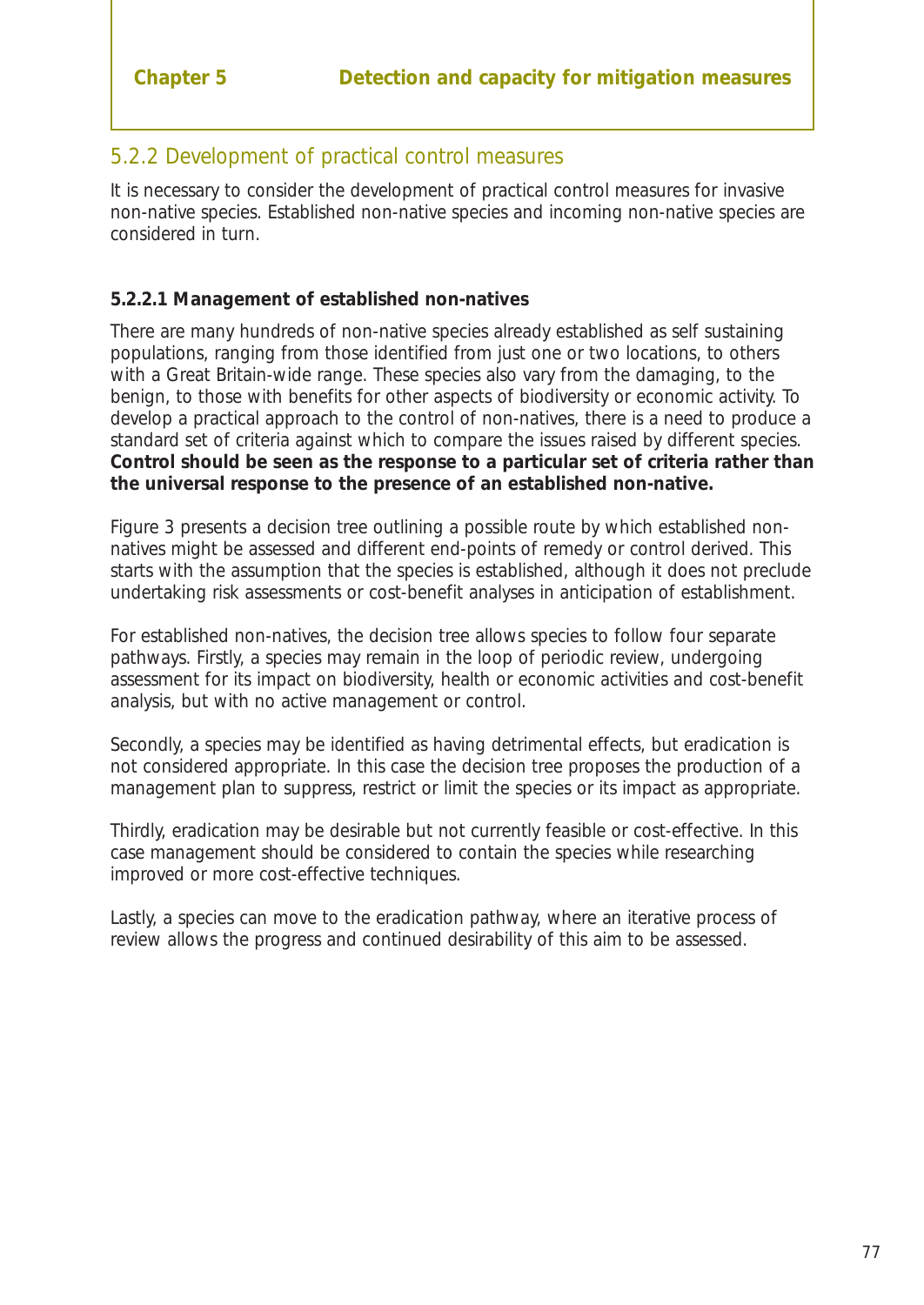# 5.2.2 Development of practical control measures

It is necessary to consider the development of practical control measures for invasive non-native species. Established non-native species and incoming non-native species are considered in turn.

#### **5.2.2.1 Management of established non-natives**

There are many hundreds of non-native species already established as self sustaining populations, ranging from those identified from just one or two locations, to others with a Great Britain-wide range. These species also vary from the damaging, to the benign, to those with benefits for other aspects of biodiversity or economic activity. To develop a practical approach to the control of non-natives, there is a need to produce a standard set of criteria against which to compare the issues raised by different species. **Control should be seen as the response to a particular set of criteria rather than the universal response to the presence of an established non-native.**

Figure 3 presents a decision tree outlining a possible route by which established nonnatives might be assessed and different end-points of remedy or control derived. This starts with the assumption that the species is established, although it does not preclude undertaking risk assessments or cost-benefit analyses in anticipation of establishment.

For established non-natives, the decision tree allows species to follow four separate pathways. Firstly, a species may remain in the loop of periodic review, undergoing assessment for its impact on biodiversity, health or economic activities and cost-benefit analysis, but with no active management or control.

Secondly, a species may be identified as having detrimental effects, but eradication is not considered appropriate. In this case the decision tree proposes the production of a management plan to suppress, restrict or limit the species or its impact as appropriate.

Thirdly, eradication may be desirable but not currently feasible or cost-effective. In this case management should be considered to contain the species while researching improved or more cost-effective techniques.

Lastly, a species can move to the eradication pathway, where an iterative process of review allows the progress and continued desirability of this aim to be assessed.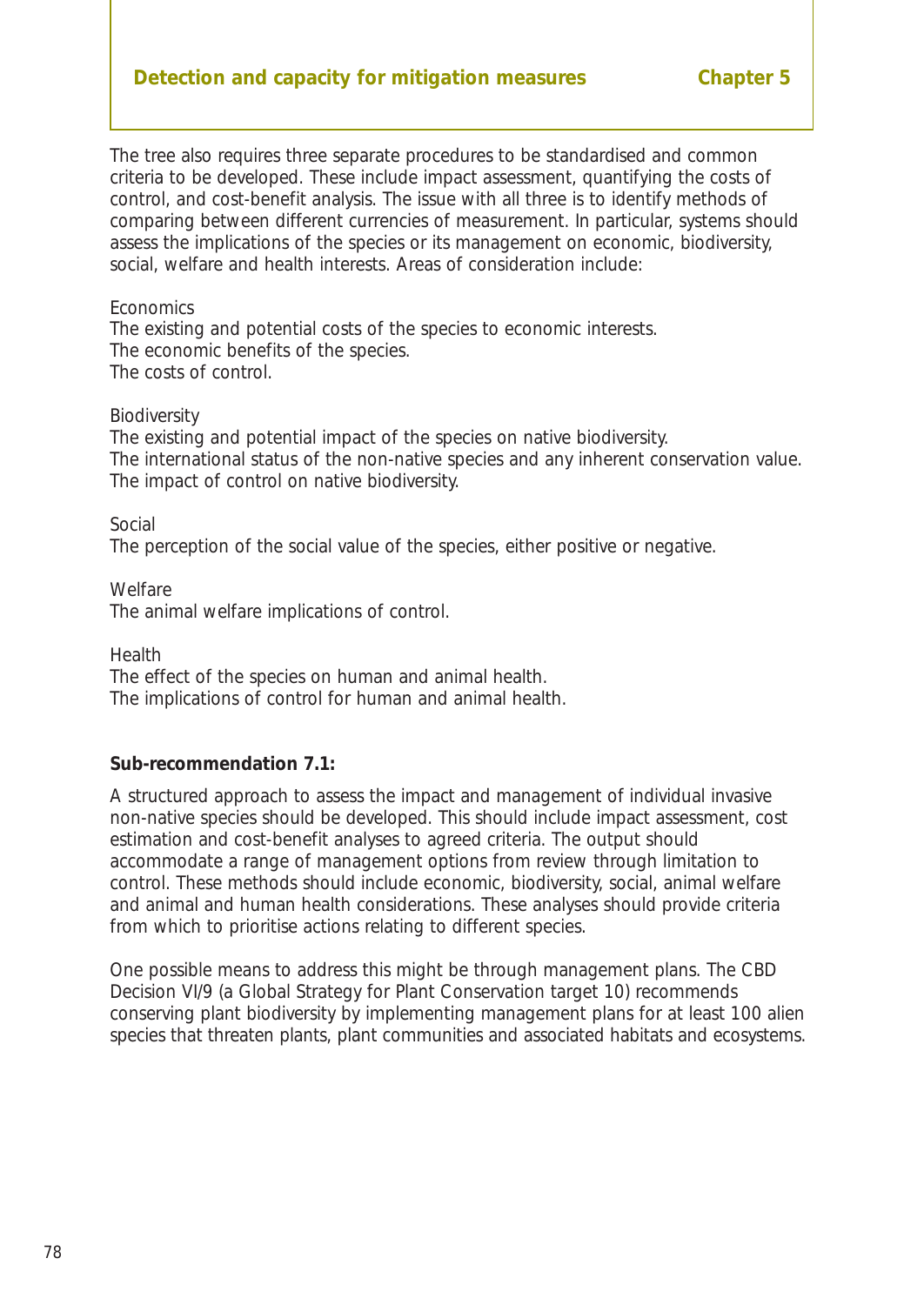# **Detection and capacity for mitigation measures Chapter 5**

The tree also requires three separate procedures to be standardised and common criteria to be developed. These include impact assessment, quantifying the costs of control, and cost-benefit analysis. The issue with all three is to identify methods of comparing between different currencies of measurement. In particular, systems should assess the implications of the species or its management on economic, biodiversity, social, welfare and health interests. Areas of consideration include:

#### *Economics*

The existing and potential costs of the species to economic interests. The economic benefits of the species. The costs of control.

#### *Biodiversity*

The existing and potential impact of the species on native biodiversity. The international status of the non-native species and any inherent conservation value. The impact of control on native biodiversity.

#### *Social*

The perception of the social value of the species, either positive or negative.

#### *Welfare*

The animal welfare implications of control.

#### *Health*

The effect of the species on human and animal health. The implications of control for human and animal health.

#### **Sub-recommendation 7.1:**

A structured approach to assess the impact and management of individual invasive non-native species should be developed. This should include impact assessment, cost estimation and cost-benefit analyses to agreed criteria. The output should accommodate a range of management options from review through limitation to control. These methods should include economic, biodiversity, social, animal welfare and animal and human health considerations. These analyses should provide criteria from which to prioritise actions relating to different species.

One possible means to address this might be through management plans. The CBD Decision VI/9 (a Global Strategy for Plant Conservation target 10) recommends conserving plant biodiversity by implementing management plans for at least 100 alien species that threaten plants, plant communities and associated habitats and ecosystems.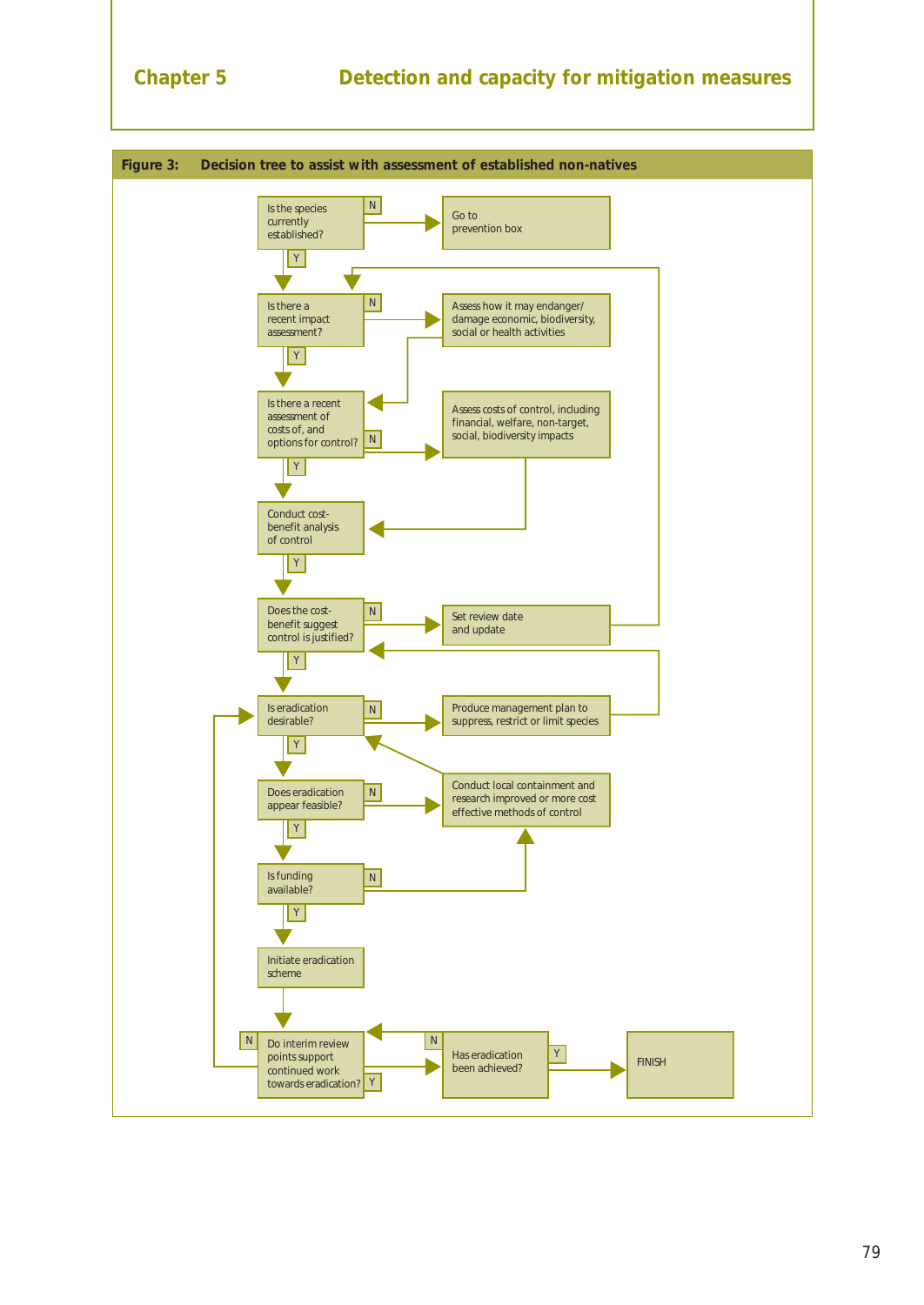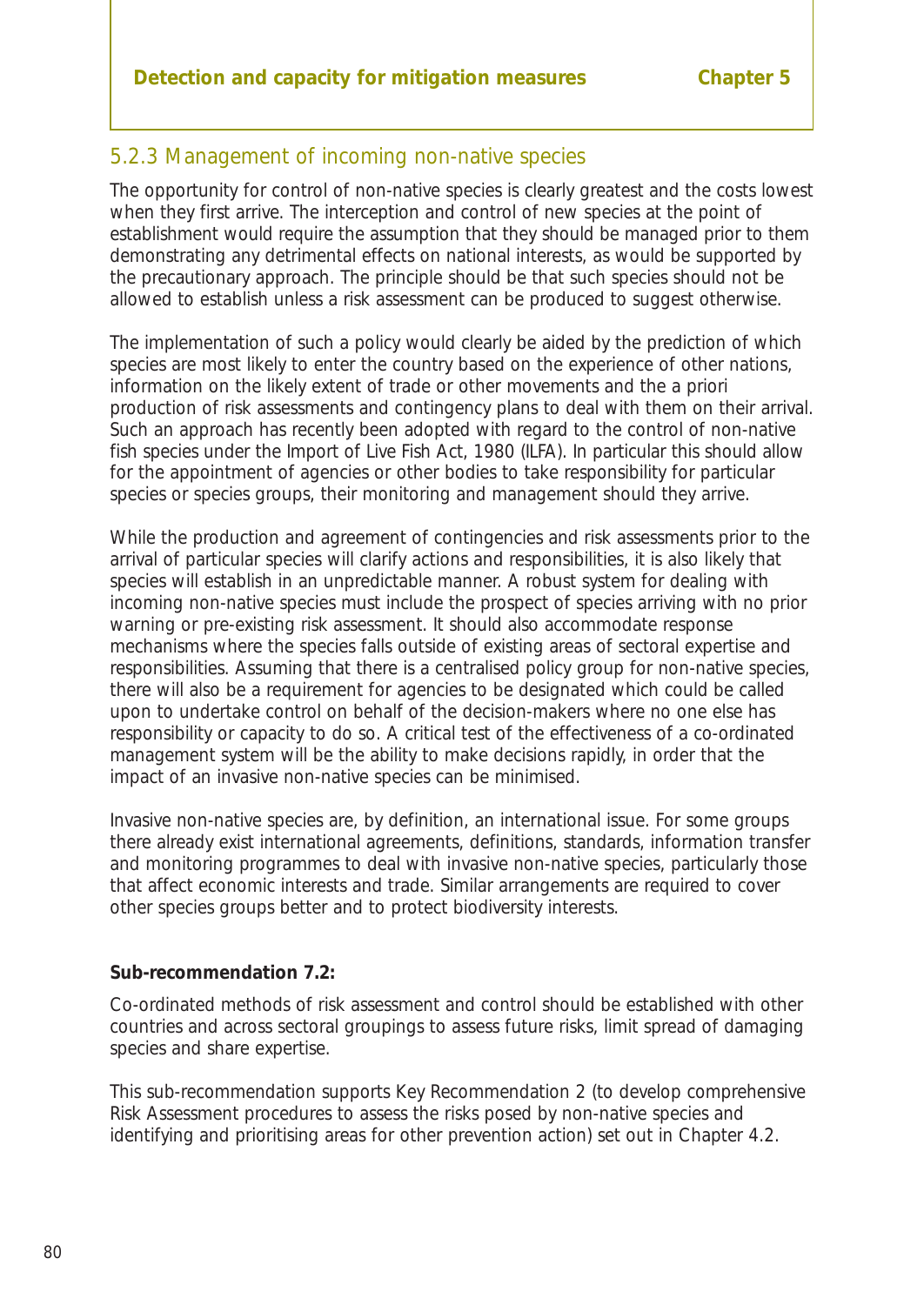# 5.2.3 Management of incoming non-native species

The opportunity for control of non-native species is clearly greatest and the costs lowest when they first arrive. The interception and control of new species at the point of establishment would require the assumption that they should be managed prior to them demonstrating any detrimental effects on national interests, as would be supported by the precautionary approach. The principle should be that such species should not be allowed to establish unless a risk assessment can be produced to suggest otherwise.

The implementation of such a policy would clearly be aided by the prediction of which species are most likely to enter the country based on the experience of other nations, information on the likely extent of trade or other movements and the *a priori* production of risk assessments and contingency plans to deal with them on their arrival. Such an approach has recently been adopted with regard to the control of non-native fish species under the Import of Live Fish Act, 1980 (ILFA). In particular this should allow for the appointment of agencies or other bodies to take responsibility for particular species or species groups, their monitoring and management should they arrive.

While the production and agreement of contingencies and risk assessments prior to the arrival of particular species will clarify actions and responsibilities, it is also likely that species will establish in an unpredictable manner. A robust system for dealing with incoming non-native species must include the prospect of species arriving with no prior warning or pre-existing risk assessment. It should also accommodate response mechanisms where the species falls outside of existing areas of sectoral expertise and responsibilities. Assuming that there is a centralised policy group for non-native species, there will also be a requirement for agencies to be designated which could be called upon to undertake control on behalf of the decision-makers where no one else has responsibility or capacity to do so. A critical test of the effectiveness of a co-ordinated management system will be the ability to make decisions rapidly, in order that the impact of an invasive non-native species can be minimised.

Invasive non-native species are, by definition, an international issue. For some groups there already exist international agreements, definitions, standards, information transfer and monitoring programmes to deal with invasive non-native species, particularly those that affect economic interests and trade. Similar arrangements are required to cover other species groups better and to protect biodiversity interests.

#### **Sub-recommendation 7.2:**

Co-ordinated methods of risk assessment and control should be established with other countries and across sectoral groupings to assess future risks, limit spread of damaging species and share expertise.

This sub-recommendation supports Key Recommendation 2 (to develop comprehensive Risk Assessment procedures to assess the risks posed by non-native species and identifying and prioritising areas for other prevention action) set out in Chapter 4.2.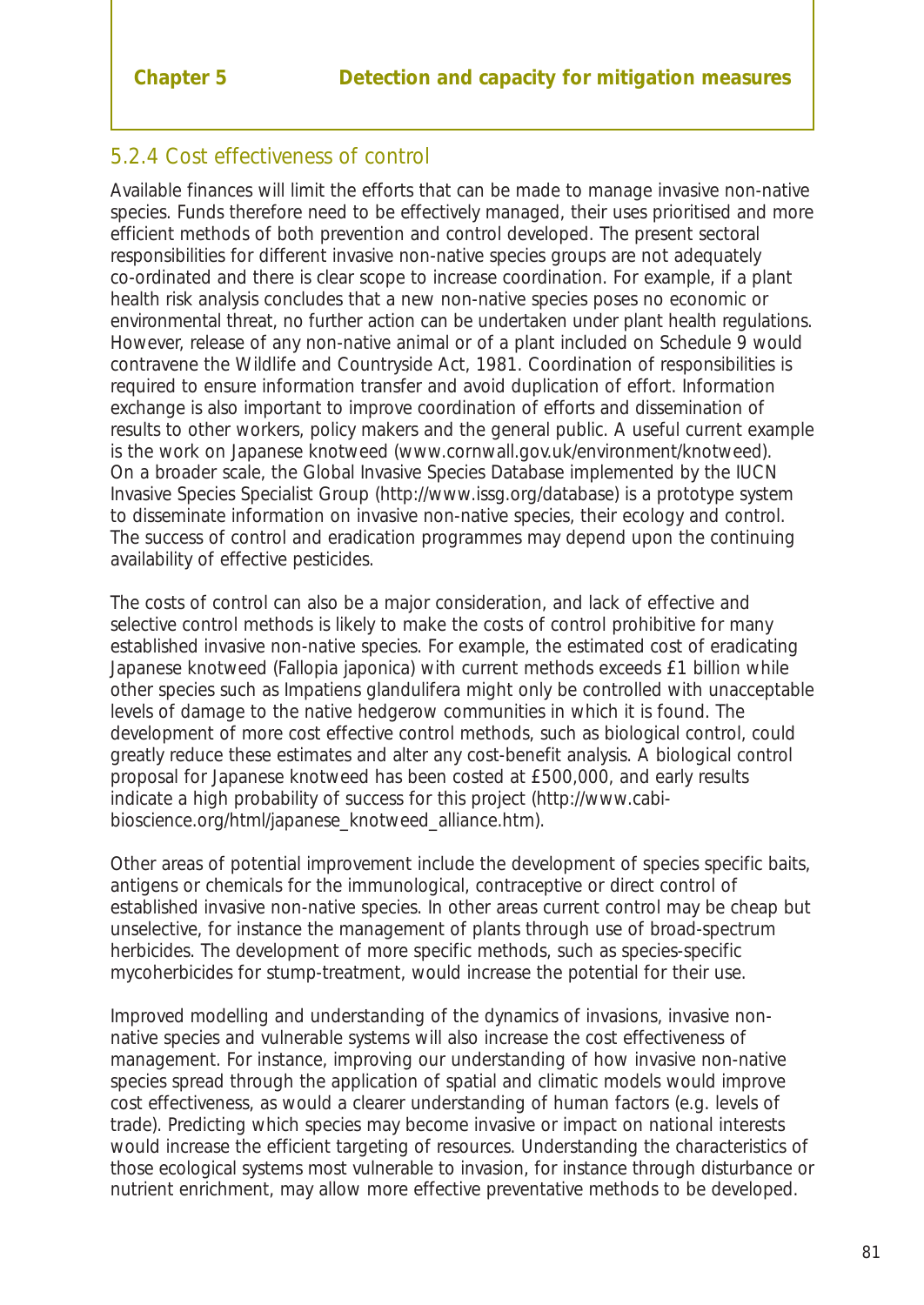# 5.2.4 Cost effectiveness of control

Available finances will limit the efforts that can be made to manage invasive non-native species. Funds therefore need to be effectively managed, their uses prioritised and more efficient methods of both prevention and control developed. The present sectoral responsibilities for different invasive non-native species groups are not adequately co-ordinated and there is clear scope to increase coordination. For example, if a plant health risk analysis concludes that a new non-native species poses no economic or environmental threat, no further action can be undertaken under plant health regulations. However, release of any non-native animal or of a plant included on Schedule 9 would contravene the Wildlife and Countryside Act, 1981. Coordination of responsibilities is required to ensure information transfer and avoid duplication of effort. Information exchange is also important to improve coordination of efforts and dissemination of results to other workers, policy makers and the general public. A useful current example is the work on Japanese knotweed (www.cornwall.gov.uk/environment/knotweed). On a broader scale, the Global Invasive Species Database implemented by the IUCN Invasive Species Specialist Group (http://www.issg.org/database) is a prototype system to disseminate information on invasive non-native species, their ecology and control. The success of control and eradication programmes may depend upon the continuing availability of effective pesticides.

The costs of control can also be a major consideration, and lack of effective and selective control methods is likely to make the costs of control prohibitive for many established invasive non-native species. For example, the estimated cost of eradicating Japanese knotweed *(Fallopia japonica)* with current methods exceeds £1 billion while other species such as *Impatiens glandulifera* might only be controlled with unacceptable levels of damage to the native hedgerow communities in which it is found. The development of more cost effective control methods, such as biological control, could greatly reduce these estimates and alter any cost-benefit analysis. A biological control proposal for Japanese knotweed has been costed at £500,000, and early results indicate a high probability of success for this project (http://www.cabibioscience.org/html/japanese\_knotweed\_alliance.htm).

Other areas of potential improvement include the development of species specific baits, antigens or chemicals for the immunological, contraceptive or direct control of established invasive non-native species. In other areas current control may be cheap but unselective, for instance the management of plants through use of broad-spectrum herbicides. The development of more specific methods, such as species-specific mycoherbicides for stump-treatment, would increase the potential for their use.

Improved modelling and understanding of the dynamics of invasions, invasive nonnative species and vulnerable systems will also increase the cost effectiveness of management. For instance, improving our understanding of how invasive non-native species spread through the application of spatial and climatic models would improve cost effectiveness, as would a clearer understanding of human factors (*e.g.* levels of trade). Predicting which species may become invasive or impact on national interests would increase the efficient targeting of resources. Understanding the characteristics of those ecological systems most vulnerable to invasion, for instance through disturbance or nutrient enrichment, may allow more effective preventative methods to be developed.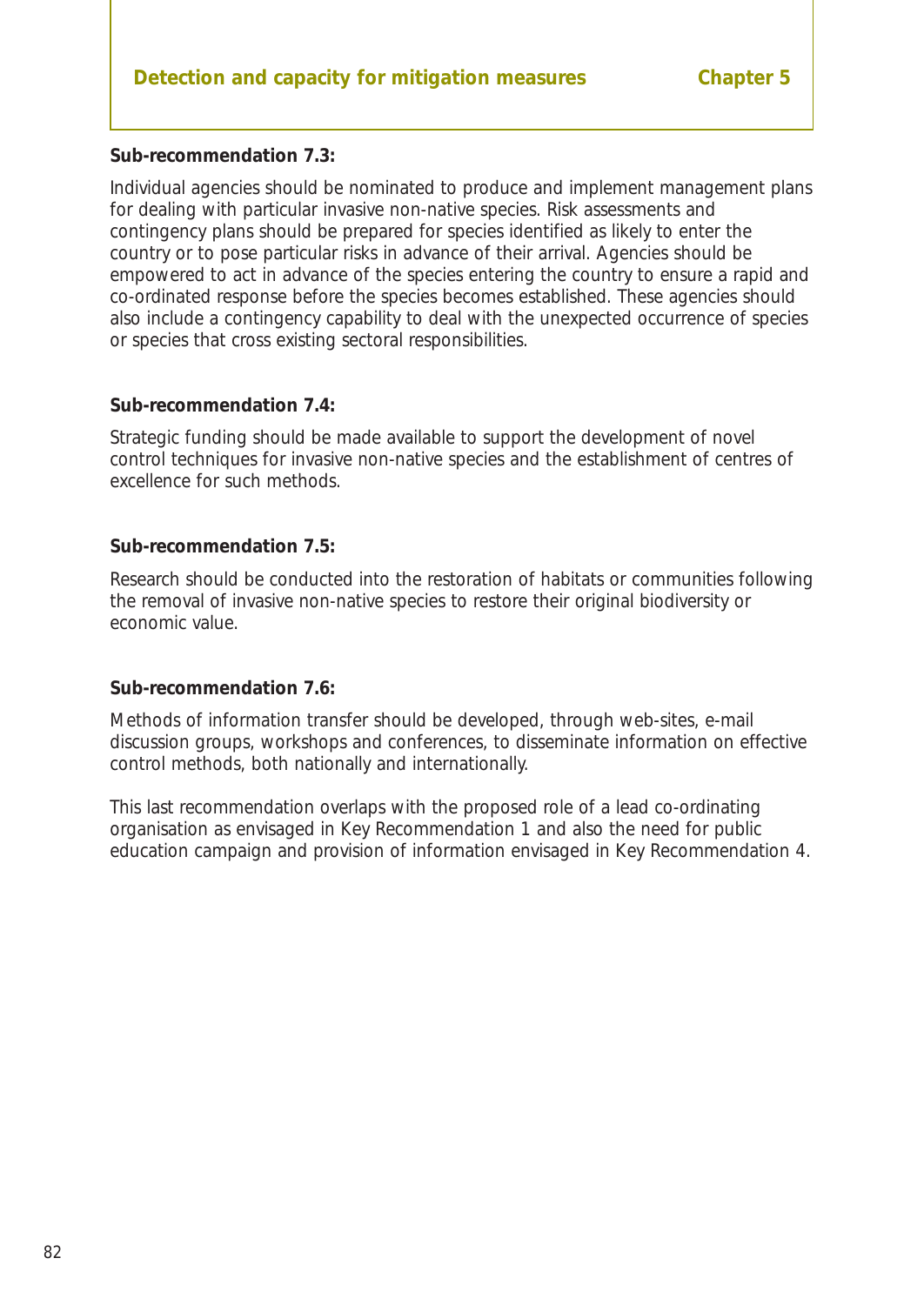#### **Sub-recommendation 7.3:**

Individual agencies should be nominated to produce and implement management plans for dealing with particular invasive non-native species. Risk assessments and contingency plans should be prepared for species identified as likely to enter the country or to pose particular risks in advance of their arrival. Agencies should be empowered to act in advance of the species entering the country to ensure a rapid and co-ordinated response before the species becomes established. These agencies should also include a contingency capability to deal with the unexpected occurrence of species or species that cross existing sectoral responsibilities.

#### **Sub-recommendation 7.4:**

Strategic funding should be made available to support the development of novel control techniques for invasive non-native species and the establishment of centres of excellence for such methods.

### **Sub-recommendation 7.5:**

Research should be conducted into the restoration of habitats or communities following the removal of invasive non-native species to restore their original biodiversity or economic value.

#### **Sub-recommendation 7.6:**

Methods of information transfer should be developed, through web-sites, e-mail discussion groups, workshops and conferences, to disseminate information on effective control methods, both nationally and internationally.

This last recommendation overlaps with the proposed role of a lead co-ordinating organisation as envisaged in Key Recommendation 1 and also the need for public education campaign and provision of information envisaged in Key Recommendation 4.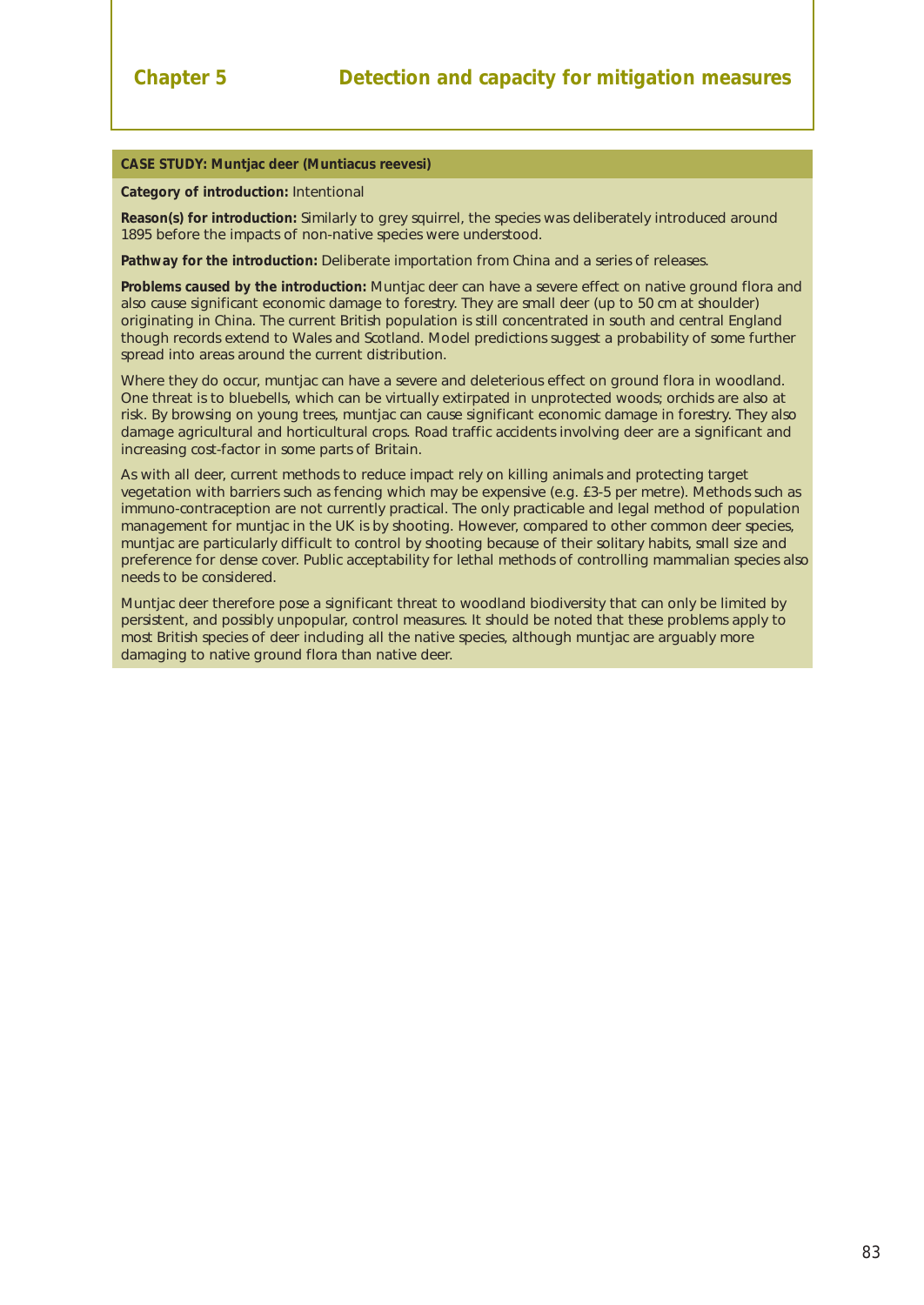#### **CASE STUDY: Muntjac deer** *(Muntiacus reevesi)*

#### **Category of introduction:** Intentional

**Reason(s) for introduction:** Similarly to grey squirrel, the species was deliberately introduced around 1895 before the impacts of non-native species were understood.

Pathway for the introduction: Deliberate importation from China and a series of releases.

**Problems caused by the introduction:** Muntjac deer can have a severe effect on native ground flora and also cause significant economic damage to forestry. They are small deer (up to 50 cm at shoulder) originating in China. The current British population is still concentrated in south and central England though records extend to Wales and Scotland. Model predictions suggest a probability of some further spread into areas around the current distribution.

Where they do occur, muntjac can have a severe and deleterious effect on ground flora in woodland. One threat is to bluebells, which can be virtually extirpated in unprotected woods; orchids are also at risk. By browsing on young trees, muntjac can cause significant economic damage in forestry. They also damage agricultural and horticultural crops. Road traffic accidents involving deer are a significant and increasing cost-factor in some parts of Britain.

As with all deer, current methods to reduce impact rely on killing animals and protecting target vegetation with barriers such as fencing which may be expensive (*e.g.* £3-5 per metre). Methods such as immuno-contraception are not currently practical. The only practicable and legal method of population management for muntjac in the UK is by shooting. However, compared to other common deer species, muntjac are particularly difficult to control by shooting because of their solitary habits, small size and preference for dense cover. Public acceptability for lethal methods of controlling mammalian species also needs to be considered.

Muntjac deer therefore pose a significant threat to woodland biodiversity that can only be limited by persistent, and possibly unpopular, control measures. It should be noted that these problems apply to most British species of deer including all the native species, although muntjac are arguably more damaging to native ground flora than native deer.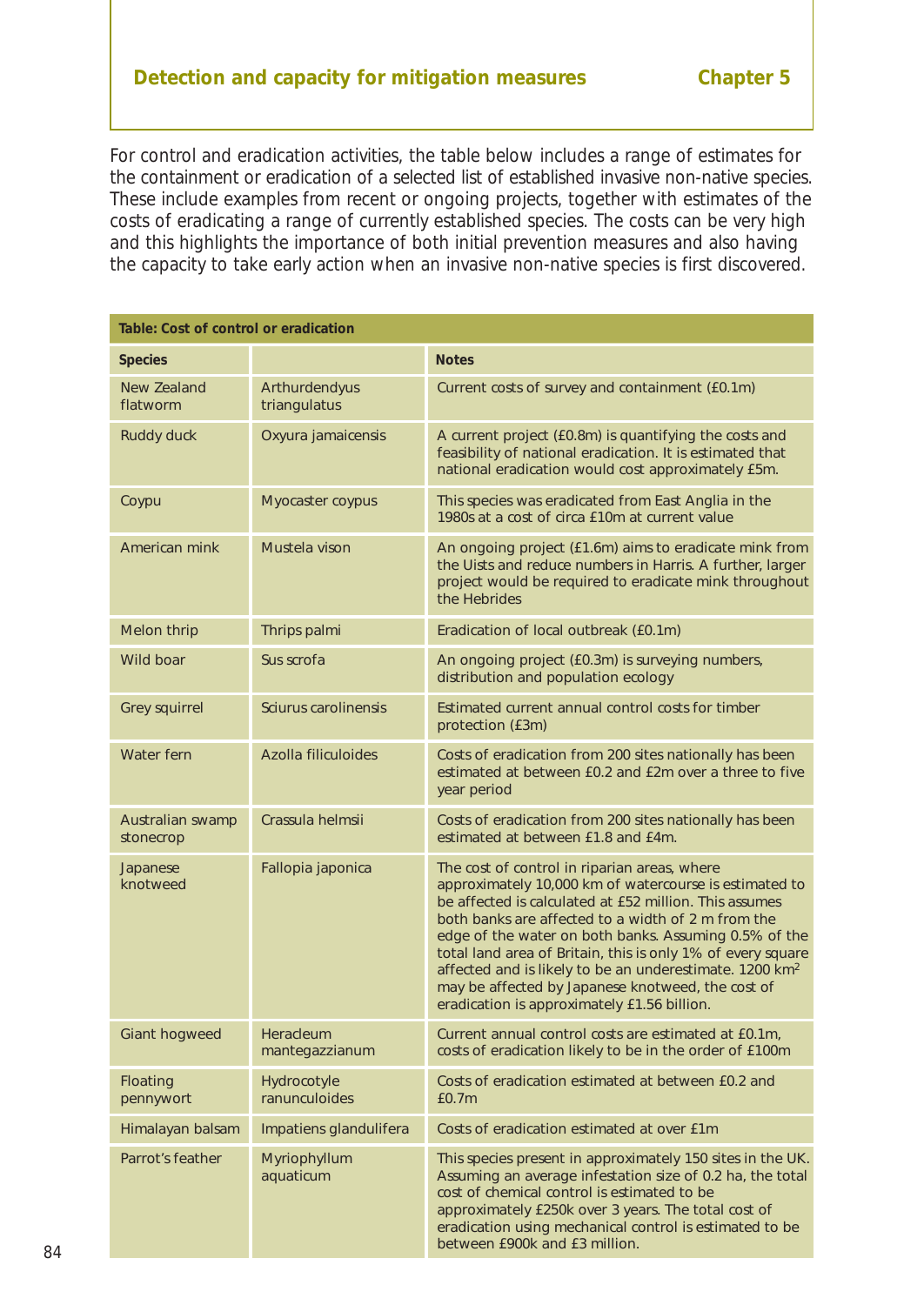For control and eradication activities, the table below includes a range of estimates for the containment or eradication of a selected list of established invasive non-native species. These include examples from recent or ongoing projects, together with estimates of the costs of eradicating a range of currently established species. The costs can be very high and this highlights the importance of both initial prevention measures and also having the capacity to take early action when an invasive non-native species is first discovered.

| Table: Cost of control or eradication |                               |                                                                                                                                                                                                                                                                                                                                                                                                                                                                                                                           |
|---------------------------------------|-------------------------------|---------------------------------------------------------------------------------------------------------------------------------------------------------------------------------------------------------------------------------------------------------------------------------------------------------------------------------------------------------------------------------------------------------------------------------------------------------------------------------------------------------------------------|
| <b>Species</b>                        |                               | <b>Notes</b>                                                                                                                                                                                                                                                                                                                                                                                                                                                                                                              |
| <b>New Zealand</b><br>flatworm        | Arthurdendyus<br>triangulatus | Current costs of survey and containment (£0.1m)                                                                                                                                                                                                                                                                                                                                                                                                                                                                           |
| <b>Ruddy duck</b>                     | Oxyura jamaicensis            | A current project (£0.8m) is quantifying the costs and<br>feasibility of national eradication. It is estimated that<br>national eradication would cost approximately £5m.                                                                                                                                                                                                                                                                                                                                                 |
| Coypu                                 | Myocaster coypus              | This species was eradicated from East Anglia in the<br>1980s at a cost of circa £10m at current value                                                                                                                                                                                                                                                                                                                                                                                                                     |
| American mink                         | Mustela vison                 | An ongoing project (£1.6m) aims to eradicate mink from<br>the Uists and reduce numbers in Harris. A further, larger<br>project would be required to eradicate mink throughout<br>the Hebrides                                                                                                                                                                                                                                                                                                                             |
| Melon thrip                           | Thrips palmi                  | Eradication of local outbreak (£0.1m)                                                                                                                                                                                                                                                                                                                                                                                                                                                                                     |
| Wild boar                             | Sus scrofa                    | An ongoing project (£0.3m) is surveying numbers,<br>distribution and population ecology                                                                                                                                                                                                                                                                                                                                                                                                                                   |
| <b>Grey squirrel</b>                  | Sciurus carolinensis          | Estimated current annual control costs for timber<br>protection (£3m)                                                                                                                                                                                                                                                                                                                                                                                                                                                     |
| Water fern                            | Azolla filiculoides           | Costs of eradication from 200 sites nationally has been<br>estimated at between £0.2 and £2m over a three to five<br>year period                                                                                                                                                                                                                                                                                                                                                                                          |
| Australian swamp<br>stonecrop         | Crassula helmsii              | Costs of eradication from 200 sites nationally has been<br>estimated at between £1.8 and £4m.                                                                                                                                                                                                                                                                                                                                                                                                                             |
| Japanese<br>knotweed                  | Fallopia japonica             | The cost of control in riparian areas, where<br>approximately 10,000 km of watercourse is estimated to<br>be affected is calculated at £52 million. This assumes<br>both banks are affected to a width of 2 m from the<br>edge of the water on both banks. Assuming 0.5% of the<br>total land area of Britain, this is only 1% of every square<br>affected and is likely to be an underestimate. 1200 km <sup>2</sup><br>may be affected by Japanese knotweed, the cost of<br>eradication is approximately £1.56 billion. |
| <b>Giant hogweed</b>                  | Heracleum<br>mantegazzianum   | Current annual control costs are estimated at £0.1m,<br>costs of eradication likely to be in the order of £100m                                                                                                                                                                                                                                                                                                                                                                                                           |
| Floating<br>pennywort                 | Hydrocotyle<br>ranunculoides  | Costs of eradication estimated at between £0.2 and<br>£0.7m                                                                                                                                                                                                                                                                                                                                                                                                                                                               |
| Himalayan balsam                      | Impatiens glandulifera        | Costs of eradication estimated at over £1m                                                                                                                                                                                                                                                                                                                                                                                                                                                                                |
| Parrot's feather                      | Myriophyllum<br>aquaticum     | This species present in approximately 150 sites in the UK.<br>Assuming an average infestation size of 0.2 ha, the total<br>cost of chemical control is estimated to be<br>approximately £250k over 3 years. The total cost of<br>eradication using mechanical control is estimated to be<br>between £900k and £3 million.                                                                                                                                                                                                 |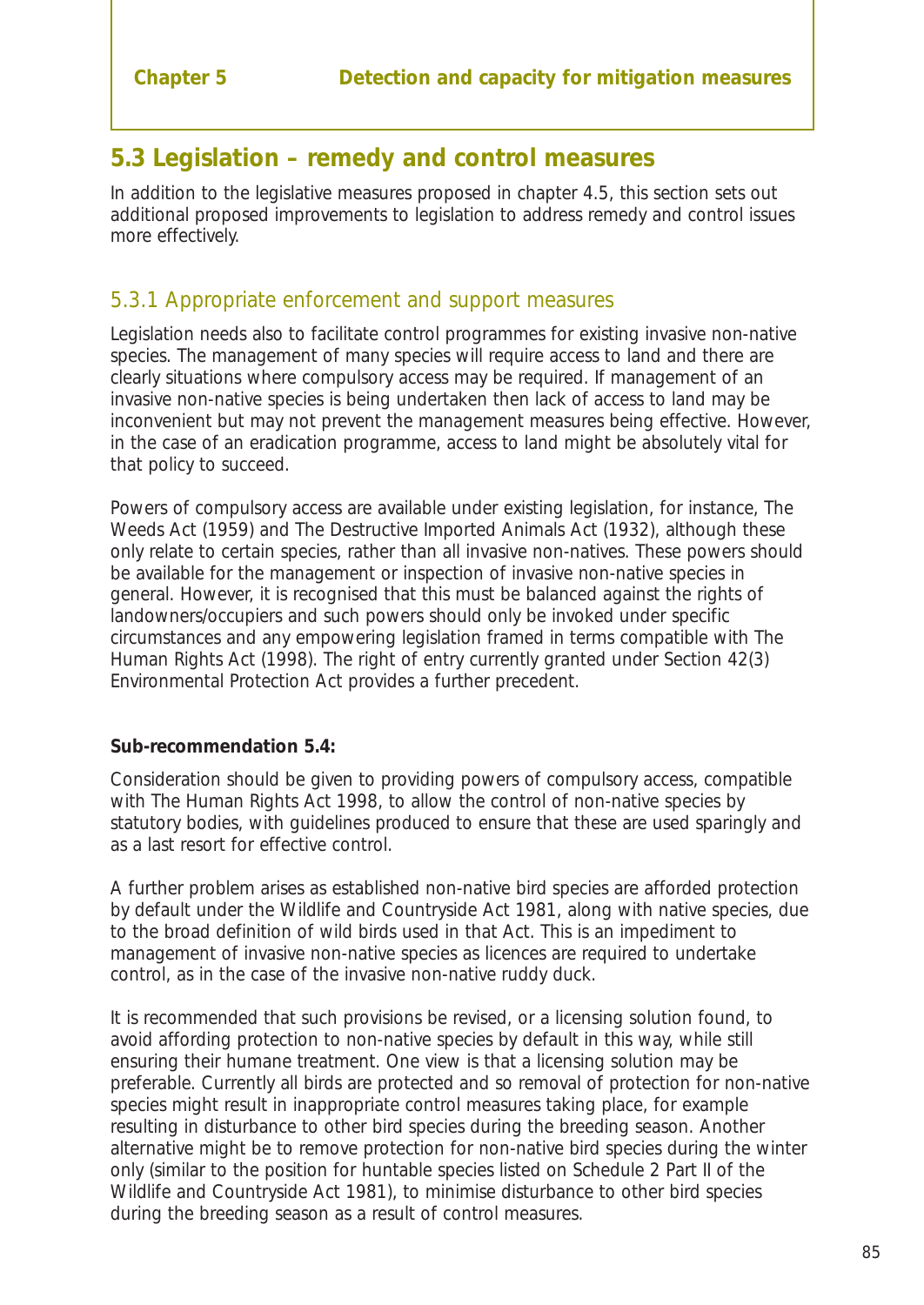# **5.3 Legislation – remedy and control measures**

In addition to the legislative measures proposed in chapter 4.5, this section sets out additional proposed improvements to legislation to address remedy and control issues more effectively.

# 5.3.1 Appropriate enforcement and support measures

Legislation needs also to facilitate control programmes for existing invasive non-native species. The management of many species will require access to land and there are clearly situations where compulsory access may be required. If management of an invasive non-native species is being undertaken then lack of access to land may be inconvenient but may not prevent the management measures being effective. However, in the case of an eradication programme, access to land might be absolutely vital for that policy to succeed.

Powers of compulsory access are available under existing legislation, for instance, The Weeds Act (1959) and The Destructive Imported Animals Act (1932), although these only relate to certain species, rather than all invasive non-natives. These powers should be available for the management or inspection of invasive non-native species in general. However, it is recognised that this must be balanced against the rights of landowners/occupiers and such powers should only be invoked under specific circumstances and any empowering legislation framed in terms compatible with The Human Rights Act (1998). The right of entry currently granted under Section 42(3) Environmental Protection Act provides a further precedent.

# **Sub-recommendation 5.4:**

Consideration should be given to providing powers of compulsory access, compatible with The Human Rights Act 1998, to allow the control of non-native species by statutory bodies, with guidelines produced to ensure that these are used sparingly and as a last resort for effective control.

A further problem arises as established non-native bird species are afforded protection by default under the Wildlife and Countryside Act 1981, along with native species, due to the broad definition of wild birds used in that Act. This is an impediment to management of invasive non-native species as licences are required to undertake control, as in the case of the invasive non-native ruddy duck.

It is recommended that such provisions be revised, or a licensing solution found, to avoid affording protection to non-native species by default in this way, while still ensuring their humane treatment. One view is that a licensing solution may be preferable. Currently all birds are protected and so removal of protection for non-native species might result in inappropriate control measures taking place, for example resulting in disturbance to other bird species during the breeding season. Another alternative might be to remove protection for non-native bird species during the winter only (similar to the position for huntable species listed on Schedule 2 Part II of the Wildlife and Countryside Act 1981), to minimise disturbance to other bird species during the breeding season as a result of control measures.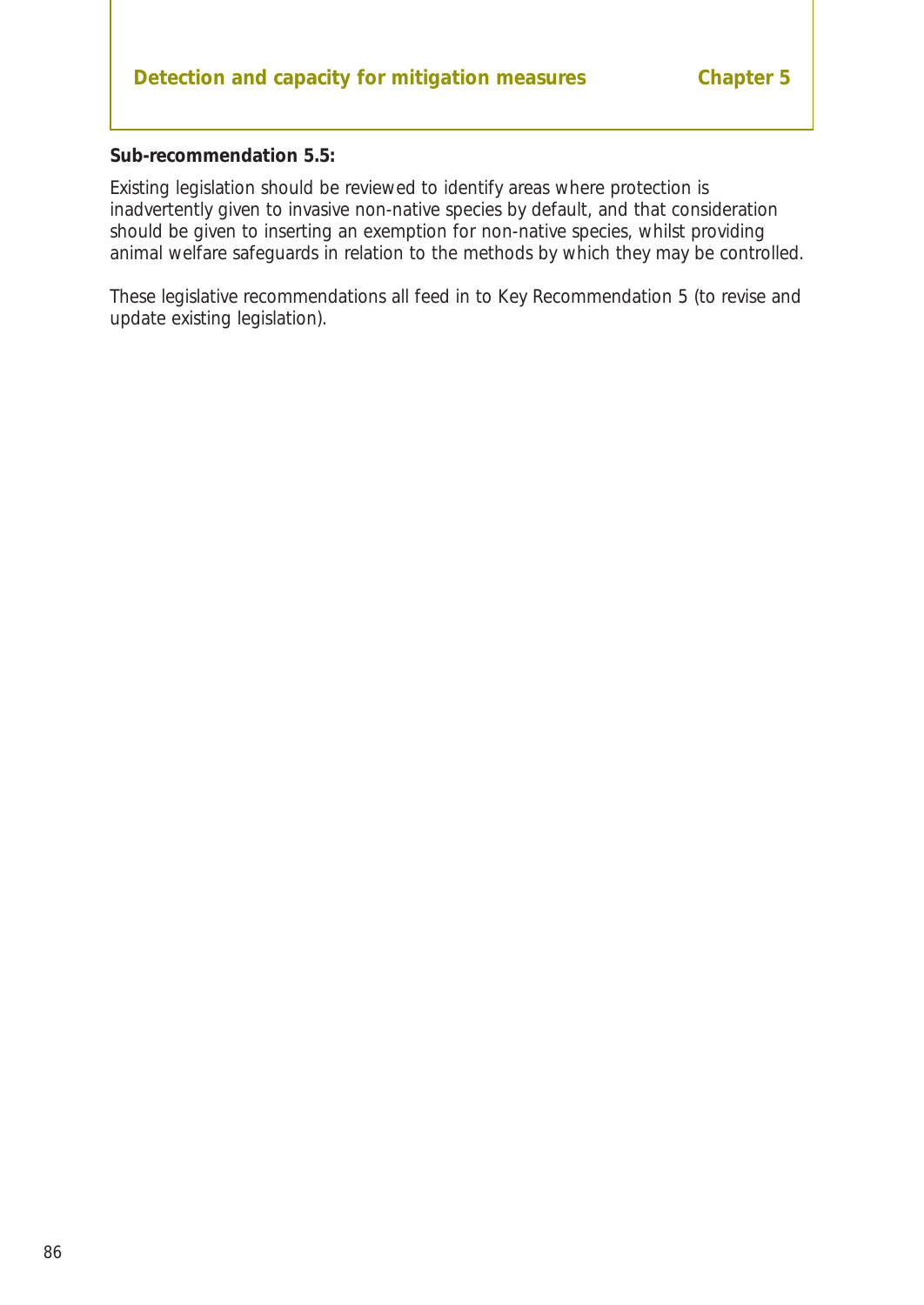#### **Sub-recommendation 5.5:**

Existing legislation should be reviewed to identify areas where protection is inadvertently given to invasive non-native species by default, and that consideration should be given to inserting an exemption for non-native species, whilst providing animal welfare safeguards in relation to the methods by which they may be controlled.

These legislative recommendations all feed in to Key Recommendation 5 (to revise and update existing legislation).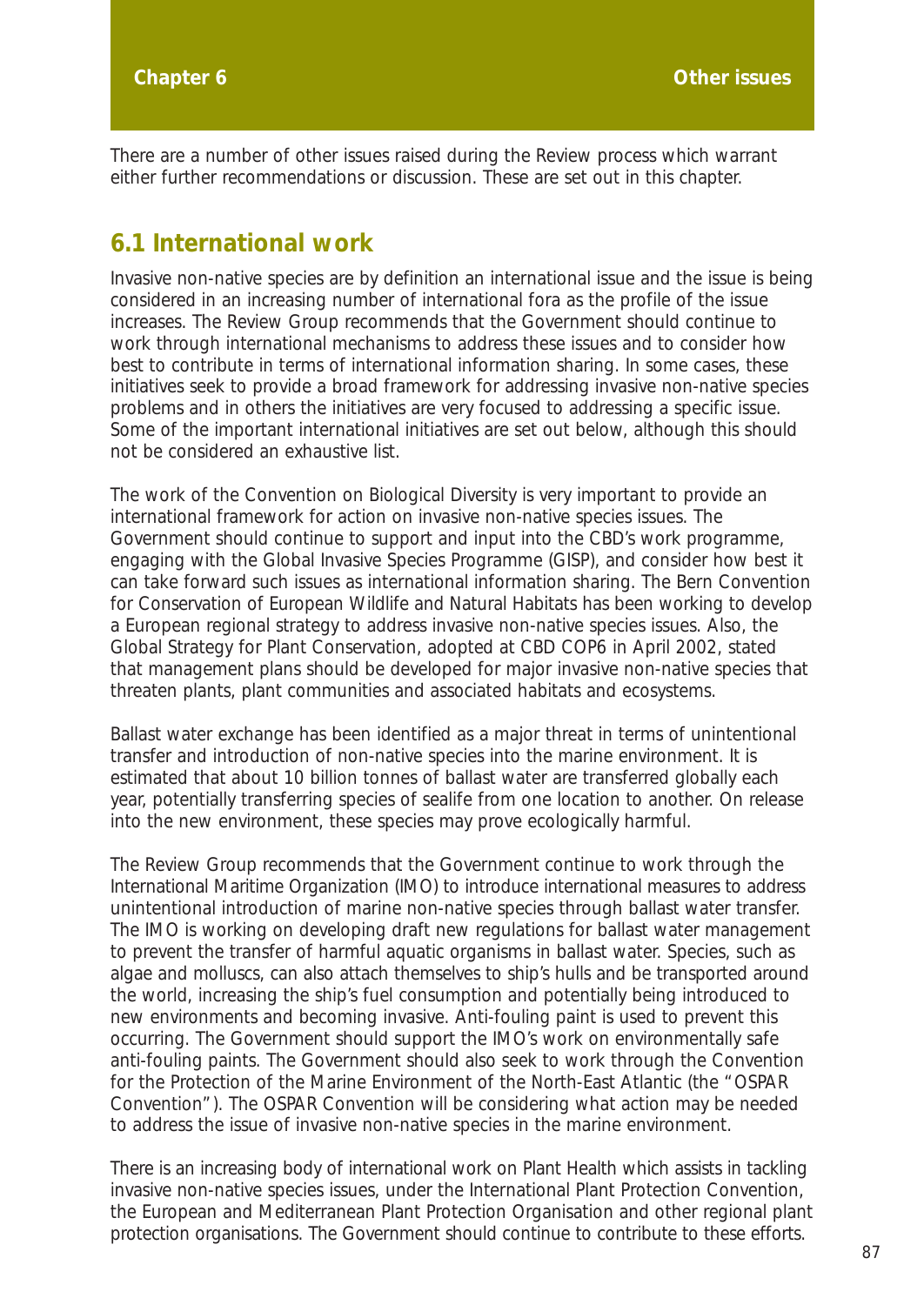There are a number of other issues raised during the Review process which warrant either further recommendations or discussion. These are set out in this chapter.

# **6.1 International work**

Invasive non-native species are by definition an international issue and the issue is being considered in an increasing number of international fora as the profile of the issue increases. The Review Group recommends that the Government should continue to work through international mechanisms to address these issues and to consider how best to contribute in terms of international information sharing. In some cases, these initiatives seek to provide a broad framework for addressing invasive non-native species problems and in others the initiatives are very focused to addressing a specific issue. Some of the important international initiatives are set out below, although this should not be considered an exhaustive list.

The work of the Convention on Biological Diversity is very important to provide an international framework for action on invasive non-native species issues. The Government should continue to support and input into the CBD's work programme, engaging with the Global Invasive Species Programme (GISP), and consider how best it can take forward such issues as international information sharing. The Bern Convention for Conservation of European Wildlife and Natural Habitats has been working to develop a European regional strategy to address invasive non-native species issues. Also, the Global Strategy for Plant Conservation, adopted at CBD COP6 in April 2002, stated that management plans should be developed for major invasive non-native species that threaten plants, plant communities and associated habitats and ecosystems.

Ballast water exchange has been identified as a major threat in terms of unintentional transfer and introduction of non-native species into the marine environment. It is estimated that about 10 billion tonnes of ballast water are transferred globally each year, potentially transferring species of sealife from one location to another. On release into the new environment, these species may prove ecologically harmful.

The Review Group recommends that the Government continue to work through the International Maritime Organization (IMO) to introduce international measures to address unintentional introduction of marine non-native species through ballast water transfer. The IMO is working on developing draft new regulations for ballast water management to prevent the transfer of harmful aquatic organisms in ballast water. Species, such as algae and molluscs, can also attach themselves to ship's hulls and be transported around the world, increasing the ship's fuel consumption and potentially being introduced to new environments and becoming invasive. Anti-fouling paint is used to prevent this occurring. The Government should support the IMO's work on environmentally safe anti-fouling paints. The Government should also seek to work through the Convention for the Protection of the Marine Environment of the North-East Atlantic (the "OSPAR Convention"). The OSPAR Convention will be considering what action may be needed to address the issue of invasive non-native species in the marine environment.

There is an increasing body of international work on Plant Health which assists in tackling invasive non-native species issues, under the International Plant Protection Convention, the European and Mediterranean Plant Protection Organisation and other regional plant protection organisations. The Government should continue to contribute to these efforts.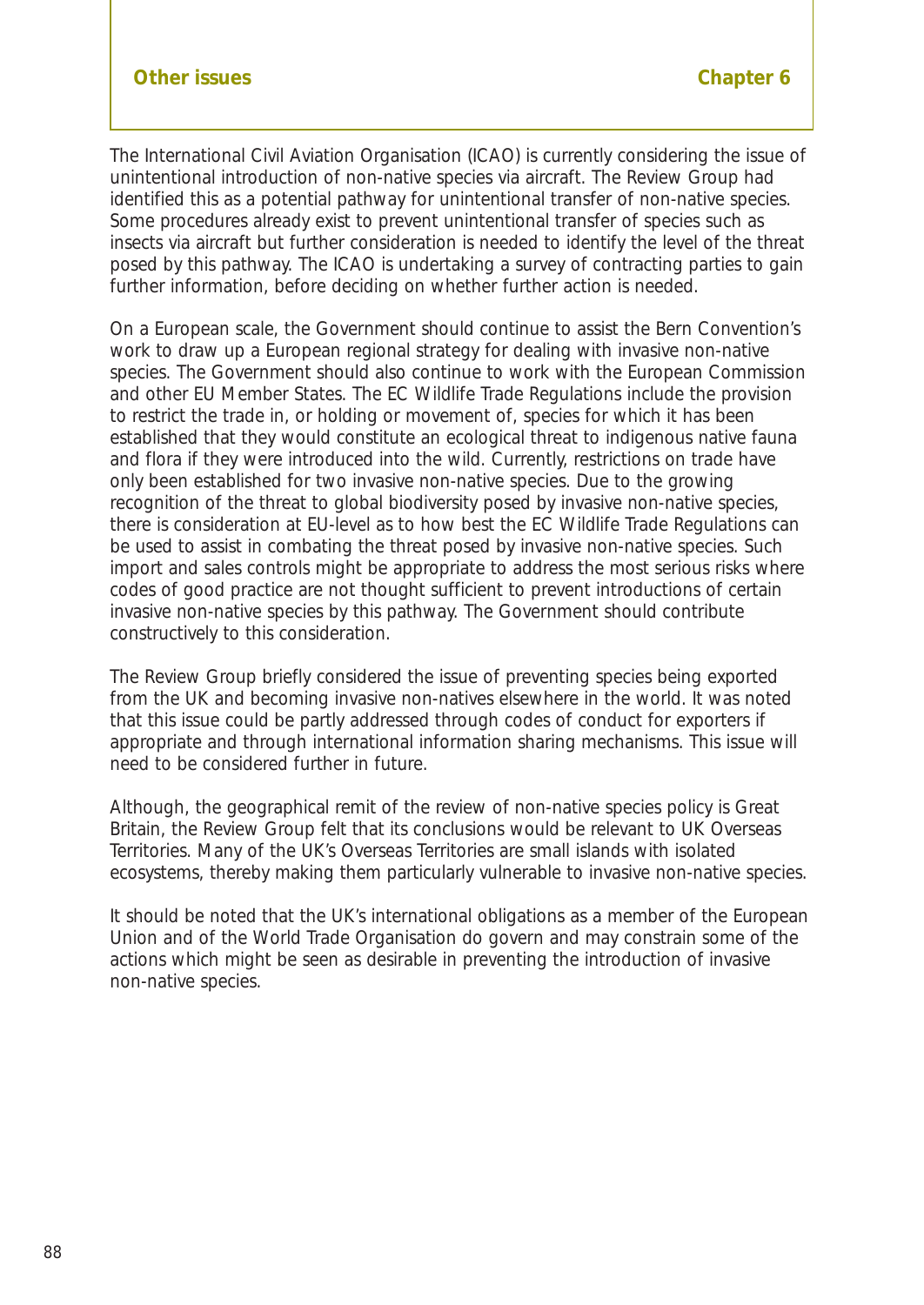#### **Other issues Chapter 6**

The International Civil Aviation Organisation (ICAO) is currently considering the issue of unintentional introduction of non-native species via aircraft. The Review Group had identified this as a potential pathway for unintentional transfer of non-native species. Some procedures already exist to prevent unintentional transfer of species such as insects via aircraft but further consideration is needed to identify the level of the threat posed by this pathway. The ICAO is undertaking a survey of contracting parties to gain further information, before deciding on whether further action is needed.

On a European scale, the Government should continue to assist the Bern Convention's work to draw up a European regional strategy for dealing with invasive non-native species. The Government should also continue to work with the European Commission and other EU Member States. The EC Wildlife Trade Regulations include the provision to restrict the trade in, or holding or movement of, species for which it has been established that they would constitute an ecological threat to indigenous native fauna and flora if they were introduced into the wild. Currently, restrictions on trade have only been established for two invasive non-native species. Due to the growing recognition of the threat to global biodiversity posed by invasive non-native species, there is consideration at EU-level as to how best the EC Wildlife Trade Regulations can be used to assist in combating the threat posed by invasive non-native species. Such import and sales controls might be appropriate to address the most serious risks where codes of good practice are not thought sufficient to prevent introductions of certain invasive non-native species by this pathway. The Government should contribute constructively to this consideration.

The Review Group briefly considered the issue of preventing species being exported from the UK and becoming invasive non-natives elsewhere in the world. It was noted that this issue could be partly addressed through codes of conduct for exporters if appropriate and through international information sharing mechanisms. This issue will need to be considered further in future.

Although, the geographical remit of the review of non-native species policy is Great Britain, the Review Group felt that its conclusions would be relevant to UK Overseas Territories. Many of the UK's Overseas Territories are small islands with isolated ecosystems, thereby making them particularly vulnerable to invasive non-native species.

It should be noted that the UK's international obligations as a member of the European Union and of the World Trade Organisation do govern and may constrain some of the actions which might be seen as desirable in preventing the introduction of invasive non-native species.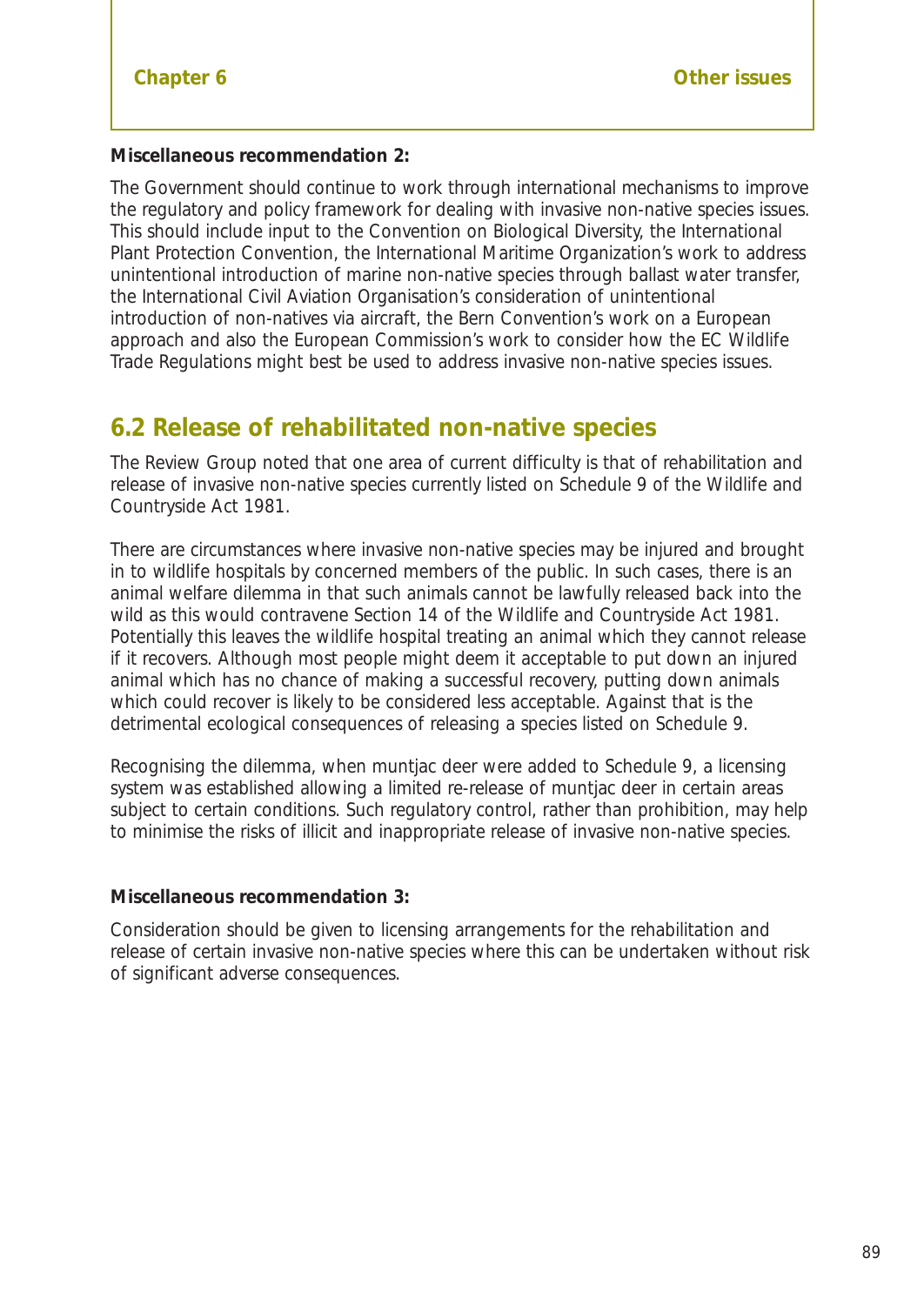#### **Miscellaneous recommendation 2:**

The Government should continue to work through international mechanisms to improve the regulatory and policy framework for dealing with invasive non-native species issues. This should include input to the Convention on Biological Diversity, the International Plant Protection Convention, the International Maritime Organization's work to address unintentional introduction of marine non-native species through ballast water transfer, the International Civil Aviation Organisation's consideration of unintentional introduction of non-natives via aircraft, the Bern Convention's work on a European approach and also the European Commission's work to consider how the EC Wildlife Trade Regulations might best be used to address invasive non-native species issues.

# **6.2 Release of rehabilitated non-native species**

The Review Group noted that one area of current difficulty is that of rehabilitation and release of invasive non-native species currently listed on Schedule 9 of the Wildlife and Countryside Act 1981.

There are circumstances where invasive non-native species may be injured and brought in to wildlife hospitals by concerned members of the public. In such cases, there is an animal welfare dilemma in that such animals cannot be lawfully released back into the wild as this would contravene Section 14 of the Wildlife and Countryside Act 1981. Potentially this leaves the wildlife hospital treating an animal which they cannot release if it recovers. Although most people might deem it acceptable to put down an injured animal which has no chance of making a successful recovery, putting down animals which could recover is likely to be considered less acceptable. Against that is the detrimental ecological consequences of releasing a species listed on Schedule 9.

Recognising the dilemma, when muntjac deer were added to Schedule 9, a licensing system was established allowing a limited re-release of muntjac deer in certain areas subject to certain conditions. Such regulatory control, rather than prohibition, may help to minimise the risks of illicit and inappropriate release of invasive non-native species.

# **Miscellaneous recommendation 3:**

Consideration should be given to licensing arrangements for the rehabilitation and release of certain invasive non-native species where this can be undertaken without risk of significant adverse consequences.